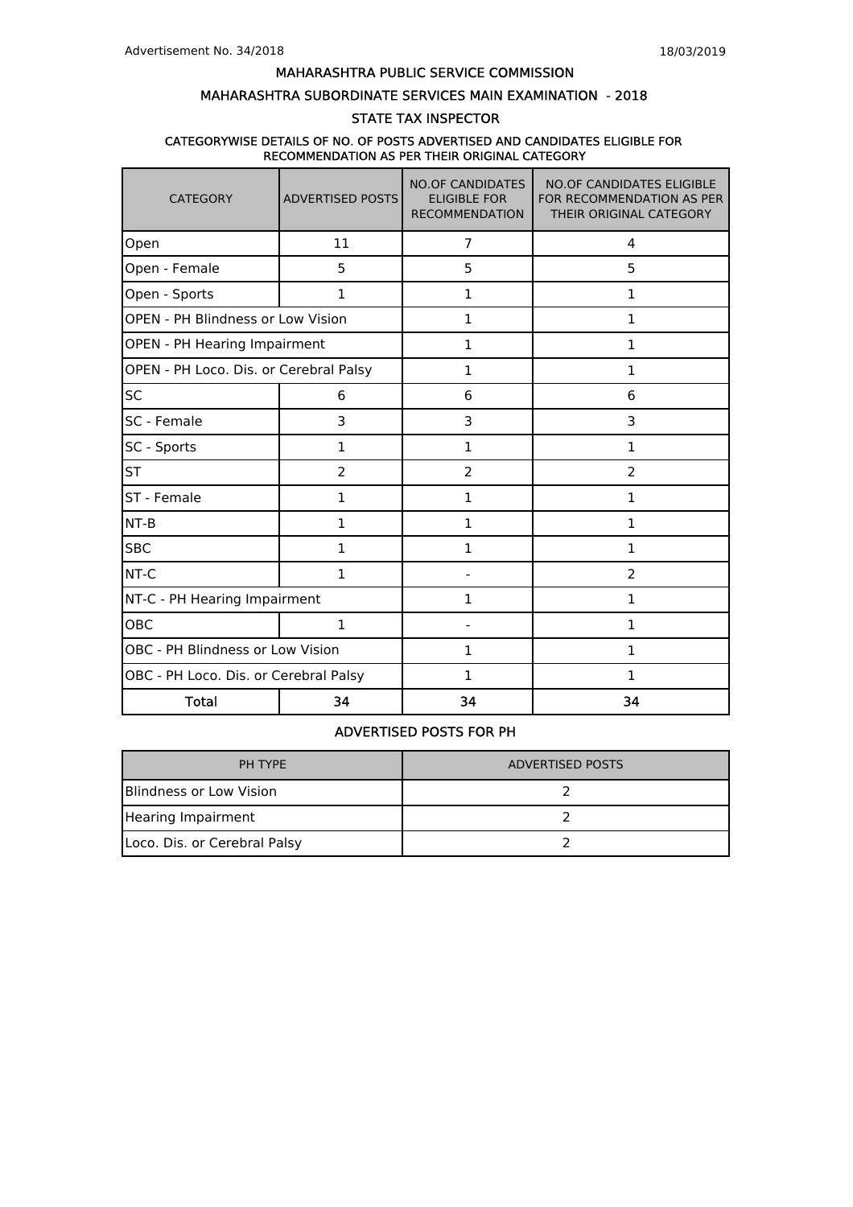## MAHARASHTRA SUBORDINATE SERVICES MAIN EXAMINATION - 2018

# STATE TAX INSPECTOR

## CATEGORYWISE DETAILS OF NO. OF POSTS ADVERTISED AND CANDIDATES ELIGIBLE FOR RECOMMENDATION AS PER THEIR ORIGINAL CATEGORY

| <b>CATEGORY</b>                        | <b>ADVERTISED POSTS</b> | <b>NO.OF CANDIDATES</b><br><b>ELIGIBLE FOR</b><br><b>RECOMMENDATION</b> | <b>NO.OF CANDIDATES ELIGIBLE</b><br>FOR RECOMMENDATION AS PER<br>THEIR ORIGINAL CATEGORY |  |  |
|----------------------------------------|-------------------------|-------------------------------------------------------------------------|------------------------------------------------------------------------------------------|--|--|
| Open                                   | 11                      | $\overline{7}$                                                          | 4                                                                                        |  |  |
| Open - Female                          | 5                       | 5                                                                       | 5                                                                                        |  |  |
| Open - Sports                          | $\mathbf{1}$            | 1                                                                       | 1                                                                                        |  |  |
| OPEN - PH Blindness or Low Vision      |                         | $\mathbf{1}$                                                            | 1                                                                                        |  |  |
| OPEN - PH Hearing Impairment           |                         | $\mathbf{1}$                                                            | 1                                                                                        |  |  |
| OPEN - PH Loco. Dis. or Cerebral Palsy |                         | 1                                                                       | 1                                                                                        |  |  |
| <b>SC</b>                              | 6                       | 6                                                                       | 6                                                                                        |  |  |
| SC - Female                            | 3                       | 3                                                                       | 3                                                                                        |  |  |
| SC - Sports                            | 1                       | $\mathbf{1}$                                                            | 1                                                                                        |  |  |
| <b>ST</b>                              | 2                       | $\overline{2}$                                                          | $\overline{2}$                                                                           |  |  |
| ST - Female                            | $\mathbf{1}$            | $\mathbf{1}$                                                            | 1                                                                                        |  |  |
| NT-B                                   | 1                       | $\mathbf{1}$                                                            | 1                                                                                        |  |  |
| <b>SBC</b>                             | $\mathbf{1}$            | 1                                                                       | 1                                                                                        |  |  |
| NT-C                                   | 1                       |                                                                         | $\overline{2}$                                                                           |  |  |
| NT-C - PH Hearing Impairment           |                         | 1                                                                       | 1                                                                                        |  |  |
| OBC                                    | $\mathbf{1}$            |                                                                         | 1                                                                                        |  |  |
| OBC - PH Blindness or Low Vision       |                         | 1                                                                       | 1                                                                                        |  |  |
| OBC - PH Loco. Dis. or Cerebral Palsy  |                         | $\mathbf 1$                                                             | $\mathbf{1}$                                                                             |  |  |
| <b>Total</b>                           | 34                      | 34                                                                      | 34                                                                                       |  |  |

# ADVERTISED POSTS FOR PH

| PH TYPE                      | <b>ADVERTISED POSTS</b> |
|------------------------------|-------------------------|
| lBlindness or Low Vision     |                         |
| Hearing Impairment           |                         |
| Loco. Dis. or Cerebral Palsy |                         |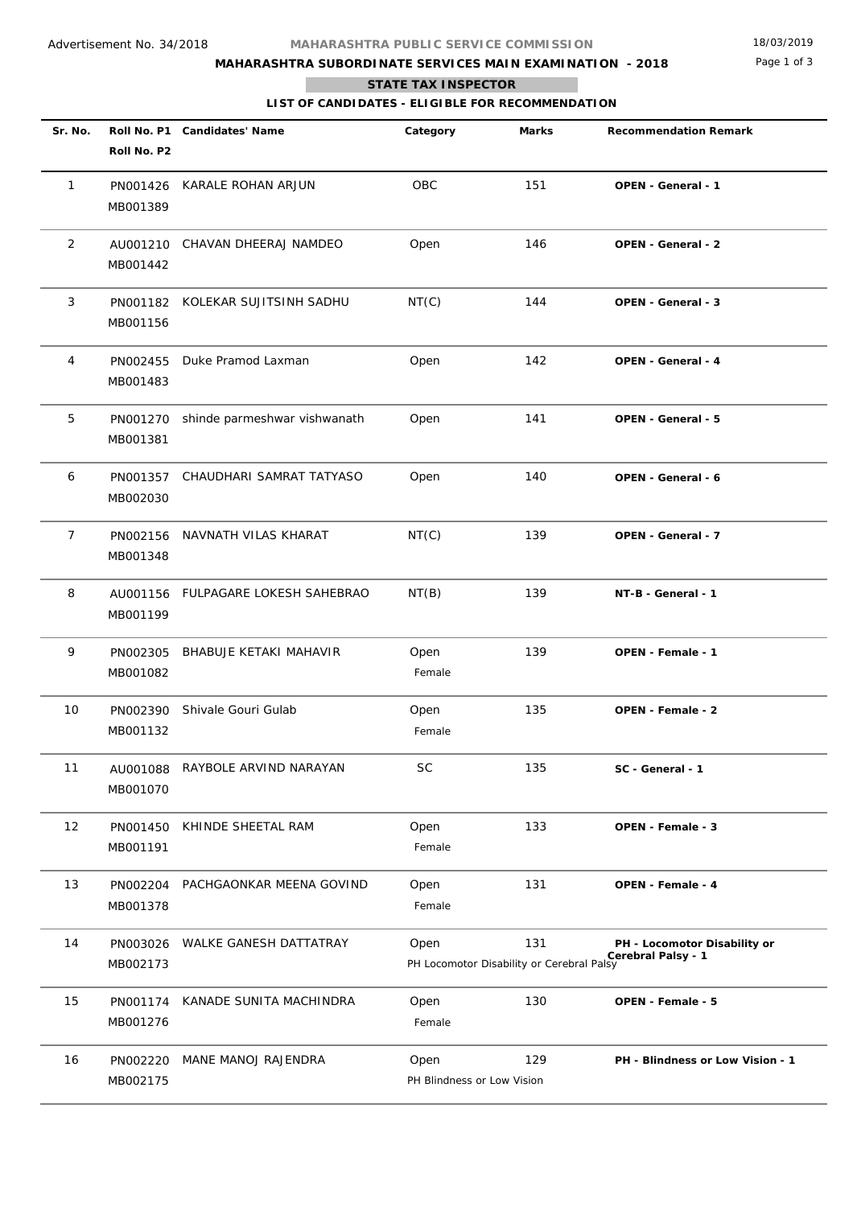# **MAHARASHTRA SUBORDINATE SERVICES MAIN EXAMINATION - 2018**

Page 1 of 3

## **STATE TAX INSPECTOR**

п

**LIST OF CANDIDATES - ELIGIBLE FOR RECOMMENDATION**

| Sr. No. | Roll No. P2          | Roll No. P1 Candidates' Name | Category                           | <b>Marks</b>                                     | <b>Recommendation Remark</b>                       |
|---------|----------------------|------------------------------|------------------------------------|--------------------------------------------------|----------------------------------------------------|
| 1       | PN001426<br>MB001389 | KARALE ROHAN ARJUN           | OBC                                | 151                                              | OPEN - General - 1                                 |
| 2       | AU001210<br>MB001442 | CHAVAN DHEERAJ NAMDEO        | Open                               | 146                                              | OPEN - General - 2                                 |
| 3       | PN001182<br>MB001156 | KOLEKAR SUJITSINH SADHU      | NT(C)                              | 144                                              | OPEN - General - 3                                 |
| 4       | PN002455<br>MB001483 | Duke Pramod Laxman           | Open                               | 142                                              | OPEN - General - 4                                 |
| 5       | PN001270<br>MB001381 | shinde parmeshwar vishwanath | Open                               | 141                                              | OPEN - General - 5                                 |
| 6       | PN001357<br>MB002030 | CHAUDHARI SAMRAT TATYASO     | Open                               | 140                                              | OPEN - General - 6                                 |
| 7       | PN002156<br>MB001348 | NAVNATH VILAS KHARAT         | NT(C)                              | 139                                              | OPEN - General - 7                                 |
| 8       | AU001156<br>MB001199 | FULPAGARE LOKESH SAHEBRAO    | NT(B)                              | 139                                              | NT-B - General - 1                                 |
| 9       | PN002305<br>MB001082 | BHABUJE KETAKI MAHAVIR       | Open<br>Female                     | 139                                              | OPEN - Female - 1                                  |
| 10      | PN002390<br>MB001132 | Shivale Gouri Gulab          | Open<br>Female                     | 135                                              | OPEN - Female - 2                                  |
| 11      | AU001088<br>MB001070 | RAYBOLE ARVIND NARAYAN       | SC                                 | 135                                              | SC - General - 1                                   |
| 12      | PN001450<br>MB001191 | KHINDE SHEETAL RAM           | Open<br>Female                     | 133                                              | OPEN - Female - 3                                  |
| 13      | PN002204<br>MB001378 | PACHGAONKAR MEENA GOVIND     | Open<br>Female                     | 131                                              | <b>OPEN - Female - 4</b>                           |
| 14      | PN003026<br>MB002173 | WALKE GANESH DATTATRAY       | Open                               | 131<br>PH Locomotor Disability or Cerebral Palsy | PH - Locomotor Disability or<br>Cerebral Palsy - 1 |
| 15      | PN001174<br>MB001276 | KANADE SUNITA MACHINDRA      | Open<br>Female                     | 130                                              | OPEN - Female - 5                                  |
| 16      | PN002220<br>MB002175 | MANE MANOJ RAJENDRA          | Open<br>PH Blindness or Low Vision | 129                                              | PH - Blindness or Low Vision - 1                   |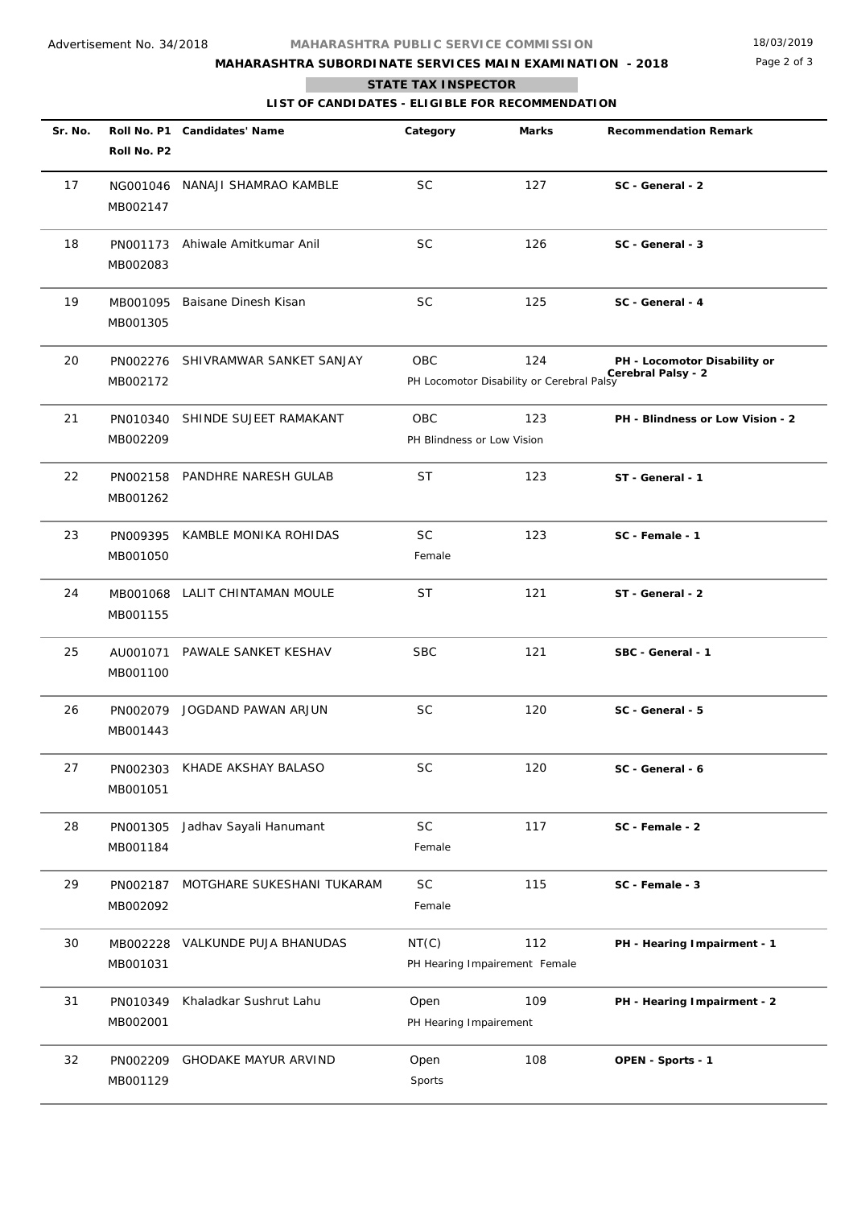# **MAHARASHTRA SUBORDINATE SERVICES MAIN EXAMINATION - 2018**

Page 2 of 3

## **STATE TAX INSPECTOR**

**The State** 

**LIST OF CANDIDATES - ELIGIBLE FOR RECOMMENDATION**

| Sr. No. | Roll No. P2          | Roll No. P1 Candidates' Name | Category                                 | Marks                                            | <b>Recommendation Remark</b>                       |
|---------|----------------------|------------------------------|------------------------------------------|--------------------------------------------------|----------------------------------------------------|
| 17      | NG001046<br>MB002147 | NANAJI SHAMRAO KAMBLE        | <b>SC</b>                                | 127                                              | SC - General - 2                                   |
| 18      | PN001173<br>MB002083 | Ahiwale Amitkumar Anil       | <b>SC</b>                                | 126                                              | SC - General - 3                                   |
| 19      | MB001095<br>MB001305 | Baisane Dinesh Kisan         | <b>SC</b>                                | 125                                              | SC - General - 4                                   |
| 20      | PN002276<br>MB002172 | SHIVRAMWAR SANKET SANJAY     | OBC                                      | 124<br>PH Locomotor Disability or Cerebral Palsy | PH - Locomotor Disability or<br>Cerebral Palsy - 2 |
| 21      | PN010340<br>MB002209 | SHINDE SUJEET RAMAKANT       | <b>OBC</b><br>PH Blindness or Low Vision | 123                                              | PH - Blindness or Low Vision - 2                   |
| 22      | PN002158<br>MB001262 | PANDHRE NARESH GULAB         | ST                                       | 123                                              | ST - General - 1                                   |
| 23      | PN009395<br>MB001050 | KAMBLE MONIKA ROHIDAS        | <b>SC</b><br>Female                      | 123                                              | SC - Female - 1                                    |
| 24      | MB001068<br>MB001155 | LALIT CHINTAMAN MOULE        | ST                                       | 121                                              | ST - General - 2                                   |
| 25      | AU001071<br>MB001100 | PAWALE SANKET KESHAV         | <b>SBC</b>                               | 121                                              | SBC - General - 1                                  |
| 26      | MB001443             | PN002079 JOGDAND PAWAN ARJUN | <b>SC</b>                                | 120                                              | SC - General - 5                                   |
| 27      | PN002303<br>MB001051 | KHADE AKSHAY BALASO          | <b>SC</b>                                | 120                                              | SC - General - 6                                   |
| 28      | PN001305<br>MB001184 | Jadhav Sayali Hanumant       | SC<br>Female                             | 117                                              | SC - Female - 2                                    |
| 29      | PN002187<br>MB002092 | MOTGHARE SUKESHANI TUKARAM   | SC<br>Female                             | 115                                              | SC - Female - 3                                    |
| 30      | MB002228<br>MB001031 | VALKUNDE PUJA BHANUDAS       | NT(C)                                    | 112<br>PH Hearing Impairement Female             | PH - Hearing Impairment - 1                        |
| 31      | PN010349<br>MB002001 | Khaladkar Sushrut Lahu       | Open<br>PH Hearing Impairement           | 109                                              | PH - Hearing Impairment - 2                        |
| 32      | PN002209<br>MB001129 | <b>GHODAKE MAYUR ARVIND</b>  | Open<br>Sports                           | 108                                              | OPEN - Sports - 1                                  |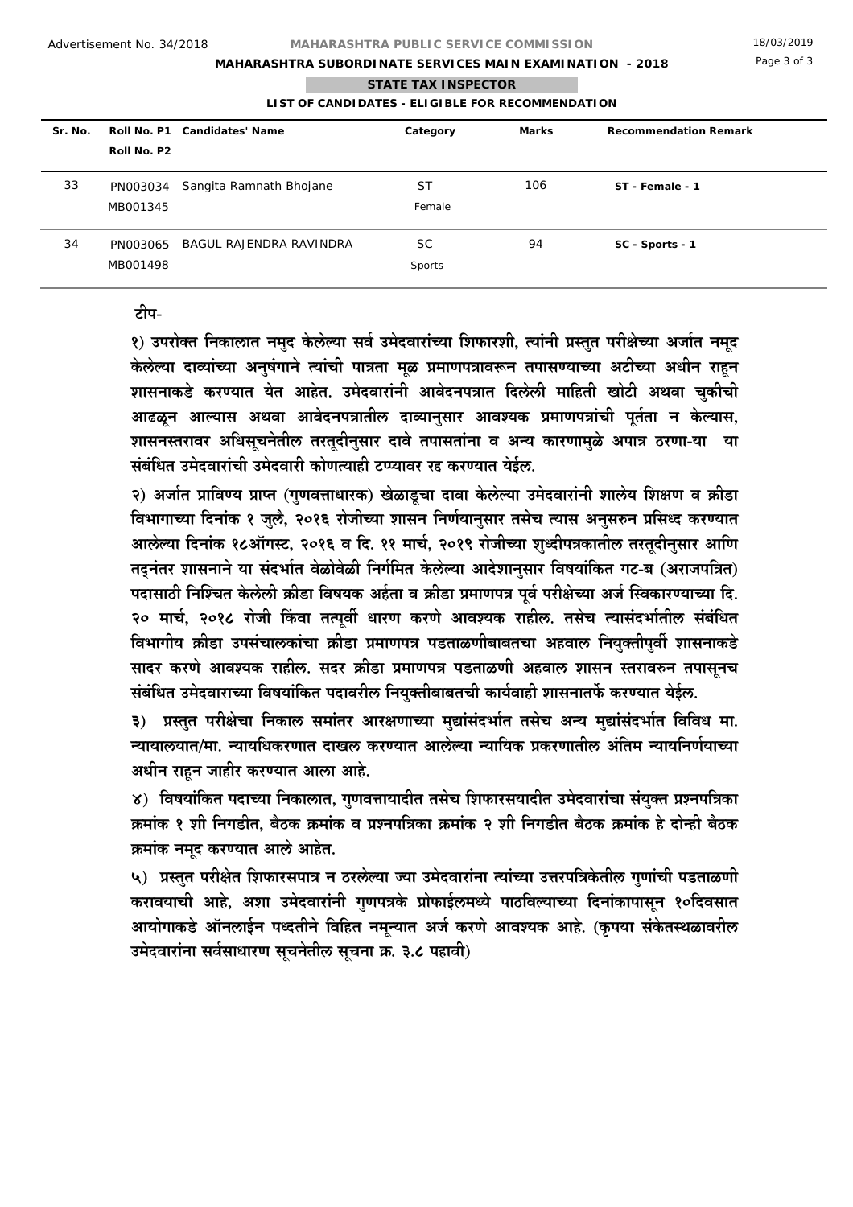# **MAHARASHTRA SUBORDINATE SERVICES MAIN EXAMINATION - 2018**

## **STATE TAX INSPECTOR**

## **LIST OF CANDIDATES - ELIGIBLE FOR RECOMMENDATION**

| Sr. No. |                      | Roll No. P1 Candidates' Name | Category            | Marks | <b>Recommendation Remark</b> |
|---------|----------------------|------------------------------|---------------------|-------|------------------------------|
|         | Roll No. P2          |                              |                     |       |                              |
| 33      | PN003034<br>MB001345 | Sangita Ramnath Bhojane      | <b>ST</b><br>Female | 106   | ST - Female - 1              |
| 34      | PN003065<br>MB001498 | BAGUL RAJENDRA RAVINDRA      | <b>SC</b><br>Sports | 94    | SC - Sports - 1              |

## **टीप-**

**1) उपरो¯त िनकालात नमदु केलेÊया सव« उमेदवारां´या िशफारशी, ¾यांनी ĢÎततु परी©े´या अजɕत नमदू केलेÊया दाËयां´या अनषु ंगाने ¾यांची पाĝता मळू Ģमाणपĝावǘन तपास½या´या अटी´या अधीन राहून शासनाकडे कर½यात येत आहेत. उमेदवारांनी आवेदनपĝात िदलेली मािहती खोटी अथवा चकीची ु आढळून आÊयास अथवा आवेदनपĝातील दाËयानसार ु आवÌयक Ģमाणपĝांची पतू «ता न केÊयास, शासनÎतरावर अिधसचनू ेतील तरतूदीनसार ु दावे तपासतांना व अÂय कारणामळु े अपाĝ ठरणा-या या संबंिधत उमेदवारांची उमेदवारी कोण¾याही टÃÃयावर रLj कर½यात येईल.**

**2) अजɕत Ģािव½य ĢाÃत (गणवDŽाधारक ु ) खेळाडूचा दावा केलेÊया उमेदवारांनी शालेय िश©ण व Ďीडा िवभागा´या िदनांक 1 जलु ै, 2016 रोजी´या शासन िनण«यानसार ु तसेच ¾यास अनसǗन ु ĢिसÁद कर½यात आलेÊया िदनांक 18ऑगÎट, 2016 व िद. 11 माच«, 2019 रोजी´या शÁदीपĝकातील ु तरतूदीनसार ु आिण तÀनंतर शासनाने या संदभɕत वेळोवेळी िनग«िमत केलेÊया आदेशानसार ु िवषयांिकत गट-ब (अराजपिĝत) पदासाठी िनȎÌचत केलेली Ďीडा िवषयक अह«ता व Ďीडा Ģमाणपĝ पवू « परी©े´या अज« ȎÎवकार½या´या िद. 20 माच«, 2018 रोजी ȋकवा त¾पवȓ ू धारण करणे आवÌयक राहील. तसेच ¾यासंदभɕतील संबंिधत िवभागीय Ďीडा उपसंचालकांचा Ďीडा Ģमाणपĝ पडताळणीबाबतचा अहवाल िनय¯तीप ु वȓ ु शासनाकडे सादर करणे आवÌयक राहील. सदर Ďीडा Ģमाणपĝ पडताळणी अहवाल शासन ÎतरावǗन तपासनचू संबंिधत उमेदवारा´या िवषयांिकत पदावरील िनय¯तीबाबतची ु काय«वाही शासनातफȃ कर½यात येईल.** 

**3) ĢÎततु परी©ेचा िनकाल समांतर आर©णा´या मǏा ु ंसंदभɕत तसेच अÂय मǏा ु ंसंदभɕत िविवध मा. Âयायालयात/मा. Âयायिधकरणात दाखल कर½यात आलेÊया Âयाियक Ģकरणातील अंितम Âयायिनण«या´या अधीन राहून जाहीर कर½यात आला आहे.** 

**4) िवषयांिकत पदा´या िनकालात, गणवDŽायादीत ु तसेच िशफारसयादीत उमेदवारांचा संय¯तु ĢÌनपिĝका Ďमांक 1 शी िनगडीत, बैठक Ďमांक व ĢÌनपिĝका Ďमांक 2 शी िनगडीत बैठक Ďमांक हे दोÂही बैठक Ďमांक नमदू कर½यात आलेआहेत.** 

**5) ĢÎततु परी©ेत िशफारसपाĝ न ठरलेÊया ¶या उमेदवारांना ¾यां´या उDŽरपिĝकेतील गणा ु ंची पडताळणी करावयाची आहे, अशा उमेदवारांनी गणपĝक ु े ĢोफाईलमÁये पाठिवÊया´या िदनांकापासनू 10िदवसात आयोगाकडे ऑनलाईन पÁदतीने िविहत नमÂयात ू अज« करणे आवÌयक आहे. (कृपया संकेतÎथळावरील उमेदवारांना सव«साधारण सचनू ेतील सचना ू Ď. 3.8 पहावी)**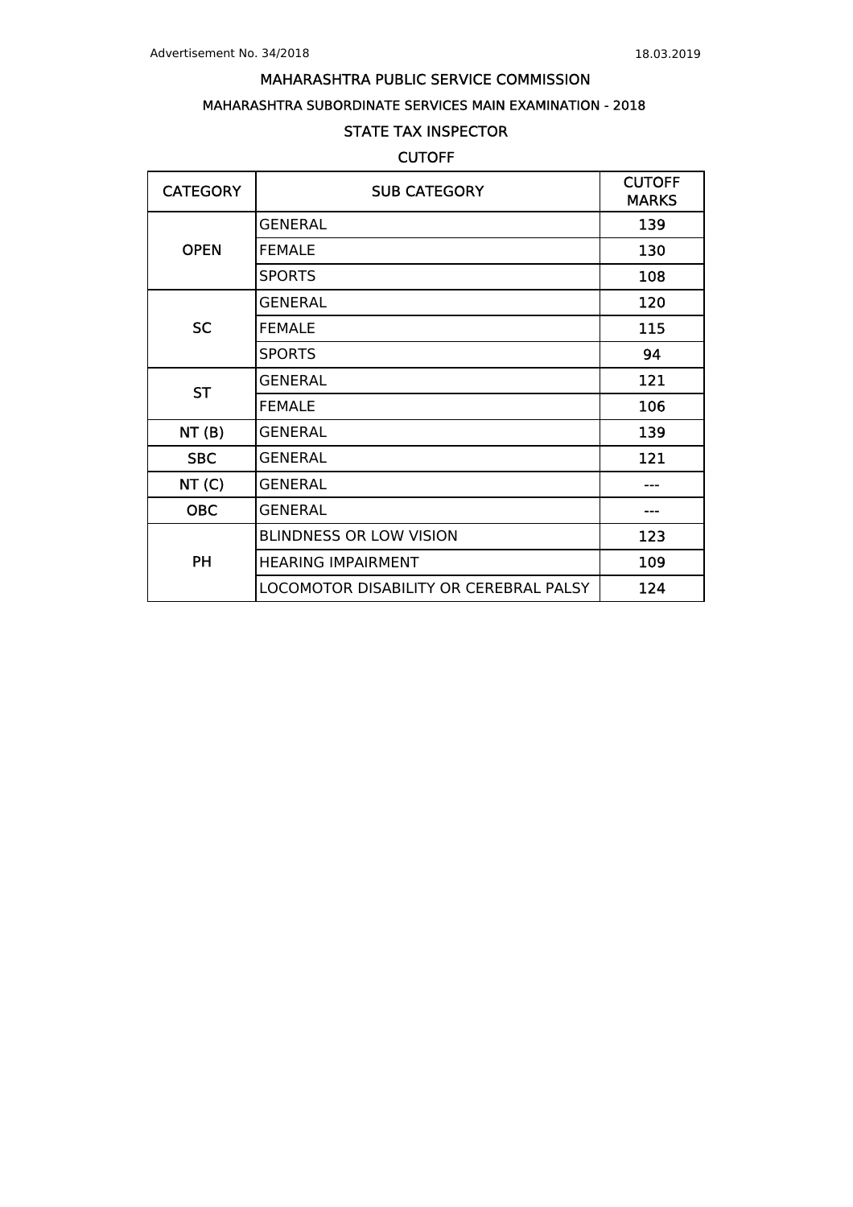# MAHARASHTRA SUBORDINATE SERVICES MAIN EXAMINATION - 2018

# STATE TAX INSPECTOR

# **CUTOFF**

| <b>CATEGORY</b> | <b>SUB CATEGORY</b>                    | <b>CUTOFF</b><br><b>MARKS</b> |
|-----------------|----------------------------------------|-------------------------------|
|                 | <b>GENERAL</b>                         | 139                           |
| <b>OPEN</b>     | <b>FEMALE</b>                          | 130                           |
|                 | <b>SPORTS</b>                          | 108                           |
|                 | <b>GENERAL</b>                         | 120                           |
| <b>SC</b>       | <b>FEMALE</b>                          | 115                           |
|                 | <b>SPORTS</b>                          | 94                            |
| <b>ST</b>       | <b>GENERAL</b>                         | 121                           |
|                 | <b>FEMALE</b>                          | 106                           |
| NT(B)           | <b>GENERAL</b>                         | 139                           |
| <b>SBC</b>      | <b>GENERAL</b>                         | 121                           |
| NT(C)           | <b>GENERAL</b>                         |                               |
| <b>OBC</b>      | <b>GENERAL</b>                         |                               |
|                 | <b>BLINDNESS OR LOW VISION</b>         | 123                           |
| <b>PH</b>       | <b>HEARING IMPAIRMENT</b>              | 109                           |
|                 | LOCOMOTOR DISABILITY OR CEREBRAL PALSY | 124                           |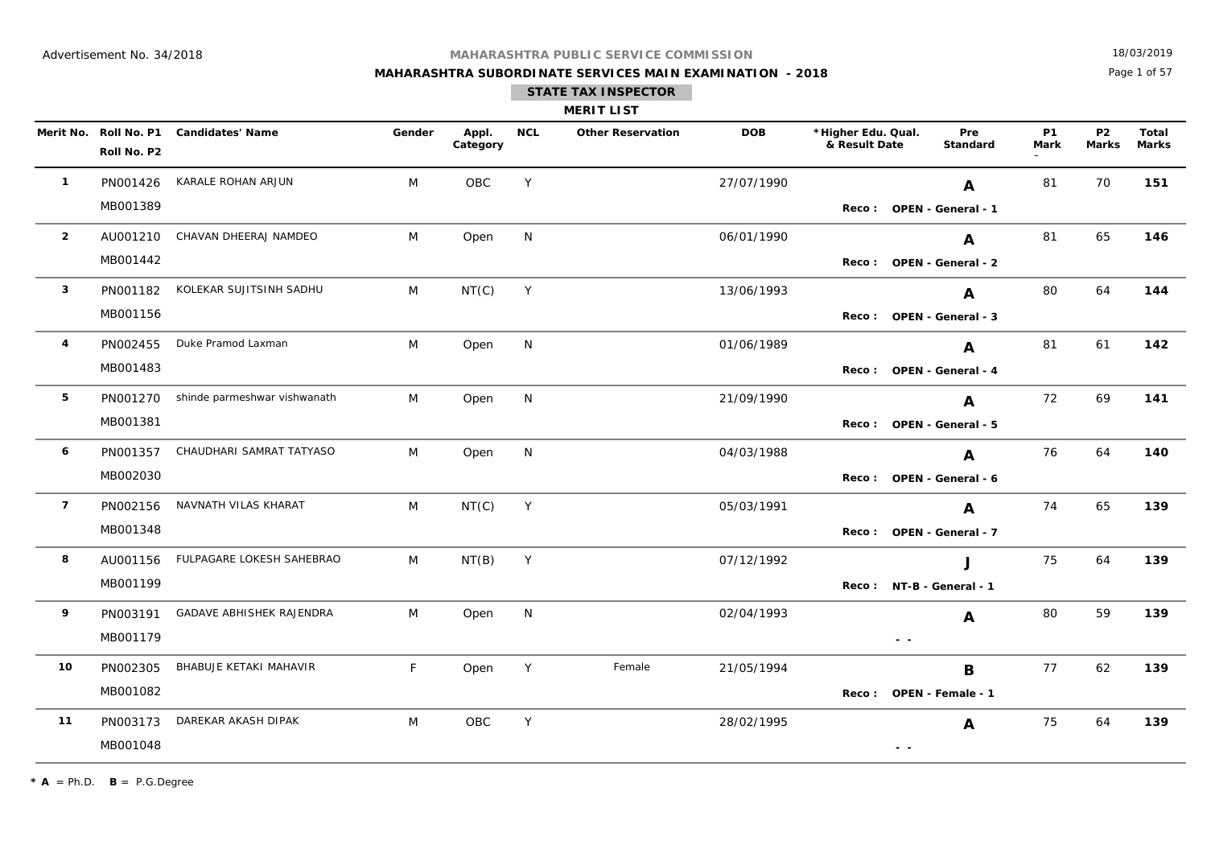**MAHARASHTRA SUBORDINATE SERVICES MAIN EXAMINATION - 2018**

18/03/2019

Page 1 of 57

|                |             |                                        |        |                   |            | <b>MERIT LIST</b>        |            |                                     |               |                          |                   |                           |                |
|----------------|-------------|----------------------------------------|--------|-------------------|------------|--------------------------|------------|-------------------------------------|---------------|--------------------------|-------------------|---------------------------|----------------|
|                | Roll No. P2 | Merit No. Roll No. P1 Candidates' Name | Gender | Appl.<br>Category | <b>NCL</b> | <b>Other Reservation</b> | <b>DOB</b> | *Higher Edu. Qual.<br>& Result Date |               | Pre<br>Standard          | <b>P1</b><br>Mark | <b>P2</b><br><b>Marks</b> | Total<br>Marks |
| $\mathbf{1}$   | PN001426    | KARALE ROHAN ARJUN                     | M      | <b>OBC</b>        | Y          |                          | 27/07/1990 |                                     |               | A                        | 81                | 70                        | 151            |
|                | MB001389    |                                        |        |                   |            |                          |            |                                     |               | Reco: OPEN - General - 1 |                   |                           |                |
| $\overline{2}$ |             | AU001210 CHAVAN DHEERAJ NAMDEO         | M      | Open              | N          |                          | 06/01/1990 |                                     |               | A                        | 81                | 65                        | 146            |
|                | MB001442    |                                        |        |                   |            |                          |            |                                     |               | Reco: OPEN - General - 2 |                   |                           |                |
| $\mathbf{3}$   |             | PN001182 KOLEKAR SUJITSINH SADHU       | M      | NT(C)             | Y          |                          | 13/06/1993 |                                     |               | A                        | 80                | 64                        | 144            |
|                | MB001156    |                                        |        |                   |            |                          |            |                                     |               | Reco: OPEN - General - 3 |                   |                           |                |
| 4              |             | PN002455 Duke Pramod Laxman            | M      | Open              | N          |                          | 01/06/1989 |                                     |               | A                        | 81                | 61                        | 142            |
|                | MB001483    |                                        |        |                   |            |                          |            |                                     |               | Reco: OPEN - General - 4 |                   |                           |                |
| 5              |             | PN001270 shinde parmeshwar vishwanath  | M      | Open              | N          |                          | 21/09/1990 |                                     |               | A                        | 72                | 69                        | 141            |
|                | MB001381    |                                        |        |                   |            |                          |            |                                     |               | Reco: OPEN - General - 5 |                   |                           |                |
| 6              | PN001357    | CHAUDHARI SAMRAT TATYASO               | M      | Open              | N          |                          | 04/03/1988 |                                     |               | A                        | 76                | 64                        | 140            |
|                | MB002030    |                                        |        |                   |            |                          |            |                                     |               | Reco: OPEN - General - 6 |                   |                           |                |
| $\overline{7}$ | PN002156    | NAVNATH VILAS KHARAT                   | M      | NT(C)             | Y          |                          | 05/03/1991 |                                     |               | A                        | 74                | 65                        | 139            |
|                | MB001348    |                                        |        |                   |            |                          |            |                                     |               | Reco: OPEN - General - 7 |                   |                           |                |
| 8              | AU001156    | FULPAGARE LOKESH SAHEBRAO              | M      | NT(B)             | Y          |                          | 07/12/1992 |                                     |               | J                        | 75                | 64                        | 139            |
|                | MB001199    |                                        |        |                   |            |                          |            |                                     |               | Reco: NT-B - General - 1 |                   |                           |                |
| 9              | PN003191    | GADAVE ABHISHEK RAJENDRA               | M      | Open              | N          |                          | 02/04/1993 |                                     |               | A                        | 80                | 59                        | 139            |
|                | MB001179    |                                        |        |                   |            |                          |            |                                     | $\sim$ $\sim$ |                          |                   |                           |                |
| 10             | PN002305    | BHABUJE KETAKI MAHAVIR                 | F      | Open              | Y          | Female                   | 21/05/1994 |                                     |               | B                        | 77                | 62                        | 139            |
|                | MB001082    |                                        |        |                   |            |                          |            |                                     |               | Reco: OPEN - Female - 1  |                   |                           |                |
| 11             | PN003173    | DAREKAR AKASH DIPAK                    | M      | OBC               | Y          |                          | 28/02/1995 |                                     |               | A                        | 75                | 64                        | 139            |
|                | MB001048    |                                        |        |                   |            |                          |            |                                     | $\sim$ $-$    |                          |                   |                           |                |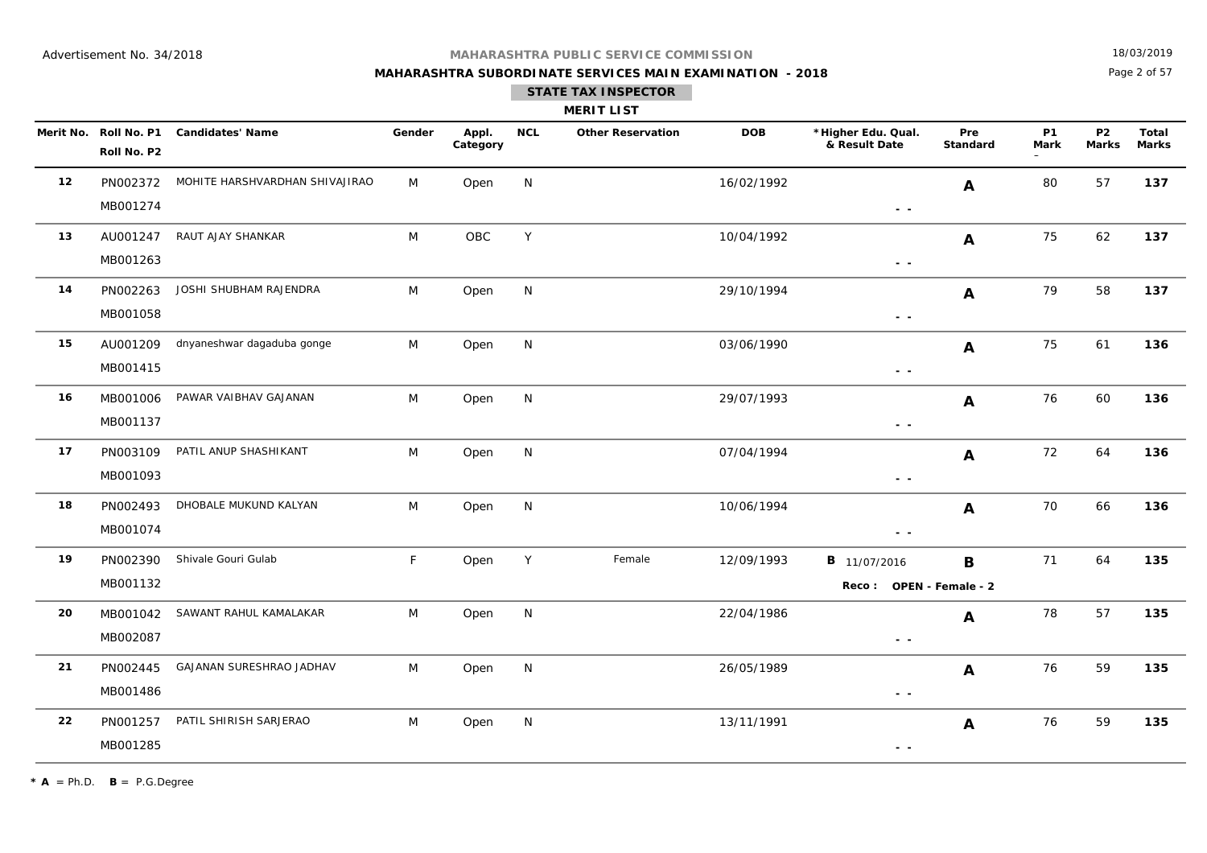## **MAHARASHTRA SUBORDINATE SERVICES MAIN EXAMINATION - 2018**

18/03/2019

Page 2 of 57

|  | <b>MERIT LIS</b> | л |  |
|--|------------------|---|--|

|    | Merit No. Roll No. P1<br>Roll No. P2 | <b>Candidates' Name</b>        | Gender | Appl.<br>Category | <b>NCL</b>   | <b>Other Reservation</b> | <b>DOB</b> | *Higher Edu. Qual.<br>& Result Date                                               | Pre<br>Standard | <b>P1</b><br><b>Mark</b> | <b>P2</b><br><b>Marks</b> | Total<br><b>Marks</b> |
|----|--------------------------------------|--------------------------------|--------|-------------------|--------------|--------------------------|------------|-----------------------------------------------------------------------------------|-----------------|--------------------------|---------------------------|-----------------------|
| 12 | PN002372<br>MB001274                 | MOHITE HARSHVARDHAN SHIVAJIRAO | M      | Open              | N            |                          | 16/02/1992 | $\sim$ $-$                                                                        | $\mathbf{A}$    | 80                       | 57                        | 137                   |
| 13 | AU001247<br>MB001263                 | RAUT AJAY SHANKAR              | M      | OBC               | Y            |                          | 10/04/1992 | $\frac{1}{2} \left( \frac{1}{2} \right) = \frac{1}{2}$                            | $\mathbf{A}$    | 75                       | 62                        | 137                   |
| 14 | PN002263<br>MB001058                 | JOSHI SHUBHAM RAJENDRA         | M      | Open              | N            |                          | 29/10/1994 | $\sim$ $ \sim$                                                                    | A               | 79                       | 58                        | 137                   |
| 15 | AU001209<br>MB001415                 | dnyaneshwar dagaduba gonge     | M      | Open              | N            |                          | 03/06/1990 | $\sim$ $\sim$                                                                     | A               | 75                       | 61                        | 136                   |
| 16 | MB001006<br>MB001137                 | PAWAR VAIBHAV GAJANAN          | M      | Open              | N            |                          | 29/07/1993 | $\frac{1}{2} \left( \frac{1}{2} \right) = \frac{1}{2} \left( \frac{1}{2} \right)$ | A               | 76                       | 60                        | 136                   |
| 17 | PN003109<br>MB001093                 | PATIL ANUP SHASHIKANT          | M      | Open              | N            |                          | 07/04/1994 | $\frac{1}{2} \left( \frac{1}{2} \right) = \frac{1}{2} \left( \frac{1}{2} \right)$ | $\mathbf{A}$    | 72                       | 64                        | 136                   |
| 18 | PN002493<br>MB001074                 | DHOBALE MUKUND KALYAN          | M      | Open              | N            |                          | 10/06/1994 | $\sim$ $\sim$                                                                     | $\mathbf{A}$    | 70                       | 66                        | 136                   |
| 19 | PN002390<br>MB001132                 | Shivale Gouri Gulab            | F.     | Open              | Y            | Female                   | 12/09/1993 | <b>B</b> 11/07/2016<br>Reco: OPEN - Female - 2                                    | B               | 71                       | 64                        | 135                   |
| 20 | MB001042<br>MB002087                 | SAWANT RAHUL KAMALAKAR         | M      | Open              | $\mathsf{N}$ |                          | 22/04/1986 | $\frac{1}{2} \left( \frac{1}{2} \right) = \frac{1}{2} \left( \frac{1}{2} \right)$ | $\mathbf{A}$    | 78                       | 57                        | 135                   |
| 21 | PN002445<br>MB001486                 | GAJANAN SURESHRAO JADHAV       | M      | Open              | N            |                          | 26/05/1989 | $\sim$ $\sim$                                                                     | $\mathbf{A}$    | 76                       | 59                        | 135                   |
| 22 | PN001257<br>MB001285                 | PATIL SHIRISH SARJERAO         | M      | Open              | N            |                          | 13/11/1991 | $ -$                                                                              | $\mathbf{A}$    | 76                       | 59                        | 135                   |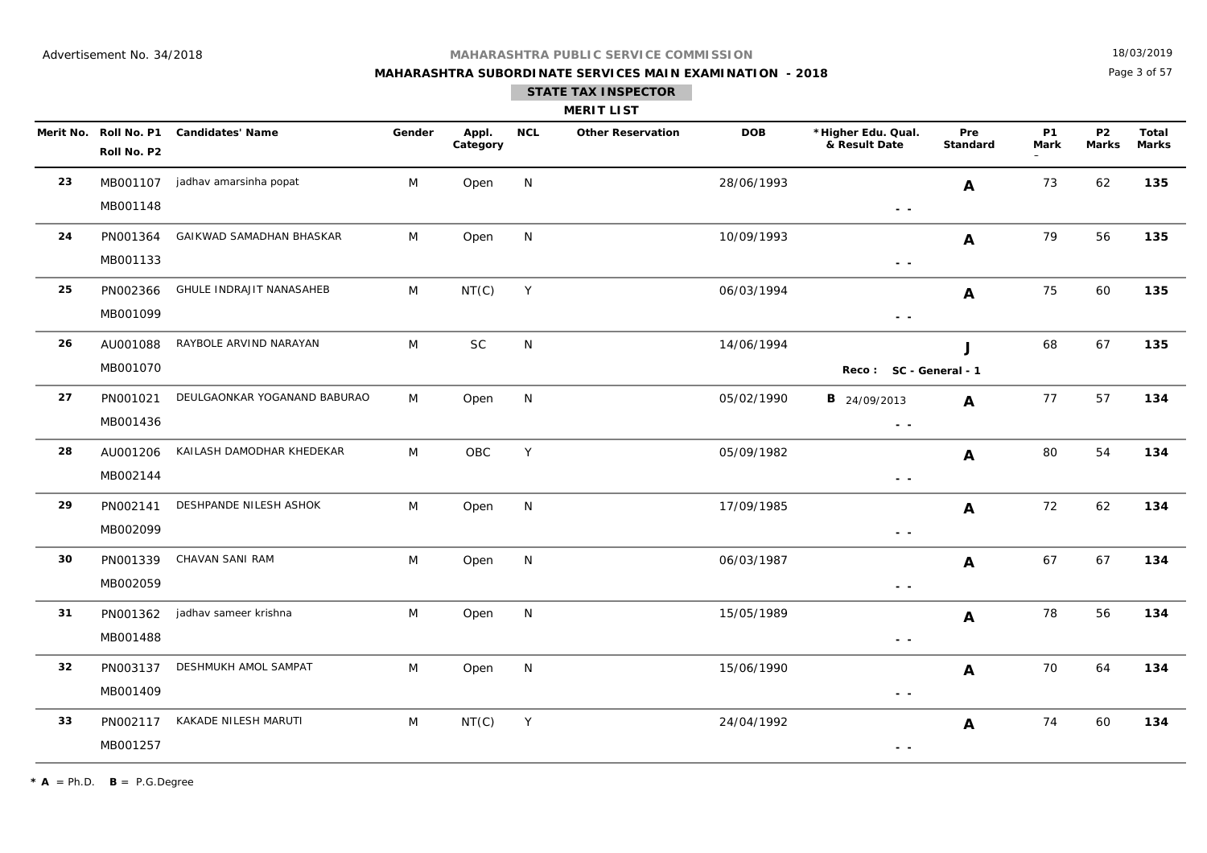## **MAHARASHTRA SUBORDINATE SERVICES MAIN EXAMINATION - 2018**

18/03/2019

Page 3 of 57

|  |  | <b>MERIT LIST</b> |  |
|--|--|-------------------|--|

|    | Merit No. Roll No. P1<br>Roll No. P2 | <b>Candidates' Name</b>         | Gender | Appl.<br>Category | <b>NCL</b>   | <b>Other Reservation</b> | <b>DOB</b> | *Higher Edu. Qual.<br>& Result Date                                             | Pre<br><b>Standard</b> | <b>P1</b><br><b>Mark</b> | <b>P2</b><br><b>Marks</b> | <b>Total</b><br><b>Marks</b> |
|----|--------------------------------------|---------------------------------|--------|-------------------|--------------|--------------------------|------------|---------------------------------------------------------------------------------|------------------------|--------------------------|---------------------------|------------------------------|
| 23 | MB001107<br>MB001148                 | jadhav amarsinha popat          | M      | Open              | N            |                          | 28/06/1993 | $\sim$ $-$                                                                      | $\mathbf{A}$           | 73                       | 62                        | 135                          |
| 24 | PN001364<br>MB001133                 | GAIKWAD SAMADHAN BHASKAR        | M      | Open              | N            |                          | 10/09/1993 | $\frac{1}{2} \left( \frac{1}{2} \right) \frac{1}{2} \left( \frac{1}{2} \right)$ | $\mathbf{A}$           | 79                       | 56                        | 135                          |
| 25 | PN002366<br>MB001099                 | <b>GHULE INDRAJIT NANASAHEB</b> | M      | NT(C)             | Y            |                          | 06/03/1994 | $\sim$ $\sim$                                                                   | $\mathbf{A}$           | 75                       | 60                        | 135                          |
| 26 | AU001088<br>MB001070                 | RAYBOLE ARVIND NARAYAN          | M      | SC                | $\mathsf{N}$ |                          | 14/06/1994 | Reco: SC - General - 1                                                          | J                      | 68                       | 67                        | 135                          |
| 27 | PN001021<br>MB001436                 | DEULGAONKAR YOGANAND BABURAO    | M      | Open              | N            |                          | 05/02/1990 | <b>B</b> 24/09/2013<br>$\sim$ $\sim$                                            | $\mathbf{A}$           | 77                       | 57                        | 134                          |
| 28 | AU001206<br>MB002144                 | KAILASH DAMODHAR KHEDEKAR       | M      | OBC               | Y            |                          | 05/09/1982 | $\frac{1}{2} \left( \frac{1}{2} \right) \frac{1}{2} \left( \frac{1}{2} \right)$ | A                      | 80                       | 54                        | 134                          |
| 29 | PN002141<br>MB002099                 | DESHPANDE NILESH ASHOK          | M      | Open              | N            |                          | 17/09/1985 | $\sim$ $\sim$                                                                   | A                      | 72                       | 62                        | 134                          |
| 30 | PN001339<br>MB002059                 | CHAVAN SANI RAM                 | M      | Open              | N            |                          | 06/03/1987 | $\sim$ $\sim$                                                                   | $\mathbf{A}$           | 67                       | 67                        | 134                          |
| 31 | PN001362<br>MB001488                 | jadhav sameer krishna           | M      | Open              | N            |                          | 15/05/1989 | $\sim$ $\sim$                                                                   | $\mathbf{A}$           | 78                       | 56                        | 134                          |
| 32 | PN003137<br>MB001409                 | DESHMUKH AMOL SAMPAT            | M      | Open              | N            |                          | 15/06/1990 | $\sim$ $-$                                                                      | A                      | 70                       | 64                        | 134                          |
| 33 | PN002117<br>MB001257                 | KAKADE NILESH MARUTI            | M      | NT(C)             | Y            |                          | 24/04/1992 | $\sim$ $\sim$                                                                   | A                      | 74                       | 60                        | 134                          |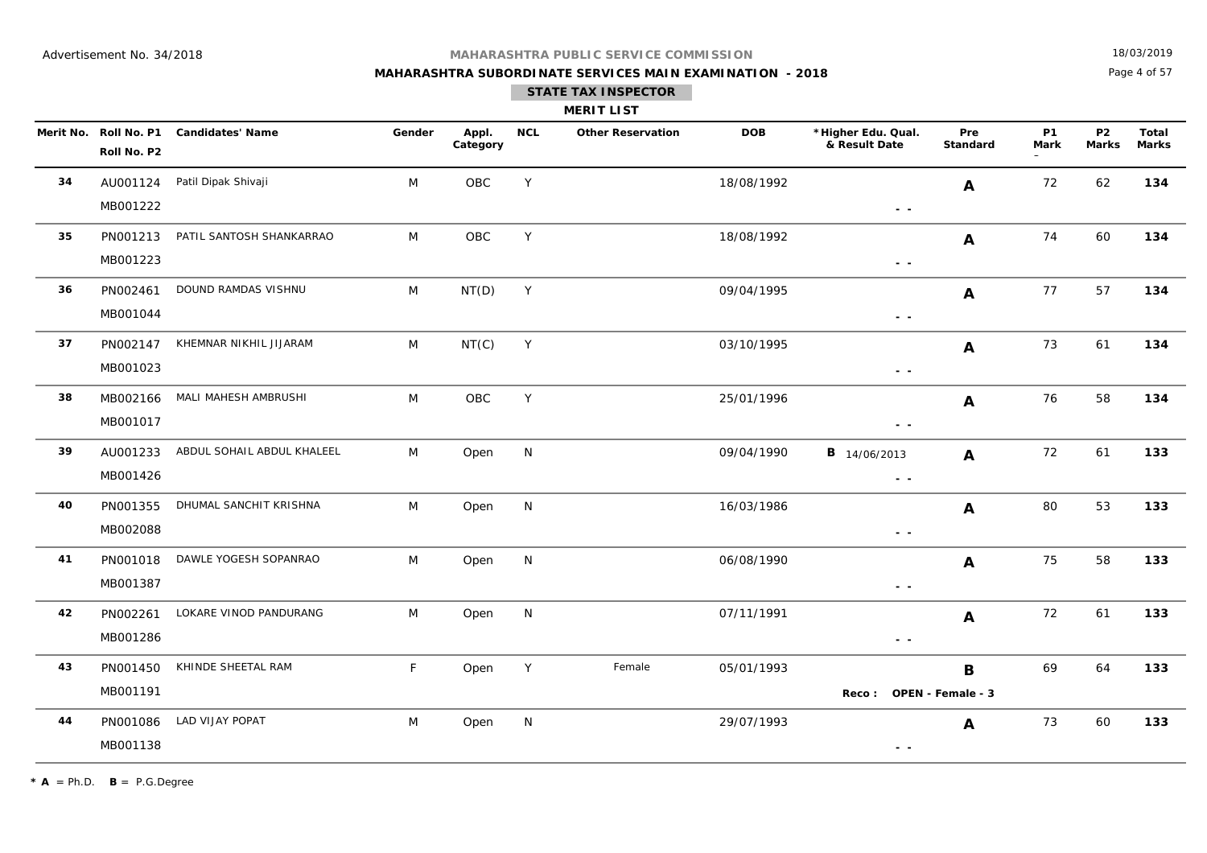## **MAHARASHTRA SUBORDINATE SERVICES MAIN EXAMINATION - 2018 STATE TAX INSPECTOR**

18/03/2019

Page 4 of 57

|    |                      |                                        |        |                   |            | <b>MERIT LIST</b>        |            |                                                                                                                                                                                                                                                                                                                                                                                                                                                |                 |            |                         |                |
|----|----------------------|----------------------------------------|--------|-------------------|------------|--------------------------|------------|------------------------------------------------------------------------------------------------------------------------------------------------------------------------------------------------------------------------------------------------------------------------------------------------------------------------------------------------------------------------------------------------------------------------------------------------|-----------------|------------|-------------------------|----------------|
|    | Roll No. P2          | Merit No. Roll No. P1 Candidates' Name | Gender | Appl.<br>Category | <b>NCL</b> | <b>Other Reservation</b> | <b>DOB</b> | *Higher Edu. Qual.<br>& Result Date                                                                                                                                                                                                                                                                                                                                                                                                            | Pre<br>Standard | P1<br>Mark | P <sub>2</sub><br>Marks | Total<br>Marks |
| 34 | AU001124<br>MB001222 | Patil Dipak Shivaji                    | M      | OBC               | Y          |                          | 18/08/1992 | $ -$                                                                                                                                                                                                                                                                                                                                                                                                                                           | $\mathbf{A}$    | 72         | 62                      | 134            |
| 35 | PN001213<br>MB001223 | PATIL SANTOSH SHANKARRAO               | M      | <b>OBC</b>        | Y          |                          | 18/08/1992 | $\sim$ $\sim$                                                                                                                                                                                                                                                                                                                                                                                                                                  | A               | 74         | 60                      | 134            |
| 36 | PN002461<br>MB001044 | DOUND RAMDAS VISHNU                    | M      | NT(D)             | Y          |                          | 09/04/1995 | $\frac{1}{2} \left( \frac{1}{2} \right) = \frac{1}{2} \left( \frac{1}{2} \right)$                                                                                                                                                                                                                                                                                                                                                              | $\mathbf{A}$    | 77         | 57                      | 134            |
| 37 | PN002147<br>MB001023 | KHEMNAR NIKHIL JIJARAM                 | M      | NT(C)             | Y          |                          | 03/10/1995 | $\frac{1}{2} \left( \frac{1}{2} \right) = \frac{1}{2} \left( \frac{1}{2} \right)$                                                                                                                                                                                                                                                                                                                                                              | $\mathbf{A}$    | 73         | 61                      | 134            |
| 38 | MB002166<br>MB001017 | MALI MAHESH AMBRUSHI                   | M      | OBC               | Y          |                          | 25/01/1996 | $\frac{1}{2} \left( \frac{1}{2} \right) = \frac{1}{2} \left( \frac{1}{2} \right)$                                                                                                                                                                                                                                                                                                                                                              | $\mathbf{A}$    | 76         | 58                      | 134            |
| 39 | AU001233<br>MB001426 | ABDUL SOHAIL ABDUL KHALEEL             | M      | Open              | N          |                          | 09/04/1990 | <b>B</b> 14/06/2013<br>$\sim$ $\sim$                                                                                                                                                                                                                                                                                                                                                                                                           | $\mathbf{A}$    | 72         | 61                      | 133            |
| 40 | PN001355<br>MB002088 | DHUMAL SANCHIT KRISHNA                 | M      | Open              | N          |                          | 16/03/1986 | $\frac{1}{2} \left( \frac{1}{2} \right) = \frac{1}{2} \left( \frac{1}{2} \right)$                                                                                                                                                                                                                                                                                                                                                              | A               | 80         | 53                      | 133            |
| 41 | PN001018<br>MB001387 | DAWLE YOGESH SOPANRAO                  | M      | Open              | N          |                          | 06/08/1990 | $\frac{1}{2} \left( \frac{1}{2} \right) = \frac{1}{2} \left( \frac{1}{2} \right)$                                                                                                                                                                                                                                                                                                                                                              | $\mathbf{A}$    | 75         | 58                      | 133            |
| 42 | PN002261<br>MB001286 | LOKARE VINOD PANDURANG                 | M      | Open              | N          |                          | 07/11/1991 | $\frac{1}{2} \left( \frac{1}{2} \right) = \frac{1}{2} \left( \frac{1}{2} \right)$                                                                                                                                                                                                                                                                                                                                                              | A               | 72         | 61                      | 133            |
| 43 | PN001450<br>MB001191 | KHINDE SHEETAL RAM                     | F      | Open              | Y          | Female                   | 05/01/1993 | Reco: OPEN - Female - 3                                                                                                                                                                                                                                                                                                                                                                                                                        | B               | 69         | 64                      | 133            |
| 44 | PN001086<br>MB001138 | LAD VIJAY POPAT                        | M      | Open              | N          |                          | 29/07/1993 | $\frac{1}{2} \left( \frac{1}{2} \right) \frac{1}{2} \left( \frac{1}{2} \right) \frac{1}{2} \left( \frac{1}{2} \right) \frac{1}{2} \left( \frac{1}{2} \right) \frac{1}{2} \left( \frac{1}{2} \right) \frac{1}{2} \left( \frac{1}{2} \right) \frac{1}{2} \left( \frac{1}{2} \right) \frac{1}{2} \left( \frac{1}{2} \right) \frac{1}{2} \left( \frac{1}{2} \right) \frac{1}{2} \left( \frac{1}{2} \right) \frac{1}{2} \left( \frac{1}{2} \right)$ | $\mathbf{A}$    | 73         | 60                      | 133            |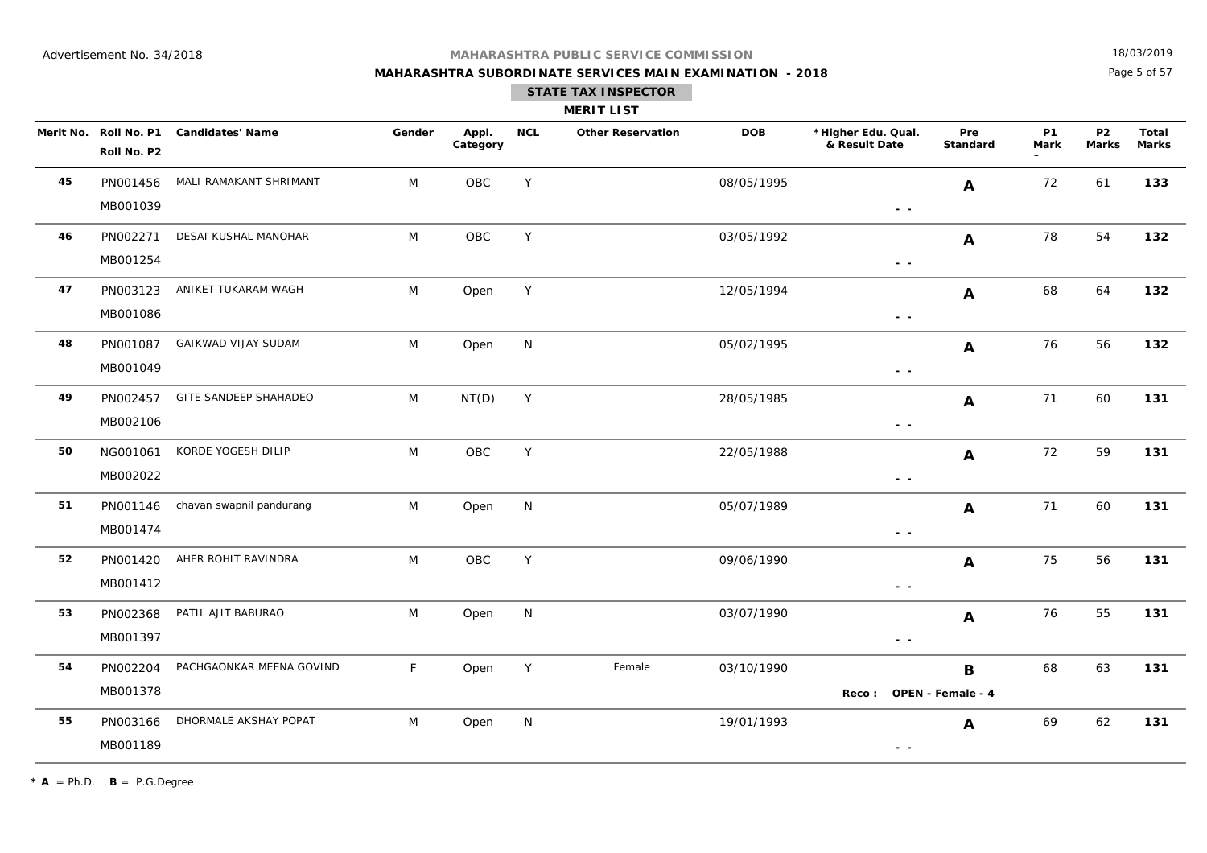## **MAHARASHTRA SUBORDINATE SERVICES MAIN EXAMINATION - 2018 STATE TAX INSPECTOR**

18/03/2019

Page 5 of 57

|    | <b>MERIT LIST</b>    |                                        |        |                   |            |                          |            |                                                                                 |                 |                   |                           |                |  |
|----|----------------------|----------------------------------------|--------|-------------------|------------|--------------------------|------------|---------------------------------------------------------------------------------|-----------------|-------------------|---------------------------|----------------|--|
|    | Roll No. P2          | Merit No. Roll No. P1 Candidates' Name | Gender | Appl.<br>Category | <b>NCL</b> | <b>Other Reservation</b> | <b>DOB</b> | *Higher Edu. Qual.<br>& Result Date                                             | Pre<br>Standard | <b>P1</b><br>Mark | <b>P2</b><br><b>Marks</b> | Total<br>Marks |  |
| 45 | PN001456<br>MB001039 | MALI RAMAKANT SHRIMANT                 | M      | OBC               | Υ          |                          | 08/05/1995 | $\frac{1}{2} \left( \frac{1}{2} \right) \frac{1}{2} \left( \frac{1}{2} \right)$ | A               | 72                | 61                        | 133            |  |
| 46 | PN002271<br>MB001254 | DESAI KUSHAL MANOHAR                   | M      | OBC               | Y          |                          | 03/05/1992 | $\frac{1}{2} \left( \frac{1}{2} \right) \frac{1}{2} \left( \frac{1}{2} \right)$ | A               | 78                | 54                        | 132            |  |
| 47 | PN003123<br>MB001086 | ANIKET TUKARAM WAGH                    | M      | Open              | Y          |                          | 12/05/1994 | $\frac{1}{2} \left( \frac{1}{2} \right) \frac{1}{2} \left( \frac{1}{2} \right)$ | A               | 68                | 64                        | 132            |  |
| 48 | PN001087<br>MB001049 | <b>GAIKWAD VIJAY SUDAM</b>             | M      | Open              | N          |                          | 05/02/1995 | $ -$                                                                            | A               | 76                | 56                        | 132            |  |
| 49 | PN002457<br>MB002106 | GITE SANDEEP SHAHADEO                  | M      | NT(D)             | Y          |                          | 28/05/1985 | $\sim$ $\sim$                                                                   | A               | 71                | 60                        | 131            |  |
| 50 | NG001061<br>MB002022 | KORDE YOGESH DILIP                     | M      | OBC               | Υ          |                          | 22/05/1988 | $\sim$ $-$                                                                      | A               | 72                | 59                        | 131            |  |
| 51 | PN001146<br>MB001474 | chavan swapnil pandurang               | M      | Open              | N          |                          | 05/07/1989 | $\sim$ $\sim$                                                                   | A               | 71                | 60                        | 131            |  |
| 52 | MB001412             | PN001420 AHER ROHIT RAVINDRA           | M      | OBC               | Y          |                          | 09/06/1990 | $\sim$ $\sim$                                                                   | A               | 75                | 56                        | 131            |  |
| 53 | PN002368<br>MB001397 | PATIL AJIT BABURAO                     | M      | Open              | N          |                          | 03/07/1990 | $\sim$ $\sim$                                                                   | A               | 76                | 55                        | 131            |  |
| 54 | PN002204<br>MB001378 | PACHGAONKAR MEENA GOVIND               | F      | Open              | Y          | Female                   | 03/10/1990 | Reco: OPEN - Female - 4                                                         | B               | 68                | 63                        | 131            |  |
| 55 | PN003166<br>MB001189 | DHORMALE AKSHAY POPAT                  | M      | Open              | N          |                          | 19/01/1993 | $ -$                                                                            | $\mathbf{A}$    | 69                | 62                        | 131            |  |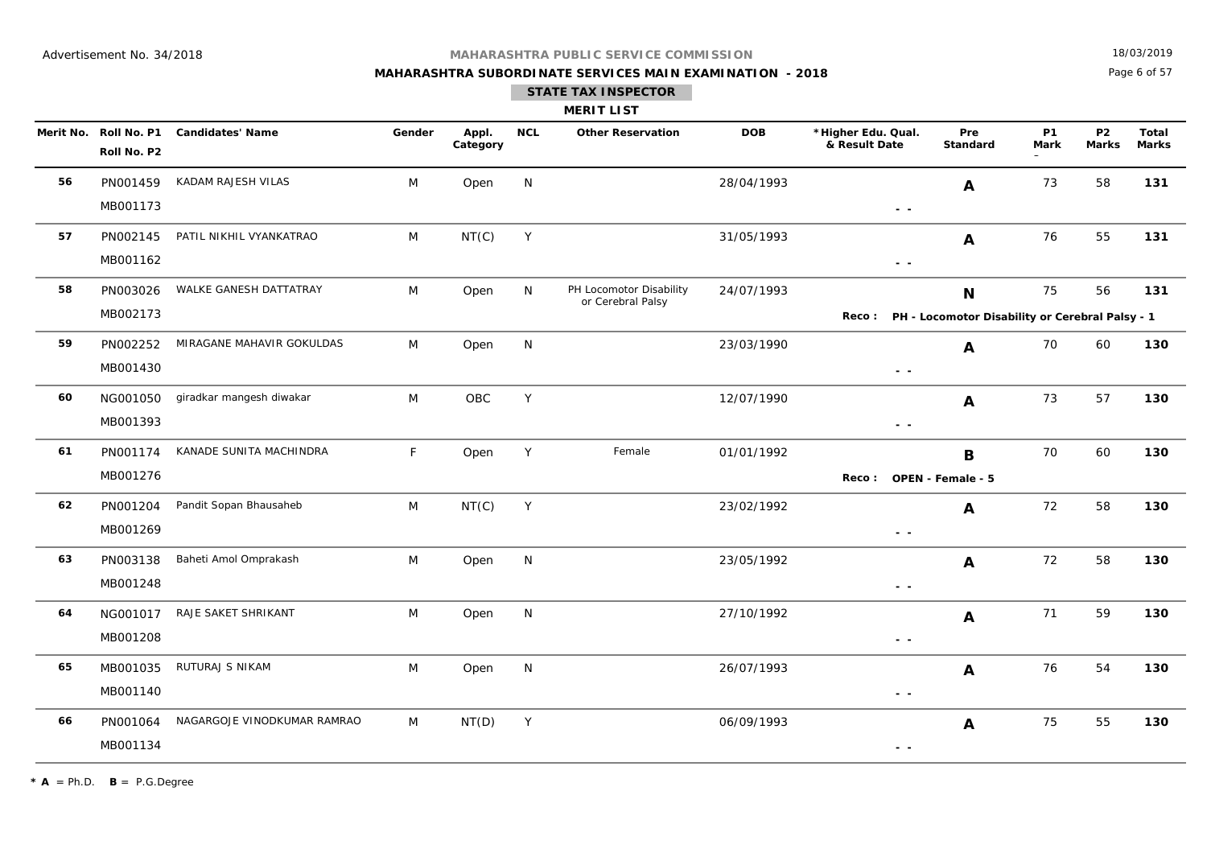## **MAHARASHTRA SUBORDINATE SERVICES MAIN EXAMINATION - 2018 STATE TAX INSPECTOR**

18/03/2019

Page 6 of 57

|    |                      |                                        |        |                   |            | <b>MERIT LIST</b>                            |            |                                                        |                         |                   |                                |                       |
|----|----------------------|----------------------------------------|--------|-------------------|------------|----------------------------------------------|------------|--------------------------------------------------------|-------------------------|-------------------|--------------------------------|-----------------------|
|    | Roll No. P2          | Merit No. Roll No. P1 Candidates' Name | Gender | Appl.<br>Category | <b>NCL</b> | <b>Other Reservation</b>                     | <b>DOB</b> | *Higher Edu. Qual.<br>& Result Date                    | Pre<br>Standard         | <b>P1</b><br>Mark | P <sub>2</sub><br><b>Marks</b> | Total<br><b>Marks</b> |
| 56 | PN001459<br>MB001173 | KADAM RAJESH VILAS                     | M      | Open              | N          |                                              | 28/04/1993 | - -                                                    | $\mathbf{A}$            | 73                | 58                             | 131                   |
| 57 | PN002145<br>MB001162 | PATIL NIKHIL VYANKATRAO                | M      | NT(C)             | Y          |                                              | 31/05/1993 | $\frac{1}{2} \left( \frac{1}{2} \right) = \frac{1}{2}$ | A                       | 76                | 55                             | 131                   |
| 58 | PN003026<br>MB002173 | WALKE GANESH DATTATRAY                 | M      | Open              | N          | PH Locomotor Disability<br>or Cerebral Palsy | 24/07/1993 | Reco: PH - Locomotor Disability or Cerebral Palsy - 1  | N                       | 75                | 56                             | 131                   |
| 59 | PN002252<br>MB001430 | MIRAGANE MAHAVIR GOKULDAS              | M      | Open              | N          |                                              | 23/03/1990 | $\sim$ $\sim$                                          | A                       | 70                | 60                             | 130                   |
| 60 | NG001050<br>MB001393 | giradkar mangesh diwakar               | M      | OBC               | Y          |                                              | 12/07/1990 | $\sim$ $\sim$                                          | A                       | 73                | 57                             | 130                   |
| 61 | PN001174<br>MB001276 | KANADE SUNITA MACHINDRA                | F.     | Open              | Y          | Female                                       | 01/01/1992 | Reco: OPEN - Female - 5                                | B                       | 70                | 60                             | 130                   |
| 62 | PN001204<br>MB001269 | Pandit Sopan Bhausaheb                 | M      | NT(C)             | Y          |                                              | 23/02/1992 | $\sim$ $\sim$                                          | $\mathbf{A}$            | 72                | 58                             | 130                   |
| 63 | PN003138<br>MB001248 | Baheti Amol Omprakash                  | M      | Open              | N          |                                              | 23/05/1992 | $\frac{1}{2} \left( \frac{1}{2} \right) = \frac{1}{2}$ | $\mathbf{A}$            | 72                | 58                             | 130                   |
| 64 | NG001017<br>MB001208 | RAJE SAKET SHRIKANT                    | M      | Open              | N          |                                              | 27/10/1992 | $\frac{1}{2} \left( \frac{1}{2} \right) = \frac{1}{2}$ | $\overline{\mathbf{A}}$ | 71                | 59                             | 130                   |
| 65 | MB001035<br>MB001140 | RUTURAJ S NIKAM                        | M      | Open              | N          |                                              | 26/07/1993 | $ -$                                                   | A                       | 76                | 54                             | 130                   |
| 66 | PN001064<br>MB001134 | NAGARGOJE VINODKUMAR RAMRAO            | M      | NT(D)             | Y          |                                              | 06/09/1993 | $\sim$ $ \sim$                                         | A                       | 75                | 55                             | 130                   |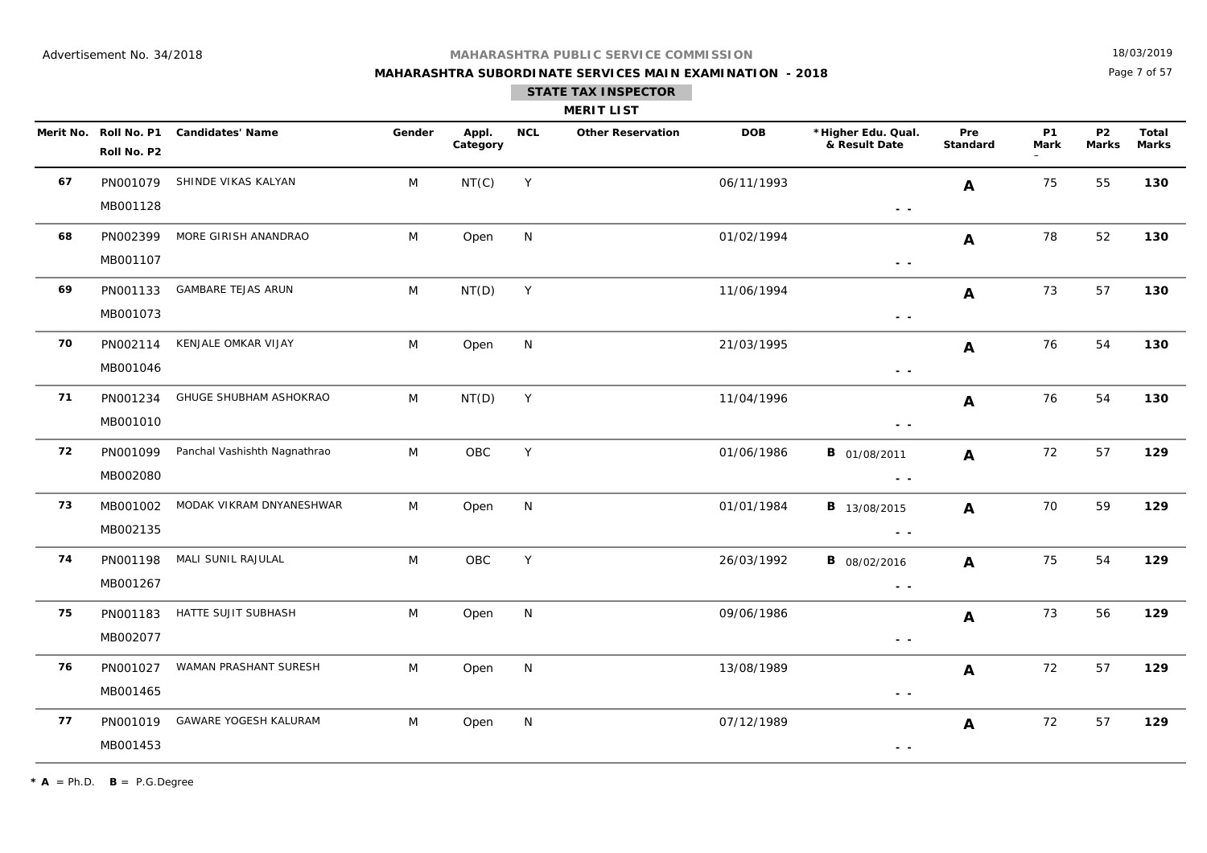## **MAHARASHTRA SUBORDINATE SERVICES MAIN EXAMINATION - 2018 STATE TAX INSPECTOR**

18/03/2019

Page 7 of 57

|    | <b>MERIT LIST</b>    |                                        |        |                   |            |                          |            |                                     |                        |                   |                           |                       |  |
|----|----------------------|----------------------------------------|--------|-------------------|------------|--------------------------|------------|-------------------------------------|------------------------|-------------------|---------------------------|-----------------------|--|
|    | Roll No. P2          | Merit No. Roll No. P1 Candidates' Name | Gender | Appl.<br>Category | <b>NCL</b> | <b>Other Reservation</b> | <b>DOB</b> | *Higher Edu. Qual.<br>& Result Date | Pre<br><b>Standard</b> | <b>P1</b><br>Mark | <b>P2</b><br><b>Marks</b> | Total<br><b>Marks</b> |  |
| 67 | MB001128             | PN001079 SHINDE VIKAS KALYAN           | M      | NT(C)             | Y          |                          | 06/11/1993 | $ -$                                | A                      | 75                | 55                        | 130                   |  |
| 68 | MB001107             | PN002399 MORE GIRISH ANANDRAO          | M      | Open              | N          |                          | 01/02/1994 | $\sim$ $\sim$                       | $\mathbf{A}$           | 78                | 52                        | 130                   |  |
| 69 | PN001133<br>MB001073 | GAMBARE TEJAS ARUN                     | M      | NT(D)             | Y          |                          | 11/06/1994 | $\sim$ $\sim$                       | $\mathbf{A}$           | 73                | 57                        | 130                   |  |
| 70 | PN002114<br>MB001046 | KENJALE OMKAR VIJAY                    | M      | Open              | N          |                          | 21/03/1995 | $\sim$ $\sim$                       | A                      | 76                | 54                        | 130                   |  |
| 71 | PN001234<br>MB001010 | GHUGE SHUBHAM ASHOKRAO                 | M      | NT(D)             | Y          |                          | 11/04/1996 | $\sim$ $\sim$                       | A                      | 76                | 54                        | 130                   |  |
| 72 | PN001099<br>MB002080 | Panchal Vashishth Nagnathrao           | M      | OBC               | Y          |                          | 01/06/1986 | <b>B</b> 01/08/2011<br>$\sim$ $-$   | $\mathbf{A}$           | 72                | 57                        | 129                   |  |
| 73 | MB002135             | MB001002 MODAK VIKRAM DNYANESHWAR      | M      | Open              | N          |                          | 01/01/1984 | <b>B</b> 13/08/2015<br>$ -$         | $\mathbf{A}$           | 70                | 59                        | 129                   |  |
| 74 | MB001267             | PN001198 MALI SUNIL RAJULAL            | M      | OBC               | Y          |                          | 26/03/1992 | <b>B</b> 08/02/2016<br>$ -$         | A                      | 75                | 54                        | 129                   |  |
| 75 | PN001183<br>MB002077 | HATTE SUJIT SUBHASH                    | M      | Open              | N          |                          | 09/06/1986 | $\sim$ $\sim$                       | $\mathbf{A}$           | 73                | 56                        | 129                   |  |
| 76 | PN001027<br>MB001465 | WAMAN PRASHANT SURESH                  | M      | Open              | N          |                          | 13/08/1989 | $\sim$ $\sim$                       | $\mathbf{A}$           | 72                | 57                        | 129                   |  |
| 77 | PN001019<br>MB001453 | GAWARE YOGESH KALURAM                  | M      | Open              | N          |                          | 07/12/1989 | $ -$                                | A                      | 72                | 57                        | 129                   |  |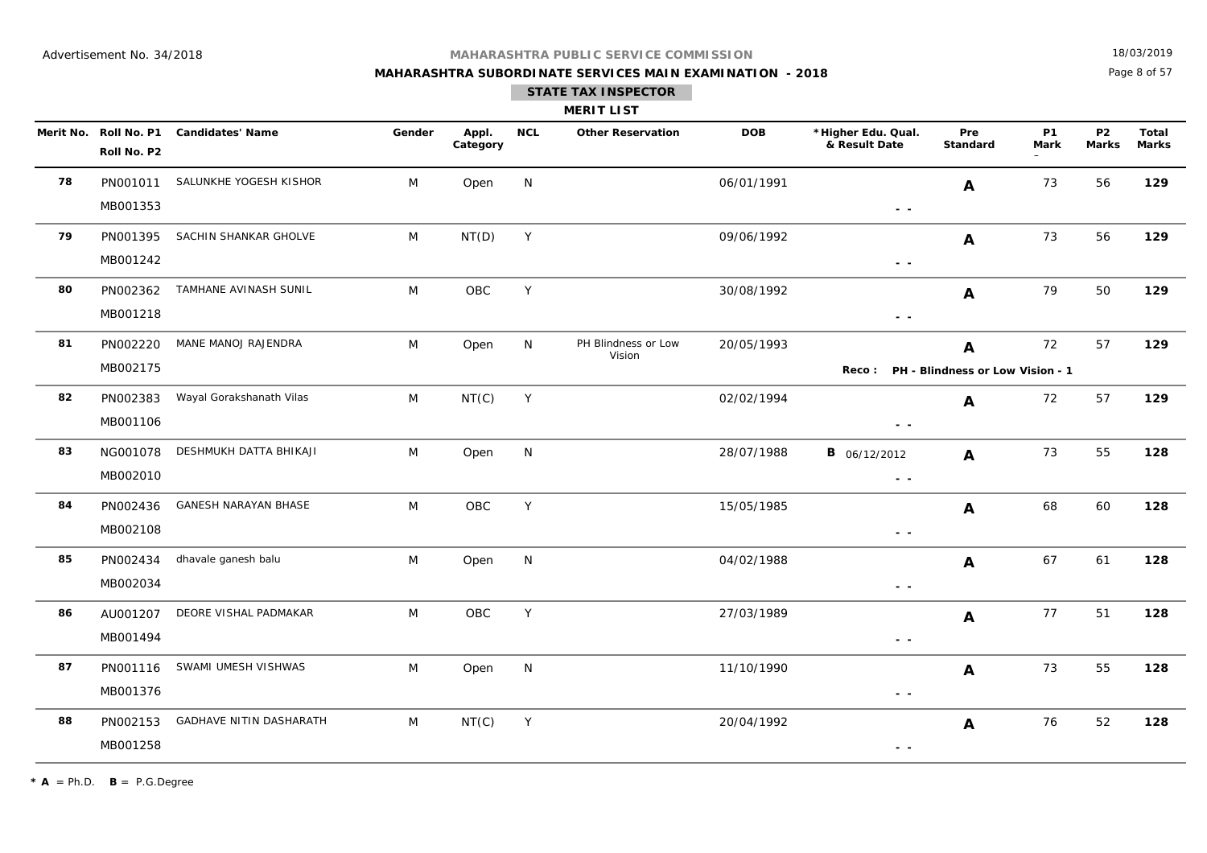## **MAHARASHTRA SUBORDINATE SERVICES MAIN EXAMINATION - 2018**

18/03/2019

Page 8 of 57

|    |                      |                                        |        |                   |             | <b>MERIT LIST</b>             |            |                                        |                  |                   |                           |                       |
|----|----------------------|----------------------------------------|--------|-------------------|-------------|-------------------------------|------------|----------------------------------------|------------------|-------------------|---------------------------|-----------------------|
|    | Roll No. P2          | Merit No. Roll No. P1 Candidates' Name | Gender | Appl.<br>Category | <b>NCL</b>  | <b>Other Reservation</b>      | DOB        | *Higher Edu. Qual.<br>& Result Date    | Pre<br>Standard  | <b>P1</b><br>Mark | <b>P2</b><br><b>Marks</b> | Total<br><b>Marks</b> |
| 78 | MB001353             | PN001011 SALUNKHE YOGESH KISHOR        | M      | Open              | N           |                               | 06/01/1991 | $ -$                                   | A                | 73                | 56                        | 129                   |
| 79 | PN001395<br>MB001242 | SACHIN SHANKAR GHOLVE                  | M      | NT(D)             | Y           |                               | 09/06/1992 | $\sim$ $\sim$                          | A                | 73                | 56                        | 129                   |
| 80 | PN002362<br>MB001218 | TAMHANE AVINASH SUNIL                  | M      | OBC               | Y           |                               | 30/08/1992 | $\sim$ $\sim$                          | $\boldsymbol{A}$ | 79                | 50                        | 129                   |
| 81 | PN002220<br>MB002175 | MANE MANOJ RAJENDRA                    | M      | Open              | N           | PH Blindness or Low<br>Vision | 20/05/1993 | Reco: PH - Blindness or Low Vision - 1 | A                | 72                | 57                        | 129                   |
| 82 | PN002383<br>MB001106 | Wayal Gorakshanath Vilas               | M      | NT(C)             | Y           |                               | 02/02/1994 | $ -$                                   | A                | 72                | 57                        | 129                   |
| 83 | NG001078<br>MB002010 | DESHMUKH DATTA BHIKAJI                 | M      | Open              | N           |                               | 28/07/1988 | <b>B</b> 06/12/2012<br>$ -$            | $\mathbf{A}$     | 73                | 55                        | 128                   |
| 84 | PN002436<br>MB002108 | <b>GANESH NARAYAN BHASE</b>            | M      | <b>OBC</b>        | Υ           |                               | 15/05/1985 | $\sim$ $\sim$                          | A                | 68                | 60                        | 128                   |
| 85 | PN002434<br>MB002034 | dhavale ganesh balu                    | M      | Open              | N           |                               | 04/02/1988 | $\sim$ $\sim$                          | $\mathbf{A}$     | 67                | 61                        | 128                   |
| 86 | AU001207<br>MB001494 | DEORE VISHAL PADMAKAR                  | M      | OBC               | Y           |                               | 27/03/1989 | $ -$                                   | A                | 77                | 51                        | 128                   |
| 87 | PN001116<br>MB001376 | SWAMI UMESH VISHWAS                    | M      | Open              | N           |                               | 11/10/1990 | $ -$                                   | $\mathbf{A}$     | 73                | 55                        | 128                   |
| 88 | PN002153<br>MB001258 | GADHAVE NITIN DASHARATH                | M      | NT(C)             | $\mathsf Y$ |                               | 20/04/1992 | $ -$                                   | A                | 76                | 52                        | 128                   |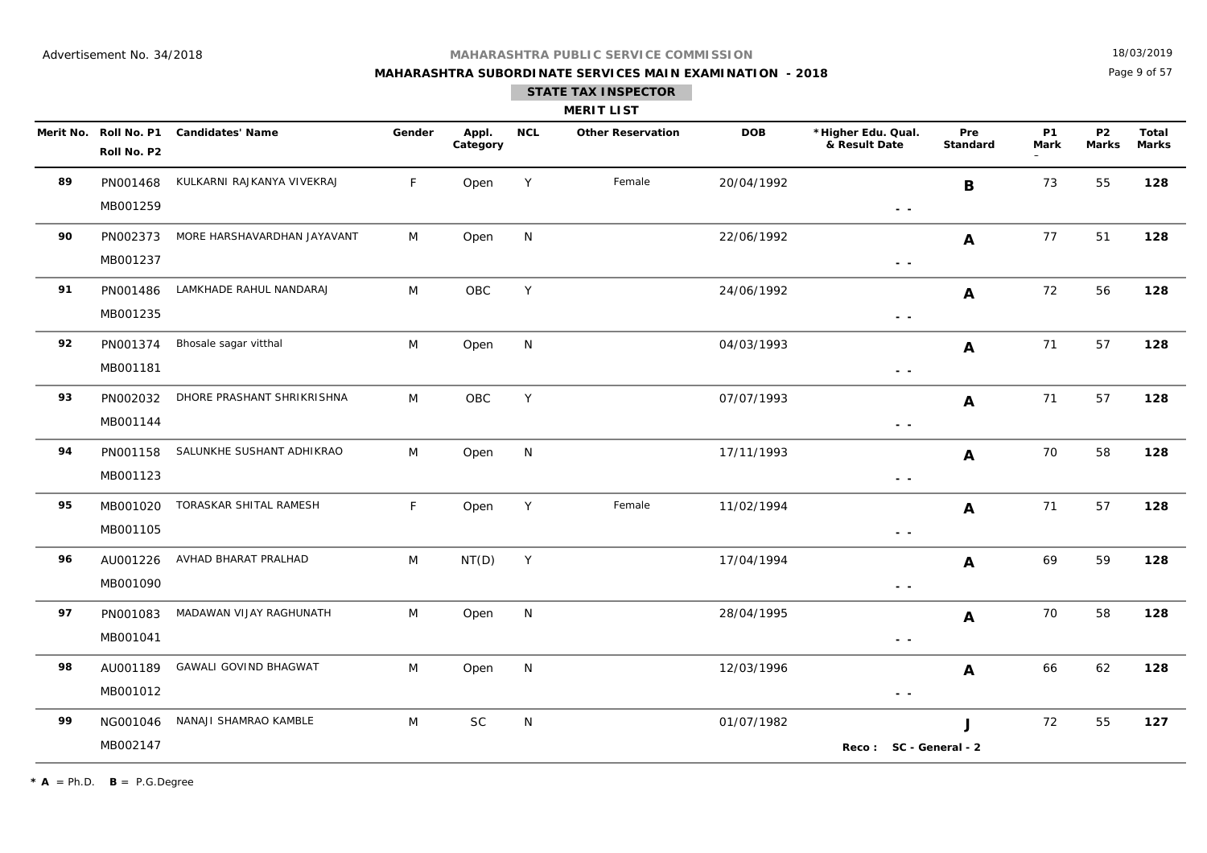**MAHARASHTRA SUBORDINATE SERVICES MAIN EXAMINATION - 2018**

18/03/2019

Page 9 of 57

| <b>MERIT LIST</b> |  |
|-------------------|--|
|                   |  |

|    | Merit No. Roll No. P1<br>Roll No. P2 | <b>Candidates' Name</b>      | Gender       | Appl.<br>Category | <b>NCL</b> | <b>Other Reservation</b> | <b>DOB</b> | *Higher Edu. Qual.<br>& Result Date | Pre<br><b>Standard</b> | <b>P1</b><br><b>Mark</b> | <b>P2</b><br><b>Marks</b> | <b>Total</b><br><b>Marks</b> |
|----|--------------------------------------|------------------------------|--------------|-------------------|------------|--------------------------|------------|-------------------------------------|------------------------|--------------------------|---------------------------|------------------------------|
| 89 | PN001468<br>MB001259                 | KULKARNI RAJKANYA VIVEKRAJ   | $\mathsf{F}$ | Open              | Y          | Female                   | 20/04/1992 | $\sim$ $\sim$                       | B                      | 73                       | 55                        | 128                          |
| 90 | PN002373<br>MB001237                 | MORE HARSHAVARDHAN JAYAVANT  | M            | Open              | N          |                          | 22/06/1992 | $\sim$ $\sim$                       | $\mathbf{A}$           | 77                       | 51                        | 128                          |
| 91 | PN001486<br>MB001235                 | LAMKHADE RAHUL NANDARAJ      | M            | OBC               | Y          |                          | 24/06/1992 | $\sim$ $\sim$                       | $\mathbf{A}$           | 72                       | 56                        | 128                          |
| 92 | PN001374<br>MB001181                 | Bhosale sagar vitthal        | M            | Open              | N          |                          | 04/03/1993 | $\sim$ $ \sim$                      | $\mathbf{A}$           | 71                       | 57                        | 128                          |
| 93 | PN002032<br>MB001144                 | DHORE PRASHANT SHRIKRISHNA   | M            | OBC               | Y          |                          | 07/07/1993 | $ -$                                | $\mathbf{A}$           | 71                       | 57                        | 128                          |
| 94 | PN001158<br>MB001123                 | SALUNKHE SUSHANT ADHIKRAO    | M            | Open              | N          |                          | 17/11/1993 | $\sim$ $\sim$                       | A                      | 70                       | 58                        | 128                          |
| 95 | MB001020<br>MB001105                 | TORASKAR SHITAL RAMESH       | F            | Open              | Y          | Female                   | 11/02/1994 | $ -$                                | $\mathbf{A}$           | 71                       | 57                        | 128                          |
| 96 | AU001226<br>MB001090                 | AVHAD BHARAT PRALHAD         | M            | NT(D)             | Y          |                          | 17/04/1994 | $\sim$ $\sim$                       | A                      | 69                       | 59                        | 128                          |
| 97 | PN001083<br>MB001041                 | MADAWAN VIJAY RAGHUNATH      | M            | Open              | N          |                          | 28/04/1995 | $\sim$ $-$                          | $\mathbf{A}$           | 70                       | 58                        | 128                          |
| 98 | AU001189<br>MB001012                 | <b>GAWALI GOVIND BHAGWAT</b> | M            | Open              | N          |                          | 12/03/1996 | $\sim$ $\sim$                       | $\mathbf{A}$           | 66                       | 62                        | 128                          |
| 99 | NG001046<br>MB002147                 | NANAJI SHAMRAO KAMBLE        | M            | <b>SC</b>         | N          |                          | 01/07/1982 | Reco: SC - General - 2              | $\mathbf{J}$           | 72                       | 55                        | 127                          |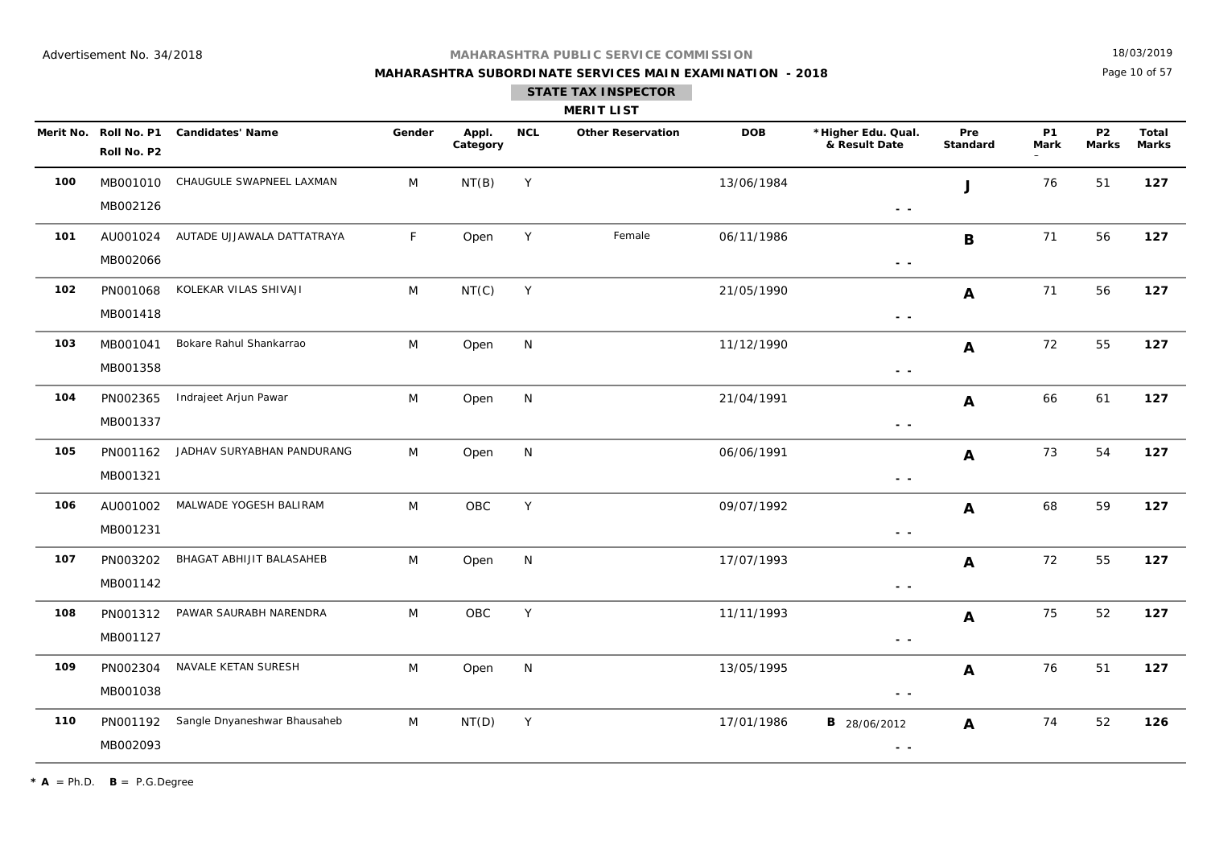## **MAHARASHTRA SUBORDINATE SERVICES MAIN EXAMINATION - 2018**

18/03/2019

Page 10 of 57

| <b>MERIT LIST</b> |  |
|-------------------|--|
|                   |  |

|     | Roll No. P2          | Merit No. Roll No. P1 Candidates' Name | Gender | Appl.<br>Category | <b>NCL</b>   | <b>Other Reservation</b> | <b>DOB</b> | *Higher Edu. Qual.<br>& Result Date                                             | Pre<br>Standard | <b>P1</b><br>Mark | P <sub>2</sub><br><b>Marks</b> | <b>Total</b><br><b>Marks</b> |
|-----|----------------------|----------------------------------------|--------|-------------------|--------------|--------------------------|------------|---------------------------------------------------------------------------------|-----------------|-------------------|--------------------------------|------------------------------|
| 100 | MB002126             | MB001010 CHAUGULE SWAPNEEL LAXMAN      | M      | NT(B)             | Y            |                          | 13/06/1984 | $\frac{1}{2} \left( \frac{1}{2} \right) \frac{1}{2} \left( \frac{1}{2} \right)$ | $\mathbf{J}$    | 76                | 51                             | 127                          |
| 101 | AU001024<br>MB002066 | AUTADE UJJAWALA DATTATRAYA             | F      | Open              | Y            | Female                   | 06/11/1986 | $\sim$ $\sim$                                                                   | $\mathbf{B}$    | 71                | 56                             | 127                          |
| 102 | PN001068<br>MB001418 | KOLEKAR VILAS SHIVAJI                  | M      | NT(C)             | Y            |                          | 21/05/1990 | $\sim$ $ \sim$                                                                  | A               | 71                | 56                             | 127                          |
| 103 | MB001041<br>MB001358 | Bokare Rahul Shankarrao                | M      | Open              | N            |                          | 11/12/1990 | $\sim$ $\sim$                                                                   | $\mathbf{A}$    | 72                | 55                             | 127                          |
| 104 | PN002365<br>MB001337 | Indrajeet Arjun Pawar                  | M      | Open              | N            |                          | 21/04/1991 | $ -$                                                                            | $\mathbf{A}$    | 66                | 61                             | 127                          |
| 105 | PN001162<br>MB001321 | JADHAV SURYABHAN PANDURANG             | M      | Open              | $\mathsf{N}$ |                          | 06/06/1991 | - -                                                                             | $\mathbf{A}$    | 73                | 54                             | 127                          |
| 106 | AU001002<br>MB001231 | MALWADE YOGESH BALIRAM                 | M      | OBC               | Y            |                          | 09/07/1992 | $\sim$ $\sim$                                                                   | A               | 68                | 59                             | 127                          |
| 107 | PN003202<br>MB001142 | BHAGAT ABHIJIT BALASAHEB               | M      | Open              | N            |                          | 17/07/1993 | $\sim$ $\sim$                                                                   | $\mathbf{A}$    | 72                | 55                             | 127                          |
| 108 | PN001312<br>MB001127 | PAWAR SAURABH NARENDRA                 | M      | OBC               | Υ            |                          | 11/11/1993 | $\sim$ $\sim$                                                                   | $\mathbf{A}$    | 75                | 52                             | 127                          |
| 109 | PN002304<br>MB001038 | NAVALE KETAN SURESH                    | M      | Open              | N            |                          | 13/05/1995 | $\sim$ $\sim$                                                                   | $\mathbf{A}$    | 76                | 51                             | 127                          |
| 110 | PN001192<br>MB002093 | Sangle Dnyaneshwar Bhausaheb           | M      | NT(D)             | Y            |                          | 17/01/1986 | <b>B</b> 28/06/2012<br>$\sim$ $\sim$                                            | $\mathbf{A}$    | 74                | 52                             | 126                          |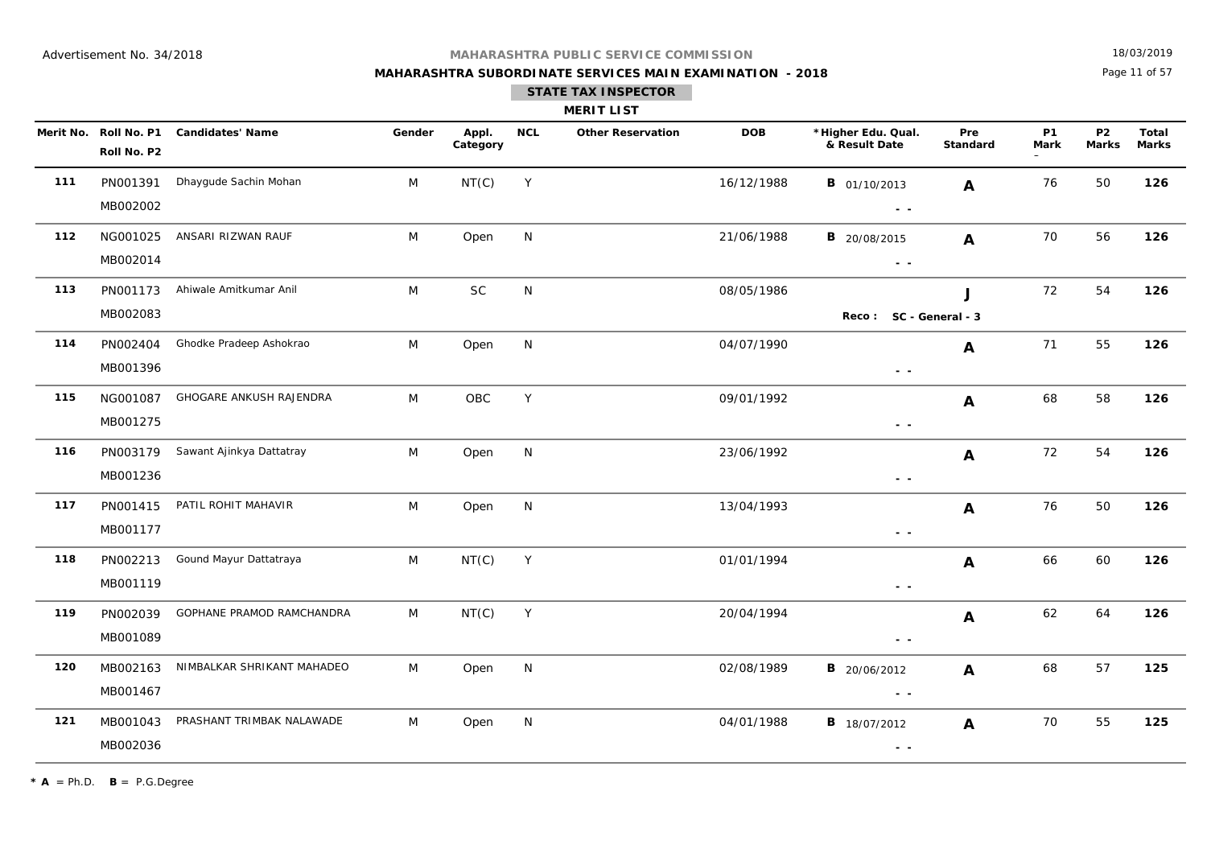## **MAHARASHTRA SUBORDINATE SERVICES MAIN EXAMINATION - 2018 STATE TAX INSPECTOR**

18/03/2019

Page 11 of 57

|     | <b>MERIT LIST</b>    |                                        |        |                   |            |                          |            |                                                                                                        |                 |                   |                           |                       |  |
|-----|----------------------|----------------------------------------|--------|-------------------|------------|--------------------------|------------|--------------------------------------------------------------------------------------------------------|-----------------|-------------------|---------------------------|-----------------------|--|
|     | Roll No. P2          | Merit No. Roll No. P1 Candidates' Name | Gender | Appl.<br>Category | <b>NCL</b> | <b>Other Reservation</b> | <b>DOB</b> | *Higher Edu. Qual.<br>& Result Date                                                                    | Pre<br>Standard | <b>P1</b><br>Mark | <b>P2</b><br><b>Marks</b> | Total<br><b>Marks</b> |  |
| 111 | PN001391<br>MB002002 | Dhaygude Sachin Mohan                  | M      | NT(C)             | Y          |                          | 16/12/1988 | <b>B</b> 01/10/2013<br>$\sim$ $-$                                                                      | A               | 76                | 50                        | 126                   |  |
| 112 | NG001025<br>MB002014 | ANSARI RIZWAN RAUF                     | M      | Open              | N          |                          | 21/06/1988 | <b>B</b> 20/08/2015<br>$\sim$ $\sim$                                                                   | A               | 70                | 56                        | 126                   |  |
| 113 | PN001173<br>MB002083 | Ahiwale Amitkumar Anil                 | M      | $\sf SC$          | ${\sf N}$  |                          | 08/05/1986 | Reco: SC - General - 3                                                                                 | J               | 72                | 54                        | 126                   |  |
| 114 | PN002404<br>MB001396 | Ghodke Pradeep Ashokrao                | M      | Open              | N          |                          | 04/07/1990 | $\sim$ $\sim$                                                                                          | A               | 71                | 55                        | 126                   |  |
| 115 | NG001087<br>MB001275 | GHOGARE ANKUSH RAJENDRA                | M      | OBC               | Y          |                          | 09/01/1992 | $\sim$ $\sim$                                                                                          | A               | 68                | 58                        | 126                   |  |
| 116 | PN003179<br>MB001236 | Sawant Ajinkya Dattatray               | M      | Open              | N          |                          | 23/06/1992 | $\sim$ $\sim$                                                                                          | A               | 72                | 54                        | 126                   |  |
| 117 | PN001415<br>MB001177 | PATIL ROHIT MAHAVIR                    | M      | Open              | N          |                          | 13/04/1993 | $ -$                                                                                                   | A               | 76                | 50                        | 126                   |  |
| 118 | PN002213<br>MB001119 | Gound Mayur Dattatraya                 | M      | NT(C)             | Y          |                          | 01/01/1994 | $ -$                                                                                                   | A               | 66                | 60                        | 126                   |  |
| 119 | PN002039<br>MB001089 | GOPHANE PRAMOD RAMCHANDRA              | M      | NT(C)             | Y          |                          | 20/04/1994 | $\sim$ $\sim$                                                                                          | A               | 62                | 64                        | 126                   |  |
| 120 | MB002163<br>MB001467 | NIMBALKAR SHRIKANT MAHADEO             | M      | Open              | N          |                          | 02/08/1989 | <b>B</b> 20/06/2012<br>$\frac{1}{2} \left( \frac{1}{2} \right) \frac{1}{2} \left( \frac{1}{2} \right)$ | $\mathbf{A}$    | 68                | 57                        | 125                   |  |
| 121 | MB001043<br>MB002036 | PRASHANT TRIMBAK NALAWADE              | M      | Open              | N          |                          | 04/01/1988 | <b>B</b> 18/07/2012<br>$\sim$ $\sim$                                                                   | A               | 70                | 55                        | 125                   |  |

 $\star$  **A** = Ph.D. **B** = P.G.Degree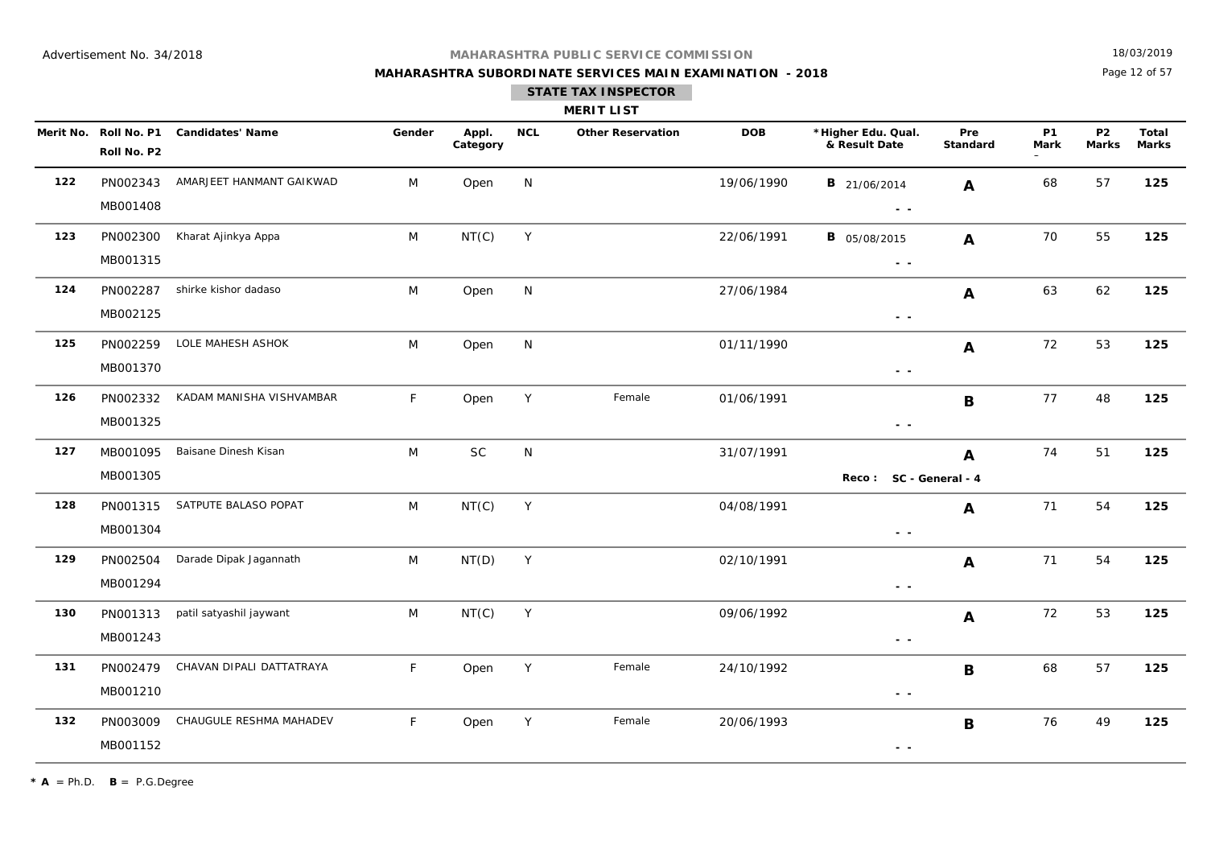## **MAHARASHTRA SUBORDINATE SERVICES MAIN EXAMINATION - 2018 STATE TAX INSPECTOR**

18/03/2019

Page 12 of 57

|     |                                      |                          |        |                   |            | <b>MERIT LIST</b>        |            |                                     |                        |                          |                           |                       |
|-----|--------------------------------------|--------------------------|--------|-------------------|------------|--------------------------|------------|-------------------------------------|------------------------|--------------------------|---------------------------|-----------------------|
|     | Merit No. Roll No. P1<br>Roll No. P2 | <b>Candidates' Name</b>  | Gender | Appl.<br>Category | <b>NCL</b> | <b>Other Reservation</b> | <b>DOB</b> | *Higher Edu. Qual.<br>& Result Date | Pre<br><b>Standard</b> | <b>P1</b><br><b>Mark</b> | <b>P2</b><br><b>Marks</b> | Total<br><b>Marks</b> |
| 122 | PN002343<br>MB001408                 | AMARJEET HANMANT GAIKWAD | M      | Open              | N          |                          | 19/06/1990 | <b>B</b> 21/06/2014<br>$ -$         | A                      | 68                       | 57                        | 125                   |
| 123 | PN002300<br>MB001315                 | Kharat Ajinkya Appa      | M      | NT(C)             | Y          |                          | 22/06/1991 | <b>B</b> 05/08/2015<br>$\sim 100$   | $\mathbf{A}$           | 70                       | 55                        | 125                   |
| 124 | PN002287<br>MB002125                 | shirke kishor dadaso     | M      | Open              | N          |                          | 27/06/1984 | $\sim$ $\sim$                       | A                      | 63                       | 62                        | 125                   |
| 125 | PN002259<br>MB001370                 | LOLE MAHESH ASHOK        | M      | Open              | N          |                          | 01/11/1990 | $\sim$ $\sim$                       | A                      | 72                       | 53                        | 125                   |
| 126 | PN002332<br>MB001325                 | KADAM MANISHA VISHVAMBAR | F      | Open              | Y          | Female                   | 01/06/1991 | $\sim$ $\sim$                       | B                      | 77                       | 48                        | 125                   |
| 127 | MB001095<br>MB001305                 | Baisane Dinesh Kisan     | M      | $\sf SC$          | N          |                          | 31/07/1991 | Reco: SC - General - 4              | A                      | 74                       | 51                        | 125                   |
| 128 | PN001315<br>MB001304                 | SATPUTE BALASO POPAT     | M      | NT(C)             | Y          |                          | 04/08/1991 | $\sim$ $\sim$                       | A                      | 71                       | 54                        | 125                   |
| 129 | PN002504<br>MB001294                 | Darade Dipak Jagannath   | M      | NT(D)             | Y          |                          | 02/10/1991 | $\sim$ $\sim$                       | A                      | 71                       | 54                        | 125                   |
| 130 | PN001313<br>MB001243                 | patil satyashil jaywant  | M      | NT(C)             | Y          |                          | 09/06/1992 | $\sim$ $\sim$                       | A                      | 72                       | 53                        | 125                   |
| 131 | PN002479<br>MB001210                 | CHAVAN DIPALI DATTATRAYA | F      | Open              | Y          | Female                   | 24/10/1992 | - -                                 | $\mathbf B$            | 68                       | 57                        | 125                   |
| 132 | PN003009                             | CHAUGULE RESHMA MAHADEV  | F      | Open              | Y          | Female                   | 20/06/1993 |                                     | B                      | 76                       | 49                        | 125                   |

 **- -** 

 $* A = Ph.D.$  **B** = P.G.Degree

MB001152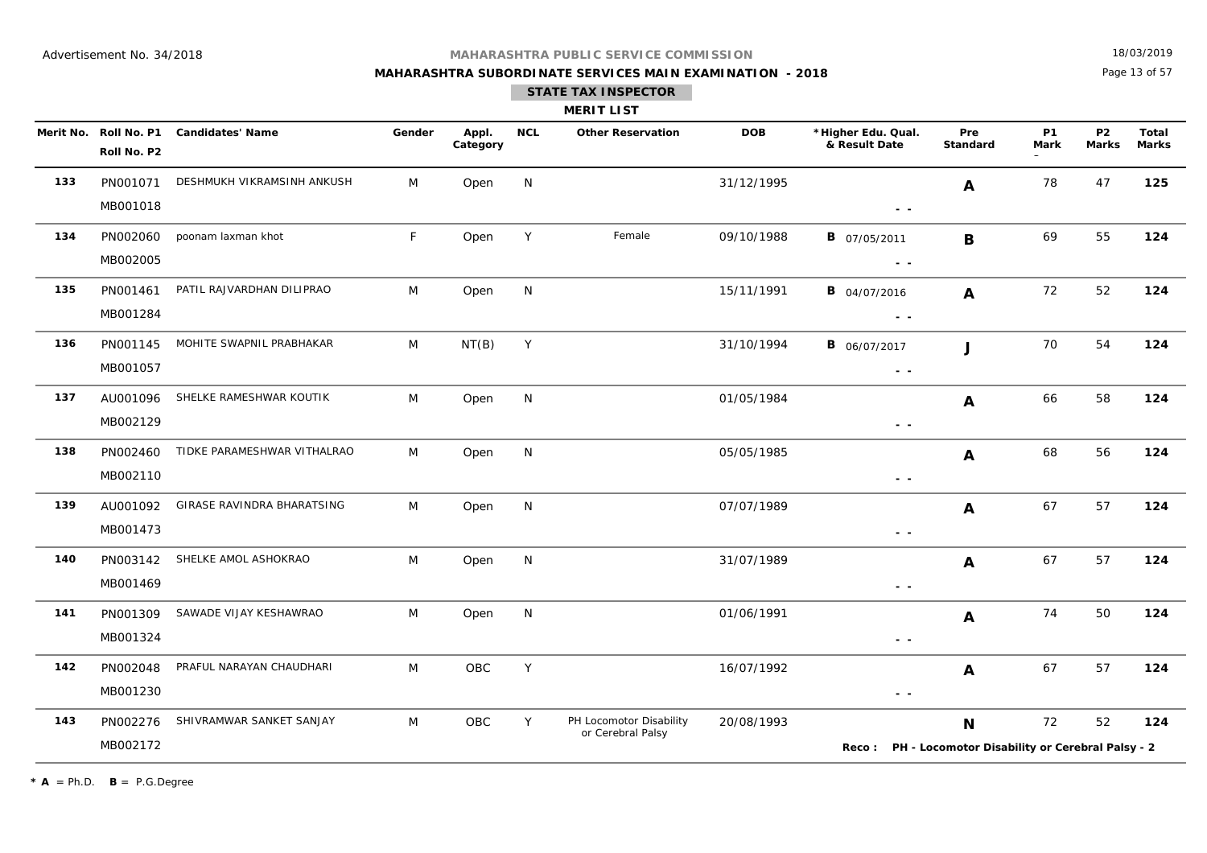## **MAHARASHTRA SUBORDINATE SERVICES MAIN EXAMINATION - 2018**

18/03/2019

Page 13 of 57

|  | <b>MERIT LI</b> |  |
|--|-----------------|--|

|     | Merit No. Roll No. P1<br>Roll No. P2 | <b>Candidates' Name</b>     | Gender | Appl.<br>Category | <b>NCL</b> | <b>Other Reservation</b>                     | <b>DOB</b> | *Higher Edu. Qual.<br>& Result Date                                               | Pre<br>Standard | P1<br>Mark | <b>P2</b><br><b>Marks</b> | Total<br><b>Marks</b> |
|-----|--------------------------------------|-----------------------------|--------|-------------------|------------|----------------------------------------------|------------|-----------------------------------------------------------------------------------|-----------------|------------|---------------------------|-----------------------|
| 133 | PN001071<br>MB001018                 | DESHMUKH VIKRAMSINH ANKUSH  | M      | Open              | N          |                                              | 31/12/1995 | - -                                                                               | A               | 78         | 47                        | 125                   |
| 134 | PN002060<br>MB002005                 | poonam laxman khot          | F      | Open              | Y          | Female                                       | 09/10/1988 | <b>B</b> 07/05/2011<br>$\sim$ $\sim$                                              | B               | 69         | 55                        | 124                   |
| 135 | PN001461<br>MB001284                 | PATIL RAJVARDHAN DILIPRAO   | M      | Open              | N          |                                              | 15/11/1991 | <b>B</b> 04/07/2016<br>$\sim$ $ \sim$                                             | A               | 72         | 52                        | 124                   |
| 136 | PN001145<br>MB001057                 | MOHITE SWAPNIL PRABHAKAR    | M      | NT(B)             | Y          |                                              | 31/10/1994 | <b>B</b> 06/07/2017<br>$ -$                                                       | $\mathbf{J}$    | 70         | 54                        | 124                   |
| 137 | AU001096<br>MB002129                 | SHELKE RAMESHWAR KOUTIK     | M      | Open              | N          |                                              | 01/05/1984 | $\frac{1}{2} \left( \frac{1}{2} \right) = \frac{1}{2}$                            | A               | 66         | 58                        | 124                   |
| 138 | PN002460<br>MB002110                 | TIDKE PARAMESHWAR VITHALRAO | M      | Open              | N          |                                              | 05/05/1985 | $ -$                                                                              | A               | 68         | 56                        | 124                   |
| 139 | AU001092<br>MB001473                 | GIRASE RAVINDRA BHARATSING  | M      | Open              | N          |                                              | 07/07/1989 | $\frac{1}{2} \left( \frac{1}{2} \right) = \frac{1}{2}$                            | A               | 67         | 57                        | 124                   |
| 140 | PN003142<br>MB001469                 | SHELKE AMOL ASHOKRAO        | M      | Open              | N          |                                              | 31/07/1989 | $\sim$ $\sim$                                                                     | A               | 67         | 57                        | 124                   |
| 141 | PN001309<br>MB001324                 | SAWADE VIJAY KESHAWRAO      | M      | Open              | N          |                                              | 01/06/1991 | $\frac{1}{2} \left( \frac{1}{2} \right) = \frac{1}{2} \left( \frac{1}{2} \right)$ | A               | 74         | 50                        | 124                   |
| 142 | PN002048<br>MB001230                 | PRAFUL NARAYAN CHAUDHARI    | M      | OBC               | Y          |                                              | 16/07/1992 | $\sim$ $\sim$                                                                     | A               | 67         | 57                        | 124                   |
| 143 | PN002276<br>MB002172                 | SHIVRAMWAR SANKET SANJAY    | M      | OBC               | Y          | PH Locomotor Disability<br>or Cerebral Palsy | 20/08/1993 | Reco: PH - Locomotor Disability or Cerebral Palsy - 2                             | N               | 72         | 52                        | 124                   |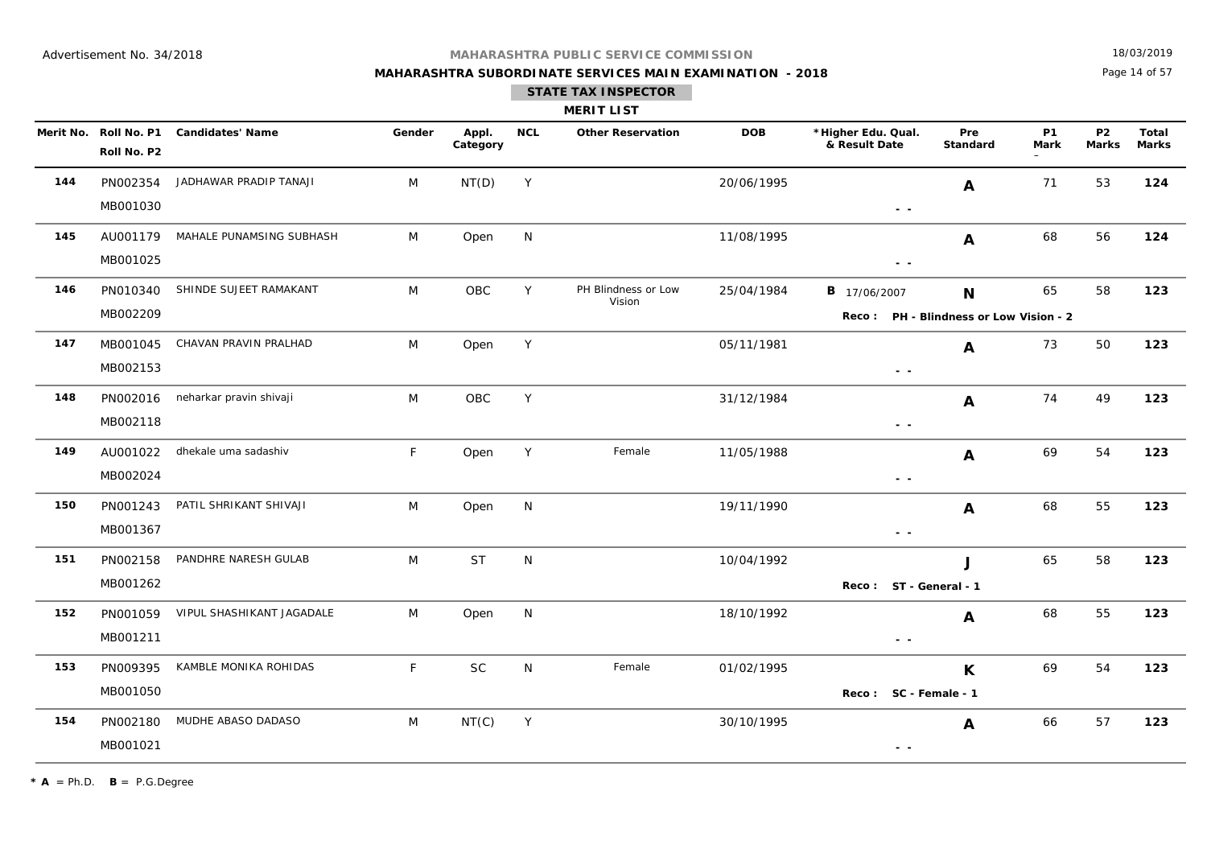## **MAHARASHTRA SUBORDINATE SERVICES MAIN EXAMINATION - 2018**

18/03/2019

Page 14 of 57

|     |                                      |                           |              |                   |              | <b>MERIT LIST</b>             |            |                                                                                 |                 |                   |                           |                              |
|-----|--------------------------------------|---------------------------|--------------|-------------------|--------------|-------------------------------|------------|---------------------------------------------------------------------------------|-----------------|-------------------|---------------------------|------------------------------|
|     | Merit No. Roll No. P1<br>Roll No. P2 | <b>Candidates' Name</b>   | Gender       | Appl.<br>Category | <b>NCL</b>   | <b>Other Reservation</b>      | <b>DOB</b> | *Higher Edu. Qual.<br>& Result Date                                             | Pre<br>Standard | <b>P1</b><br>Mark | <b>P2</b><br><b>Marks</b> | <b>Total</b><br><b>Marks</b> |
| 144 | PN002354<br>MB001030                 | JADHAWAR PRADIP TANAJI    | M            | NT(D)             | Y            |                               | 20/06/1995 | $ -$                                                                            | A               | 71                | 53                        | 124                          |
| 145 | AU001179<br>MB001025                 | MAHALE PUNAMSING SUBHASH  | M            | Open              | N            |                               | 11/08/1995 | $\sim$ $\sim$                                                                   | A               | 68                | 56                        | 124                          |
| 146 | PN010340<br>MB002209                 | SHINDE SUJEET RAMAKANT    | M            | OBC               | Y            | PH Blindness or Low<br>Vision | 25/04/1984 | <b>B</b> 17/06/2007<br>Reco: PH - Blindness or Low Vision - 2                   | N               | 65                | 58                        | 123                          |
| 147 | MB001045<br>MB002153                 | CHAVAN PRAVIN PRALHAD     | M            | Open              | Y            |                               | 05/11/1981 | $\sim$ $\sim$                                                                   | A               | 73                | 50                        | 123                          |
| 148 | PN002016<br>MB002118                 | neharkar pravin shivaji   | M            | OBC               | Y            |                               | 31/12/1984 | $\frac{1}{2} \left( \frac{1}{2} \right) \frac{1}{2} \left( \frac{1}{2} \right)$ | A               | 74                | 49                        | 123                          |
| 149 | AU001022<br>MB002024                 | dhekale uma sadashiv      | $\mathsf F$  | Open              | Y            | Female                        | 11/05/1988 | $\sim$ $\sim$                                                                   | A               | 69                | 54                        | 123                          |
| 150 | PN001243<br>MB001367                 | PATIL SHRIKANT SHIVAJI    | M            | Open              | N            |                               | 19/11/1990 | $\sim$ $\sim$                                                                   | A               | 68                | 55                        | 123                          |
| 151 | PN002158<br>MB001262                 | PANDHRE NARESH GULAB      | M            | <b>ST</b>         | N            |                               | 10/04/1992 | Reco: ST - General - 1                                                          | J               | 65                | 58                        | 123                          |
| 152 | PN001059<br>MB001211                 | VIPUL SHASHIKANT JAGADALE | M            | Open              | N            |                               | 18/10/1992 | $\sim$ $\sim$                                                                   | A               | 68                | 55                        | 123                          |
| 153 | PN009395<br>MB001050                 | KAMBLE MONIKA ROHIDAS     | $\mathsf{F}$ | <b>SC</b>         | N            | Female                        | 01/02/1995 | Reco: SC - Female - 1                                                           | K               | 69                | 54                        | 123                          |
| 154 | PN002180<br>MB001021                 | MUDHE ABASO DADASO        | M            | NT(C)             | $\mathsf{Y}$ |                               | 30/10/1995 | $\sim$ $\sim$                                                                   | A               | 66                | 57                        | 123                          |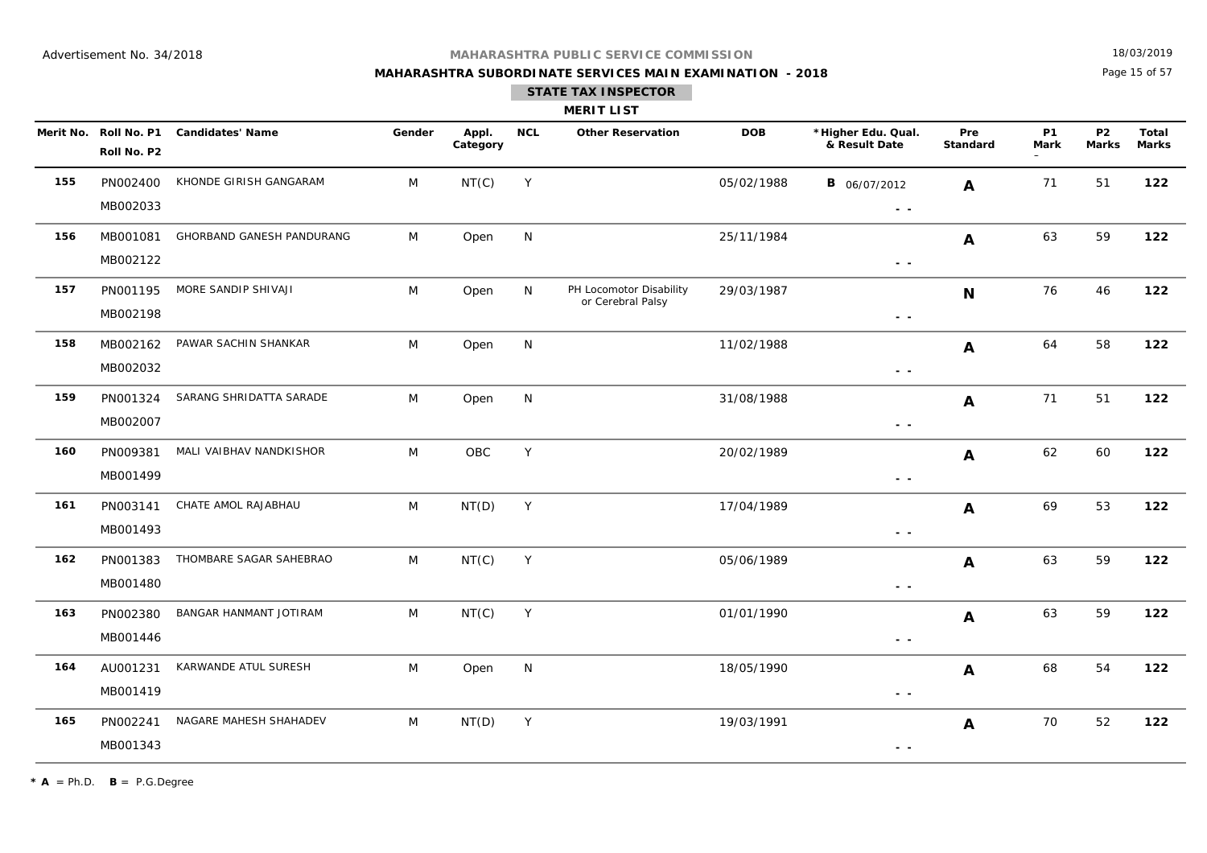## **MAHARASHTRA SUBORDINATE SERVICES MAIN EXAMINATION - 2018**

18/03/2019

Page 15 of 57

|     |                      |                                        |        |                   |             | <b>STATE TAX INSPECTOR</b><br><b>MERIT LIST</b> |            |                                      |                        |                          |                           |                              |
|-----|----------------------|----------------------------------------|--------|-------------------|-------------|-------------------------------------------------|------------|--------------------------------------|------------------------|--------------------------|---------------------------|------------------------------|
|     | Roll No. P2          | Merit No. Roll No. P1 Candidates' Name | Gender | Appl.<br>Category | <b>NCL</b>  | <b>Other Reservation</b>                        | <b>DOB</b> | *Higher Edu. Qual.<br>& Result Date  | Pre<br><b>Standard</b> | <b>P1</b><br><b>Mark</b> | <b>P2</b><br><b>Marks</b> | <b>Total</b><br><b>Marks</b> |
| 155 | PN002400<br>MB002033 | KHONDE GIRISH GANGARAM                 | M      | NT(C)             | Y           |                                                 | 05/02/1988 | <b>B</b> 06/07/2012<br>$\sim$ $\sim$ | A                      | 71                       | 51                        | 122                          |
| 156 | MB001081<br>MB002122 | GHORBAND GANESH PANDURANG              | M      | Open              | N           |                                                 | 25/11/1984 | $\sim$ $\sim$                        | A                      | 63                       | 59                        | 122                          |
| 157 | PN001195<br>MB002198 | MORE SANDIP SHIVAJI                    | M      | Open              | N           | PH Locomotor Disability<br>or Cerebral Palsy    | 29/03/1987 | $\sim$ $-$                           | $\mathbf N$            | 76                       | 46                        | 122                          |
| 158 | MB002162<br>MB002032 | PAWAR SACHIN SHANKAR                   | M      | Open              | N           |                                                 | 11/02/1988 | $ -$                                 | A                      | 64                       | 58                        | 122                          |
| 159 | PN001324<br>MB002007 | SARANG SHRIDATTA SARADE                | M      | Open              | N           |                                                 | 31/08/1988 | $\sim$ $\sim$                        | A                      | 71                       | 51                        | 122                          |
| 160 | PN009381<br>MB001499 | MALI VAIBHAV NANDKISHOR                | M      | OBC               | $\mathsf Y$ |                                                 | 20/02/1989 | - -                                  | A                      | 62                       | 60                        | 122                          |
| 161 | PN003141<br>MB001493 | CHATE AMOL RAJABHAU                    | M      | NT(D)             | Y           |                                                 | 17/04/1989 | - -                                  | A                      | 69                       | 53                        | 122                          |
| 162 | PN001383<br>MB001480 | THOMBARE SAGAR SAHEBRAO                | M      | NT(C)             | Y           |                                                 | 05/06/1989 | $\sim$ $-$                           | A                      | 63                       | 59                        | 122                          |
| 163 | PN002380<br>MB001446 | BANGAR HANMANT JOTIRAM                 | M      | NT(C)             | Y           |                                                 | 01/01/1990 | $\sim$ $-$                           | A                      | 63                       | 59                        | 122                          |
| 164 | AU001231<br>MB001419 | KARWANDE ATUL SURESH                   | M      | Open              | N           |                                                 | 18/05/1990 | $\sim$ $\sim$                        | A                      | 68                       | 54                        | 122                          |
| 165 | PN002241<br>MB001343 | NAGARE MAHESH SHAHADEV                 | M      | NT(D)             | Y           |                                                 | 19/03/1991 | $\sim$ $\sim$                        | A                      | 70                       | 52                        | 122                          |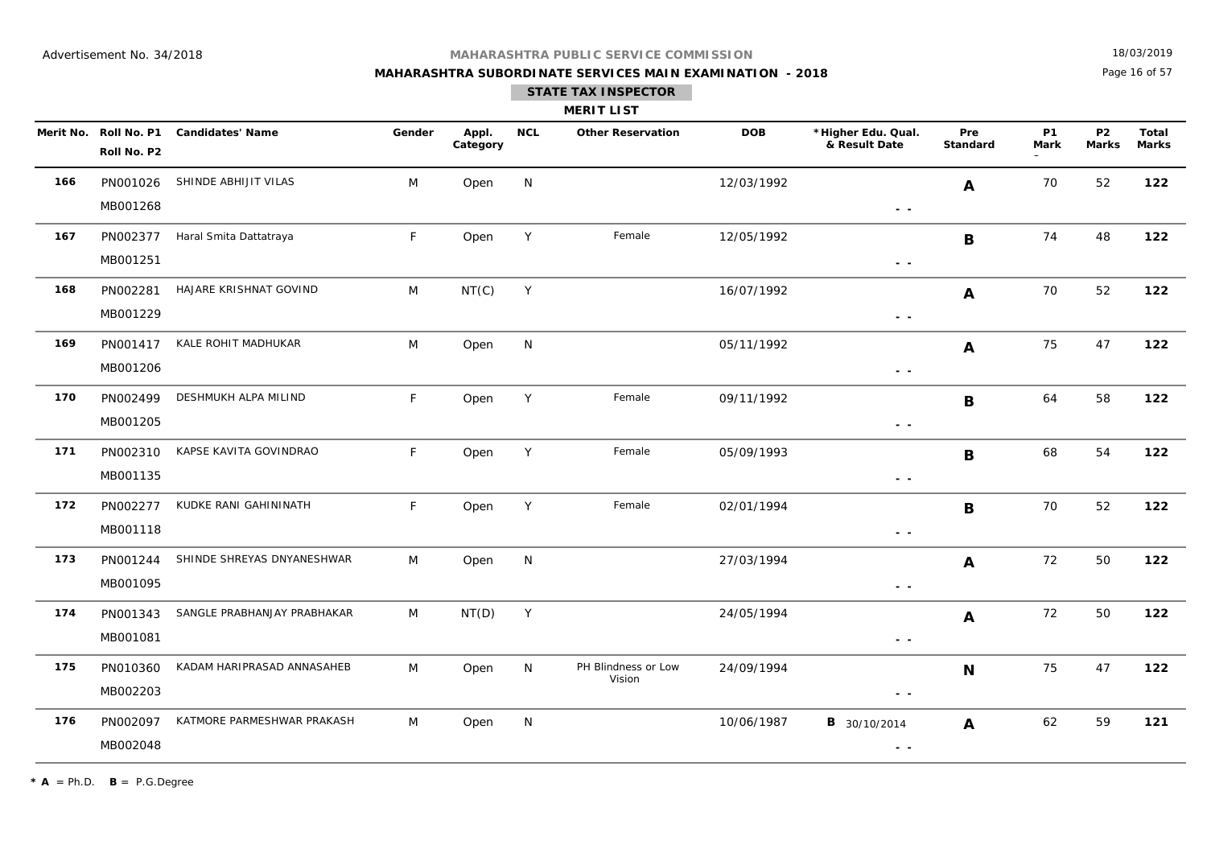## **MAHARASHTRA SUBORDINATE SERVICES MAIN EXAMINATION - 2018**

18/03/2019

Page 16 of 57

### **STATE TAX INSPECTOR**

|     | <b>MERIT LIST</b>                    |                              |        |                   |            |                               |            |                                     |                 |                   |                                |                       |  |  |
|-----|--------------------------------------|------------------------------|--------|-------------------|------------|-------------------------------|------------|-------------------------------------|-----------------|-------------------|--------------------------------|-----------------------|--|--|
|     | Merit No. Roll No. P1<br>Roll No. P2 | <b>Candidates' Name</b>      | Gender | Appl.<br>Category | <b>NCL</b> | <b>Other Reservation</b>      | <b>DOB</b> | *Higher Edu. Qual.<br>& Result Date | Pre<br>Standard | <b>P1</b><br>Mark | P <sub>2</sub><br><b>Marks</b> | Total<br><b>Marks</b> |  |  |
| 166 | PN001026<br>MB001268                 | SHINDE ABHIJIT VILAS         | M      | Open              | N          |                               | 12/03/1992 | $\sim$ $\sim$                       | A               | 70                | 52                             | 122                   |  |  |
| 167 | PN002377<br>MB001251                 | Haral Smita Dattatraya       | F      | Open              | Y          | Female                        | 12/05/1992 | $\sim$ $\sim$                       | B               | 74                | 48                             | 122                   |  |  |
| 168 | PN002281<br>MB001229                 | HAJARE KRISHNAT GOVIND       | M      | NT(C)             | Y          |                               | 16/07/1992 | $\sim$ $\sim$                       | A               | 70                | 52                             | 122                   |  |  |
| 169 | MB001206                             | PN001417 KALE ROHIT MADHUKAR | M      | Open              | N          |                               | 05/11/1992 | $\sim$ $\sim$                       | A               | 75                | 47                             | 122                   |  |  |
| 170 | PN002499<br>MB001205                 | DESHMUKH ALPA MILIND         | F      | Open              | Y          | Female                        | 09/11/1992 | $\sim$ $\sim$                       | B               | 64                | 58                             | 122                   |  |  |
| 171 | PN002310<br>MB001135                 | KAPSE KAVITA GOVINDRAO       | F      | Open              | Y          | Female                        | 05/09/1993 | $\sim$ $\sim$                       | B               | 68                | 54                             | 122                   |  |  |
| 172 | PN002277<br>MB001118                 | KUDKE RANI GAHININATH        | F.     | Open              | Y          | Female                        | 02/01/1994 | $\sim$ $\sim$                       | $\mathbf B$     | 70                | 52                             | 122                   |  |  |
| 173 | PN001244<br>MB001095                 | SHINDE SHREYAS DNYANESHWAR   | M      | Open              | N          |                               | 27/03/1994 | $ -$                                | $\mathbf{A}$    | 72                | 50                             | 122                   |  |  |
| 174 | PN001343<br>MB001081                 | SANGLE PRABHANJAY PRABHAKAR  | M      | NT(D)             | Y          |                               | 24/05/1994 | - -                                 | A               | 72                | 50                             | 122                   |  |  |
| 175 | PN010360<br>MB002203                 | KADAM HARIPRASAD ANNASAHEB   | M      | Open              | N          | PH Blindness or Low<br>Vision | 24/09/1994 | $\sim$ $\sim$                       | N               | 75                | 47                             | 122                   |  |  |
| 176 | PN002097<br>MB002048                 | KATMORE PARMESHWAR PRAKASH   | M      | Open              | N          |                               | 10/06/1987 | <b>B</b> 30/10/2014<br>$ -$         | A               | 62                | 59                             | 121                   |  |  |

 $\star$  **A** = Ph.D. **B** = P.G.Degree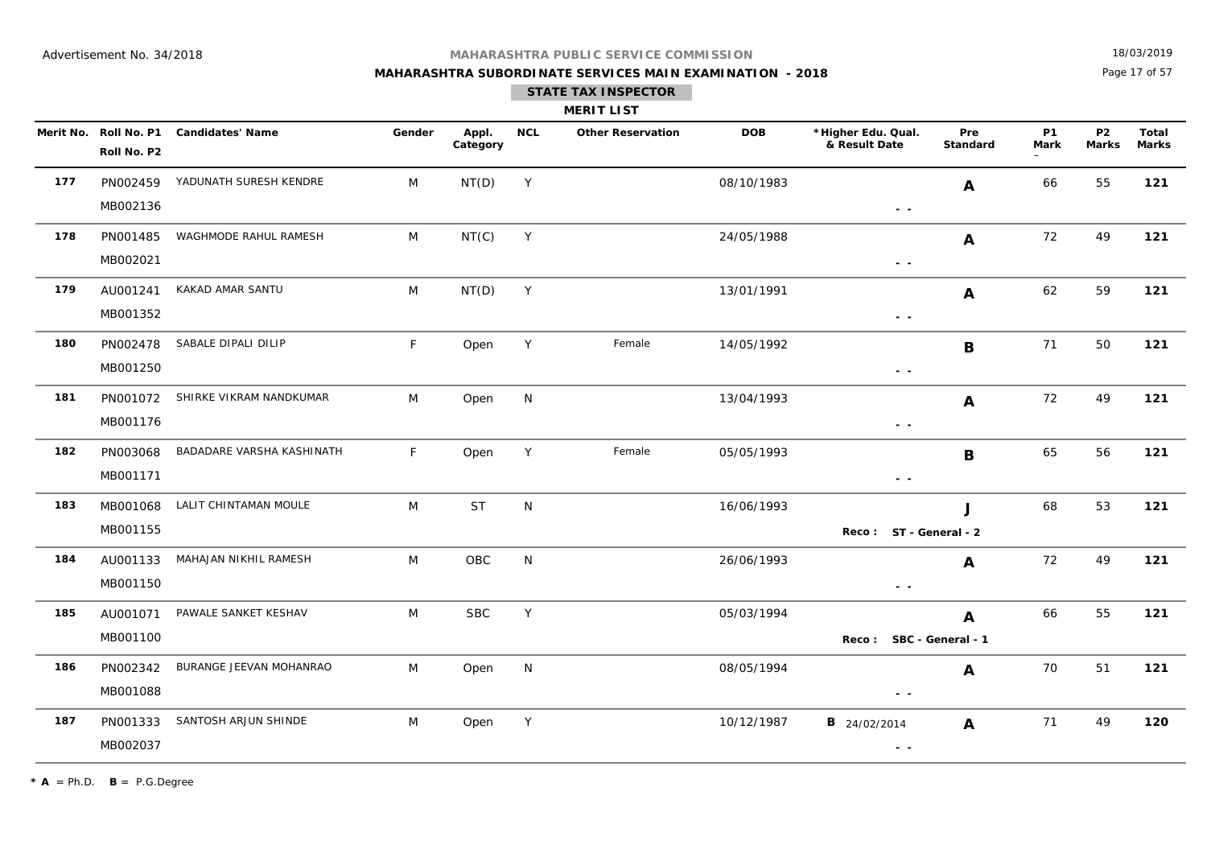## **MAHARASHTRA SUBORDINATE SERVICES MAIN EXAMINATION - 2018 STATE TAX INSPECTOR**

18/03/2019

Page 17 of 57

|     |                      |                                        |        |                   |             | <b>MERIT LIST</b>        |            |                                                                                   |                 |                   |                           |                       |
|-----|----------------------|----------------------------------------|--------|-------------------|-------------|--------------------------|------------|-----------------------------------------------------------------------------------|-----------------|-------------------|---------------------------|-----------------------|
|     | Roll No. P2          | Merit No. Roll No. P1 Candidates' Name | Gender | Appl.<br>Category | <b>NCL</b>  | <b>Other Reservation</b> | <b>DOB</b> | *Higher Edu. Qual.<br>& Result Date                                               | Pre<br>Standard | <b>P1</b><br>Mark | <b>P2</b><br><b>Marks</b> | Total<br><b>Marks</b> |
| 177 | MB002136             | PN002459 YADUNATH SURESH KENDRE        | M      | NT(D)             | Y           |                          | 08/10/1983 | $\sim$ $\sim$                                                                     | A               | 66                | 55                        | 121                   |
| 178 | PN001485<br>MB002021 | WAGHMODE RAHUL RAMESH                  | M      | NT(C)             | Y           |                          | 24/05/1988 | $\sim$ $-$                                                                        | A               | 72                | 49                        | 121                   |
| 179 | AU001241<br>MB001352 | KAKAD AMAR SANTU                       | M      | NT(D)             | Y           |                          | 13/01/1991 | $\frac{1}{2} \left( \frac{1}{2} \right) = \frac{1}{2} \left( \frac{1}{2} \right)$ | A               | 62                | 59                        | 121                   |
| 180 | PN002478<br>MB001250 | SABALE DIPALI DILIP                    | F      | Open              | $\mathsf Y$ | Female                   | 14/05/1992 | $\sim$ $\sim$                                                                     | B               | 71                | 50                        | 121                   |
| 181 | PN001072<br>MB001176 | SHIRKE VIKRAM NANDKUMAR                | M      | Open              | N           |                          | 13/04/1993 | $ -$                                                                              | A               | 72                | 49                        | 121                   |
| 182 | PN003068<br>MB001171 | BADADARE VARSHA KASHINATH              | F      | Open              | Y           | Female                   | 05/05/1993 | $ -$                                                                              | B               | 65                | 56                        | 121                   |
| 183 | MB001155             | MB001068 LALIT CHINTAMAN MOULE         | M      | <b>ST</b>         | N           |                          | 16/06/1993 | Reco: ST - General - 2                                                            | J               | 68                | 53                        | 121                   |
| 184 | MB001150             | AU001133 MAHAJAN NIKHIL RAMESH         | M      | OBC               | N           |                          | 26/06/1993 | $ -$                                                                              | A               | 72                | 49                        | 121                   |
| 185 | AU001071<br>MB001100 | PAWALE SANKET KESHAV                   | M      | <b>SBC</b>        | Y           |                          | 05/03/1994 | Reco: SBC - General - 1                                                           | A               | 66                | 55                        | 121                   |
| 186 | PN002342<br>MB001088 | BURANGE JEEVAN MOHANRAO                | M      | Open              | ${\sf N}$   |                          | 08/05/1994 | $\frac{1}{2} \left( \frac{1}{2} \right) = \frac{1}{2} \left( \frac{1}{2} \right)$ | A               | 70                | 51                        | 121                   |
| 187 | PN001333<br>MB002037 | SANTOSH ARJUN SHINDE                   | M      | Open              | Y           |                          | 10/12/1987 | <b>B</b> 24/02/2014<br>$\sim$ $\sim$                                              | A               | 71                | 49                        | 120                   |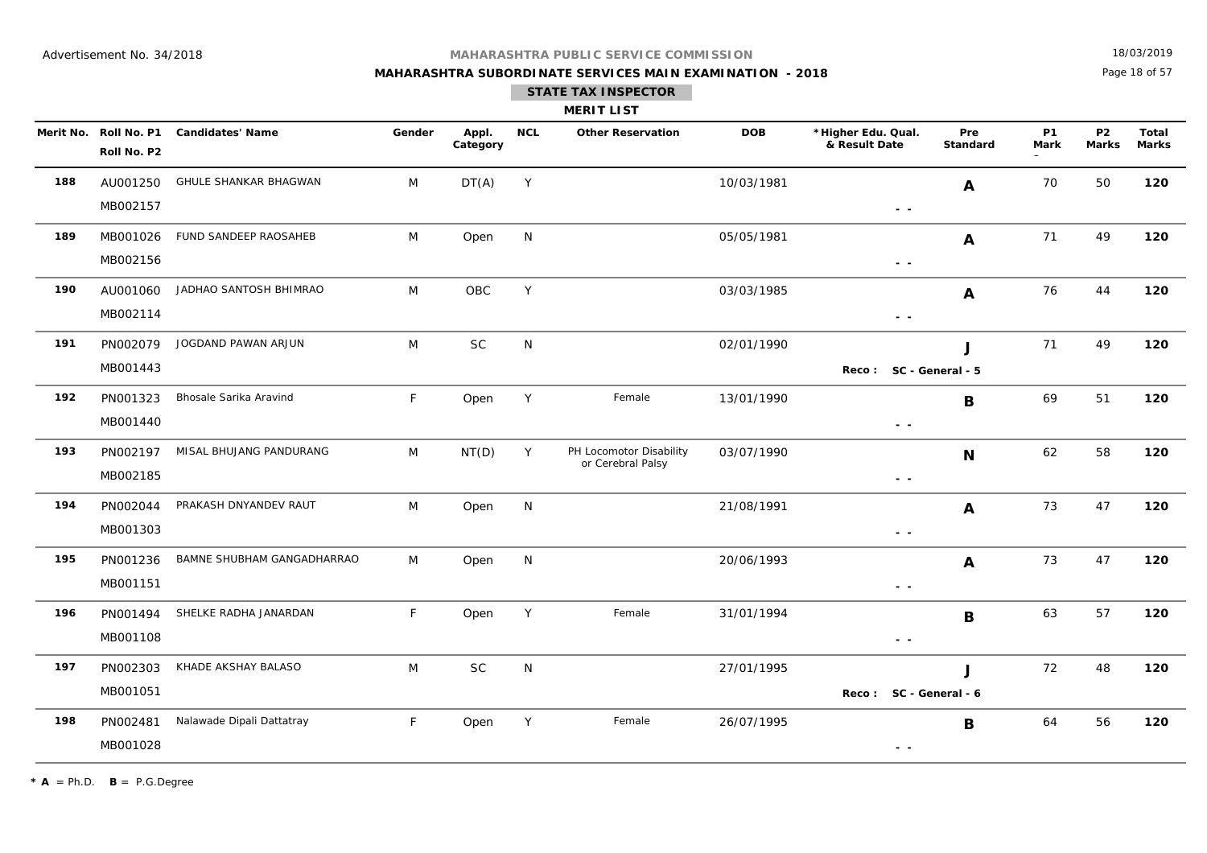## **MAHARASHTRA SUBORDINATE SERVICES MAIN EXAMINATION - 2018**

18/03/2019

Page 18 of 57

|     |                                      |                              |        |                   |            | <b>STATE TAX INSPECTOR</b><br><b>MERIT LIST</b> |            |                                                                                 |                        |                          |                           |                              |
|-----|--------------------------------------|------------------------------|--------|-------------------|------------|-------------------------------------------------|------------|---------------------------------------------------------------------------------|------------------------|--------------------------|---------------------------|------------------------------|
|     | Merit No. Roll No. P1<br>Roll No. P2 | <b>Candidates' Name</b>      | Gender | Appl.<br>Category | <b>NCL</b> | <b>Other Reservation</b>                        | <b>DOB</b> | *Higher Edu. Qual.<br>& Result Date                                             | Pre<br><b>Standard</b> | <b>P1</b><br><b>Mark</b> | <b>P2</b><br><b>Marks</b> | <b>Total</b><br><b>Marks</b> |
| 188 | AU001250<br>MB002157                 | <b>GHULE SHANKAR BHAGWAN</b> | M      | DT(A)             | Y          |                                                 | 10/03/1981 | $ -$                                                                            | $\boldsymbol{A}$       | 70                       | 50                        | 120                          |
| 189 | MB001026<br>MB002156                 | FUND SANDEEP RAOSAHEB        | M      | Open              | N          |                                                 | 05/05/1981 | $\sim$ $\sim$                                                                   | A                      | 71                       | 49                        | 120                          |
| 190 | AU001060<br>MB002114                 | JADHAO SANTOSH BHIMRAO       | M      | ${\sf OBC}$       | Y          |                                                 | 03/03/1985 | $\sim$ $\sim$                                                                   | A                      | 76                       | 44                        | 120                          |
| 191 | PN002079<br>MB001443                 | JOGDAND PAWAN ARJUN          | M      | <b>SC</b>         | N          |                                                 | 02/01/1990 | Reco:                                                                           | J<br>SC - General - 5  | 71                       | 49                        | 120                          |
| 192 | PN001323<br>MB001440                 | Bhosale Sarika Aravind       | F      | Open              | Y          | Female                                          | 13/01/1990 | $\frac{1}{2} \left( \frac{1}{2} \right) \frac{1}{2} \left( \frac{1}{2} \right)$ | B                      | 69                       | 51                        | 120                          |
| 193 | PN002197<br>MB002185                 | MISAL BHUJANG PANDURANG      | M      | NT(D)             | Y          | PH Locomotor Disability<br>or Cerebral Palsy    | 03/07/1990 | $\sim$ $\sim$                                                                   | N                      | 62                       | 58                        | 120                          |
| 194 | PN002044<br>MB001303                 | PRAKASH DNYANDEV RAUT        | M      | Open              | N          |                                                 | 21/08/1991 | $\sim$ $\sim$                                                                   | A                      | 73                       | 47                        | 120                          |
| 195 | PN001236<br>MB001151                 | BAMNE SHUBHAM GANGADHARRAO   | M      | Open              | N          |                                                 | 20/06/1993 | - -                                                                             | $\boldsymbol{A}$       | 73                       | 47                        | 120                          |
| 196 | PN001494<br>MB001108                 | SHELKE RADHA JANARDAN        | F      | Open              | Y          | Female                                          | 31/01/1994 | $\sim$ $\sim$                                                                   | B                      | 63                       | 57                        | 120                          |
| 197 | PN002303<br>MB001051                 | KHADE AKSHAY BALASO          | M      | $\sf SC$          | N          |                                                 | 27/01/1995 | Reco: SC - General - 6                                                          | J                      | 72                       | 48                        | 120                          |
| 198 | PN002481                             | Nalawade Dipali Dattatray    | F.     | Open              | Y          | Female                                          | 26/07/1995 |                                                                                 | В                      | 64                       | 56                        | 120                          |

 **- -** 

 $* A = Ph.D.$  **B** = P.G.Degree

MB001028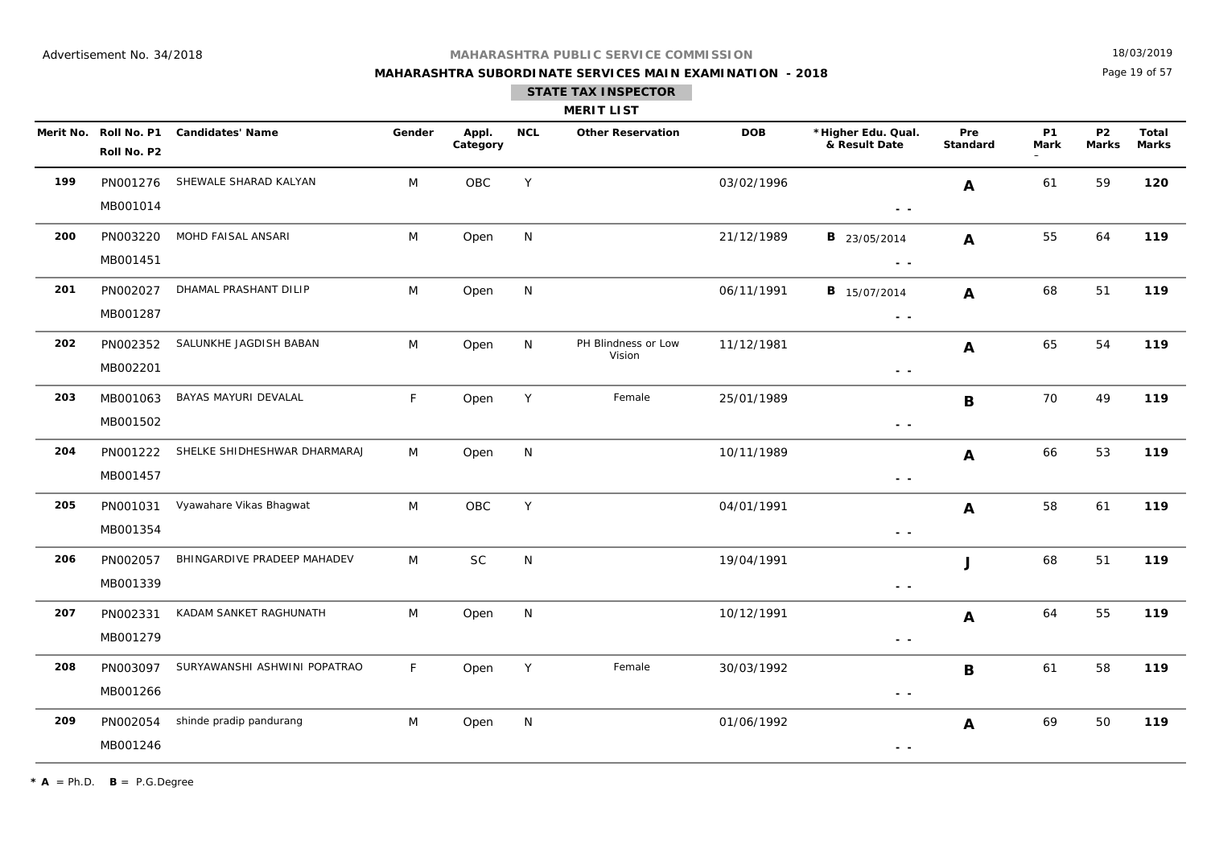## **MAHARASHTRA SUBORDINATE SERVICES MAIN EXAMINATION - 2018**

18/03/2019

Page 19 of 57

|     | <b>MERIT LIST</b>    |                                        |             |                   |            |                               |            |                                                                                                        |                 |                   |                                |                |  |  |
|-----|----------------------|----------------------------------------|-------------|-------------------|------------|-------------------------------|------------|--------------------------------------------------------------------------------------------------------|-----------------|-------------------|--------------------------------|----------------|--|--|
|     | Roll No. P2          | Merit No. Roll No. P1 Candidates' Name | Gender      | Appl.<br>Category | <b>NCL</b> | <b>Other Reservation</b>      | <b>DOB</b> | *Higher Edu. Qual.<br>& Result Date                                                                    | Pre<br>Standard | <b>P1</b><br>Mark | P <sub>2</sub><br><b>Marks</b> | Total<br>Marks |  |  |
| 199 | PN001276<br>MB001014 | SHEWALE SHARAD KALYAN                  | M           | OBC               | Y          |                               | 03/02/1996 | $ -$                                                                                                   | A               | 61                | 59                             | 120            |  |  |
| 200 | PN003220<br>MB001451 | MOHD FAISAL ANSARI                     | M           | Open              | N          |                               | 21/12/1989 | <b>B</b> 23/05/2014<br>$\frac{1}{2} \left( \frac{1}{2} \right) \frac{1}{2} \left( \frac{1}{2} \right)$ | A               | 55                | 64                             | 119            |  |  |
| 201 | PN002027<br>MB001287 | DHAMAL PRASHANT DILIP                  | M           | Open              | N          |                               | 06/11/1991 | <b>B</b> 15/07/2014<br>$\sim$ $\sim$                                                                   | $\mathbf{A}$    | 68                | 51                             | 119            |  |  |
| 202 | PN002352<br>MB002201 | SALUNKHE JAGDISH BABAN                 | M           | Open              | N          | PH Blindness or Low<br>Vision | 11/12/1981 | $\frac{1}{2} \left( \frac{1}{2} \right) \frac{1}{2} \left( \frac{1}{2} \right)$                        | $\mathbf{A}$    | 65                | 54                             | 119            |  |  |
| 203 | MB001063<br>MB001502 | BAYAS MAYURI DEVALAL                   | F           | Open              | Y          | Female                        | 25/01/1989 | $ -$                                                                                                   | B               | 70                | 49                             | 119            |  |  |
| 204 | PN001222<br>MB001457 | SHELKE SHIDHESHWAR DHARMARAJ           | M           | Open              | N          |                               | 10/11/1989 | $\sim$ $-$                                                                                             | $\mathbf{A}$    | 66                | 53                             | 119            |  |  |
| 205 | PN001031<br>MB001354 | Vyawahare Vikas Bhagwat                | M           | OBC               | Y          |                               | 04/01/1991 | $\sim$ $-$                                                                                             | $\mathbf{A}$    | 58                | 61                             | 119            |  |  |
| 206 | PN002057<br>MB001339 | BHINGARDIVE PRADEEP MAHADEV            | M           | <b>SC</b>         | N          |                               | 19/04/1991 | $\sim$ $-$                                                                                             | J               | 68                | 51                             | 119            |  |  |
| 207 | PN002331<br>MB001279 | KADAM SANKET RAGHUNATH                 | M           | Open              | N          |                               | 10/12/1991 | $\frac{1}{2} \left( \frac{1}{2} \right) \frac{1}{2} \left( \frac{1}{2} \right)$                        | A               | 64                | 55                             | 119            |  |  |
| 208 | PN003097<br>MB001266 | SURYAWANSHI ASHWINI POPATRAO           | $\mathsf F$ | Open              | Y          | Female                        | 30/03/1992 | $\frac{1}{2} \left( \frac{1}{2} \right) \frac{1}{2} \left( \frac{1}{2} \right)$                        | $\mathbf B$     | 61                | 58                             | 119            |  |  |
| 209 | PN002054<br>MB001246 | shinde pradip pandurang                | M           | Open              | N          |                               | 01/06/1992 | $ -$                                                                                                   | A               | 69                | 50                             | 119            |  |  |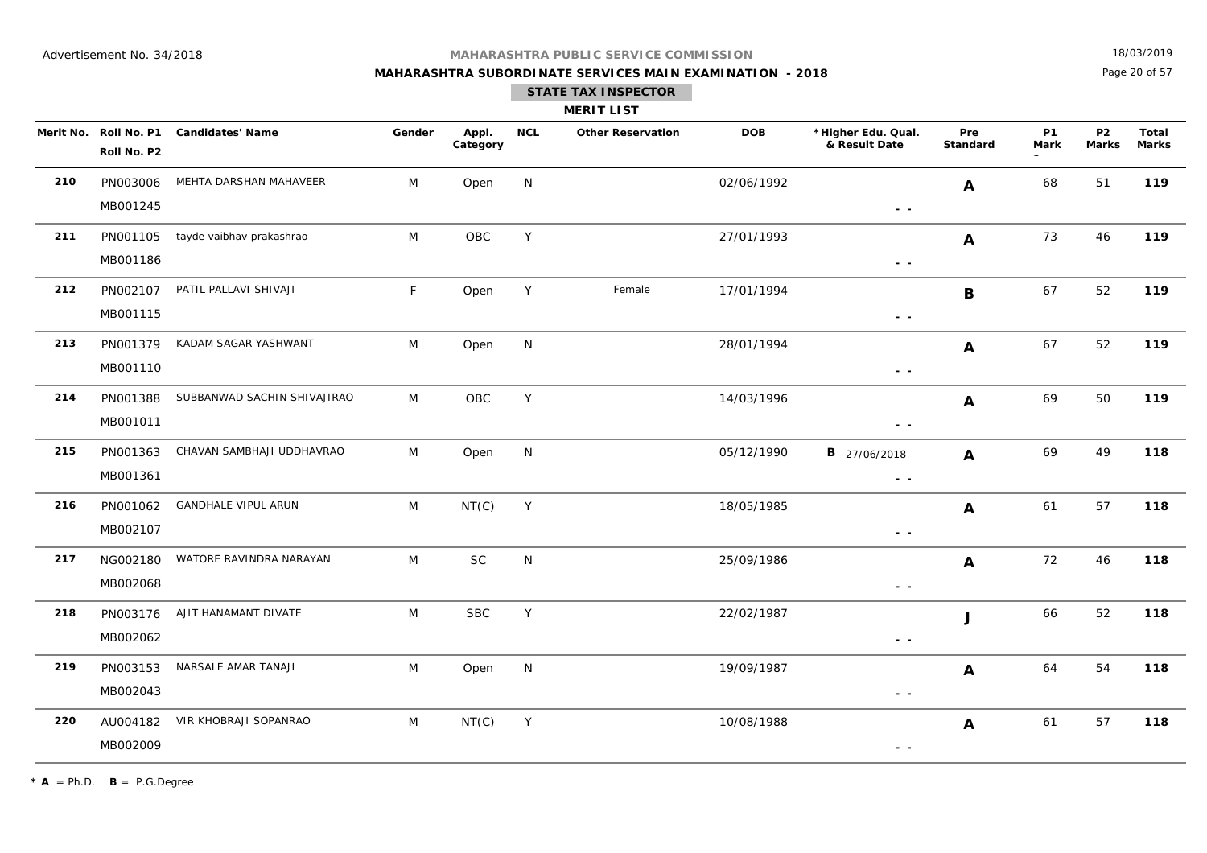## **MAHARASHTRA SUBORDINATE SERVICES MAIN EXAMINATION - 2018**

18/03/2019

Page 20 of 57

|             | <b>MERIT LIST</b>   |  |
|-------------|---------------------|--|
| <b>BIOL</b> | Other December 1984 |  |

|     | Roll No. P2          | Merit No. Roll No. P1 Candidates' Name | Gender | Appl.<br>Category | <b>NCL</b>   | <b>Other Reservation</b> | <b>DOB</b> | *Higher Edu. Qual.<br>& Result Date                                             | Pre<br><b>Standard</b> | <b>P1</b><br>Mark | P <sub>2</sub><br><b>Marks</b> | Total<br><b>Marks</b> |
|-----|----------------------|----------------------------------------|--------|-------------------|--------------|--------------------------|------------|---------------------------------------------------------------------------------|------------------------|-------------------|--------------------------------|-----------------------|
| 210 | MB001245             | PN003006 MEHTA DARSHAN MAHAVEER        | M      | Open              | N            |                          | 02/06/1992 | $\frac{1}{2} \left( \frac{1}{2} \right) \frac{1}{2} \left( \frac{1}{2} \right)$ | A                      | 68                | 51                             | 119                   |
| 211 | PN001105<br>MB001186 | tayde vaibhav prakashrao               | M      | OBC               | Y            |                          | 27/01/1993 | $\sim$ $\sim$                                                                   | A                      | 73                | 46                             | 119                   |
| 212 | MB001115             | PN002107 PATIL PALLAVI SHIVAJI         | F      | Open              | Y            | Female                   | 17/01/1994 | $ -$                                                                            | B                      | 67                | 52                             | 119                   |
| 213 | PN001379<br>MB001110 | KADAM SAGAR YASHWANT                   | M      | Open              | N            |                          | 28/01/1994 | $\sim$ $\sim$                                                                   | A                      | 67                | 52                             | 119                   |
| 214 | PN001388<br>MB001011 | SUBBANWAD SACHIN SHIVAJIRAO            | M      | OBC               | $\mathsf{Y}$ |                          | 14/03/1996 | $\sim 100$                                                                      | A                      | 69                | 50                             | 119                   |
| 215 | PN001363<br>MB001361 | CHAVAN SAMBHAJI UDDHAVRAO              | M      | Open              | N            |                          | 05/12/1990 | <b>B</b> 27/06/2018<br>$\sim$ $\sim$                                            | A                      | 69                | 49                             | 118                   |
| 216 | PN001062<br>MB002107 | <b>GANDHALE VIPUL ARUN</b>             | M      | NT(C)             | Y            |                          | 18/05/1985 | $\frac{1}{2} \left( \frac{1}{2} \right) \frac{1}{2} \left( \frac{1}{2} \right)$ | A                      | 61                | 57                             | 118                   |
| 217 | MB002068             | NG002180 WATORE RAVINDRA NARAYAN       | M      | SC                | N            |                          | 25/09/1986 | $\sim$ $\sim$                                                                   | A                      | 72                | 46                             | 118                   |
| 218 | MB002062             | PN003176 AJIT HANAMANT DIVATE          | M      | <b>SBC</b>        | Y            |                          | 22/02/1987 | $ -$                                                                            | J                      | 66                | 52                             | 118                   |
| 219 | MB002043             | PN003153 NARSALE AMAR TANAJI           | M      | Open              | N            |                          | 19/09/1987 | $\sim$ $\sim$                                                                   | A                      | 64                | 54                             | 118                   |
| 220 | MB002009             | AU004182 VIR KHOBRAJI SOPANRAO         | M      | NT(C)             | Y            |                          | 10/08/1988 | $\frac{1}{2} \left( \frac{1}{2} \right) \frac{1}{2} \left( \frac{1}{2} \right)$ | A                      | 61                | 57                             | 118                   |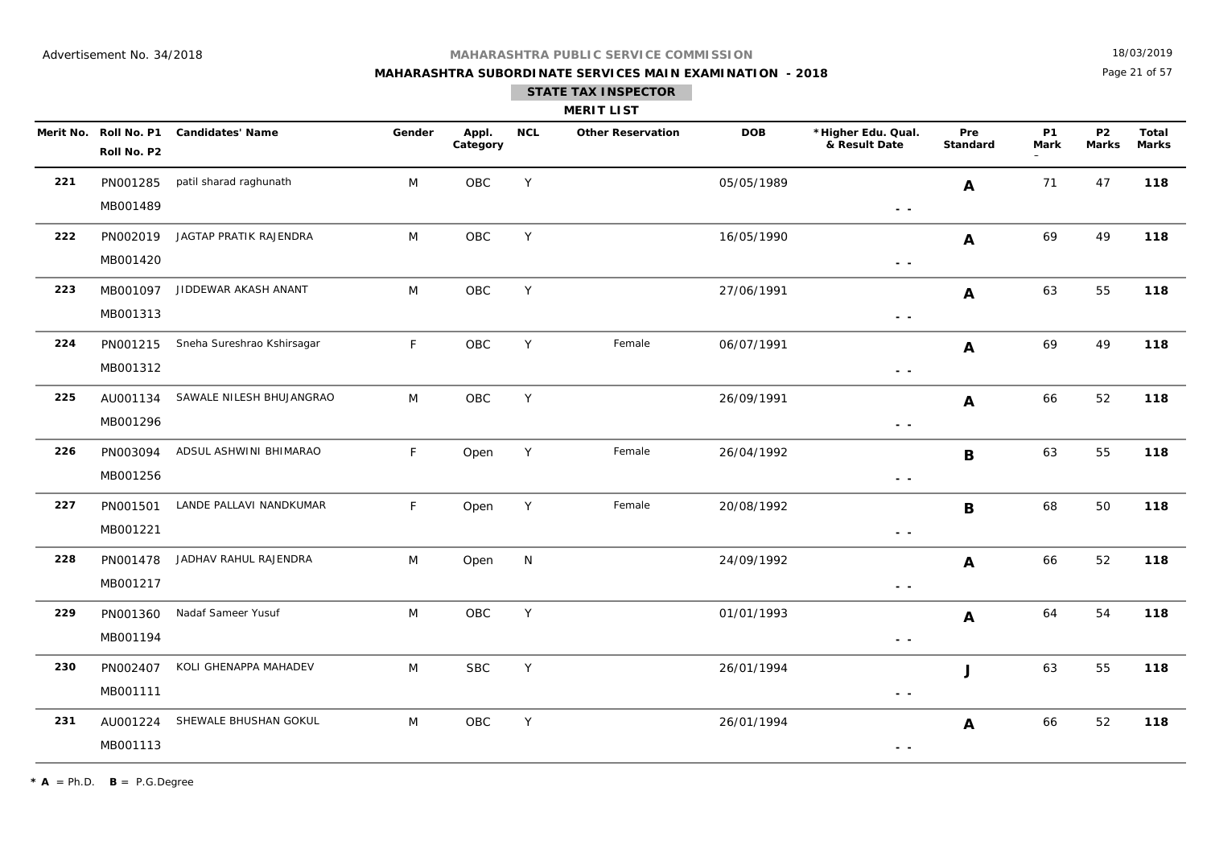## **MAHARASHTRA SUBORDINATE SERVICES MAIN EXAMINATION - 2018**

18/03/2019

Page 21 of 57

|     | <b>MERIT LIST</b>                    |                                 |        |                   |            |                          |            |                                                                                 |                 |                   |                           |                       |  |  |
|-----|--------------------------------------|---------------------------------|--------|-------------------|------------|--------------------------|------------|---------------------------------------------------------------------------------|-----------------|-------------------|---------------------------|-----------------------|--|--|
|     | Merit No. Roll No. P1<br>Roll No. P2 | <b>Candidates' Name</b>         | Gender | Appl.<br>Category | <b>NCL</b> | <b>Other Reservation</b> | <b>DOB</b> | *Higher Edu. Qual.<br>& Result Date                                             | Pre<br>Standard | <b>P1</b><br>Mark | <b>P2</b><br><b>Marks</b> | Total<br><b>Marks</b> |  |  |
| 221 | PN001285<br>MB001489                 | patil sharad raghunath          | M      | OBC               | Y          |                          | 05/05/1989 | $\sim$ $\sim$                                                                   | A               | 71                | 47                        | 118                   |  |  |
| 222 | MB001420                             | PN002019 JAGTAP PRATIK RAJENDRA | M      | OBC               | Y          |                          | 16/05/1990 | $\sim$ $\sim$                                                                   | $\mathbf{A}$    | 69                | 49                        | 118                   |  |  |
| 223 | MB001097<br>MB001313                 | JIDDEWAR AKASH ANANT            | M      | OBC               | Y          |                          | 27/06/1991 | $\sim$ $\sim$                                                                   | $\mathbf{A}$    | 63                | 55                        | 118                   |  |  |
| 224 | PN001215<br>MB001312                 | Sneha Sureshrao Kshirsagar      | F      | OBC               | Y          | Female                   | 06/07/1991 | $\sim$ $\sim$                                                                   | $\mathbf{A}$    | 69                | 49                        | 118                   |  |  |
| 225 | AU001134<br>MB001296                 | SAWALE NILESH BHUJANGRAO        | M      | OBC               | Y          |                          | 26/09/1991 | $\sim$ $\sim$                                                                   | $\mathbf{A}$    | 66                | 52                        | 118                   |  |  |
| 226 | PN003094<br>MB001256                 | ADSUL ASHWINI BHIMARAO          | F      | Open              | Y          | Female                   | 26/04/1992 | $\sim$ $\sim$                                                                   | B               | 63                | 55                        | 118                   |  |  |
| 227 | PN001501<br>MB001221                 | LANDE PALLAVI NANDKUMAR         | F      | Open              | Y          | Female                   | 20/08/1992 | $\sim$ $\sim$                                                                   | $\mathbf B$     | 68                | 50                        | 118                   |  |  |
| 228 | PN001478<br>MB001217                 | JADHAV RAHUL RAJENDRA           | M      | Open              | N          |                          | 24/09/1992 | $\sim$ $\sim$                                                                   | $\mathbf{A}$    | 66                | 52                        | 118                   |  |  |
| 229 | PN001360<br>MB001194                 | Nadaf Sameer Yusuf              | M      | OBC               | Y          |                          | 01/01/1993 | $\sim$ $\sim$                                                                   | $\mathbf{A}$    | 64                | 54                        | 118                   |  |  |
| 230 | PN002407<br>MB001111                 | KOLI GHENAPPA MAHADEV           | M      | <b>SBC</b>        | Y          |                          | 26/01/1994 | $\frac{1}{2} \left( \frac{1}{2} \right) \frac{1}{2} \left( \frac{1}{2} \right)$ | J               | 63                | 55                        | 118                   |  |  |
| 231 | AU001224<br>MB001113                 | SHEWALE BHUSHAN GOKUL           | M      | OBC               | Y          |                          | 26/01/1994 | $ -$                                                                            | A               | 66                | 52                        | 118                   |  |  |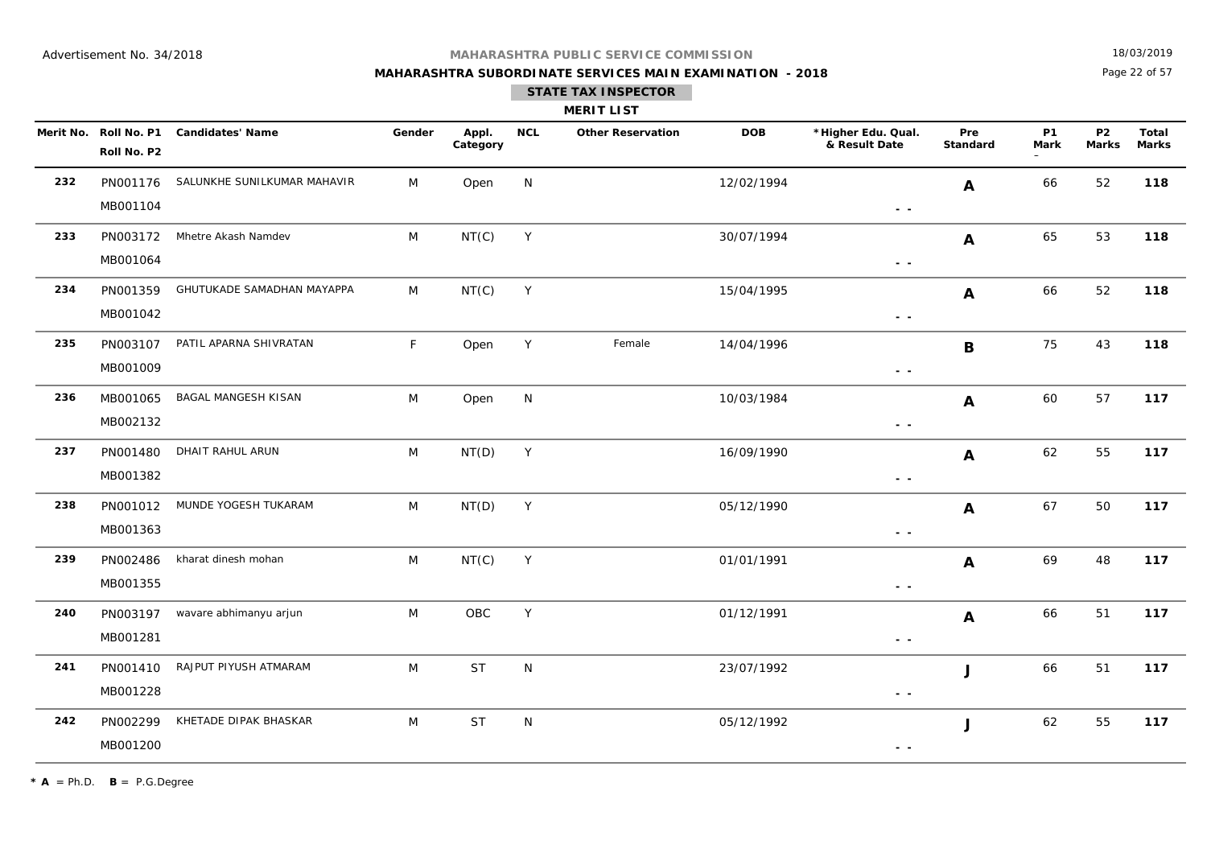## **MAHARASHTRA PUBLIC SERVICE COMMISSION**

## **MAHARASHTRA SUBORDINATE SERVICES MAIN EXAMINATION - 2018**

18/03/2019

Page 22 of 57

|     |                                      |                             |        |                   |            | <b>MERIT LIST</b>        |            |                                     |                        |                   |                         |                       |
|-----|--------------------------------------|-----------------------------|--------|-------------------|------------|--------------------------|------------|-------------------------------------|------------------------|-------------------|-------------------------|-----------------------|
|     | Merit No. Roll No. P1<br>Roll No. P2 | <b>Candidates' Name</b>     | Gender | Appl.<br>Category | <b>NCL</b> | <b>Other Reservation</b> | <b>DOB</b> | *Higher Edu. Qual.<br>& Result Date | <b>Pre</b><br>Standard | <b>P1</b><br>Mark | P <sub>2</sub><br>Marks | Total<br><b>Marks</b> |
| 232 | PN001176<br>MB001104                 | SALUNKHE SUNILKUMAR MAHAVIR | M      | Open              | N          |                          | 12/02/1994 | . .                                 | n.                     | 66                | 52                      | 118                   |

|     | MB001104 |                            |   |           |              |        |            | $\sim$ $\sim$ |                |    |    |     |
|-----|----------|----------------------------|---|-----------|--------------|--------|------------|---------------|----------------|----|----|-----|
| 233 | PN003172 | Mhetre Akash Namdev        | M | NT(C)     | Y            |        | 30/07/1994 |               | $\mathbf{A}$   | 65 | 53 | 118 |
|     | MB001064 |                            |   |           |              |        |            | $\sim$ $\sim$ |                |    |    |     |
| 234 | PN001359 | GHUTUKADE SAMADHAN MAYAPPA | M | NT(C)     | Y            |        | 15/04/1995 |               | $\mathbf{A}$   | 66 | 52 | 118 |
|     | MB001042 |                            |   |           |              |        |            | $\sim$ $\sim$ |                |    |    |     |
| 235 | PN003107 | PATIL APARNA SHIVRATAN     | F | Open      | Y            | Female | 14/04/1996 |               | B              | 75 | 43 | 118 |
|     | MB001009 |                            |   |           |              |        |            | $\sim$ $\sim$ |                |    |    |     |
| 236 | MB001065 | BAGAL MANGESH KISAN        | M | Open      | $\mathsf{N}$ |        | 10/03/1984 |               | $\mathbf{A}$   | 60 | 57 | 117 |
|     | MB002132 |                            |   |           |              |        |            | $\sim$ $\sim$ |                |    |    |     |
| 237 | PN001480 | DHAIT RAHUL ARUN           | M | NT(D)     | Y            |        | 16/09/1990 |               | A              | 62 | 55 | 117 |
|     | MB001382 |                            |   |           |              |        |            | $\sim$ $\sim$ |                |    |    |     |
| 238 | PN001012 | MUNDE YOGESH TUKARAM       | M | NT(D)     | Y            |        | 05/12/1990 |               | $\overline{A}$ | 67 | 50 | 117 |
|     | MB001363 |                            |   |           |              |        |            | $\sim$ $\sim$ |                |    |    |     |
| 239 | PN002486 | kharat dinesh mohan        | M | NT(C)     | $\mathsf Y$  |        | 01/01/1991 |               | $\mathbf{A}$   | 69 | 48 | 117 |
|     | MB001355 |                            |   |           |              |        |            | $\sim$ $\sim$ |                |    |    |     |
| 240 | PN003197 | wavare abhimanyu arjun     | M | OBC       | Y            |        | 01/12/1991 |               | A              | 66 | 51 | 117 |
|     | MB001281 |                            |   |           |              |        |            | $ -$          |                |    |    |     |
| 241 | PN001410 | RAJPUT PIYUSH ATMARAM      | M | <b>ST</b> | N            |        | 23/07/1992 |               | $\mathbf{J}$   | 66 | 51 | 117 |
|     | MB001228 |                            |   |           |              |        |            | $\sim$ $\sim$ |                |    |    |     |
| 242 | PN002299 | KHETADE DIPAK BHASKAR      | M | <b>ST</b> | N            |        | 05/12/1992 |               | J              | 62 | 55 | 117 |
|     | MB001200 |                            |   |           |              |        |            | $ -$          |                |    |    |     |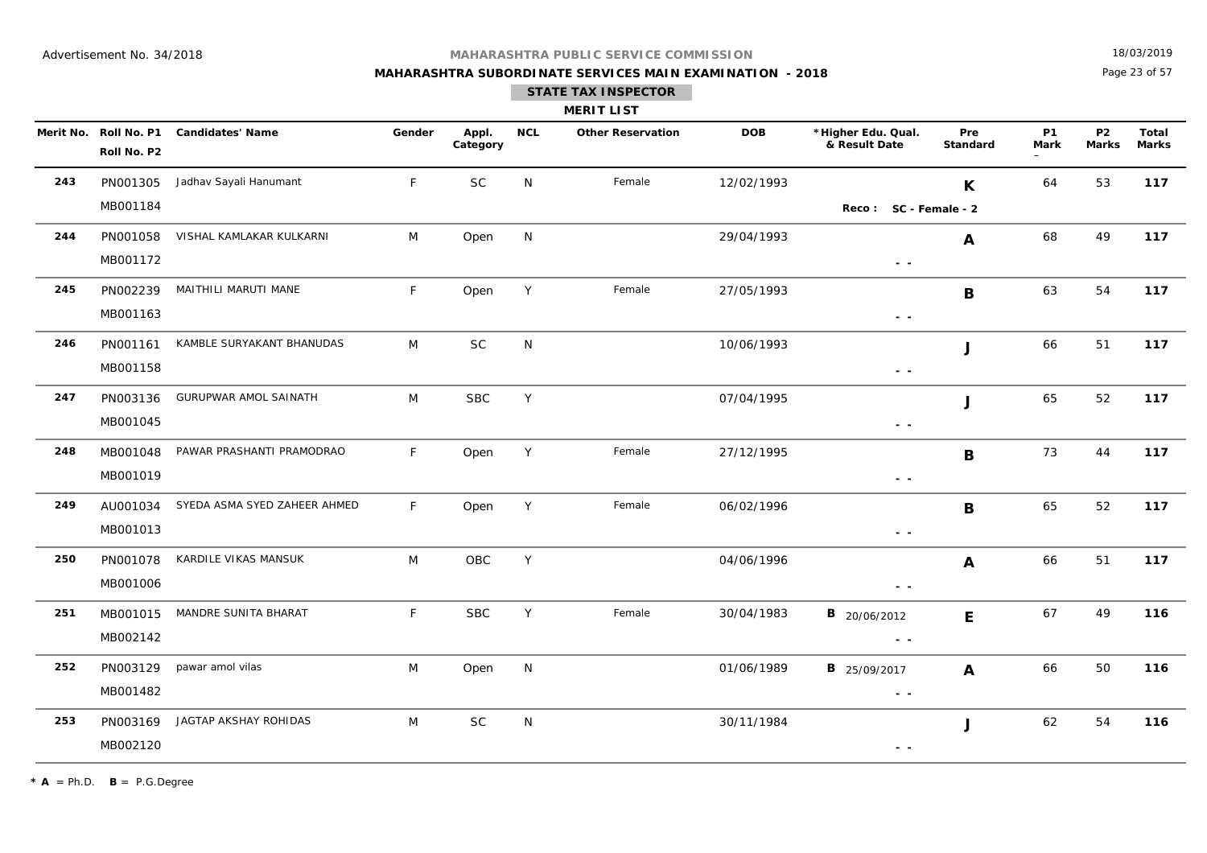## **MAHARASHTRA SUBORDINATE SERVICES MAIN EXAMINATION - 2018**

18/03/2019

Page 23 of 57

|     |             |                                        |              |                   |            | <b>MERIT LIST</b>        |            |                                                                                 |                 |                   |                           |                              |
|-----|-------------|----------------------------------------|--------------|-------------------|------------|--------------------------|------------|---------------------------------------------------------------------------------|-----------------|-------------------|---------------------------|------------------------------|
|     | Roll No. P2 | Merit No. Roll No. P1 Candidates' Name | Gender       | Appl.<br>Category | <b>NCL</b> | <b>Other Reservation</b> | <b>DOB</b> | *Higher Edu. Qual.<br>& Result Date                                             | Pre<br>Standard | <b>P1</b><br>Mark | <b>P2</b><br><b>Marks</b> | <b>Total</b><br><b>Marks</b> |
| 243 | PN001305    | Jadhav Sayali Hanumant                 | F            | <b>SC</b>         | N          | Female                   | 12/02/1993 |                                                                                 | K               | 64                | 53                        | 117                          |
|     | MB001184    |                                        |              |                   |            |                          |            | Reco: SC - Female - 2                                                           |                 |                   |                           |                              |
| 244 | PN001058    | VISHAL KAMLAKAR KULKARNI               | M            | Open              | N          |                          | 29/04/1993 |                                                                                 | A               | 68                | 49                        | 117                          |
|     | MB001172    |                                        |              |                   |            |                          |            | $\sim$ $\sim$                                                                   |                 |                   |                           |                              |
| 245 | PN002239    | MAITHILI MARUTI MANE                   | $\mathsf F$  | Open              | Y          | Female                   | 27/05/1993 |                                                                                 | $\, {\bf B}$    | 63                | 54                        | 117                          |
|     | MB001163    |                                        |              |                   |            |                          |            | $\frac{1}{2} \left( \frac{1}{2} \right) \frac{1}{2} \left( \frac{1}{2} \right)$ |                 |                   |                           |                              |
| 246 | PN001161    | KAMBLE SURYAKANT BHANUDAS              | M            | $\sf SC$          | N          |                          | 10/06/1993 |                                                                                 | J               | 66                | 51                        | 117                          |
|     | MB001158    |                                        |              |                   |            |                          |            | $\sim$ $\sim$                                                                   |                 |                   |                           |                              |
| 247 | PN003136    | GURUPWAR AMOL SAINATH                  | M            | ${\sf SBC}$       | Y          |                          | 07/04/1995 |                                                                                 | J               | 65                | 52                        | 117                          |
|     | MB001045    |                                        |              |                   |            |                          |            | $\sim$ $\sim$                                                                   |                 |                   |                           |                              |
| 248 | MB001048    | PAWAR PRASHANTI PRAMODRAO              | F            | Open              | Y          | Female                   | 27/12/1995 |                                                                                 | B               | 73                | 44                        | 117                          |
|     | MB001019    |                                        |              |                   |            |                          |            | $\frac{1}{2} \left( \frac{1}{2} \right) \frac{1}{2} \left( \frac{1}{2} \right)$ |                 |                   |                           |                              |
| 249 | AU001034    | SYEDA ASMA SYED ZAHEER AHMED           | $\mathsf{F}$ | Open              | Y          | Female                   | 06/02/1996 |                                                                                 | B               | 65                | 52                        | 117                          |
|     | MB001013    |                                        |              |                   |            |                          |            | $\sim$ $\sim$                                                                   |                 |                   |                           |                              |
| 250 | PN001078    | KARDILE VIKAS MANSUK                   | M            | OBC               | Y          |                          | 04/06/1996 |                                                                                 | A               | 66                | 51                        | 117                          |
|     | MB001006    |                                        |              |                   |            |                          |            | $\frac{1}{2} \left( \frac{1}{2} \right) \frac{1}{2} \left( \frac{1}{2} \right)$ |                 |                   |                           |                              |
| 251 | MB001015    | MANDRE SUNITA BHARAT                   | F            | <b>SBC</b>        | Y          | Female                   | 30/04/1983 | <b>B</b> 20/06/2012                                                             | E               | 67                | 49                        | 116                          |
|     | MB002142    |                                        |              |                   |            |                          |            | $\sim$ $\sim$                                                                   |                 |                   |                           |                              |
| 252 | PN003129    | pawar amol vilas                       | M            | Open              | N          |                          | 01/06/1989 | <b>B</b> 25/09/2017                                                             | $\mathbf{A}$    | 66                | 50                        | 116                          |
|     | MB001482    |                                        |              |                   |            |                          |            | $\frac{1}{2} \left( \frac{1}{2} \right) \frac{1}{2} \left( \frac{1}{2} \right)$ |                 |                   |                           |                              |
| 253 | PN003169    | JAGTAP AKSHAY ROHIDAS                  | M            | <b>SC</b>         | N          |                          | 30/11/1984 |                                                                                 | J               | 62                | 54                        | 116                          |
|     | MB002120    |                                        |              |                   |            |                          |            | $\sim$ $\sim$                                                                   |                 |                   |                           |                              |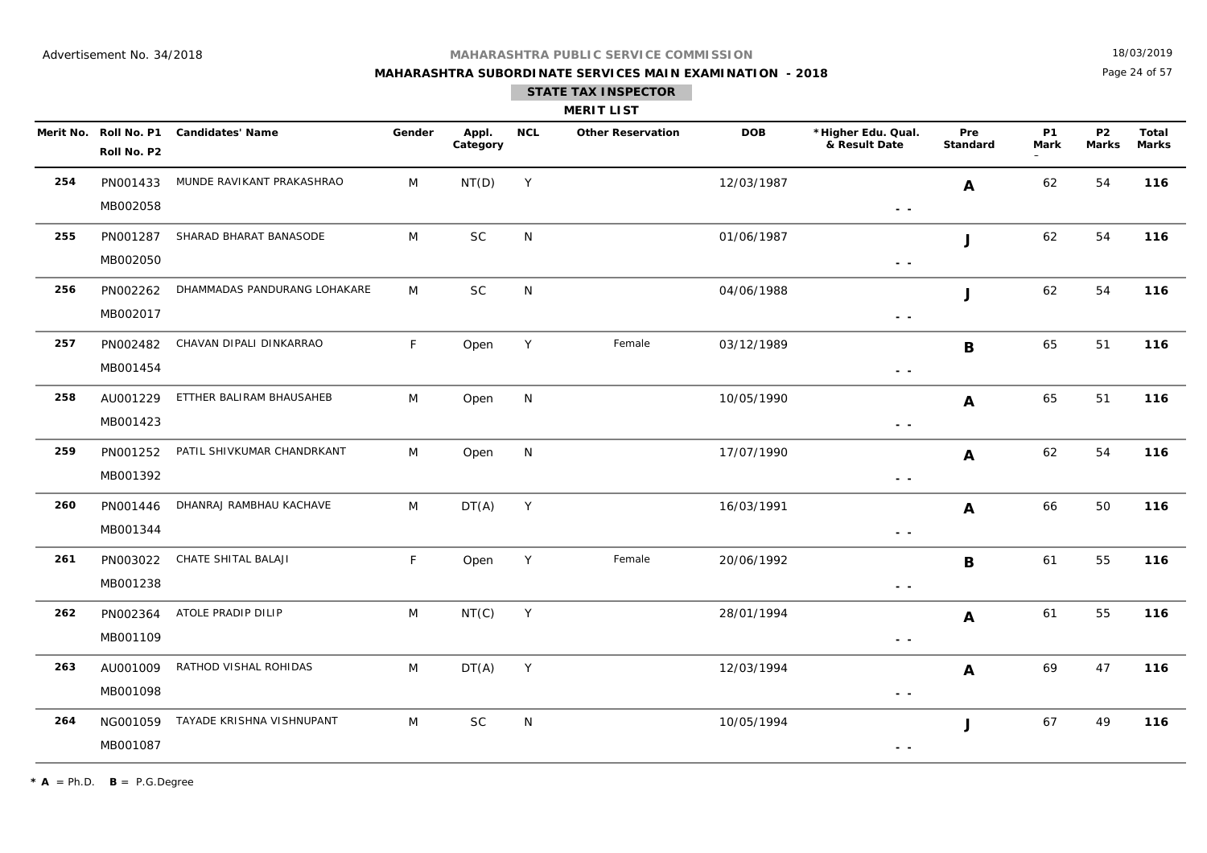## **MAHARASHTRA SUBORDINATE SERVICES MAIN EXAMINATION - 2018**

18/03/2019

Page 24 of 57

|     |                      |                                        |        |                   |             | <b>MERIT LIST</b>        |            |                                                                                 |                 |                   |                           |                              |
|-----|----------------------|----------------------------------------|--------|-------------------|-------------|--------------------------|------------|---------------------------------------------------------------------------------|-----------------|-------------------|---------------------------|------------------------------|
|     | Roll No. P2          | Merit No. Roll No. P1 Candidates' Name | Gender | Appl.<br>Category | <b>NCL</b>  | <b>Other Reservation</b> | <b>DOB</b> | *Higher Edu. Qual.<br>& Result Date                                             | Pre<br>Standard | <b>P1</b><br>Mark | <b>P2</b><br><b>Marks</b> | <b>Total</b><br><b>Marks</b> |
| 254 | PN001433<br>MB002058 | MUNDE RAVIKANT PRAKASHRAO              | M      | NT(D)             | $\mathsf Y$ |                          | 12/03/1987 | $ -$                                                                            | A               | 62                | 54                        | 116                          |
| 255 | PN001287<br>MB002050 | SHARAD BHARAT BANASODE                 | M      | <b>SC</b>         | N           |                          | 01/06/1987 | $\sim$ $\sim$                                                                   | J               | 62                | 54                        | 116                          |
| 256 | PN002262<br>MB002017 | DHAMMADAS PANDURANG LOHAKARE           | M      | <b>SC</b>         | N           |                          | 04/06/1988 | $ -$                                                                            | J               | 62                | 54                        | 116                          |
| 257 | PN002482<br>MB001454 | CHAVAN DIPALI DINKARRAO                | F      | Open              | $\mathsf Y$ | Female                   | 03/12/1989 | $\sim$ $\sim$                                                                   | B               | 65                | 51                        | 116                          |
| 258 | AU001229<br>MB001423 | ETTHER BALIRAM BHAUSAHEB               | M      | Open              | N           |                          | 10/05/1990 | $\sim$ $\sim$                                                                   | A               | 65                | 51                        | 116                          |
| 259 | PN001252<br>MB001392 | PATIL SHIVKUMAR CHANDRKANT             | M      | Open              | N           |                          | 17/07/1990 | - -                                                                             | $\mathbf{A}$    | 62                | 54                        | 116                          |
| 260 | PN001446<br>MB001344 | DHANRAJ RAMBHAU KACHAVE                | M      | DT(A)             | Y           |                          | 16/03/1991 | $\sim$ $\sim$                                                                   | $\mathbf{A}$    | 66                | 50                        | 116                          |
| 261 | PN003022<br>MB001238 | CHATE SHITAL BALAJI                    | F.     | Open              | Y           | Female                   | 20/06/1992 | $\sim$ $\sim$                                                                   | B               | 61                | 55                        | 116                          |
| 262 | PN002364<br>MB001109 | ATOLE PRADIP DILIP                     | M      | NT(C)             | Y           |                          | 28/01/1994 | $\frac{1}{2} \left( \frac{1}{2} \right) \frac{1}{2} \left( \frac{1}{2} \right)$ | $\mathbf{A}$    | 61                | 55                        | 116                          |
| 263 | AU001009<br>MB001098 | RATHOD VISHAL ROHIDAS                  | M      | DT(A)             | Y           |                          | 12/03/1994 | - -                                                                             | $\mathbf{A}$    | 69                | 47                        | 116                          |
| 264 | NG001059<br>MB001087 | TAYADE KRISHNA VISHNUPANT              | M      | <b>SC</b>         | N           |                          | 10/05/1994 | $\sim$ $\sim$                                                                   | J               | 67                | 49                        | 116                          |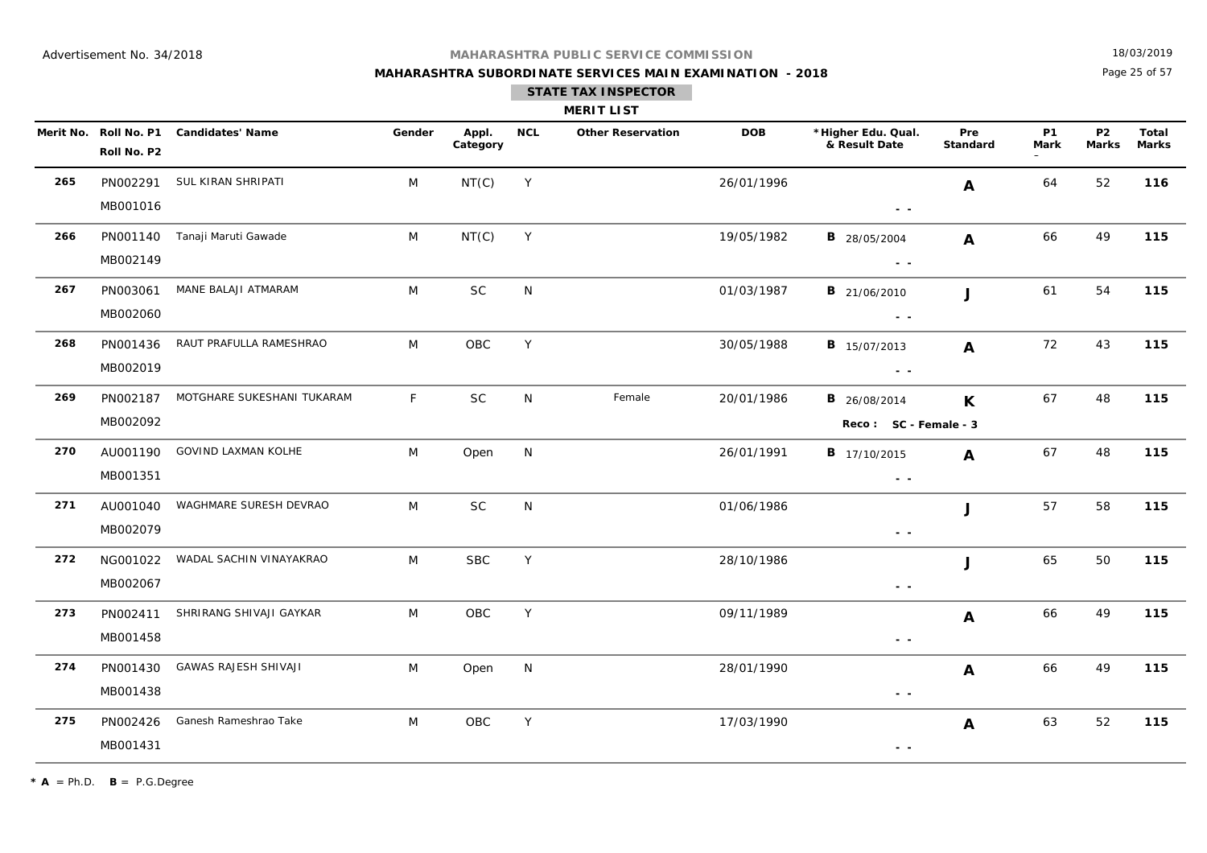## **MAHARASHTRA SUBORDINATE SERVICES MAIN EXAMINATION - 2018 STATE TAX INSPECTOR**

18/03/2019

Page 25 of 57

|     |                      |                                        |        |                   |            | <b>MERIT LIST</b>        |            |                                                                                 |                 |                   |                           |                       |
|-----|----------------------|----------------------------------------|--------|-------------------|------------|--------------------------|------------|---------------------------------------------------------------------------------|-----------------|-------------------|---------------------------|-----------------------|
|     | Roll No. P2          | Merit No. Roll No. P1 Candidates' Name | Gender | Appl.<br>Category | <b>NCL</b> | <b>Other Reservation</b> | <b>DOB</b> | *Higher Edu. Qual.<br>& Result Date                                             | Pre<br>Standard | <b>P1</b><br>Mark | <b>P2</b><br><b>Marks</b> | Total<br><b>Marks</b> |
| 265 | MB001016             | PN002291 SUL KIRAN SHRIPATI            | M      | NT(C)             | Y          |                          | 26/01/1996 | $ -$                                                                            | A               | 64                | 52                        | 116                   |
| 266 | PN001140<br>MB002149 | Tanaji Maruti Gawade                   | M      | NT(C)             | Y          |                          | 19/05/1982 | <b>B</b> 28/05/2004<br>$\frac{1}{2} \left( \frac{1}{2} \right) = \frac{1}{2}$   | $\mathbf{A}$    | 66                | 49                        | 115                   |
| 267 | PN003061<br>MB002060 | MANE BALAJI ATMARAM                    | M      | $\sf SC$          | N          |                          | 01/03/1987 | <b>B</b> 21/06/2010<br>$\sim$ $\sim$                                            | J               | 61                | 54                        | 115                   |
| 268 | PN001436<br>MB002019 | RAUT PRAFULLA RAMESHRAO                | M      | OBC               | Y          |                          | 30/05/1988 | <b>B</b> 15/07/2013<br>$\sim$ $\sim$                                            | $\mathbf{A}$    | 72                | 43                        | 115                   |
| 269 | PN002187<br>MB002092 | MOTGHARE SUKESHANI TUKARAM             | F.     | <b>SC</b>         | N          | Female                   | 20/01/1986 | <b>B</b> 26/08/2014<br>Reco: SC - Female - 3                                    | $\mathsf{K}$    | 67                | 48                        | 115                   |
| 270 | AU001190<br>MB001351 | GOVIND LAXMAN KOLHE                    | M      | Open              | N          |                          | 26/01/1991 | <b>B</b> 17/10/2015<br>$\sim$ $\sim$                                            | $\mathbf{A}$    | 67                | 48                        | 115                   |
| 271 | AU001040<br>MB002079 | WAGHMARE SURESH DEVRAO                 | M      | <b>SC</b>         | N          |                          | 01/06/1986 | $\sim$ $\sim$                                                                   | J               | 57                | 58                        | 115                   |
| 272 | NG001022<br>MB002067 | WADAL SACHIN VINAYAKRAO                | M      | <b>SBC</b>        | Y          |                          | 28/10/1986 | $\sim$ $\sim$                                                                   | J               | 65                | 50                        | 115                   |
| 273 | PN002411<br>MB001458 | SHRIRANG SHIVAJI GAYKAR                | M      | OBC               | Y          |                          | 09/11/1989 | $\sim$ $-$                                                                      | A               | 66                | 49                        | 115                   |
| 274 | PN001430<br>MB001438 | GAWAS RAJESH SHIVAJI                   | M      | Open              | N          |                          | 28/01/1990 | $\frac{1}{2} \left( \frac{1}{2} \right) = \frac{1}{2}$                          | A               | 66                | 49                        | 115                   |
| 275 | PN002426<br>MB001431 | Ganesh Rameshrao Take                  | M      | OBC               | Y          |                          | 17/03/1990 | $\frac{1}{2} \left( \frac{1}{2} \right) \frac{1}{2} \left( \frac{1}{2} \right)$ | A               | 63                | 52                        | 115                   |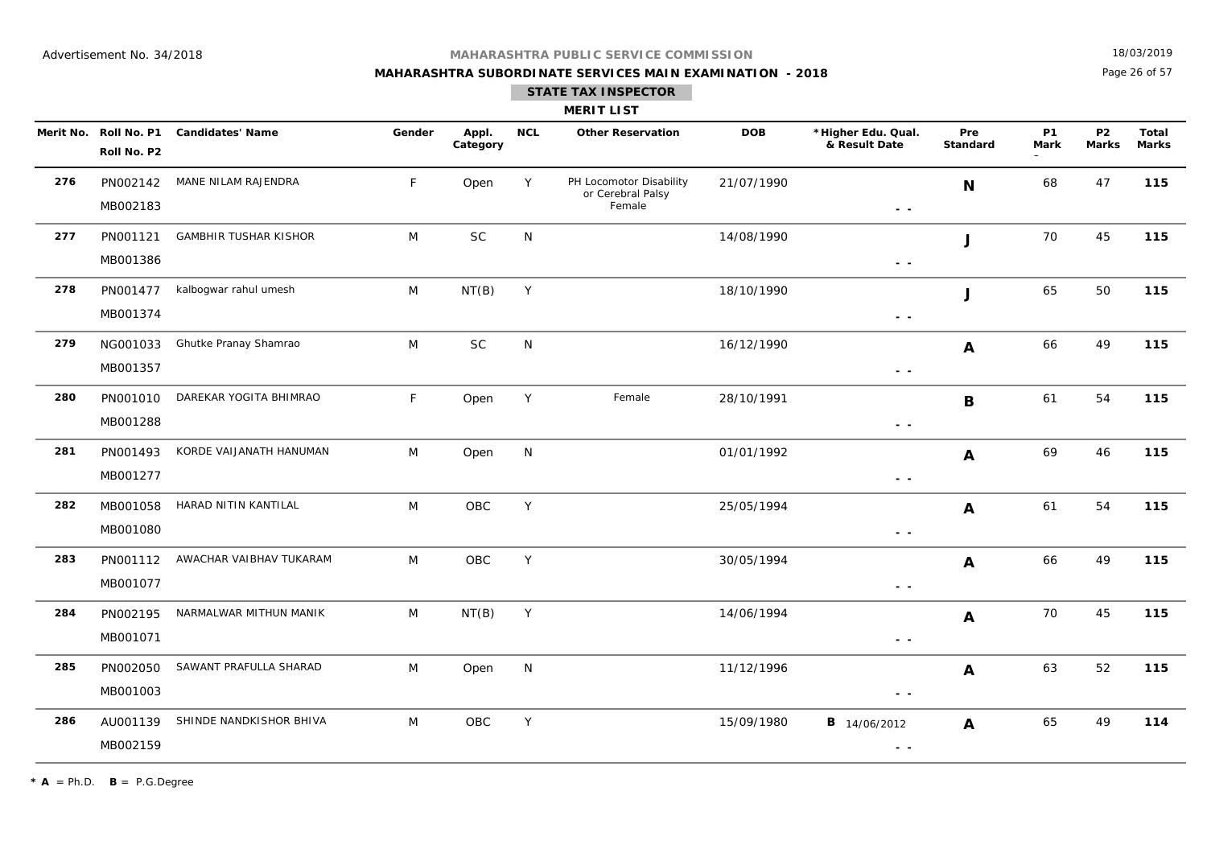## **MAHARASHTRA SUBORDINATE SERVICES MAIN EXAMINATION - 2018**

18/03/2019

Page 26 of 57

## **STATE TAX INSPECTOR**

## **MERIT LIST**

|     | Roll No. P2          | Merit No. Roll No. P1 Candidates' Name | Gender | Appl.<br>Category | <b>NCL</b>   | <b>Other Reservation</b>                               | <b>DOB</b> | *Higher Edu. Qual.<br>& Result Date                                             | Pre<br>Standard  | <b>P1</b><br><b>Mark</b> | P <sub>2</sub><br><b>Marks</b> | Total<br>Marks |
|-----|----------------------|----------------------------------------|--------|-------------------|--------------|--------------------------------------------------------|------------|---------------------------------------------------------------------------------|------------------|--------------------------|--------------------------------|----------------|
| 276 | PN002142<br>MB002183 | MANE NILAM RAJENDRA                    | F.     | Open              | Y            | PH Locomotor Disability<br>or Cerebral Palsy<br>Female | 21/07/1990 | $\sim$ $\sim$                                                                   | N                | 68                       | 47                             | 115            |
| 277 | PN001121<br>MB001386 | <b>GAMBHIR TUSHAR KISHOR</b>           | M      | $\sf SC$          | N            |                                                        | 14/08/1990 | $\sim$ $\sim$                                                                   | J                | 70                       | 45                             | 115            |
| 278 | PN001477<br>MB001374 | kalbogwar rahul umesh                  | M      | NT(B)             | $\mathsf Y$  |                                                        | 18/10/1990 | $\sim$ $\sim$                                                                   | J                | 65                       | 50                             | 115            |
| 279 | NG001033<br>MB001357 | Ghutke Pranay Shamrao                  | M      | <b>SC</b>         | N            |                                                        | 16/12/1990 | $\sim$ $\sim$                                                                   | A                | 66                       | 49                             | 115            |
| 280 | PN001010<br>MB001288 | DAREKAR YOGITA BHIMRAO                 | F      | Open              | Y            | Female                                                 | 28/10/1991 | $ -$                                                                            | B                | 61                       | 54                             | 115            |
| 281 | PN001493<br>MB001277 | KORDE VAIJANATH HANUMAN                | M      | Open              | $\mathsf{N}$ |                                                        | 01/01/1992 | - -                                                                             | A                | 69                       | 46                             | 115            |
| 282 | MB001058<br>MB001080 | HARAD NITIN KANTILAL                   | M      | OBC               | Y            |                                                        | 25/05/1994 | $\sim$ $\sim$                                                                   | $\boldsymbol{A}$ | 61                       | 54                             | 115            |
| 283 | PN001112<br>MB001077 | AWACHAR VAIBHAV TUKARAM                | M      | OBC               | Y            |                                                        | 30/05/1994 | $\frac{1}{2} \left( \frac{1}{2} \right) \frac{1}{2} \left( \frac{1}{2} \right)$ | A                | 66                       | 49                             | 115            |
| 284 | PN002195<br>MB001071 | NARMALWAR MITHUN MANIK                 | M      | NT(B)             | Y            |                                                        | 14/06/1994 | $\sim$ $\sim$                                                                   | $\boldsymbol{A}$ | 70                       | 45                             | 115            |
| 285 | PN002050<br>MB001003 | SAWANT PRAFULLA SHARAD                 | M      | Open              | ${\sf N}$    |                                                        | 11/12/1996 | - -                                                                             | $\boldsymbol{A}$ | 63                       | 52                             | 115            |
| 286 | AU001139<br>MB002159 | SHINDE NANDKISHOR BHIVA                | M      | OBC               | Y            |                                                        | 15/09/1980 | <b>B</b> 14/06/2012<br>- -                                                      | A                | 65                       | 49                             | 114            |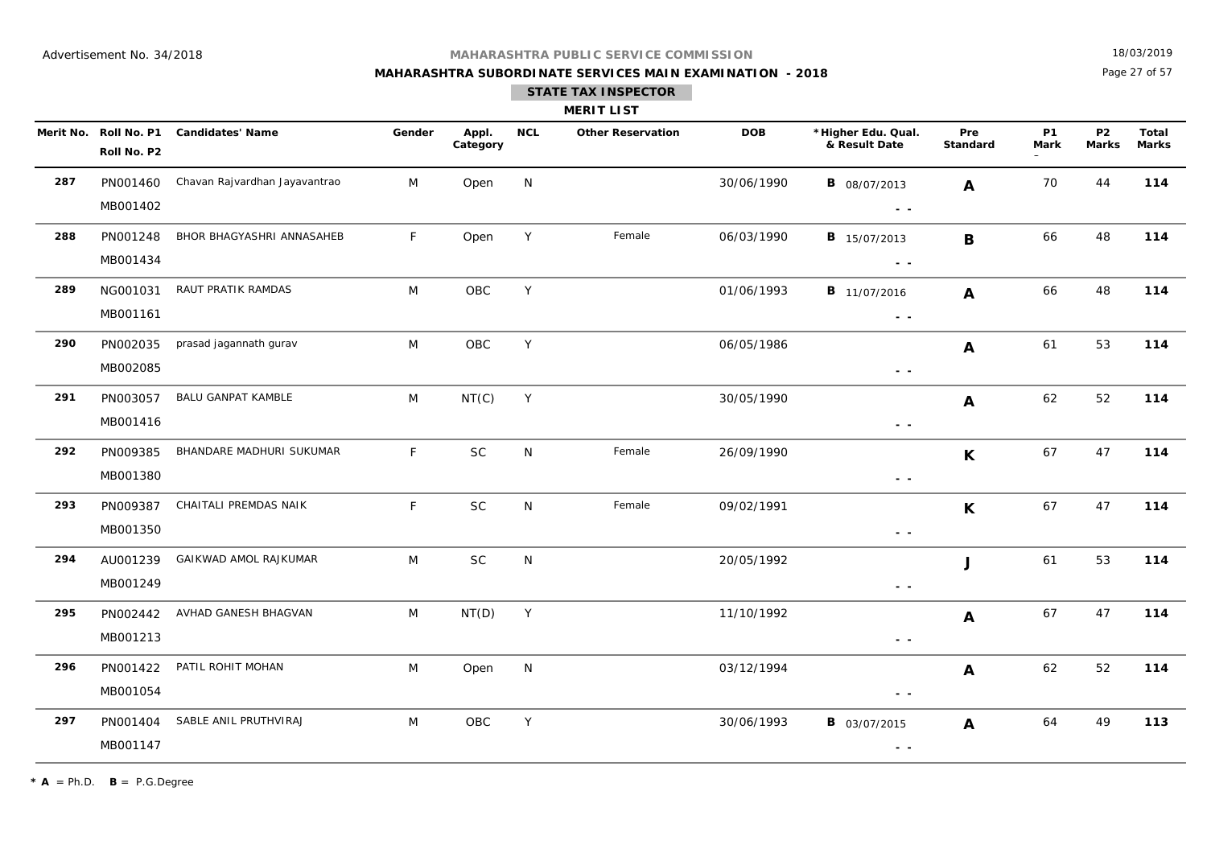## **MAHARASHTRA SUBORDINATE SERVICES MAIN EXAMINATION - 2018**

18/03/2019

Page 27 of 57

#### **STATE TAX INSPECTOR**

| <b>MERIT LIST</b> |  |  |
|-------------------|--|--|

|     | Merit No. Roll No. P1<br>Roll No. P2 | <b>Candidates' Name</b>       | Gender       | Appl.<br>Category | <b>NCL</b> | <b>Other Reservation</b> | <b>DOB</b> | *Higher Edu. Qual.<br>& Result Date  | Pre<br>Standard  | <b>P1</b><br><b>Mark</b> | P <sub>2</sub><br><b>Marks</b> | Total<br>Marks |
|-----|--------------------------------------|-------------------------------|--------------|-------------------|------------|--------------------------|------------|--------------------------------------|------------------|--------------------------|--------------------------------|----------------|
| 287 | PN001460<br>MB001402                 | Chavan Rajvardhan Jayavantrao | M            | Open              | N          |                          | 30/06/1990 | <b>B</b> 08/07/2013<br>$\sim$ $\sim$ | A                | 70                       | 44                             | 114            |
| 288 | PN001248<br>MB001434                 | BHOR BHAGYASHRI ANNASAHEB     | $\mathsf{F}$ | Open              | Y          | Female                   | 06/03/1990 | <b>B</b> 15/07/2013<br>$\sim$ $\sim$ | B                | 66                       | 48                             | 114            |
| 289 | NG001031<br>MB001161                 | RAUT PRATIK RAMDAS            | M            | OBC               | Y          |                          | 01/06/1993 | <b>B</b> 11/07/2016<br>$\sim$ $\sim$ | A                | 66                       | 48                             | 114            |
| 290 | PN002035<br>MB002085                 | prasad jagannath gurav        | M            | OBC               | Y          |                          | 06/05/1986 | $\sim$ $\sim$                        | A                | 61                       | 53                             | 114            |
| 291 | PN003057<br>MB001416                 | <b>BALU GANPAT KAMBLE</b>     | M            | NT(C)             | Y          |                          | 30/05/1990 | $\sim$ $\sim$                        | $\mathbf{A}$     | 62                       | 52                             | 114            |
| 292 | PN009385<br>MB001380                 | BHANDARE MADHURI SUKUMAR      | $\mathsf{F}$ | <b>SC</b>         | N          | Female                   | 26/09/1990 | $ -$                                 | K                | 67                       | 47                             | 114            |
| 293 | PN009387<br>MB001350                 | CHAITALI PREMDAS NAIK         | F            | <b>SC</b>         | N          | Female                   | 09/02/1991 | $\sim$ $-$                           | K                | 67                       | 47                             | 114            |
| 294 | AU001239<br>MB001249                 | GAIKWAD AMOL RAJKUMAR         | M            | SC                | N          |                          | 20/05/1992 | $\sim$ $\sim$                        | J                | 61                       | 53                             | 114            |
| 295 | PN002442<br>MB001213                 | AVHAD GANESH BHAGVAN          | M            | NT(D)             | Y          |                          | 11/10/1992 | $\sim$ $\sim$                        | $\boldsymbol{A}$ | 67                       | 47                             | 114            |
| 296 | PN001422<br>MB001054                 | PATIL ROHIT MOHAN             | M            | Open              | N          |                          | 03/12/1994 | $ -$                                 | A                | 62                       | 52                             | 114            |
| 297 | PN001404<br>MB001147                 | SABLE ANIL PRUTHVIRAJ         | M            | OBC               | Y          |                          | 30/06/1993 | <b>B</b> 03/07/2015<br>$\sim$ $\sim$ | A                | 64                       | 49                             | 113            |

 $\star$  **A** = Ph.D. **B** = P.G.Degree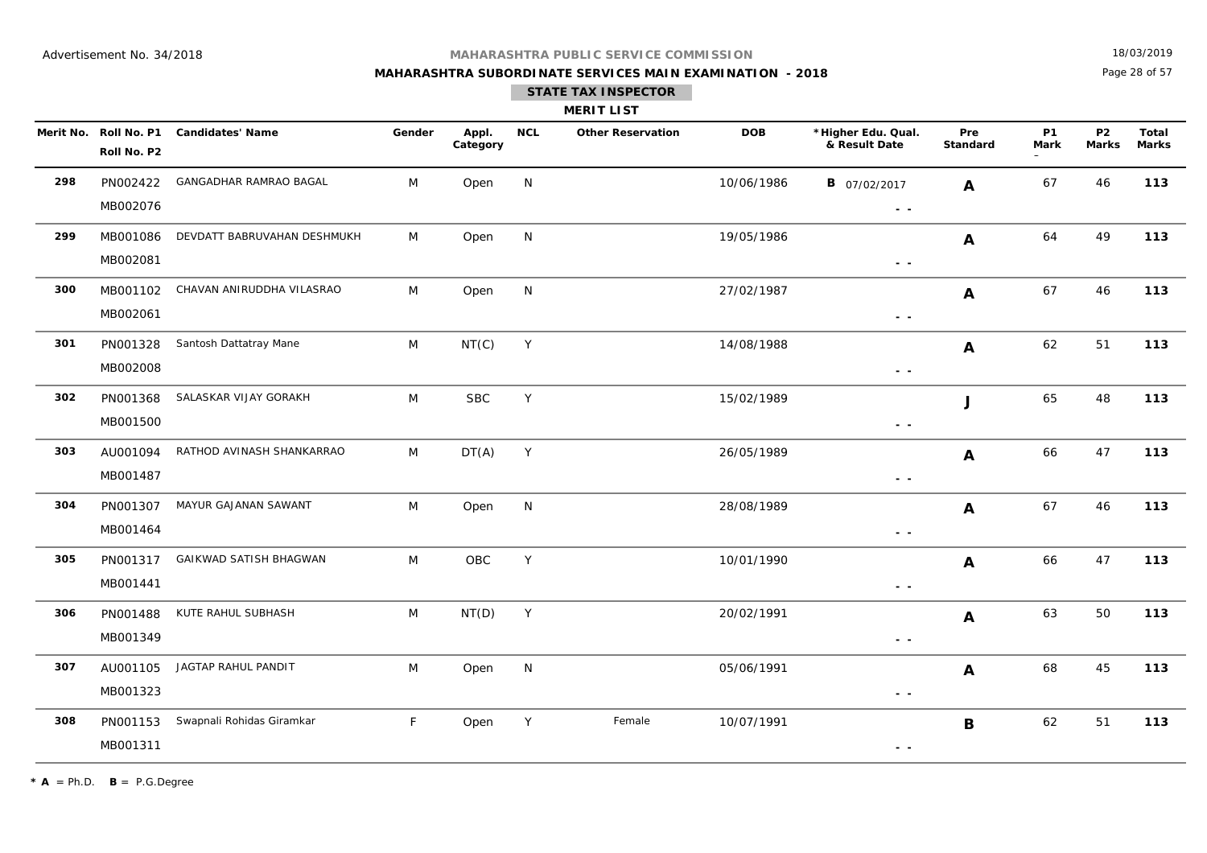## **MAHARASHTRA SUBORDINATE SERVICES MAIN EXAMINATION - 2018**

18/03/2019

Page 28 of 57

| <b>MERIT LIST</b> |  |  |
|-------------------|--|--|

|     | Merit No. Roll No. P1<br>Roll No. P2 | <b>Candidates' Name</b>     | Gender | Appl.<br>Category | <b>NCL</b>   | <b>Other Reservation</b> | <b>DOB</b> | *Higher Edu. Qual.<br>& Result Date                                             | Pre<br>Standard           | <b>P1</b><br><b>Mark</b> | <b>P2</b><br><b>Marks</b> | <b>Total</b><br><b>Marks</b> |
|-----|--------------------------------------|-----------------------------|--------|-------------------|--------------|--------------------------|------------|---------------------------------------------------------------------------------|---------------------------|--------------------------|---------------------------|------------------------------|
| 298 | PN002422<br>MB002076                 | GANGADHAR RAMRAO BAGAL      | M      | Open              | N            |                          | 10/06/1986 | <b>B</b> 07/02/2017<br>$\sim$ $\sim$                                            | $\mathbf{A}$              | 67                       | 46                        | 113                          |
| 299 | MB001086<br>MB002081                 | DEVDATT BABRUVAHAN DESHMUKH | M      | Open              | $\mathsf{N}$ |                          | 19/05/1986 | $\sim$ $\sim$                                                                   | $\boldsymbol{A}$          | 64                       | 49                        | 113                          |
| 300 | MB001102<br>MB002061                 | CHAVAN ANIRUDDHA VILASRAO   | M      | Open              | N            |                          | 27/02/1987 | $\sim$ $\sim$                                                                   | $\boldsymbol{A}$          | 67                       | 46                        | 113                          |
| 301 | PN001328<br>MB002008                 | Santosh Dattatray Mane      | M      | NT(C)             | Y            |                          | 14/08/1988 | $\sim$ $ \sim$                                                                  | $\boldsymbol{\mathsf{A}}$ | 62                       | 51                        | 113                          |
| 302 | PN001368<br>MB001500                 | SALASKAR VIJAY GORAKH       | M      | <b>SBC</b>        | Y            |                          | 15/02/1989 | $\sim$ $\sim$                                                                   | J                         | 65                       | 48                        | 113                          |
| 303 | AU001094<br>MB001487                 | RATHOD AVINASH SHANKARRAO   | M      | DT(A)             | Y            |                          | 26/05/1989 | $\frac{1}{2} \left( \frac{1}{2} \right) \frac{1}{2} \left( \frac{1}{2} \right)$ | A                         | 66                       | 47                        | 113                          |
| 304 | PN001307<br>MB001464                 | MAYUR GAJANAN SAWANT        | M      | Open              | N            |                          | 28/08/1989 | $\sim$ $\sim$                                                                   | $\mathbf{A}$              | 67                       | 46                        | 113                          |
| 305 | PN001317<br>MB001441                 | GAIKWAD SATISH BHAGWAN      | M      | OBC               | Y            |                          | 10/01/1990 | $\sim$ $\sim$                                                                   | $\boldsymbol{A}$          | 66                       | 47                        | 113                          |
| 306 | PN001488<br>MB001349                 | KUTE RAHUL SUBHASH          | M      | NT(D)             | Y            |                          | 20/02/1991 | $\sim$ $\sim$                                                                   | $\boldsymbol{A}$          | 63                       | 50                        | 113                          |
| 307 | AU001105<br>MB001323                 | JAGTAP RAHUL PANDIT         | M      | Open              | N            |                          | 05/06/1991 | $\sim$ $ \sim$                                                                  | $\boldsymbol{A}$          | 68                       | 45                        | 113                          |
| 308 | PN001153<br>MB001311                 | Swapnali Rohidas Giramkar   | F.     | Open              | Y            | Female                   | 10/07/1991 | $\sim$ $\sim$                                                                   | B                         | 62                       | 51                        | 113                          |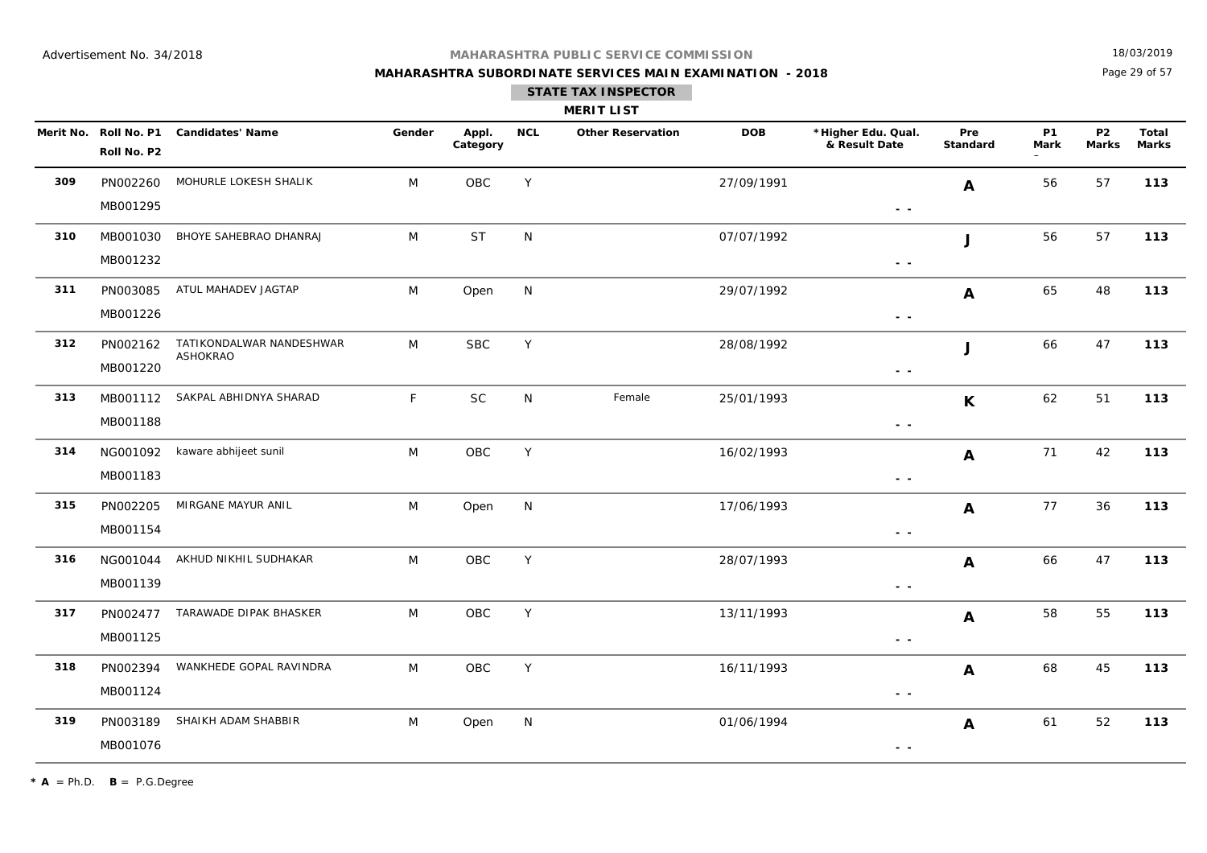## **MAHARASHTRA SUBORDINATE SERVICES MAIN EXAMINATION - 2018**

18/03/2019

Page 29 of 57

| <b>MERIT LIST</b> |  |
|-------------------|--|
|                   |  |

|     | Merit No. Roll No. P1<br>Roll No. P2 | <b>Candidates' Name</b>                     | Gender | Appl.<br>Category | <b>NCL</b> | <b>Other Reservation</b> | <b>DOB</b> | *Higher Edu. Qual.<br>& Result Date                                             | Pre<br>Standard  | <b>P1</b><br>Mark | <b>P2</b><br><b>Marks</b> | Total<br><b>Marks</b> |
|-----|--------------------------------------|---------------------------------------------|--------|-------------------|------------|--------------------------|------------|---------------------------------------------------------------------------------|------------------|-------------------|---------------------------|-----------------------|
| 309 | PN002260<br>MB001295                 | MOHURLE LOKESH SHALIK                       | M      | OBC               | Y          |                          | 27/09/1991 | $\sim$ $\sim$                                                                   | $\mathbf{A}$     | 56                | 57                        | 113                   |
| 310 | MB001030<br>MB001232                 | BHOYE SAHEBRAO DHANRAJ                      | M      | <b>ST</b>         | N          |                          | 07/07/1992 | $\frac{1}{2} \left( \frac{1}{2} \right) \frac{1}{2} \left( \frac{1}{2} \right)$ | J                | 56                | 57                        | 113                   |
| 311 | PN003085<br>MB001226                 | ATUL MAHADEV JAGTAP                         | M      | Open              | N          |                          | 29/07/1992 | $\sim$ $ \sim$                                                                  | $\mathbf{A}$     | 65                | 48                        | 113                   |
| 312 | PN002162<br>MB001220                 | TATIKONDALWAR NANDESHWAR<br><b>ASHOKRAO</b> | M      | <b>SBC</b>        | Y          |                          | 28/08/1992 | $\sim$ $\sim$                                                                   | J                | 66                | 47                        | 113                   |
| 313 | MB001112<br>MB001188                 | SAKPAL ABHIDNYA SHARAD                      | F      | SC                | N.         | Female                   | 25/01/1993 | $\sim$ $\sim$                                                                   | K                | 62                | 51                        | 113                   |
| 314 | NG001092<br>MB001183                 | kaware abhijeet sunil                       | M      | $_{\rm OBC}$      | Y          |                          | 16/02/1993 | $\sim$ $\sim$                                                                   | $\mathbf{A}$     | 71                | 42                        | 113                   |
| 315 | PN002205<br>MB001154                 | MIRGANE MAYUR ANIL                          | M      | Open              | N          |                          | 17/06/1993 | $ -$                                                                            | $\mathbf{A}$     | 77                | 36                        | 113                   |
| 316 | NG001044<br>MB001139                 | AKHUD NIKHIL SUDHAKAR                       | M      | OBC               | Y          |                          | 28/07/1993 | $ -$                                                                            | $\mathbf{A}$     | 66                | 47                        | 113                   |
| 317 | PN002477<br>MB001125                 | TARAWADE DIPAK BHASKER                      | M      | OBC               | Y          |                          | 13/11/1993 | $\sim$ $ \sim$                                                                  | $\boldsymbol{A}$ | 58                | 55                        | 113                   |
| 318 | PN002394<br>MB001124                 | WANKHEDE GOPAL RAVINDRA                     | M      | OBC               | Y          |                          | 16/11/1993 | $\frac{1}{2} \left( \frac{1}{2} \right) \frac{1}{2} \left( \frac{1}{2} \right)$ | $\mathbf{A}$     | 68                | 45                        | 113                   |
| 319 | PN003189<br>MB001076                 | SHAIKH ADAM SHABBIR                         | M      | Open              | N          |                          | 01/06/1994 | $\sim$ $\sim$                                                                   | $\mathbf{A}$     | 61                | 52                        | 113                   |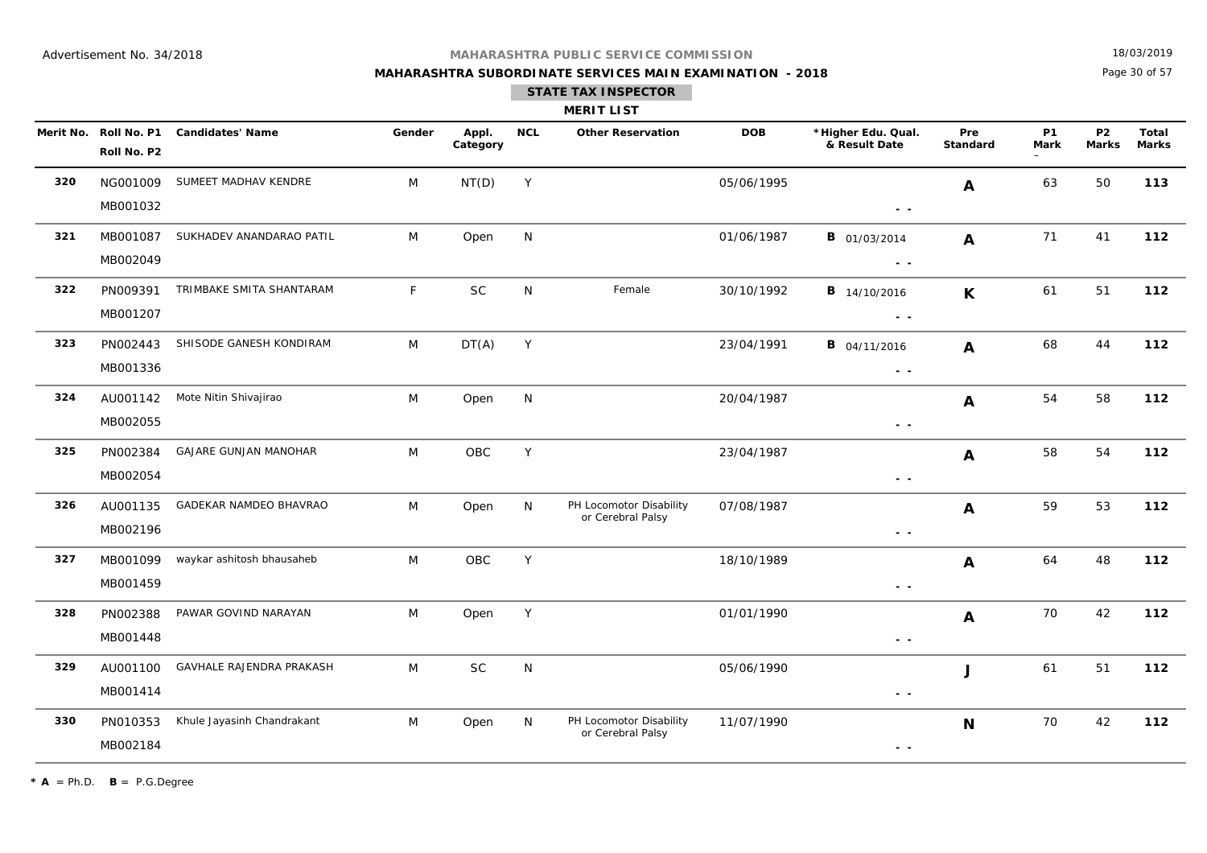**320**

**321**

**322**

**324**

**325**

#### **MAHARASHTRA PUBLIC SERVICE COMMISSION**

## **MAHARASHTRA SUBORDINATE SERVICES MAIN EXAMINATION - 2018STATE TAX INSPECTOR**

18/03/2019

**Marks**

Page 30 of 57

**P2Marks**

#### **MERIT LISTMerit No. \*Higher Edu. Qual. Roll No. P1 Candidates' Name Gender Appl. DOB & Result Date Category NCL Other Reservation**DOB \*Higher Edu. Qual. Pre P1 P2 Total **PreStandardP1MarkRoll No. P2** NG001009SUMEET MADHAV KENDRE M NT(D) Y 63 50 113  **- -** NT(D) Y 05/06/1995 **A** 63 50 MB001032 **A** MB001087SUKHADEV ANANDARAO PATIL M Open N 01/06/1987 **B** 01/03/2014 **A** 71 41 **112 - -**  $B$  01/03/2014 4 **A** 71 41 MB002049**A** PN009391TRIMBAKE SMITA SHANTARAM F SC N Female 30/10/1992 **B** 14/10/2016 **V** 61 51 112  **- -**  $SC$ **B** 14/10/2016 6 **K** 61 51 MB001207**K323** PN002443SHISODE GANESH KONDIRAM M DT(A) Y 23/04/1991 **B** 04/11/2016 **A** 68 44 **112 - -**  $B$  04/11/2016 6 **A** 68 44 MB001336**A** AU001142Mote Nitin Shivajirao **112** M Open N 20/04/1987 **112 A** 54 58 112  **- -** Open 54 58 MB002055**A** PN002384GAJARE GUNJAN MANOHAR M OBC Y 23/04/1987 **112 - -** OBC23/04/1987 MB002054**A326** AU001135GADEKAR NAMDEO BHAVRAO M Open N PH Locomotor Disability 07/08/1987 **112 A** 59 53 112 or Cerebral Palsy  **- -** PH Locomotor Disability MB002196 **A**

**327** MB001099waykar ashitosh bhausaheb M OBC Y 18/10/1989 **12**<br>Waykar ashitosh bhausaheb M OBC Y 18/10/1989 **1 - -** OBC18/10/1989 MB001459**A328** PN002388PAWAR GOVIND NARAYAN **M** Open Y 112 01/01/1990 **12** 112  **- -** Open 70 42 MB001448**A329** AU001100GAVHALE RAJENDRA PRAKASH M SC N 25/06/1990 M 05/06/1990 M 1 61 51 112  **- -** SCC N 05/06/1990 61 51 MB001414 **J330** PN010353Khule Jayasinh Chandrakant M M Open N PH Locomotor Disability 11/07/1990 **112 112** 112 or Cerebral Palsy  **- -** PH Locomotor Disability MB002184**N**

 $*$  **A** = Ph.D. **B** = P.G.Degree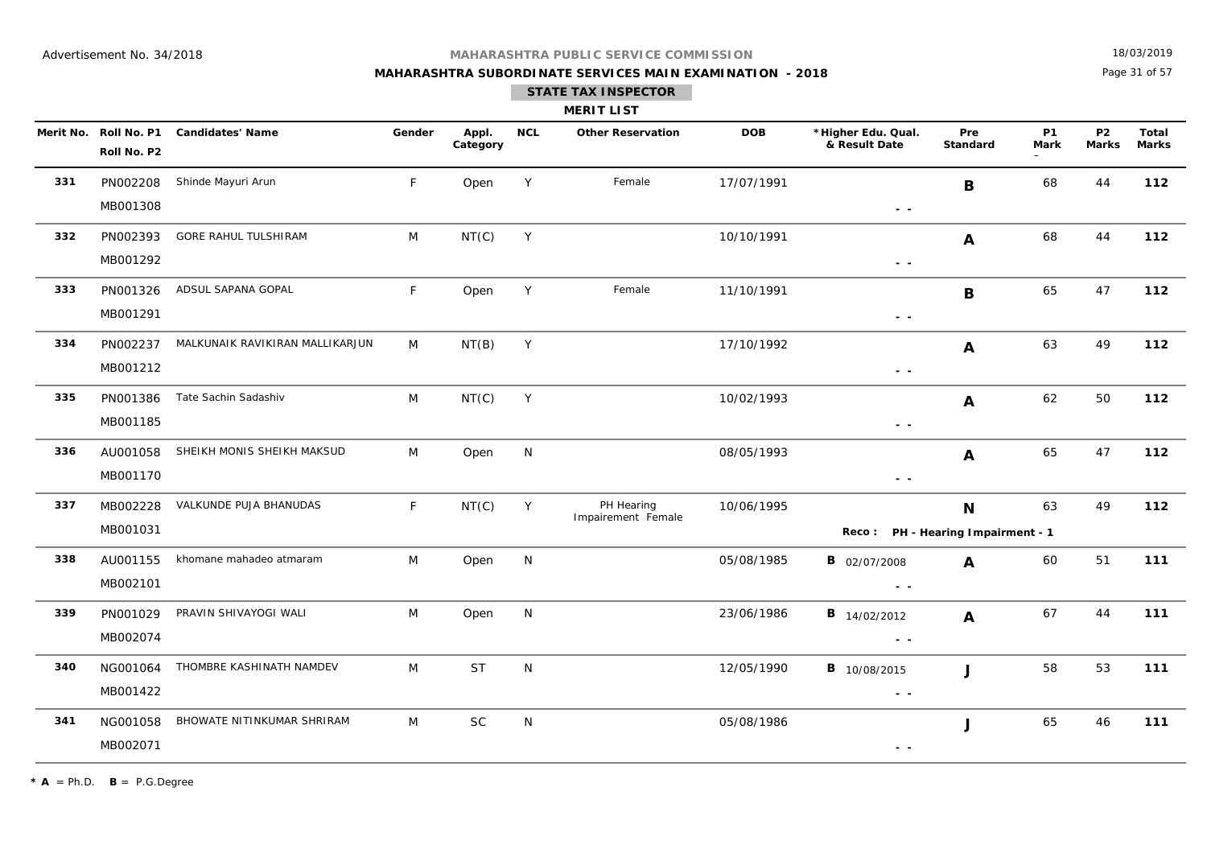## **MAHARASHTRA SUBORDINATE SERVICES MAIN EXAMINATION - 2018**

18/03/2019

Page 31 of 57

|     |                                      |                                 |        |                   |              | <b>MERIT LIST</b>                |            |                                                                                                          |                 |                   |                           |                       |
|-----|--------------------------------------|---------------------------------|--------|-------------------|--------------|----------------------------------|------------|----------------------------------------------------------------------------------------------------------|-----------------|-------------------|---------------------------|-----------------------|
|     | Merit No. Roll No. P1<br>Roll No. P2 | <b>Candidates' Name</b>         | Gender | Appl.<br>Category | <b>NCL</b>   | <b>Other Reservation</b>         | <b>DOB</b> | *Higher Edu. Qual.<br>& Result Date                                                                      | Pre<br>Standard | <b>P1</b><br>Mark | <b>P2</b><br><b>Marks</b> | Total<br><b>Marks</b> |
| 331 | PN002208<br>MB001308                 | Shinde Mayuri Arun              | F      | Open              | Y            | Female                           | 17/07/1991 | $\sim$ $\sim$                                                                                            | $\mathbf B$     | 68                | 44                        | 112                   |
| 332 | PN002393<br>MB001292                 | GORE RAHUL TULSHIRAM            | M      | NT(C)             | Y            |                                  | 10/10/1991 | $\frac{1}{2} \left( \frac{1}{2} \right) = \frac{1}{2} \left( \frac{1}{2} \right)$                        | A               | 68                | 44                        | 112                   |
| 333 | PN001326<br>MB001291                 | ADSUL SAPANA GOPAL              | F.     | Open              | Y            | Female                           | 11/10/1991 | $\sim$ $\sim$                                                                                            | B               | 65                | 47                        | 112                   |
| 334 | PN002237<br>MB001212                 | MALKUNAIK RAVIKIRAN MALLIKARJUN | M      | NT(B)             | $\mathsf{Y}$ |                                  | 17/10/1992 | $\frac{1}{2} \left( \frac{1}{2} \right) = \frac{1}{2} \left( \frac{1}{2} \right)$                        | A               | 63                | 49                        | 112                   |
| 335 | PN001386<br>MB001185                 | Tate Sachin Sadashiv            | M      | NT(C)             | Y            |                                  | 10/02/1993 | $\frac{1}{2} \left( \frac{1}{2} \right) = \frac{1}{2} \left( \frac{1}{2} \right)$                        | A               | 62                | 50                        | 112                   |
| 336 | AU001058<br>MB001170                 | SHEIKH MONIS SHEIKH MAKSUD      | M      | Open              | N            |                                  | 08/05/1993 | $\sim$ $\sim$                                                                                            | $\mathbf{A}$    | 65                | 47                        | 112                   |
| 337 | MB002228<br>MB001031                 | VALKUNDE PUJA BHANUDAS          | F.     | NT(C)             | Y            | PH Hearing<br>Impairement Female | 10/06/1995 | Reco: PH - Hearing Impairment - 1                                                                        | N               | 63                | 49                        | 112                   |
| 338 | AU001155<br>MB002101                 | khomane mahadeo atmaram         | M      | Open              | N            |                                  | 05/08/1985 | <b>B</b> 02/07/2008<br>$\sim$ $\sim$                                                                     | A               | 60                | 51                        | 111                   |
| 339 | PN001029<br>MB002074                 | PRAVIN SHIVAYOGI WALI           | M      | Open              | N            |                                  | 23/06/1986 | <b>B</b> 14/02/2012<br>$\frac{1}{2} \left( \frac{1}{2} \right) = \frac{1}{2} \left( \frac{1}{2} \right)$ | A               | 67                | 44                        | 111                   |
| 340 | NG001064<br>MB001422                 | THOMBRE KASHINATH NAMDEV        | M      | <b>ST</b>         | N            |                                  | 12/05/1990 | <b>B</b> 10/08/2015<br>$\frac{1}{2} \left( \frac{1}{2} \right) = \frac{1}{2} \left( \frac{1}{2} \right)$ | J               | 58                | 53                        | 111                   |
| 341 | NG001058<br>MB002071                 | BHOWATE NITINKUMAR SHRIRAM      | M      | <b>SC</b>         | N            |                                  | 05/08/1986 | $\sim$ $-$                                                                                               | J               | 65                | 46                        | 111                   |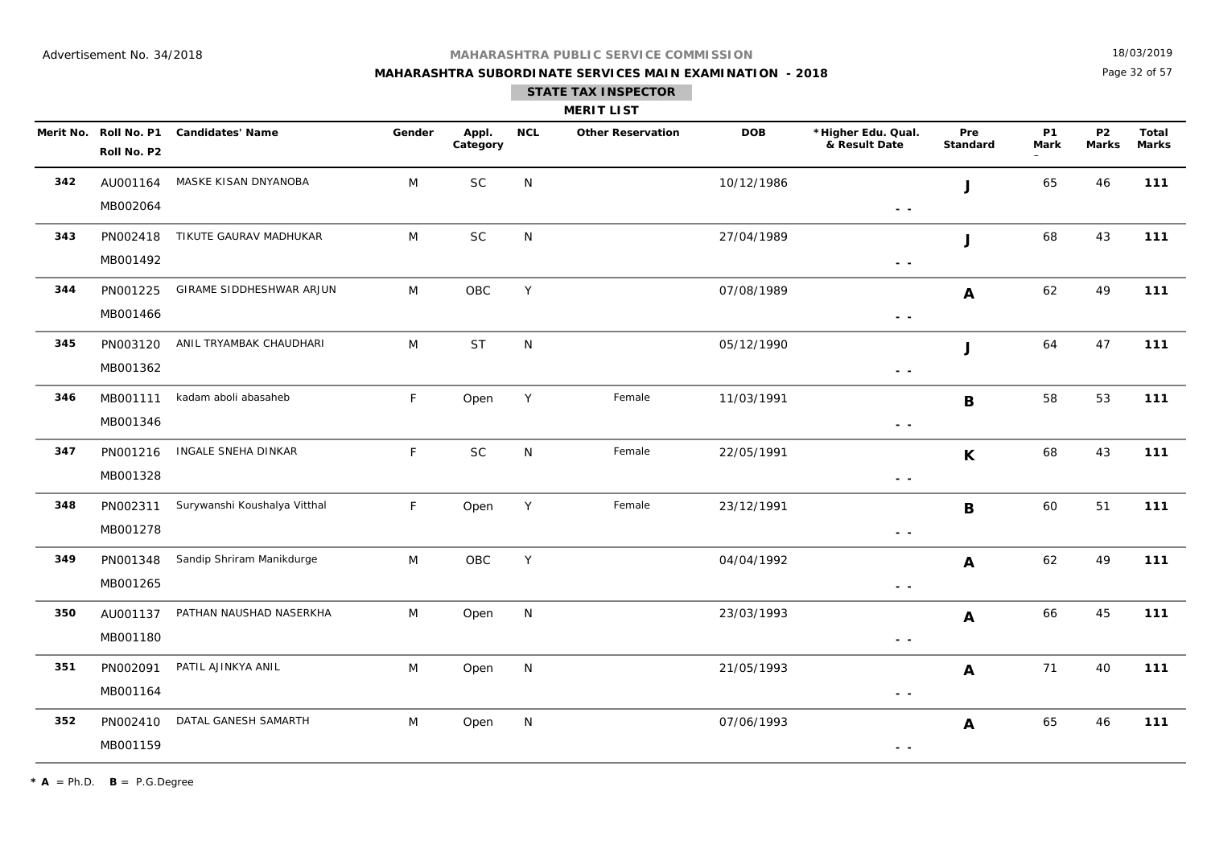## **MAHARASHTRA SUBORDINATE SERVICES MAIN EXAMINATION - 2018**

18/03/2019

Page 32 of 57

|     |                                      |                              |        |                   |            | <b>MERIT LIST</b>        |            |                                                        |                        |                   |                           |                       |
|-----|--------------------------------------|------------------------------|--------|-------------------|------------|--------------------------|------------|--------------------------------------------------------|------------------------|-------------------|---------------------------|-----------------------|
|     | Merit No. Roll No. P1<br>Roll No. P2 | <b>Candidates' Name</b>      | Gender | Appl.<br>Category | <b>NCL</b> | <b>Other Reservation</b> | <b>DOB</b> | *Higher Edu. Qual.<br>& Result Date                    | Pre<br><b>Standard</b> | <b>P1</b><br>Mark | <b>P2</b><br><b>Marks</b> | Total<br><b>Marks</b> |
| 342 | AU001164<br>MB002064                 | MASKE KISAN DNYANOBA         | M      | <b>SC</b>         | N          |                          | 10/12/1986 | $\sim$ $\sim$                                          | J                      | 65                | 46                        | 111                   |
| 343 | PN002418<br>MB001492                 | TIKUTE GAURAV MADHUKAR       | M      | <b>SC</b>         | ${\sf N}$  |                          | 27/04/1989 | $\sim$ $\sim$                                          | J                      | 68                | 43                        | 111                   |
| 344 | PN001225<br>MB001466                 | GIRAME SIDDHESHWAR ARJUN     | M      | OBC               | Y          |                          | 07/08/1989 | $\sim$ $\sim$                                          | A                      | 62                | 49                        | 111                   |
| 345 | PN003120<br>MB001362                 | ANIL TRYAMBAK CHAUDHARI      | M      | <b>ST</b>         | ${\sf N}$  |                          | 05/12/1990 | $\sim$ $\sim$                                          | J                      | 64                | 47                        | 111                   |
| 346 | MB001111<br>MB001346                 | kadam aboli abasaheb         | F      | Open              | Y          | Female                   | 11/03/1991 | $\sim$ $\sim$                                          | B                      | 58                | 53                        | 111                   |
| 347 | PN001216<br>MB001328                 | INGALE SNEHA DINKAR          | F      | <b>SC</b>         | N          | Female                   | 22/05/1991 | $\sim$ $\sim$                                          | $\mathbf K$            | 68                | 43                        | 111                   |
| 348 | PN002311<br>MB001278                 | Surywanshi Koushalya Vitthal | F.     | Open              | Y          | Female                   | 23/12/1991 | $\sim$ $\sim$                                          | B                      | 60                | 51                        | 111                   |
| 349 | PN001348<br>MB001265                 | Sandip Shriram Manikdurge    | M      | OBC               | Y          |                          | 04/04/1992 | $\sim$ $\sim$                                          | A                      | 62                | 49                        | 111                   |
| 350 | AU001137<br>MB001180                 | PATHAN NAUSHAD NASERKHA      | M      | Open              | N          |                          | 23/03/1993 | $\sim$ $\sim$                                          | A                      | 66                | 45                        | 111                   |
| 351 | PN002091<br>MB001164                 | PATIL AJINKYA ANIL           | M      | Open              | ${\sf N}$  |                          | 21/05/1993 | $\sim$ $\sim$                                          | A                      | 71                | 40                        | 111                   |
| 352 | PN002410<br>MB001159                 | DATAL GANESH SAMARTH         | M      | Open              | N          |                          | 07/06/1993 | $\frac{1}{2} \left( \frac{1}{2} \right) = \frac{1}{2}$ | A                      | 65                | 46                        | 111                   |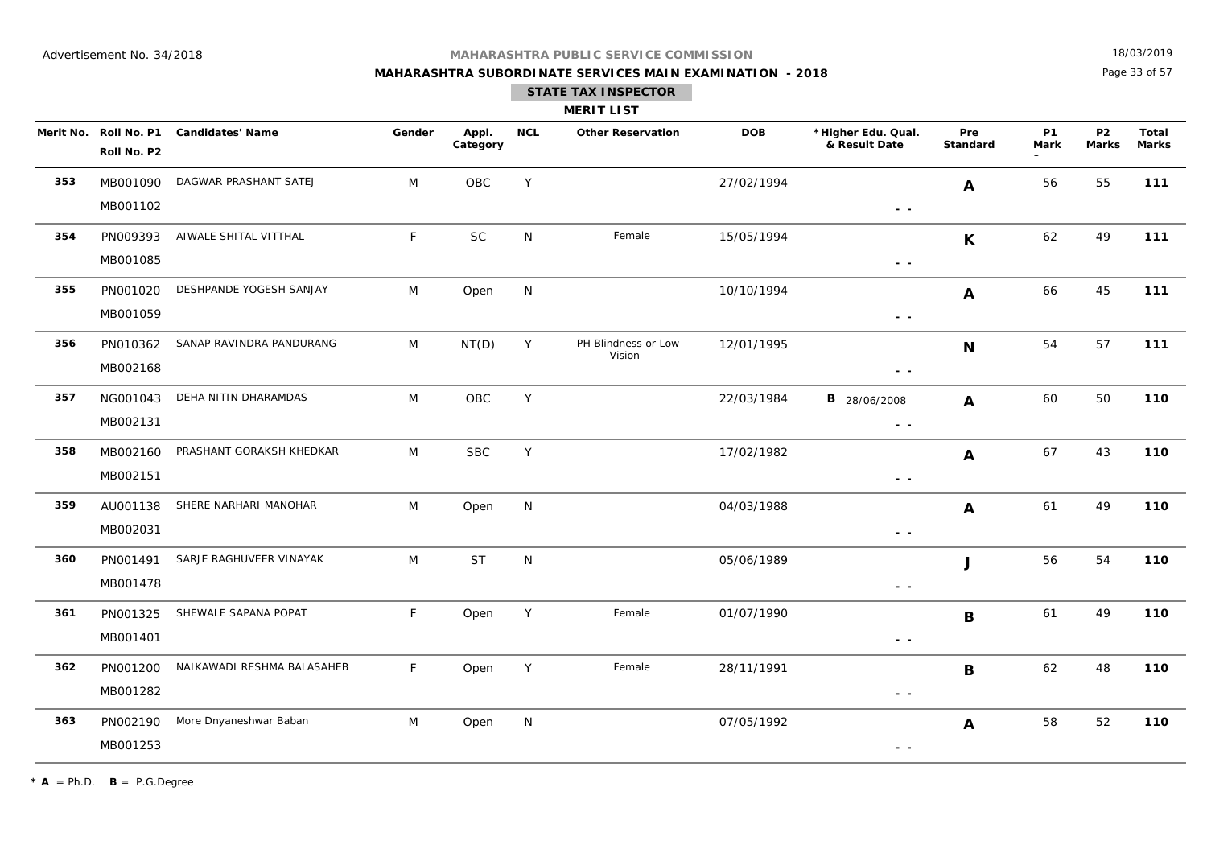## **MAHARASHTRA SUBORDINATE SERVICES MAIN EXAMINATION - 2018**

18/03/2019

Page 33 of 57

|     |                                      |                            |        |                   |            | <b>MERIT LIST</b>             |            |                                                                                                        |                        |                          |                           |                       |
|-----|--------------------------------------|----------------------------|--------|-------------------|------------|-------------------------------|------------|--------------------------------------------------------------------------------------------------------|------------------------|--------------------------|---------------------------|-----------------------|
|     | Merit No. Roll No. P1<br>Roll No. P2 | <b>Candidates' Name</b>    | Gender | Appl.<br>Category | <b>NCL</b> | <b>Other Reservation</b>      | <b>DOB</b> | *Higher Edu. Qual.<br>& Result Date                                                                    | Pre<br><b>Standard</b> | <b>P1</b><br><b>Mark</b> | <b>P2</b><br><b>Marks</b> | Total<br><b>Marks</b> |
| 353 | MB001090<br>MB001102                 | DAGWAR PRASHANT SATEJ      | M      | OBC               | Y          |                               | 27/02/1994 | $\sim$ $\sim$                                                                                          | $\mathbf{A}$           | 56                       | 55                        | 111                   |
| 354 | PN009393<br>MB001085                 | AIWALE SHITAL VITTHAL      | F      | <b>SC</b>         | N          | Female                        | 15/05/1994 | $\sim$ $\sim$                                                                                          | $\mathsf K$            | 62                       | 49                        | 111                   |
| 355 | PN001020<br>MB001059                 | DESHPANDE YOGESH SANJAY    | M      | Open              | N          |                               | 10/10/1994 | $\sim$ $ \sim$                                                                                         | A                      | 66                       | 45                        | 111                   |
| 356 | PN010362<br>MB002168                 | SANAP RAVINDRA PANDURANG   | M      | NT(D)             | Y          | PH Blindness or Low<br>Vision | 12/01/1995 | $ -$                                                                                                   | $\mathbf N$            | 54                       | 57                        | 111                   |
| 357 | NG001043<br>MB002131                 | DEHA NITIN DHARAMDAS       | M      | OBC               | Y          |                               | 22/03/1984 | <b>B</b> 28/06/2008<br>$\frac{1}{2} \left( \frac{1}{2} \right) \frac{1}{2} \left( \frac{1}{2} \right)$ | $\mathbf{A}$           | 60                       | 50                        | 110                   |
| 358 | MB002160<br>MB002151                 | PRASHANT GORAKSH KHEDKAR   | M      | <b>SBC</b>        | Y          |                               | 17/02/1982 | $\sim$ $ \sim$                                                                                         | A                      | 67                       | 43                        | 110                   |
| 359 | AU001138<br>MB002031                 | SHERE NARHARI MANOHAR      | M      | Open              | N          |                               | 04/03/1988 | $\sim$ $\sim$                                                                                          | A                      | 61                       | 49                        | 110                   |
| 360 | PN001491<br>MB001478                 | SARJE RAGHUVEER VINAYAK    | M      | <b>ST</b>         | N          |                               | 05/06/1989 | $\sim$ $ \sim$                                                                                         | J                      | 56                       | 54                        | 110                   |
| 361 | PN001325<br>MB001401                 | SHEWALE SAPANA POPAT       | F      | Open              | Y          | Female                        | 01/07/1990 | $\sim$ $ \sim$                                                                                         | B                      | 61                       | 49                        | 110                   |
| 362 | PN001200<br>MB001282                 | NAIKAWADI RESHMA BALASAHEB | F      | Open              | Y          | Female                        | 28/11/1991 | $\sim$ $\sim$                                                                                          | $\mathbf B$            | 62                       | 48                        | 110                   |
| 363 | PN002190<br>MB001253                 | More Dnyaneshwar Baban     | M      | Open              | N          |                               | 07/05/1992 | $\frac{1}{2} \left( \frac{1}{2} \right) \frac{1}{2} \left( \frac{1}{2} \right)$                        | A                      | 58                       | 52                        | 110                   |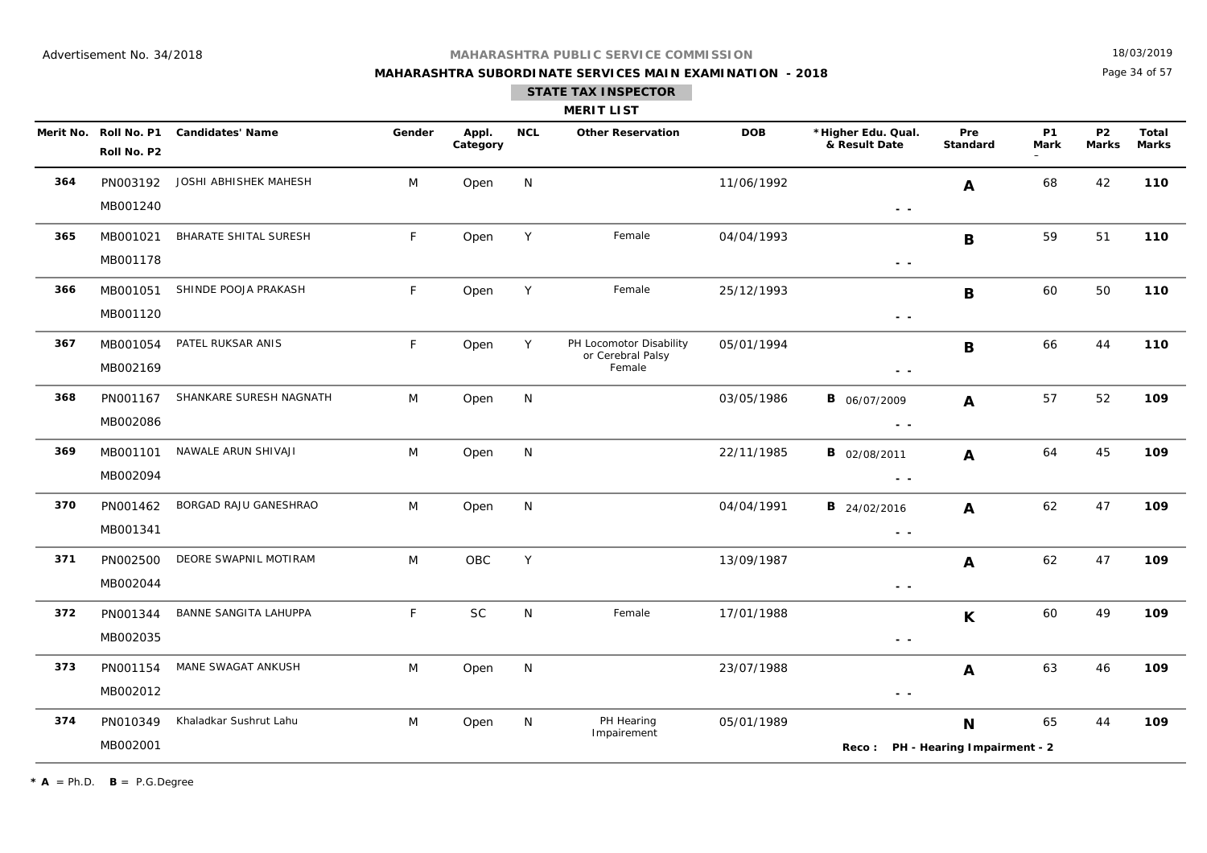## **MAHARASHTRA SUBORDINATE SERVICES MAIN EXAMINATION - 2018**

18/03/2019

Page 34 of 57

|     |                      |                                        |        |                   |            | <b>MERIT LIST</b>                                      |            |                                      |                                  |                   |                           |                       |
|-----|----------------------|----------------------------------------|--------|-------------------|------------|--------------------------------------------------------|------------|--------------------------------------|----------------------------------|-------------------|---------------------------|-----------------------|
|     | Roll No. P2          | Merit No. Roll No. P1 Candidates' Name | Gender | Appl.<br>Category | <b>NCL</b> | <b>Other Reservation</b>                               | <b>DOB</b> | *Higher Edu. Qual.<br>& Result Date  | Pre<br>Standard                  | <b>P1</b><br>Mark | <b>P2</b><br><b>Marks</b> | Total<br><b>Marks</b> |
| 364 | PN003192<br>MB001240 | JOSHI ABHISHEK MAHESH                  | M      | Open              | N          |                                                        | 11/06/1992 |                                      | A                                | 68                | 42                        | 110                   |
| 365 | MB001021<br>MB001178 | <b>BHARATE SHITAL SURESH</b>           | F      | Open              | Y          | Female                                                 | 04/04/1993 | $ -$<br>$\sim$ $\sim$                | B                                | 59                | 51                        | 110                   |
| 366 | MB001051<br>MB001120 | SHINDE POOJA PRAKASH                   | F      | Open              | Y          | Female                                                 | 25/12/1993 | $ -$                                 | B                                | 60                | 50                        | 110                   |
| 367 | MB001054<br>MB002169 | PATEL RUKSAR ANIS                      | F.     | Open              | Y          | PH Locomotor Disability<br>or Cerebral Palsy<br>Female | 05/01/1994 | $ -$                                 | B                                | 66                | 44                        | 110                   |
| 368 | PN001167<br>MB002086 | SHANKARE SURESH NAGNATH                | M      | Open              | N          |                                                        | 03/05/1986 | <b>B</b> 06/07/2009<br>$\sim$ $\sim$ | $\mathbf{A}$                     | 57                | 52                        | 109                   |
| 369 | MB001101<br>MB002094 | NAWALE ARUN SHIVAJI                    | M      | Open              | N          |                                                        | 22/11/1985 | <b>B</b> 02/08/2011<br>$\sim$ $-$    | A                                | 64                | 45                        | 109                   |
| 370 | PN001462<br>MB001341 | BORGAD RAJU GANESHRAO                  | M      | Open              | N          |                                                        | 04/04/1991 | <b>B</b> 24/02/2016<br>$ -$          | A                                | 62                | 47                        | 109                   |
| 371 | PN002500<br>MB002044 | DEORE SWAPNIL MOTIRAM                  | M      | OBC               | Y          |                                                        | 13/09/1987 | $\sim$ $\sim$                        | A                                | 62                | 47                        | 109                   |
| 372 | PN001344<br>MB002035 | BANNE SANGITA LAHUPPA                  | F      | <b>SC</b>         | N          | Female                                                 | 17/01/1988 | $ -$                                 | K                                | 60                | 49                        | 109                   |
| 373 | PN001154<br>MB002012 | MANE SWAGAT ANKUSH                     | M      | Open              | N          |                                                        | 23/07/1988 | $ -$                                 | A                                | 63                | 46                        | 109                   |
| 374 | PN010349<br>MB002001 | Khaladkar Sushrut Lahu                 | M      | Open              | N          | PH Hearing<br>Impairement                              | 05/01/1989 | Reco:                                | N<br>PH - Hearing Impairment - 2 | 65                | 44                        | 109                   |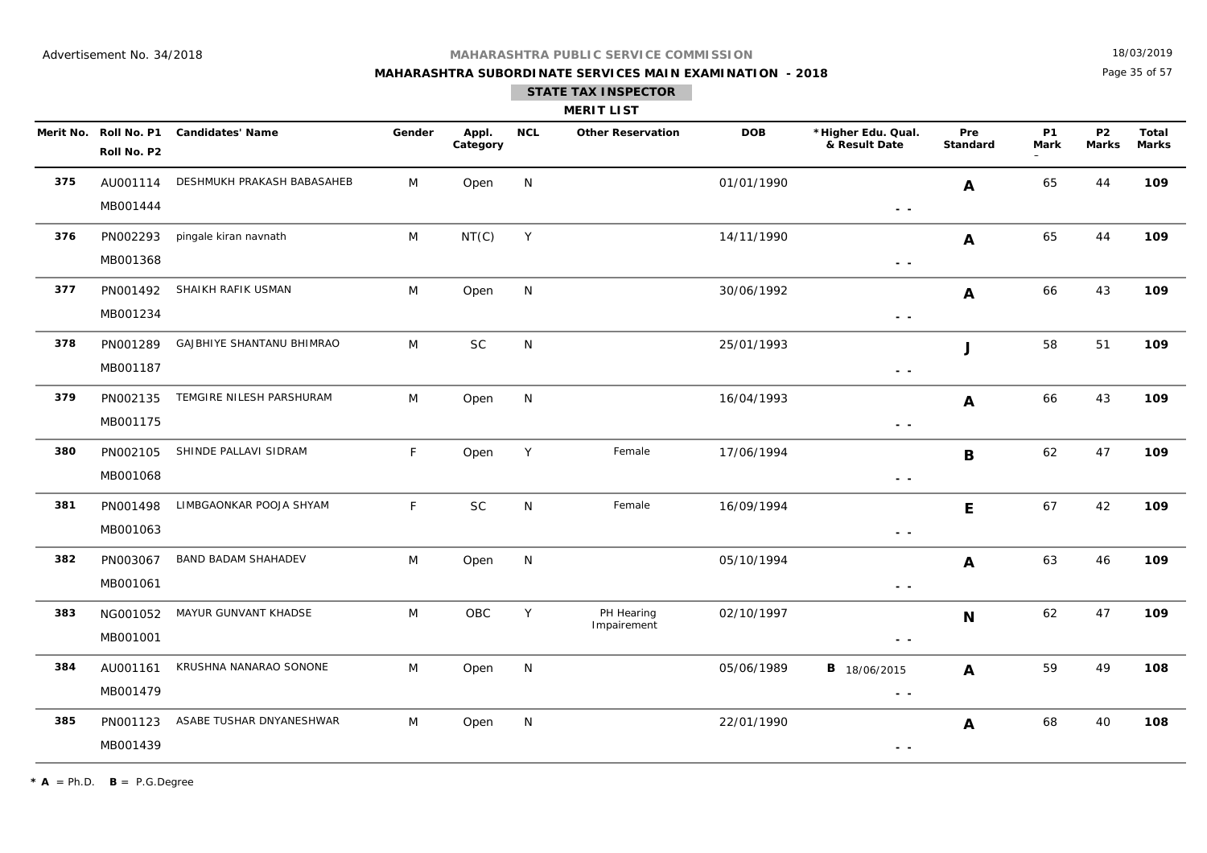## **MAHARASHTRA SUBORDINATE SERVICES MAIN EXAMINATION - 2018**

18/03/2019

Page 35 of 57

| <b>MERIT LIST</b> |
|-------------------|
|-------------------|

|     | Merit No. Roll No. P1<br>Roll No. P2 | <b>Candidates' Name</b>    | Gender       | Appl.<br>Category | <b>NCL</b> | <b>Other Reservation</b>  | <b>DOB</b> | *Higher Edu. Qual.<br>& Result Date                                               | Pre<br><b>Standard</b> | <b>P1</b><br>Mark | P <sub>2</sub><br><b>Marks</b> | <b>Total</b><br><b>Marks</b> |
|-----|--------------------------------------|----------------------------|--------------|-------------------|------------|---------------------------|------------|-----------------------------------------------------------------------------------|------------------------|-------------------|--------------------------------|------------------------------|
| 375 | AU001114<br>MB001444                 | DESHMUKH PRAKASH BABASAHEB | M            | Open              | N          |                           | 01/01/1990 | $\sim$ $-$                                                                        | A                      | 65                | 44                             | 109                          |
| 376 | PN002293<br>MB001368                 | pingale kiran navnath      | M            | NT(C)             | Y          |                           | 14/11/1990 | $\sim$ $\sim$                                                                     | A                      | 65                | 44                             | 109                          |
| 377 | PN001492<br>MB001234                 | SHAIKH RAFIK USMAN         | M            | Open              | N          |                           | 30/06/1992 | $\sim$ $\sim$                                                                     | A                      | 66                | 43                             | 109                          |
| 378 | PN001289<br>MB001187                 | GAJBHIYE SHANTANU BHIMRAO  | M            | <b>SC</b>         | N          |                           | 25/01/1993 | $\sim$ $-$                                                                        | J                      | 58                | 51                             | 109                          |
| 379 | PN002135<br>MB001175                 | TEMGIRE NILESH PARSHURAM   | M            | Open              | N          |                           | 16/04/1993 | $\frac{1}{2} \left( \frac{1}{2} \right) = \frac{1}{2} \left( \frac{1}{2} \right)$ | A                      | 66                | 43                             | 109                          |
| 380 | PN002105<br>MB001068                 | SHINDE PALLAVI SIDRAM      | $\mathsf{F}$ | Open              | Y          | Female                    | 17/06/1994 | $ -$                                                                              | B                      | 62                | 47                             | 109                          |
| 381 | PN001498<br>MB001063                 | LIMBGAONKAR POOJA SHYAM    | $\mathsf{F}$ | <b>SC</b>         | N          | Female                    | 16/09/1994 | $\frac{1}{2} \left( \frac{1}{2} \right) = \frac{1}{2} \left( \frac{1}{2} \right)$ | E                      | 67                | 42                             | 109                          |
| 382 | PN003067<br>MB001061                 | <b>BAND BADAM SHAHADEV</b> | M            | Open              | N          |                           | 05/10/1994 | $\sim$ $\sim$                                                                     | A                      | 63                | 46                             | 109                          |
| 383 | NG001052<br>MB001001                 | MAYUR GUNVANT KHADSE       | M            | OBC               | Y          | PH Hearing<br>Impairement | 02/10/1997 | $ -$                                                                              | $\mathbf N$            | 62                | 47                             | 109                          |
| 384 | AU001161<br>MB001479                 | KRUSHNA NANARAO SONONE     | M            | Open              | N          |                           | 05/06/1989 | <b>B</b> 18/06/2015<br>$\sim$ $\sim$                                              | $\mathbf{A}$           | 59                | 49                             | 108                          |
| 385 | PN001123<br>MB001439                 | ASABE TUSHAR DNYANESHWAR   | M            | Open              | N          |                           | 22/01/1990 | $\frac{1}{2} \left( \frac{1}{2} \right) = \frac{1}{2}$                            | A                      | 68                | 40                             | 108                          |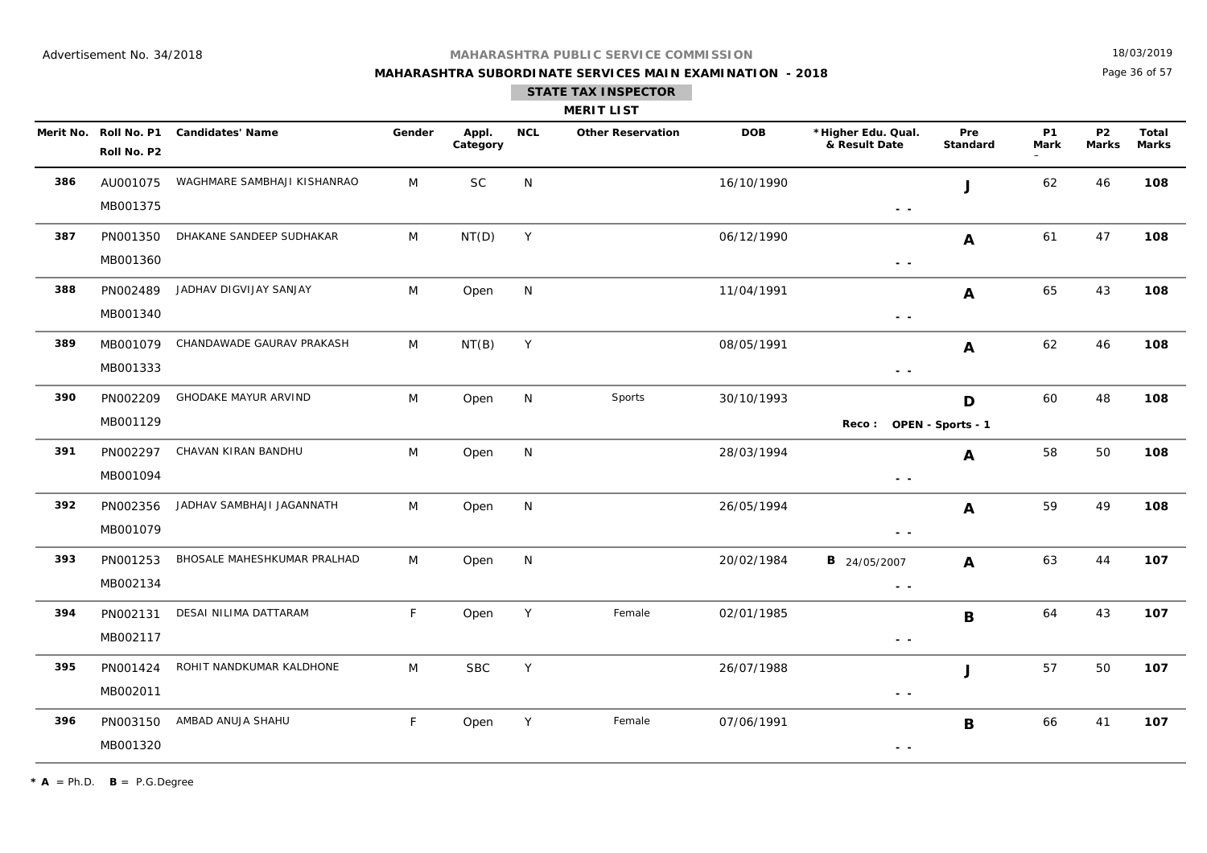## **MAHARASHTRA SUBORDINATE SERVICES MAIN EXAMINATION - 2018**

18/03/2019

Page 36 of 57

| <b>MERIT LIST</b> |  |  |
|-------------------|--|--|

|     | Merit No. Roll No. P1<br>Roll No. P2 | <b>Candidates' Name</b>     | Gender       | Appl.<br>Category | <b>NCL</b>  | <b>Other Reservation</b> | <b>DOB</b> | *Higher Edu. Qual.<br>& Result Date                                                                    | Pre<br>Standard        | <b>P1</b><br><b>Mark</b> | P <sub>2</sub><br><b>Marks</b> | Total<br><b>Marks</b> |
|-----|--------------------------------------|-----------------------------|--------------|-------------------|-------------|--------------------------|------------|--------------------------------------------------------------------------------------------------------|------------------------|--------------------------|--------------------------------|-----------------------|
| 386 | AU001075<br>MB001375                 | WAGHMARE SAMBHAJI KISHANRAO | M            | $\sf SC$          | N           |                          | 16/10/1990 | $\sim$ $\sim$                                                                                          | J                      | 62                       | 46                             | 108                   |
| 387 | PN001350<br>MB001360                 | DHAKANE SANDEEP SUDHAKAR    | M            | NT(D)             | Y           |                          | 06/12/1990 | $\sim$ $\sim$                                                                                          | A                      | 61                       | 47                             | 108                   |
| 388 | PN002489<br>MB001340                 | JADHAV DIGVIJAY SANJAY      | M            | Open              | N           |                          | 11/04/1991 | $\sim$ $ \sim$                                                                                         | A                      | 65                       | 43                             | 108                   |
| 389 | MB001079<br>MB001333                 | CHANDAWADE GAURAV PRAKASH   | M            | NT(B)             | Y           |                          | 08/05/1991 | $\sim$ $\sim$                                                                                          | A                      | 62                       | 46                             | 108                   |
| 390 | PN002209<br>MB001129                 | <b>GHODAKE MAYUR ARVIND</b> | M            | Open              | N           | Sports                   | 30/10/1993 | Reco:                                                                                                  | D<br>OPEN - Sports - 1 | 60                       | 48                             | 108                   |
| 391 | PN002297<br>MB001094                 | CHAVAN KIRAN BANDHU         | M            | Open              | N           |                          | 28/03/1994 | $ -$                                                                                                   | A                      | 58                       | 50                             | 108                   |
| 392 | PN002356<br>MB001079                 | JADHAV SAMBHAJI JAGANNATH   | M            | Open              | N           |                          | 26/05/1994 | $\frac{1}{2} \left( \frac{1}{2} \right) \frac{1}{2} \left( \frac{1}{2} \right)$                        | A                      | 59                       | 49                             | 108                   |
| 393 | PN001253<br>MB002134                 | BHOSALE MAHESHKUMAR PRALHAD | M            | Open              | N           |                          | 20/02/1984 | <b>B</b> 24/05/2007<br>$\frac{1}{2} \left( \frac{1}{2} \right) \frac{1}{2} \left( \frac{1}{2} \right)$ | $\mathbf{A}$           | 63                       | 44                             | 107                   |
| 394 | PN002131<br>MB002117                 | DESAI NILIMA DATTARAM       | F            | Open              | Y           | Female                   | 02/01/1985 | $\frac{1}{2} \left( \frac{1}{2} \right) \frac{1}{2} \left( \frac{1}{2} \right)$                        | $\mathbf B$            | 64                       | 43                             | 107                   |
| 395 | PN001424<br>MB002011                 | ROHIT NANDKUMAR KALDHONE    | M            | <b>SBC</b>        | $\mathsf Y$ |                          | 26/07/1988 | $\sim$ $\sim$                                                                                          | J                      | 57                       | 50                             | 107                   |
| 396 | PN003150<br>MB001320                 | AMBAD ANUJA SHAHU           | $\mathsf{F}$ | Open              | Y           | Female                   | 07/06/1991 | $ -$                                                                                                   | $\mathbf B$            | 66                       | 41                             | 107                   |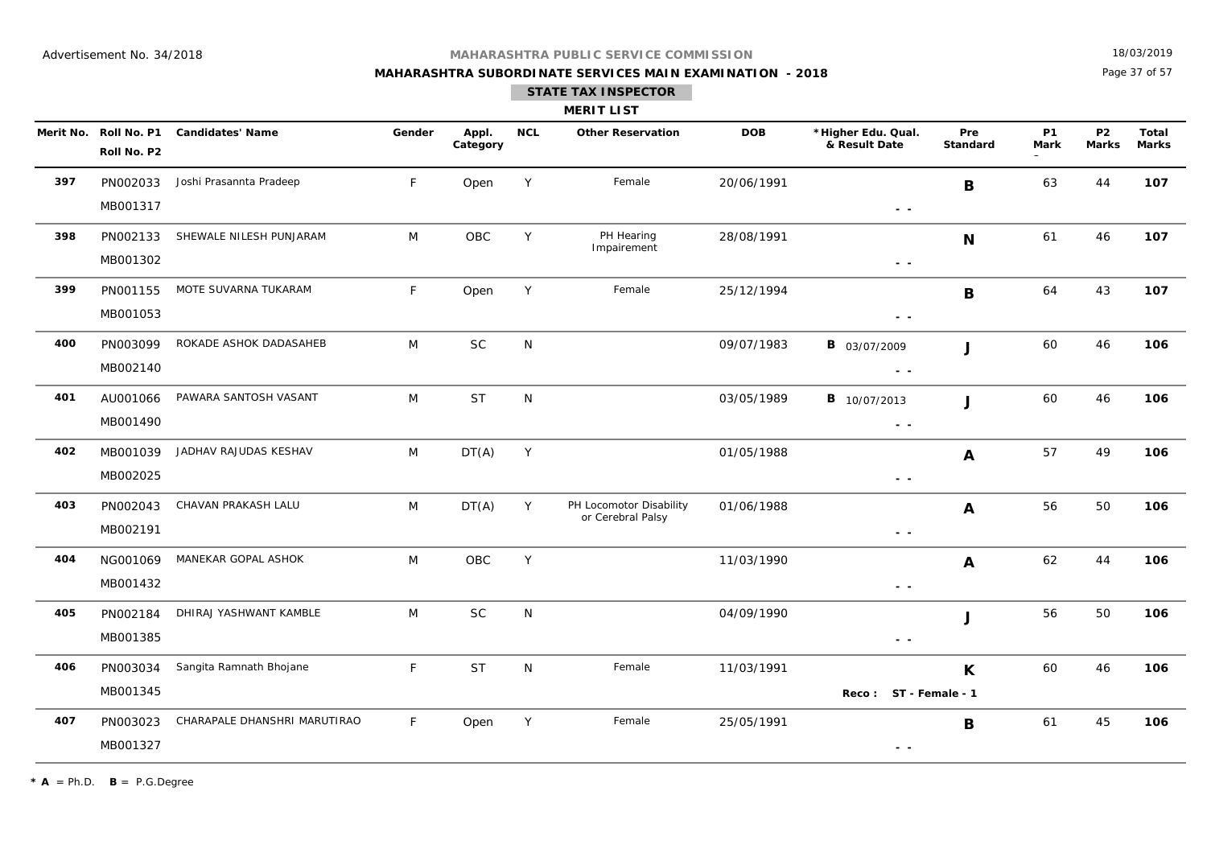## **MAHARASHTRA SUBORDINATE SERVICES MAIN EXAMINATION - 2018**

18/03/2019

Page 37 of 57

|  |  | <b>MERIT LIST</b> |  |
|--|--|-------------------|--|
|  |  |                   |  |

|     | Roll No. P2          | Merit No. Roll No. P1 Candidates' Name | Gender | Appl.<br>Category | <b>NCL</b>   | <b>Other Reservation</b>                     | <b>DOB</b> | *Higher Edu. Qual.<br>& Result Date                                               | Pre<br><b>Standard</b> | <b>P1</b><br><b>Mark</b> | <b>P2</b><br><b>Marks</b> | <b>Total</b><br><b>Marks</b> |
|-----|----------------------|----------------------------------------|--------|-------------------|--------------|----------------------------------------------|------------|-----------------------------------------------------------------------------------|------------------------|--------------------------|---------------------------|------------------------------|
| 397 | PN002033<br>MB001317 | Joshi Prasannta Pradeep                | F      | Open              | Y            | Female                                       | 20/06/1991 | $\frac{1}{2} \left( \frac{1}{2} \right) = \frac{1}{2} \left( \frac{1}{2} \right)$ | B                      | 63                       | 44                        | 107                          |
| 398 | PN002133<br>MB001302 | SHEWALE NILESH PUNJARAM                | M      | OBC               | Y            | PH Hearing<br>Impairement                    | 28/08/1991 | $ -$                                                                              | N                      | 61                       | 46                        | 107                          |
| 399 | PN001155<br>MB001053 | MOTE SUVARNA TUKARAM                   | F      | Open              | Y            | Female                                       | 25/12/1994 | $\sim$ $\sim$                                                                     | B                      | 64                       | 43                        | 107                          |
| 400 | PN003099<br>MB002140 | ROKADE ASHOK DADASAHEB                 | M      | <b>SC</b>         | ${\sf N}$    |                                              | 09/07/1983 | <b>B</b> 03/07/2009<br>$\frac{1}{2} \left( \frac{1}{2} \right) = \frac{1}{2}$     | J                      | 60                       | 46                        | 106                          |
| 401 | AU001066<br>MB001490 | PAWARA SANTOSH VASANT                  | M      | <b>ST</b>         | ${\sf N}$    |                                              | 03/05/1989 | <b>B</b> 10/07/2013<br>$\sim$ $\sim$                                              | J                      | 60                       | 46                        | 106                          |
| 402 | MB001039<br>MB002025 | JADHAV RAJUDAS KESHAV                  | M      | DT(A)             | Y            |                                              | 01/05/1988 | $\sim$ $\sim$                                                                     | A                      | 57                       | 49                        | 106                          |
| 403 | PN002043<br>MB002191 | CHAVAN PRAKASH LALU                    | M      | DT(A)             | Y            | PH Locomotor Disability<br>or Cerebral Palsy | 01/06/1988 | $\sim$ $-$                                                                        | A                      | 56                       | 50                        | 106                          |
| 404 | NG001069<br>MB001432 | MANEKAR GOPAL ASHOK                    | M      | OBC               | Y            |                                              | 11/03/1990 | $\sim$ $\sim$                                                                     | A                      | 62                       | 44                        | 106                          |
| 405 | PN002184<br>MB001385 | DHIRAJ YASHWANT KAMBLE                 | M      | $\sf SC$          | N            |                                              | 04/09/1990 | $\sim$ $\sim$                                                                     | J                      | 56                       | 50                        | 106                          |
| 406 | PN003034<br>MB001345 | Sangita Ramnath Bhojane                | F      | <b>ST</b>         | $\mathsf{N}$ | Female                                       | 11/03/1991 | Reco: ST - Female - 1                                                             | K                      | 60                       | 46                        | 106                          |
| 407 | PN003023<br>MB001327 | CHARAPALE DHANSHRI MARUTIRAO           | F      | Open              | Y            | Female                                       | 25/05/1991 | $\frac{1}{2} \left( \frac{1}{2} \right) \frac{1}{2} \left( \frac{1}{2} \right)$   | B                      | 61                       | 45                        | 106                          |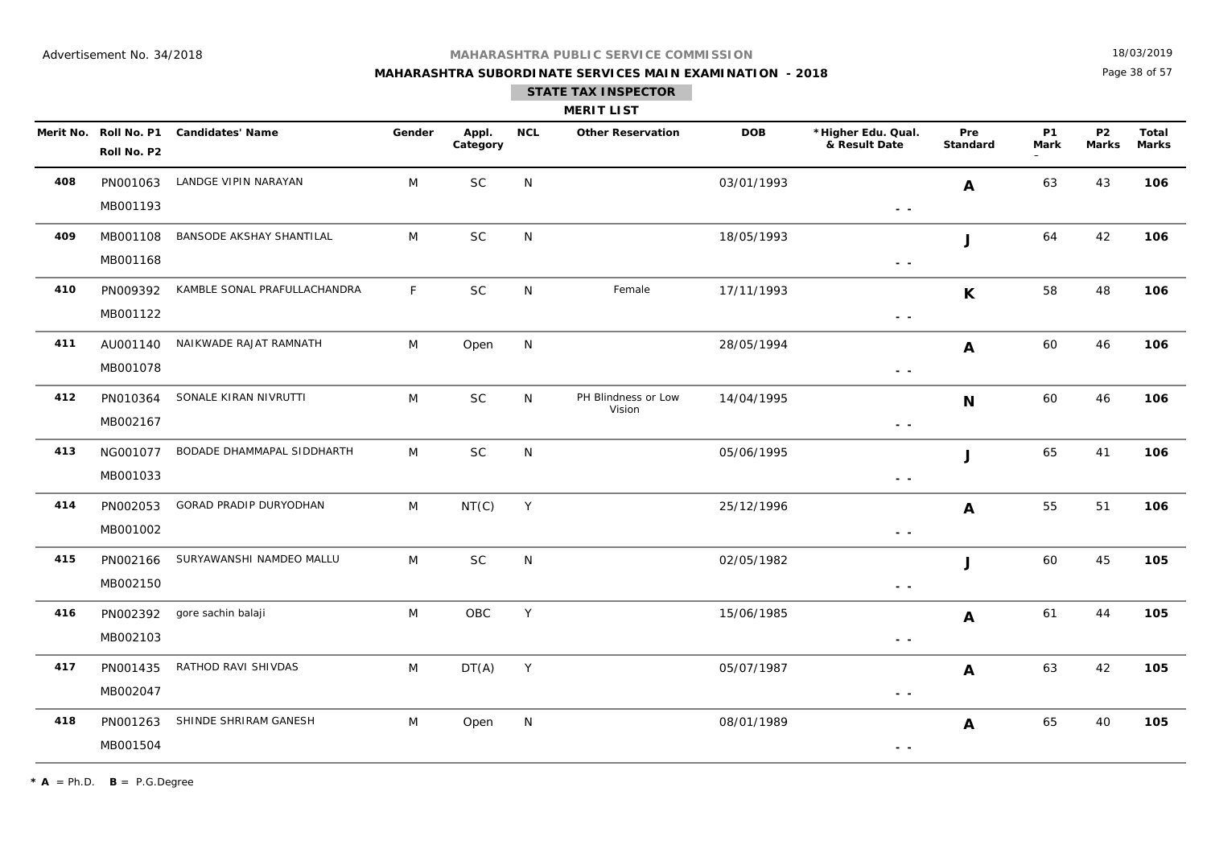## **MAHARASHTRA SUBORDINATE SERVICES MAIN EXAMINATION - 2018**

18/03/2019

Page 38 of 57

|     | <b>MERIT LIST</b>                    |                                 |              |                   |            |                               |            |                                     |                  |                          |                           |                       |
|-----|--------------------------------------|---------------------------------|--------------|-------------------|------------|-------------------------------|------------|-------------------------------------|------------------|--------------------------|---------------------------|-----------------------|
|     | Merit No. Roll No. P1<br>Roll No. P2 | <b>Candidates' Name</b>         | Gender       | Appl.<br>Category | <b>NCL</b> | <b>Other Reservation</b>      | <b>DOB</b> | *Higher Edu. Qual.<br>& Result Date | Pre<br>Standard  | <b>P1</b><br><b>Mark</b> | <b>P2</b><br><b>Marks</b> | Total<br><b>Marks</b> |
| 408 | PN001063<br>MB001193                 | LANDGE VIPIN NARAYAN            | M            | <b>SC</b>         | N          |                               | 03/01/1993 | $ -$                                | $\boldsymbol{A}$ | 63                       | 43                        | 106                   |
| 409 | MB001108<br>MB001168                 | BANSODE AKSHAY SHANTILAL        | M            | SC                | N          |                               | 18/05/1993 | $\sim$ $ \sim$                      | J                | 64                       | 42                        | 106                   |
| 410 | PN009392<br>MB001122                 | KAMBLE SONAL PRAFULLACHANDRA    | $\mathsf{F}$ | <b>SC</b>         | N          | Female                        | 17/11/1993 | $\sim$ $\sim$                       | $\mathsf{K}$     | 58                       | 48                        | 106                   |
| 411 | MB001078                             | AU001140 NAIKWADE RAJAT RAMNATH | M            | Open              | N          |                               | 28/05/1994 | $\sim$ $-$                          | A                | 60                       | 46                        | 106                   |
| 412 | PN010364<br>MB002167                 | SONALE KIRAN NIVRUTTI           | M            | <b>SC</b>         | N          | PH Blindness or Low<br>Vision | 14/04/1995 | $\sim$ $\sim$                       | $\mathbf N$      | 60                       | 46                        | 106                   |
| 413 | NG001077<br>MB001033                 | BODADE DHAMMAPAL SIDDHARTH      | M            | <b>SC</b>         | N          |                               | 05/06/1995 | $\sim$ $\sim$                       | J                | 65                       | 41                        | 106                   |
| 414 | PN002053<br>MB001002                 | GORAD PRADIP DURYODHAN          | M            | NT(C)             | Y          |                               | 25/12/1996 | $\sim$ $\sim$                       | $\boldsymbol{A}$ | 55                       | 51                        | 106                   |
| 415 | PN002166<br>MB002150                 | SURYAWANSHI NAMDEO MALLU        | M            | <b>SC</b>         | N          |                               | 02/05/1982 | $\sim$ $\sim$                       | J                | 60                       | 45                        | 105                   |
| 416 | PN002392<br>MB002103                 | gore sachin balaji              | M            | OBC               | Y          |                               | 15/06/1985 | $ -$                                | A                | 61                       | 44                        | 105                   |
| 417 | PN001435<br>MB002047                 | RATHOD RAVI SHIVDAS             | M            | DT(A)             | Y          |                               | 05/07/1987 | $\sim$ $\sim$                       | A                | 63                       | 42                        | 105                   |
| 418 | PN001263<br>MB001504                 | SHINDE SHRIRAM GANESH           | M            | Open              | N          |                               | 08/01/1989 | $\sim$ $\sim$                       | A                | 65                       | 40                        | 105                   |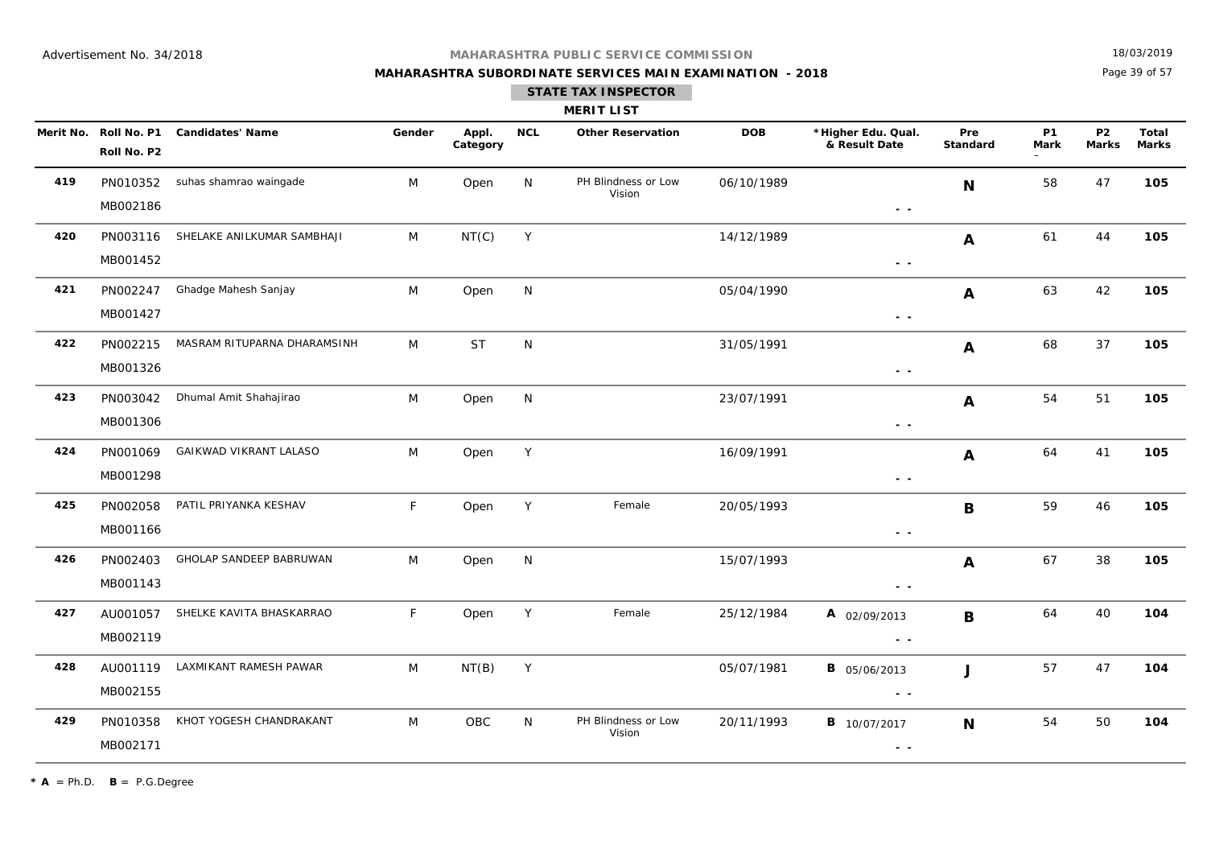## **MAHARASHTRA SUBORDINATE SERVICES MAIN EXAMINATION - 2018**

18/03/2019

Page 39 of 57

| MERITL |  |
|--------|--|
|--------|--|

|     | Merit No. Roll No. P1<br>Roll No. P2 | <b>Candidates' Name</b>     | Gender       | Appl.<br>Category | <b>NCL</b> | <b>Other Reservation</b>      | <b>DOB</b> | *Higher Edu. Qual.<br>& Result Date                                                             | Pre<br><b>Standard</b> | <b>P1</b><br><b>Mark</b> | P <sub>2</sub><br>Marks | Total<br>Marks |
|-----|--------------------------------------|-----------------------------|--------------|-------------------|------------|-------------------------------|------------|-------------------------------------------------------------------------------------------------|------------------------|--------------------------|-------------------------|----------------|
| 419 | PN010352<br>MB002186                 | suhas shamrao waingade      | M            | Open              | N          | PH Blindness or Low<br>Vision | 06/10/1989 | $ -$                                                                                            | N                      | 58                       | 47                      | 105            |
| 420 | PN003116<br>MB001452                 | SHELAKE ANILKUMAR SAMBHAJI  | M            | NT(C)             | Y          |                               | 14/12/1989 | $\sim$ $-$                                                                                      | A                      | 61                       | 44                      | 105            |
| 421 | PN002247<br>MB001427                 | Ghadge Mahesh Sanjay        | M            | Open              | N          |                               | 05/04/1990 | $\sim$ $-$                                                                                      | A                      | 63                       | 42                      | 105            |
| 422 | PN002215<br>MB001326                 | MASRAM RITUPARNA DHARAMSINH | M            | <b>ST</b>         | N          |                               | 31/05/1991 | $\sim$ $-$                                                                                      | A                      | 68                       | 37                      | 105            |
| 423 | PN003042<br>MB001306                 | Dhumal Amit Shahajirao      | M            | Open              | N          |                               | 23/07/1991 | $\sim$ $\sim$                                                                                   | $\boldsymbol{A}$       | 54                       | 51                      | 105            |
| 424 | PN001069<br>MB001298                 | GAIKWAD VIKRANT LALASO      | M            | Open              | Y          |                               | 16/09/1991 | $\frac{1}{2} \left( \frac{1}{2} \right) = \frac{1}{2} \left( \frac{1}{2} \right)$               | A                      | 64                       | 41                      | 105            |
| 425 | PN002058<br>MB001166                 | PATIL PRIYANKA KESHAV       | F            | Open              | Y          | Female                        | 20/05/1993 | $\sim$ $-$                                                                                      | B                      | 59                       | 46                      | 105            |
| 426 | PN002403<br>MB001143                 | GHOLAP SANDEEP BABRUWAN     | M            | Open              | N          |                               | 15/07/1993 | $\sim$ $\sim$                                                                                   | A                      | 67                       | 38                      | 105            |
| 427 | AU001057<br>MB002119                 | SHELKE KAVITA BHASKARRAO    | $\mathsf{F}$ | Open              | Y          | Female                        | 25/12/1984 | A 02/09/2013<br>$\frac{1}{2} \left( \frac{1}{2} \right) \frac{1}{2} \left( \frac{1}{2} \right)$ | $\mathbf B$            | 64                       | 40                      | 104            |
| 428 | AU001119<br>MB002155                 | LAXMIKANT RAMESH PAWAR      | M            | NT(B)             | Y          |                               | 05/07/1981 | <b>B</b> 05/06/2013<br>$\sim$ $\sim$                                                            | J                      | 57                       | 47                      | 104            |
| 429 | PN010358<br>MB002171                 | KHOT YOGESH CHANDRAKANT     | M            | <b>OBC</b>        | N.         | PH Blindness or Low<br>Vision | 20/11/1993 | <b>B</b> 10/07/2017<br>$\sim$ $-$                                                               | N                      | 54                       | 50                      | 104            |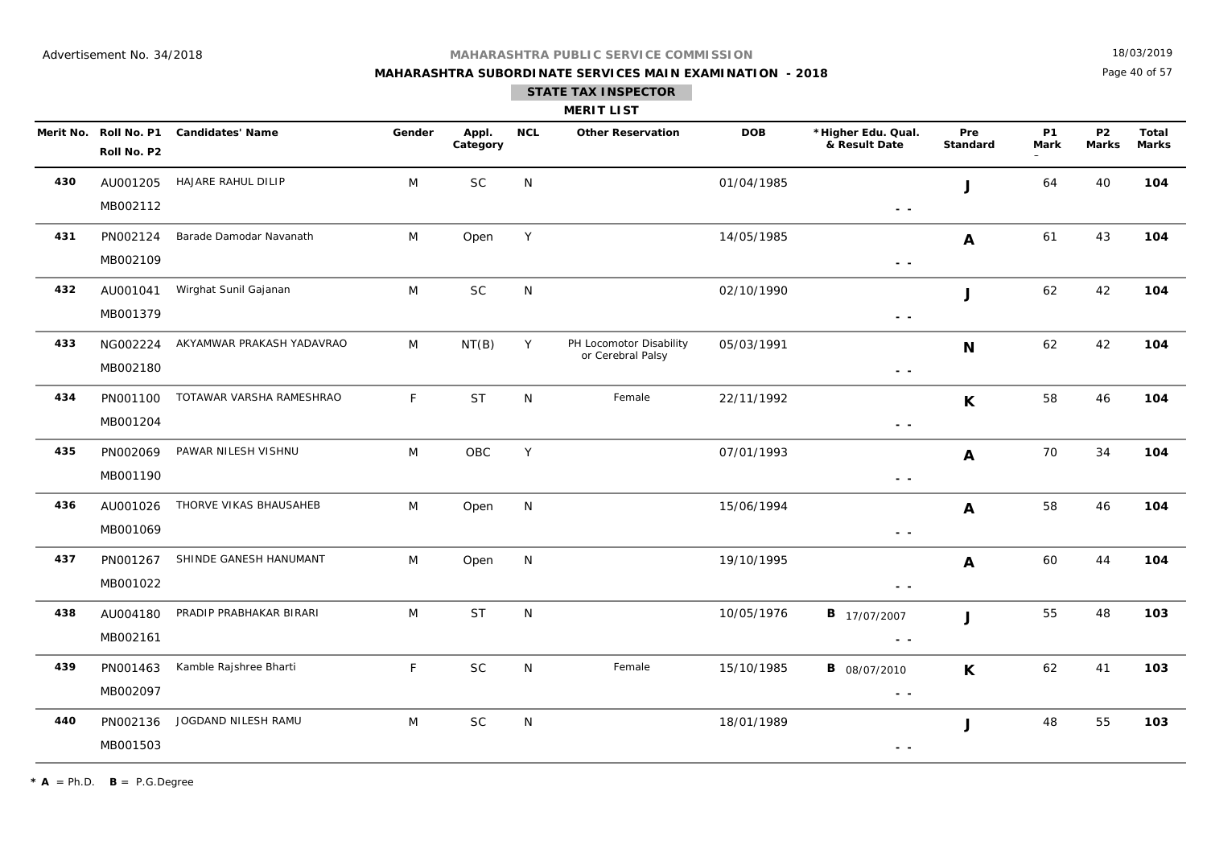## **MAHARASHTRA SUBORDINATE SERVICES MAIN EXAMINATION - 2018**

18/03/2019

Page 40 of 57

### **STATE TAX INSPECTOR**

| <b>MERIT LIST</b> |  |  |
|-------------------|--|--|
|                   |  |  |

|     | Roll No. P2          | Merit No. Roll No. P1 Candidates' Name | Gender       | Appl.<br>Category | <b>NCL</b>   | <b>Other Reservation</b>                     | <b>DOB</b> | *Higher Edu. Qual.<br>& Result Date                                               | Pre<br>Standard | <b>P1</b><br><b>Mark</b> | P <sub>2</sub><br><b>Marks</b> | Total<br>Marks |
|-----|----------------------|----------------------------------------|--------------|-------------------|--------------|----------------------------------------------|------------|-----------------------------------------------------------------------------------|-----------------|--------------------------|--------------------------------|----------------|
| 430 | AU001205<br>MB002112 | HAJARE RAHUL DILIP                     | M            | $\sf SC$          | N            |                                              | 01/04/1985 | $\sim$ $\sim$                                                                     | J               | 64                       | 40                             | 104            |
| 431 | PN002124<br>MB002109 | Barade Damodar Navanath                | M            | Open              | Y            |                                              | 14/05/1985 | $\sim$ $\sim$                                                                     | A               | 61                       | 43                             | 104            |
| 432 | AU001041<br>MB001379 | Wirghat Sunil Gajanan                  | M            | $\sf SC$          | N            |                                              | 02/10/1990 | $\sim$ $\sim$                                                                     | J               | 62                       | 42                             | 104            |
| 433 | NG002224<br>MB002180 | AKYAMWAR PRAKASH YADAVRAO              | M            | NT(B)             | Y            | PH Locomotor Disability<br>or Cerebral Palsy | 05/03/1991 | $\sim$ $\sim$                                                                     | N               | 62                       | 42                             | 104            |
| 434 | PN001100<br>MB001204 | TOTAWAR VARSHA RAMESHRAO               | $\mathsf{F}$ | <b>ST</b>         | ${\sf N}$    | Female                                       | 22/11/1992 | $\sim$ $-$                                                                        | K               | 58                       | 46                             | 104            |
| 435 | PN002069<br>MB001190 | PAWAR NILESH VISHNU                    | M            | OBC               | Y            |                                              | 07/01/1993 | $ -$                                                                              | A               | 70                       | 34                             | 104            |
| 436 | AU001026<br>MB001069 | THORVE VIKAS BHAUSAHEB                 | M            | Open              | N            |                                              | 15/06/1994 | $\sim$ $\sim$                                                                     | A               | 58                       | 46                             | 104            |
| 437 | PN001267<br>MB001022 | SHINDE GANESH HANUMANT                 | M            | Open              | N            |                                              | 19/10/1995 | $ -$                                                                              | A               | 60                       | 44                             | 104            |
| 438 | AU004180<br>MB002161 | PRADIP PRABHAKAR BIRARI                | M            | <b>ST</b>         | ${\sf N}$    |                                              | 10/05/1976 | <b>B</b> 17/07/2007<br>$ -$                                                       | J               | 55                       | 48                             | 103            |
| 439 | PN001463<br>MB002097 | Kamble Rajshree Bharti                 | $\mathsf{F}$ | SC                | $\mathsf{N}$ | Female                                       | 15/10/1985 | <b>B</b> 08/07/2010<br>$\sim$ $\sim$                                              | $\mathsf{K}$    | 62                       | 41                             | 103            |
| 440 | PN002136<br>MB001503 | JOGDAND NILESH RAMU                    | M            | <b>SC</b>         | $\mathsf{N}$ |                                              | 18/01/1989 | $\frac{1}{2} \left( \frac{1}{2} \right) = \frac{1}{2} \left( \frac{1}{2} \right)$ | $\mathsf J$     | 48                       | 55                             | 103            |

 $\star$  **A** = Ph.D. **B** = P.G.Degree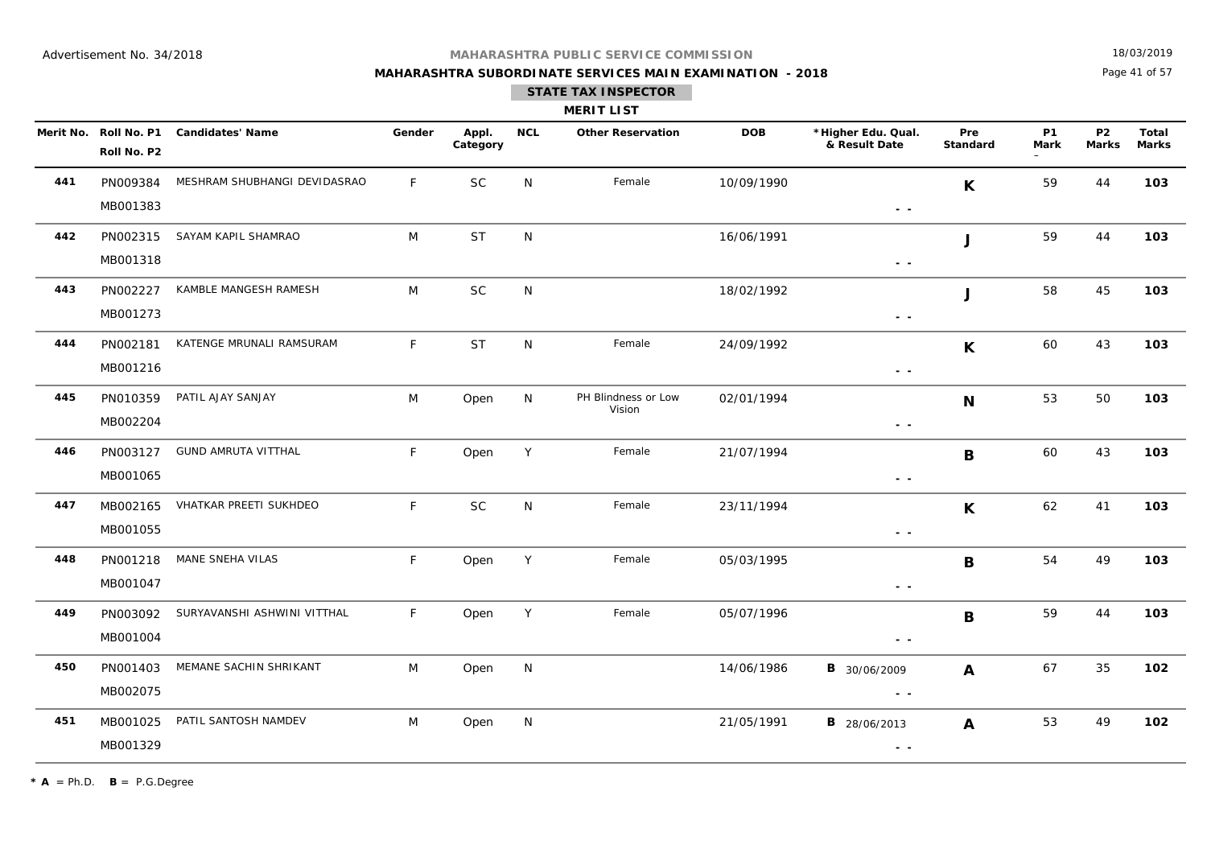**MAHARASHTRA SUBORDINATE SERVICES MAIN EXAMINATION - 2018**

18/03/2019

Page 41 of 57

|     |                      |                                        |              |                   |            | <b>MERIT LIST</b>             |            |                                                                                                                                                                                                                                                                                                                                                                                                                                                                       |                 |                   |                           |                       |
|-----|----------------------|----------------------------------------|--------------|-------------------|------------|-------------------------------|------------|-----------------------------------------------------------------------------------------------------------------------------------------------------------------------------------------------------------------------------------------------------------------------------------------------------------------------------------------------------------------------------------------------------------------------------------------------------------------------|-----------------|-------------------|---------------------------|-----------------------|
|     | Roll No. P2          | Merit No. Roll No. P1 Candidates' Name | Gender       | Appl.<br>Category | <b>NCL</b> | <b>Other Reservation</b>      | <b>DOB</b> | *Higher Edu. Qual.<br>& Result Date                                                                                                                                                                                                                                                                                                                                                                                                                                   | Pre<br>Standard | <b>P1</b><br>Mark | <b>P2</b><br><b>Marks</b> | Total<br><b>Marks</b> |
| 441 | PN009384<br>MB001383 | MESHRAM SHUBHANGI DEVIDASRAO           | F            | <b>SC</b>         | N          | Female                        | 10/09/1990 | $ -$                                                                                                                                                                                                                                                                                                                                                                                                                                                                  | K               | 59                | 44                        | 103                   |
| 442 | PN002315<br>MB001318 | SAYAM KAPIL SHAMRAO                    | M            | <b>ST</b>         | N          |                               | 16/06/1991 | $\sim$ $\sim$                                                                                                                                                                                                                                                                                                                                                                                                                                                         | J               | 59                | 44                        | 103                   |
| 443 | PN002227<br>MB001273 | KAMBLE MANGESH RAMESH                  | M            | $\sf SC$          | N          |                               | 18/02/1992 | $ -$                                                                                                                                                                                                                                                                                                                                                                                                                                                                  | J               | 58                | 45                        | 103                   |
| 444 | PN002181<br>MB001216 | KATENGE MRUNALI RAMSURAM               | F            | <b>ST</b>         | N          | Female                        | 24/09/1992 | $\sim$ $-$                                                                                                                                                                                                                                                                                                                                                                                                                                                            | $\mathsf{K}$    | 60                | 43                        | 103                   |
| 445 | PN010359<br>MB002204 | PATIL AJAY SANJAY                      | M            | Open              | N          | PH Blindness or Low<br>Vision | 02/01/1994 | $\sim$ $\sim$                                                                                                                                                                                                                                                                                                                                                                                                                                                         | N               | 53                | 50                        | 103                   |
| 446 | PN003127<br>MB001065 | <b>GUND AMRUTA VITTHAL</b>             | $\mathsf{F}$ | Open              | Y          | Female                        | 21/07/1994 | $\sim$ $\sim$                                                                                                                                                                                                                                                                                                                                                                                                                                                         | B               | 60                | 43                        | 103                   |
| 447 | MB002165<br>MB001055 | VHATKAR PREETI SUKHDEO                 | $\mathsf{F}$ | SC                | N          | Female                        | 23/11/1994 | $\sim$ $\sim$                                                                                                                                                                                                                                                                                                                                                                                                                                                         | $\mathsf{K}$    | 62                | 41                        | 103                   |
| 448 | PN001218<br>MB001047 | MANE SNEHA VILAS                       | F            | Open              | Y          | Female                        | 05/03/1995 | $\sim$ $\sim$                                                                                                                                                                                                                                                                                                                                                                                                                                                         | B               | 54                | 49                        | 103                   |
| 449 | PN003092<br>MB001004 | SURYAVANSHI ASHWINI VITTHAL            | F            | Open              | Y          | Female                        | 05/07/1996 | $\sim$ $\sim$                                                                                                                                                                                                                                                                                                                                                                                                                                                         | B               | 59                | 44                        | 103                   |
| 450 | PN001403<br>MB002075 | MEMANE SACHIN SHRIKANT                 | M            | Open              | N          |                               | 14/06/1986 | <b>B</b> 30/06/2009<br>$\sim$ $-$                                                                                                                                                                                                                                                                                                                                                                                                                                     | A               | 67                | 35                        | 102                   |
| 451 | MB001025<br>MB001329 | PATIL SANTOSH NAMDEV                   | M            | Open              | N          |                               | 21/05/1991 | <b>B</b> 28/06/2013<br>$\frac{1}{2} \left( \frac{1}{2} \right) + \frac{1}{2} \left( \frac{1}{2} \right) + \frac{1}{2} \left( \frac{1}{2} \right) + \frac{1}{2} \left( \frac{1}{2} \right) + \frac{1}{2} \left( \frac{1}{2} \right) + \frac{1}{2} \left( \frac{1}{2} \right) + \frac{1}{2} \left( \frac{1}{2} \right) + \frac{1}{2} \left( \frac{1}{2} \right) + \frac{1}{2} \left( \frac{1}{2} \right) + \frac{1}{2} \left( \frac{1}{2} \right) + \frac{1}{2} \left($ | A               | 53                | 49                        | 102                   |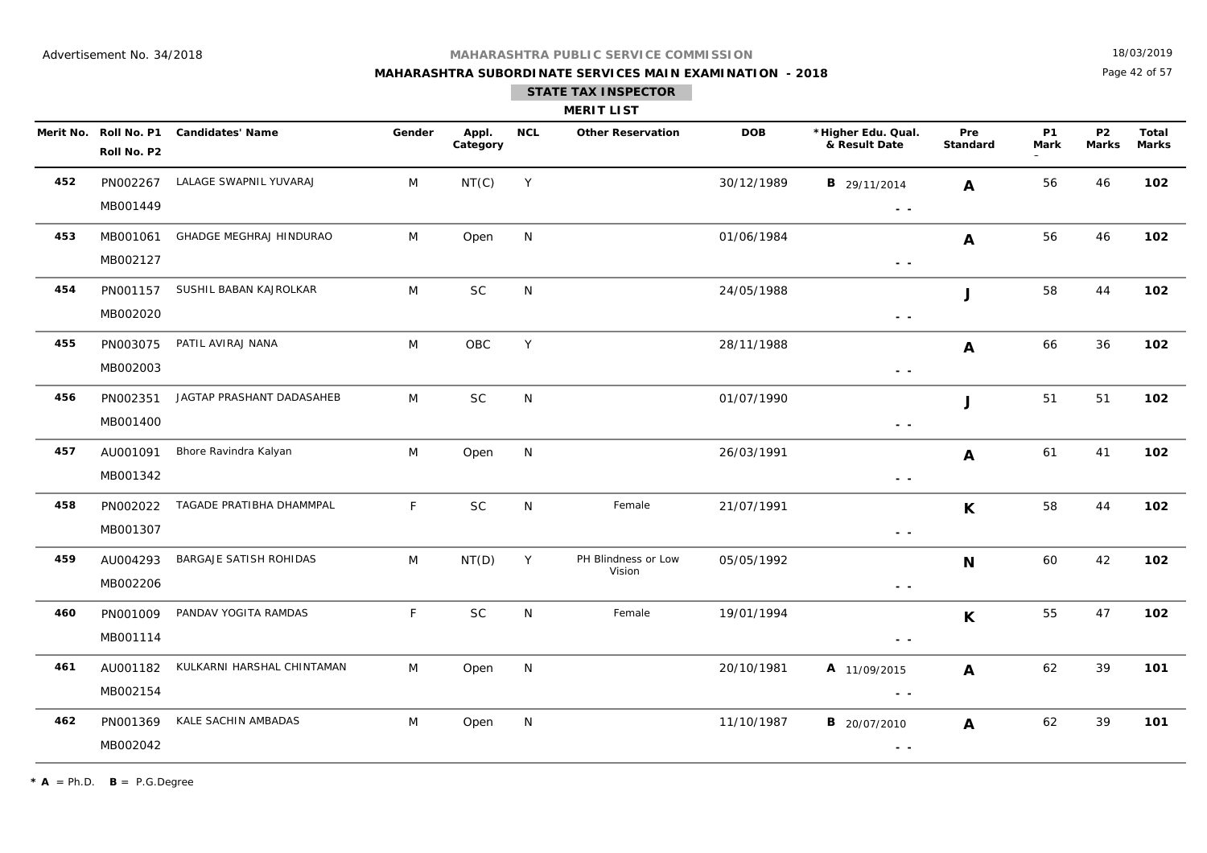## **MAHARASHTRA SUBORDINATE SERVICES MAIN EXAMINATION - 2018 STATE TAX INSPECTOR**

18/03/2019

Page 42 of 57

|     | <b>MERIT LIST</b>                    |                            |        |                   |              |                               |            |                                                                                 |                        |                          |                           |                              |  |
|-----|--------------------------------------|----------------------------|--------|-------------------|--------------|-------------------------------|------------|---------------------------------------------------------------------------------|------------------------|--------------------------|---------------------------|------------------------------|--|
|     | Merit No. Roll No. P1<br>Roll No. P2 | <b>Candidates' Name</b>    | Gender | Appl.<br>Category | <b>NCL</b>   | <b>Other Reservation</b>      | <b>DOB</b> | *Higher Edu. Qual.<br>& Result Date                                             | Pre<br><b>Standard</b> | <b>P1</b><br><b>Mark</b> | <b>P2</b><br><b>Marks</b> | <b>Total</b><br><b>Marks</b> |  |
| 452 | PN002267<br>MB001449                 | LALAGE SWAPNIL YUVARAJ     | M      | NT(C)             | Y            |                               | 30/12/1989 | <b>B</b> 29/11/2014<br>$\sim$ $\sim$                                            | A                      | 56                       | 46                        | 102                          |  |
| 453 | MB001061<br>MB002127                 | GHADGE MEGHRAJ HINDURAO    | M      | Open              | N            |                               | 01/06/1984 | $\frac{1}{2} \left( \frac{1}{2} \right) \frac{1}{2} \left( \frac{1}{2} \right)$ | A                      | 56                       | 46                        | 102                          |  |
| 454 | PN001157<br>MB002020                 | SUSHIL BABAN KAJROLKAR     | M      | <b>SC</b>         | $\mathsf{N}$ |                               | 24/05/1988 | $\sim$ $\sim$                                                                   | J                      | 58                       | 44                        | 102                          |  |
| 455 | PN003075<br>MB002003                 | PATIL AVIRAJ NANA          | M      | OBC               | Y            |                               | 28/11/1988 | $ -$                                                                            | A                      | 66                       | 36                        | 102                          |  |
| 456 | PN002351<br>MB001400                 | JAGTAP PRASHANT DADASAHEB  | M      | <b>SC</b>         | N            |                               | 01/07/1990 | $\sim$ $\sim$                                                                   | J                      | 51                       | 51                        | 102                          |  |
| 457 | AU001091<br>MB001342                 | Bhore Ravindra Kalyan      | M      | Open              | N            |                               | 26/03/1991 | $\sim$ $\sim$                                                                   | A                      | 61                       | 41                        | 102                          |  |
| 458 | PN002022<br>MB001307                 | TAGADE PRATIBHA DHAMMPAL   | F.     | <b>SC</b>         | $\mathsf{N}$ | Female                        | 21/07/1991 | $\sim$ $\sim$                                                                   | $\mathsf{K}$           | 58                       | 44                        | 102                          |  |
| 459 | AU004293<br>MB002206                 | BARGAJE SATISH ROHIDAS     | M      | NT(D)             | Y            | PH Blindness or Low<br>Vision | 05/05/1992 | $ -$                                                                            | N                      | 60                       | 42                        | 102                          |  |
| 460 | PN001009<br>MB001114                 | PANDAV YOGITA RAMDAS       | F.     | <b>SC</b>         | N            | Female                        | 19/01/1994 | $\sim$ $\sim$                                                                   | K                      | 55                       | 47                        | 102                          |  |
| 461 | AU001182<br>MB002154                 | KULKARNI HARSHAL CHINTAMAN | M      | Open              | N            |                               | 20/10/1981 | A 11/09/2015<br>$ -$                                                            | A                      | 62                       | 39                        | 101                          |  |
| 462 | PN001369                             | KALE SACHIN AMBADAS        | M      | Open              | N            |                               | 11/10/1987 | <b>B</b> 20/07/2010                                                             | A                      | 62                       | 39                        | 101                          |  |

 **- -** 

 $* A = Ph.D.$  **B** = P.G.Degree

MB002042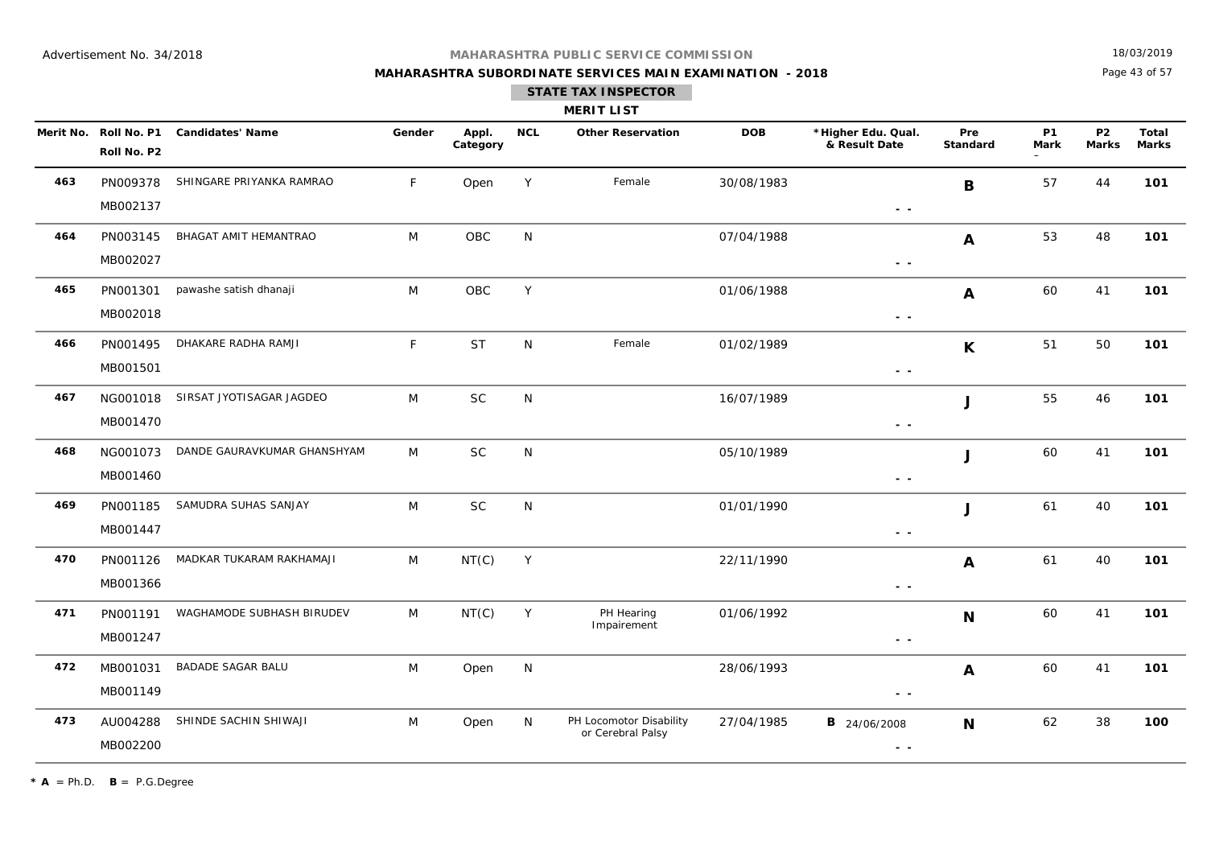**MAHARASHTRA SUBORDINATE SERVICES MAIN EXAMINATION - 2018**

18/03/2019

Page 43 of 57

| MERIT L<br>I |  |
|--------------|--|
|--------------|--|

|     | Merit No. Roll No. P1<br>Roll No. P2 | <b>Candidates' Name</b>     | Gender | Appl.<br>Category | <b>NCL</b> | <b>Other Reservation</b>                     | <b>DOB</b> | *Higher Edu. Qual.<br>& Result Date  | Pre<br><b>Standard</b> | <b>P1</b><br><b>Mark</b> | <b>P2</b><br><b>Marks</b> | <b>Total</b><br><b>Marks</b> |
|-----|--------------------------------------|-----------------------------|--------|-------------------|------------|----------------------------------------------|------------|--------------------------------------|------------------------|--------------------------|---------------------------|------------------------------|
| 463 | PN009378<br>MB002137                 | SHINGARE PRIYANKA RAMRAO    | F      | Open              | Y          | Female                                       | 30/08/1983 | $\sim$ $\sim$                        | B                      | 57                       | 44                        | 101                          |
| 464 | PN003145<br>MB002027                 | BHAGAT AMIT HEMANTRAO       | M      | OBC               | N          |                                              | 07/04/1988 | $\sim$ $\sim$                        | $\boldsymbol{A}$       | 53                       | 48                        | 101                          |
| 465 | PN001301<br>MB002018                 | pawashe satish dhanaji      | M      | OBC               | Y          |                                              | 01/06/1988 | $\sim$ $\sim$                        | A                      | 60                       | 41                        | 101                          |
| 466 | PN001495<br>MB001501                 | DHAKARE RADHA RAMJI         | F      | <b>ST</b>         | N          | Female                                       | 01/02/1989 | $\sim$ $\sim$                        | $\mathsf{K}$           | 51                       | 50                        | 101                          |
| 467 | NG001018<br>MB001470                 | SIRSAT JYOTISAGAR JAGDEO    | M      | <b>SC</b>         | N          |                                              | 16/07/1989 | $\sim$ $\sim$                        | J                      | 55                       | 46                        | 101                          |
| 468 | NG001073<br>MB001460                 | DANDE GAURAVKUMAR GHANSHYAM | M      | <b>SC</b>         | N          |                                              | 05/10/1989 | $\sim$ $\sim$                        | $\mathbf{J}$           | 60                       | 41                        | 101                          |
| 469 | PN001185<br>MB001447                 | SAMUDRA SUHAS SANJAY        | M      | <b>SC</b>         | ${\sf N}$  |                                              | 01/01/1990 | $\sim$ $\sim$                        | $\mathbf{J}$           | 61                       | 40                        | 101                          |
| 470 | PN001126<br>MB001366                 | MADKAR TUKARAM RAKHAMAJI    | M      | NT(C)             | Y          |                                              | 22/11/1990 | $\sim$ $\sim$                        | A                      | 61                       | 40                        | 101                          |
| 471 | PN001191<br>MB001247                 | WAGHAMODE SUBHASH BIRUDEV   | M      | NT(C)             | Υ          | PH Hearing<br>Impairement                    | 01/06/1992 | $\sim$ $\sim$                        | $\mathbf N$            | 60                       | 41                        | 101                          |
| 472 | MB001031<br>MB001149                 | <b>BADADE SAGAR BALU</b>    | M      | Open              | N          |                                              | 28/06/1993 | $ -$                                 | A                      | 60                       | 41                        | 101                          |
| 473 | AU004288<br>MB002200                 | SHINDE SACHIN SHIWAJI       | M      | Open              | N          | PH Locomotor Disability<br>or Cerebral Palsy | 27/04/1985 | <b>B</b> 24/06/2008<br>$\sim$ $\sim$ | N                      | 62                       | 38                        | 100                          |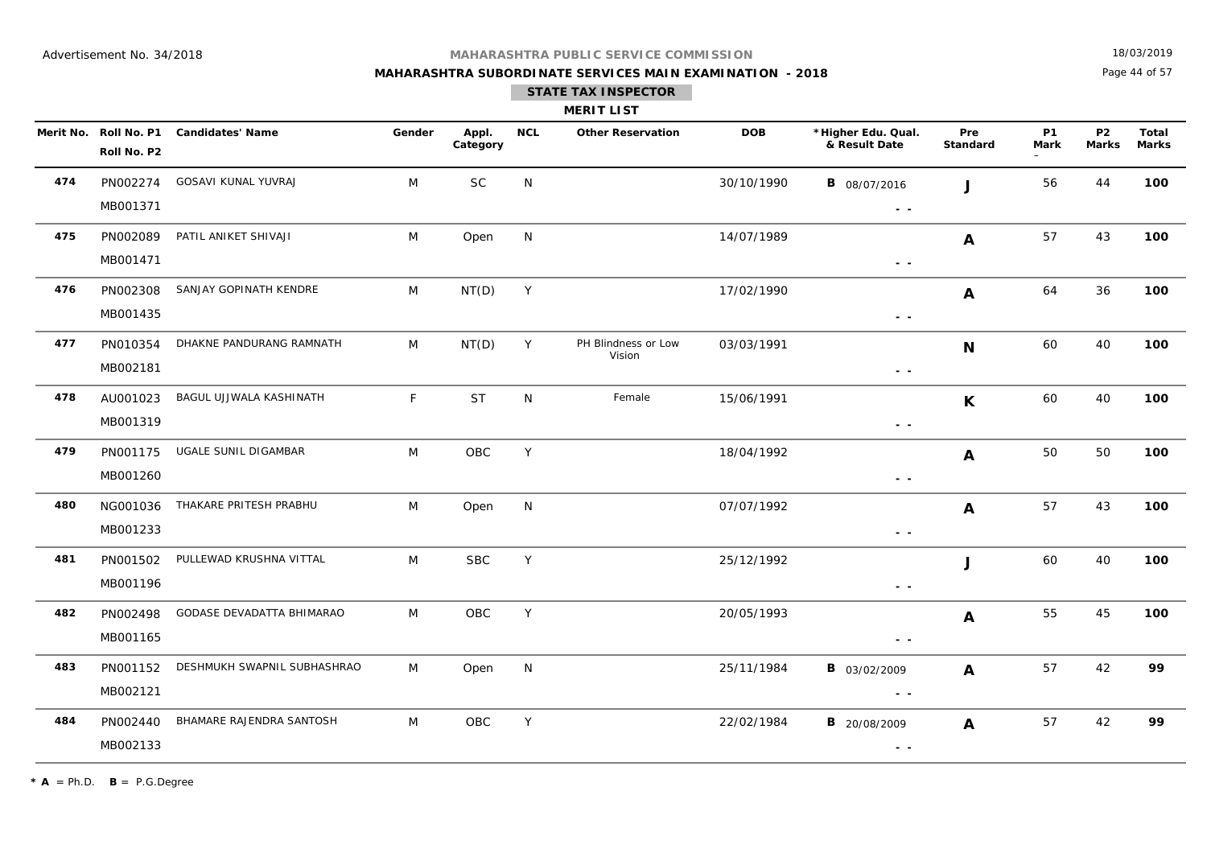## **MAHARASHTRA SUBORDINATE SERVICES MAIN EXAMINATION - 2018**

18/03/2019

Page 44 of 57

|     |                                      |                             |        |                   |            | <b>MERIT LIST</b>             |            |                                      |                  |                          |                           |                       |
|-----|--------------------------------------|-----------------------------|--------|-------------------|------------|-------------------------------|------------|--------------------------------------|------------------|--------------------------|---------------------------|-----------------------|
|     | Merit No. Roll No. P1<br>Roll No. P2 | <b>Candidates' Name</b>     | Gender | Appl.<br>Category | <b>NCL</b> | <b>Other Reservation</b>      | <b>DOB</b> | *Higher Edu. Qual.<br>& Result Date  | Pre<br>Standard  | <b>P1</b><br><b>Mark</b> | <b>P2</b><br><b>Marks</b> | Total<br><b>Marks</b> |
| 474 | PN002274<br>MB001371                 | GOSAVI KUNAL YUVRAJ         | M      | <b>SC</b>         | N          |                               | 30/10/1990 | <b>B</b> 08/07/2016<br>$\sim$ $\sim$ | $\mathbf{I}$     | 56                       | 44                        | 100                   |
| 475 | PN002089<br>MB001471                 | PATIL ANIKET SHIVAJI        | M      | Open              | N          |                               | 14/07/1989 | $\sim$ $\sim$                        | $\mathbf{A}$     | 57                       | 43                        | 100                   |
| 476 | PN002308<br>MB001435                 | SANJAY GOPINATH KENDRE      | M      | NT(D)             | Y          |                               | 17/02/1990 | $\sim$ $\sim$                        | $\mathbf{A}$     | 64                       | 36                        | 100                   |
| 477 | PN010354<br>MB002181                 | DHAKNE PANDURANG RAMNATH    | M      | NT(D)             | Y          | PH Blindness or Low<br>Vision | 03/03/1991 | $\sim$ $\sim$                        | $\mathbf N$      | 60                       | 40                        | 100                   |
| 478 | AU001023<br>MB001319                 | BAGUL UJJWALA KASHINATH     | F      | <b>ST</b>         | N          | Female                        | 15/06/1991 | $\sim$ $-$                           | $\mathsf{K}$     | 60                       | 40                        | 100                   |
| 479 | PN001175<br>MB001260                 | UGALE SUNIL DIGAMBAR        | M      | OBC               | Y          |                               | 18/04/1992 | $\sim$ $\sim$                        | A                | 50                       | 50                        | 100                   |
| 480 | NG001036<br>MB001233                 | THAKARE PRITESH PRABHU      | M      | Open              | N          |                               | 07/07/1992 | $\sim$ $\sim$                        | $\mathbf{A}$     | 57                       | 43                        | 100                   |
| 481 | PN001502<br>MB001196                 | PULLEWAD KRUSHNA VITTAL     | M      | <b>SBC</b>        | Y          |                               | 25/12/1992 | $\sim$ $\sim$                        | J                | 60                       | 40                        | 100                   |
| 482 | PN002498<br>MB001165                 | GODASE DEVADATTA BHIMARAO   | M      | OBC               | Y          |                               | 20/05/1993 | $ -$                                 | $\boldsymbol{A}$ | 55                       | 45                        | 100                   |
| 483 | PN001152<br>MB002121                 | DESHMUKH SWAPNIL SUBHASHRAO | M      | Open              | N          |                               | 25/11/1984 | <b>B</b> 03/02/2009<br>$\sim$ $\sim$ | $\mathbf{A}$     | 57                       | 42                        | 99                    |
| 484 | PN002440<br>MB002133                 | BHAMARE RAJENDRA SANTOSH    | M      | OBC               | Y          |                               | 22/02/1984 | <b>B</b> 20/08/2009<br>$\sim$ $\sim$ | A                | 57                       | 42                        | 99                    |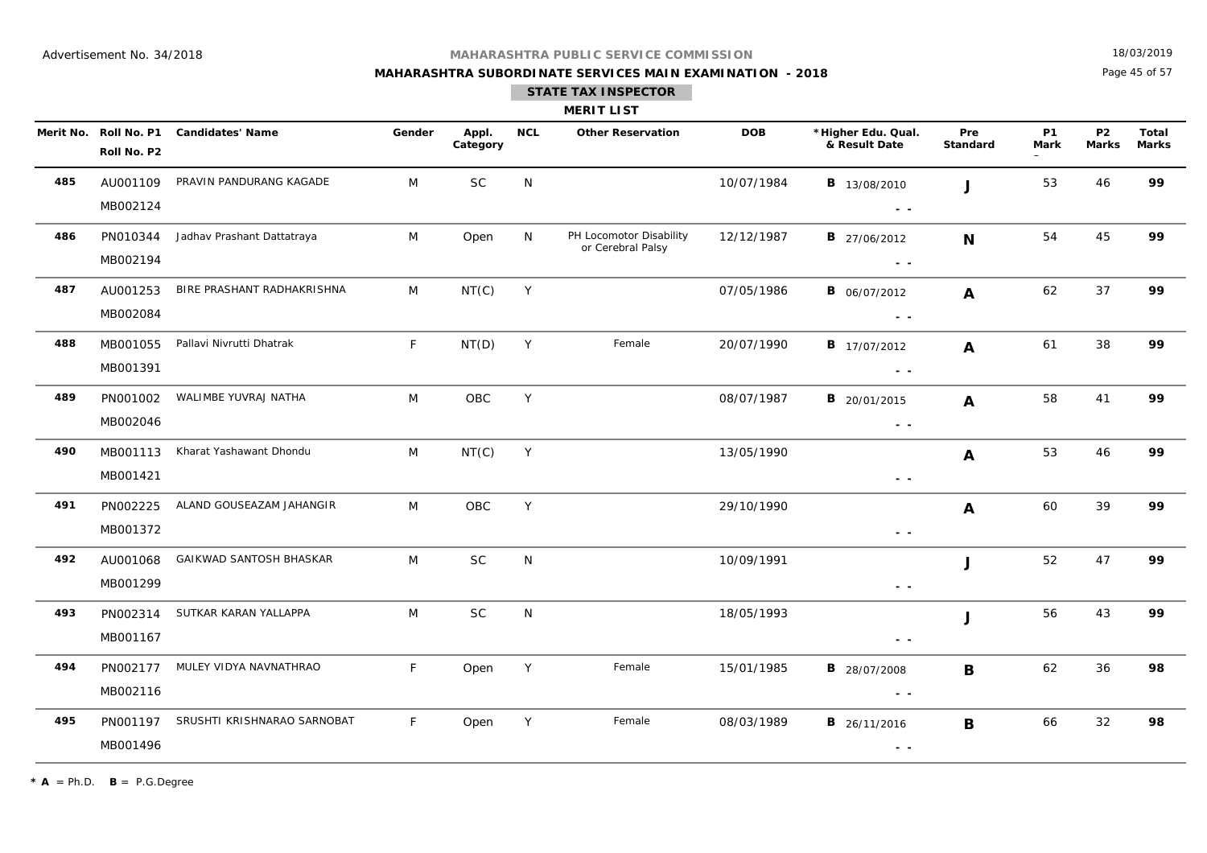## **MAHARASHTRA SUBORDINATE SERVICES MAIN EXAMINATION - 2018**

18/03/2019

Page 45 of 57

|     |                                      |                             |        |                   |            | <b>MERIT LIST</b>                            |            |                                                                                                                                                                                                                                                                                                                                                                                                                                                                       |                  |                          |                                |                       |
|-----|--------------------------------------|-----------------------------|--------|-------------------|------------|----------------------------------------------|------------|-----------------------------------------------------------------------------------------------------------------------------------------------------------------------------------------------------------------------------------------------------------------------------------------------------------------------------------------------------------------------------------------------------------------------------------------------------------------------|------------------|--------------------------|--------------------------------|-----------------------|
|     | Merit No. Roll No. P1<br>Roll No. P2 | <b>Candidates' Name</b>     | Gender | Appl.<br>Category | <b>NCL</b> | <b>Other Reservation</b>                     | <b>DOB</b> | *Higher Edu. Qual.<br>& Result Date                                                                                                                                                                                                                                                                                                                                                                                                                                   | Pre<br>Standard  | <b>P1</b><br><b>Mark</b> | P <sub>2</sub><br><b>Marks</b> | Total<br><b>Marks</b> |
| 485 | AU001109<br>MB002124                 | PRAVIN PANDURANG KAGADE     | M      | SC                | N          |                                              | 10/07/1984 | <b>B</b> 13/08/2010<br>$\frac{1}{2} \left( \frac{1}{2} \right) \frac{1}{2} \left( \frac{1}{2} \right)$                                                                                                                                                                                                                                                                                                                                                                | $\mathbf{J}$     | 53                       | 46                             | 99                    |
| 486 | PN010344<br>MB002194                 | Jadhav Prashant Dattatraya  | M      | Open              | N          | PH Locomotor Disability<br>or Cerebral Palsy | 12/12/1987 | <b>B</b> 27/06/2012<br>$\frac{1}{2} \left( \frac{1}{2} \right) \frac{1}{2} \left( \frac{1}{2} \right)$                                                                                                                                                                                                                                                                                                                                                                | N                | 54                       | 45                             | 99                    |
| 487 | AU001253<br>MB002084                 | BIRE PRASHANT RADHAKRISHNA  | M      | NT(C)             | Y          |                                              | 07/05/1986 | <b>B</b> 06/07/2012<br>$\sim$ $\sim$                                                                                                                                                                                                                                                                                                                                                                                                                                  | $\mathbf{A}$     | 62                       | 37                             | 99                    |
| 488 | MB001055<br>MB001391                 | Pallavi Nivrutti Dhatrak    | F.     | NT(D)             | Y          | Female                                       | 20/07/1990 | <b>B</b> 17/07/2012<br>$ -$                                                                                                                                                                                                                                                                                                                                                                                                                                           | $\mathbf{A}$     | 61                       | 38                             | 99                    |
| 489 | PN001002<br>MB002046                 | WALIMBE YUVRAJ NATHA        | M      | OBC               | Y          |                                              | 08/07/1987 | <b>B</b> 20/01/2015<br>$\sim$ $\sim$                                                                                                                                                                                                                                                                                                                                                                                                                                  | $\mathbf{A}$     | 58                       | 41                             | 99                    |
| 490 | MB001113<br>MB001421                 | Kharat Yashawant Dhondu     | M      | NT(C)             | Y          |                                              | 13/05/1990 | $\frac{1}{2} \left( \frac{1}{2} \right) \frac{1}{2} \left( \frac{1}{2} \right)$                                                                                                                                                                                                                                                                                                                                                                                       | $\boldsymbol{A}$ | 53                       | 46                             | 99                    |
| 491 | PN002225<br>MB001372                 | ALAND GOUSEAZAM JAHANGIR    | M      | OBC               | Y          |                                              | 29/10/1990 | $\sim$ $\sim$                                                                                                                                                                                                                                                                                                                                                                                                                                                         | $\boldsymbol{A}$ | 60                       | 39                             | 99                    |
| 492 | AU001068<br>MB001299                 | GAIKWAD SANTOSH BHASKAR     | M      | $\sf SC$          | ${\sf N}$  |                                              | 10/09/1991 | $\sim$ $\sim$                                                                                                                                                                                                                                                                                                                                                                                                                                                         | J                | 52                       | 47                             | 99                    |
| 493 | PN002314<br>MB001167                 | SUTKAR KARAN YALLAPPA       | M      | <b>SC</b>         | N          |                                              | 18/05/1993 | $\frac{1}{2} \left( \frac{1}{2} \right) = \frac{1}{2} \left( \frac{1}{2} \right)$                                                                                                                                                                                                                                                                                                                                                                                     | J                | 56                       | 43                             | 99                    |
| 494 | PN002177<br>MB002116                 | MULEY VIDYA NAVNATHRAO      | F.     | Open              | Y          | Female                                       | 15/01/1985 | <b>B</b> 28/07/2008<br>$ -$                                                                                                                                                                                                                                                                                                                                                                                                                                           | B                | 62                       | 36                             | 98                    |
| 495 | PN001197<br>MB001496                 | SRUSHTI KRISHNARAO SARNOBAT | F.     | Open              | Y          | Female                                       | 08/03/1989 | <b>B</b> 26/11/2016<br>$\frac{1}{2} \left( \frac{1}{2} \right) + \frac{1}{2} \left( \frac{1}{2} \right) + \frac{1}{2} \left( \frac{1}{2} \right) + \frac{1}{2} \left( \frac{1}{2} \right) + \frac{1}{2} \left( \frac{1}{2} \right) + \frac{1}{2} \left( \frac{1}{2} \right) + \frac{1}{2} \left( \frac{1}{2} \right) + \frac{1}{2} \left( \frac{1}{2} \right) + \frac{1}{2} \left( \frac{1}{2} \right) + \frac{1}{2} \left( \frac{1}{2} \right) + \frac{1}{2} \left($ | B                | 66                       | 32                             | 98                    |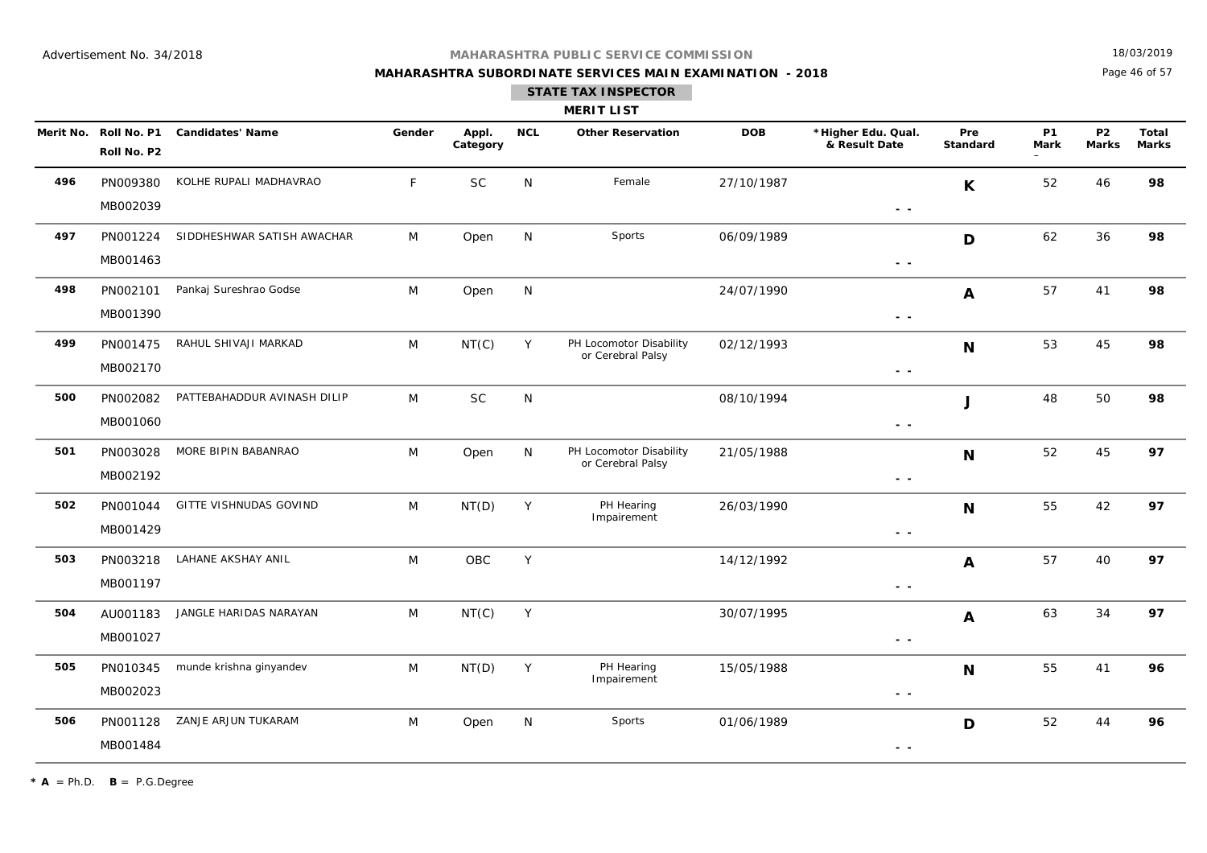**MAHARASHTRA SUBORDINATE SERVICES MAIN EXAMINATION - 2018**

18/03/2019

Page 46 of 57

|     |                                      |                             |        |                   |            | <b>MERIT LIST</b>                            |            |                                     |                        |                          |                           |                       |
|-----|--------------------------------------|-----------------------------|--------|-------------------|------------|----------------------------------------------|------------|-------------------------------------|------------------------|--------------------------|---------------------------|-----------------------|
|     | Merit No. Roll No. P1<br>Roll No. P2 | <b>Candidates' Name</b>     | Gender | Appl.<br>Category | <b>NCL</b> | <b>Other Reservation</b>                     | <b>DOB</b> | *Higher Edu. Qual.<br>& Result Date | Pre<br><b>Standard</b> | <b>P1</b><br><b>Mark</b> | <b>P2</b><br><b>Marks</b> | Total<br><b>Marks</b> |
| 496 | PN009380<br>MB002039                 | KOLHE RUPALI MADHAVRAO      | F.     | SC                | N          | Female                                       | 27/10/1987 | $ -$                                | $\mathsf{K}$           | 52                       | 46                        | 98                    |
| 497 | PN001224<br>MB001463                 | SIDDHESHWAR SATISH AWACHAR  | M      | Open              | N          | Sports                                       | 06/09/1989 | $\sim$ $\sim$                       | D                      | 62                       | 36                        | 98                    |
| 498 | PN002101<br>MB001390                 | Pankaj Sureshrao Godse      | M      | Open              | N          |                                              | 24/07/1990 | $\sim$ $-$                          | A                      | 57                       | 41                        | 98                    |
| 499 | PN001475<br>MB002170                 | RAHUL SHIVAJI MARKAD        | M      | NT(C)             | Y          | PH Locomotor Disability<br>or Cerebral Palsy | 02/12/1993 | $ -$                                | N                      | 53                       | 45                        | 98                    |
| 500 | PN002082<br>MB001060                 | PATTEBAHADDUR AVINASH DILIP | M      | SC                | N          |                                              | 08/10/1994 | $\sim$ $\sim$                       | J                      | 48                       | 50                        | 98                    |
| 501 | PN003028<br>MB002192                 | MORE BIPIN BABANRAO         | M      | Open              | N          | PH Locomotor Disability<br>or Cerebral Palsy | 21/05/1988 | $\sim$ $\sim$                       | N                      | 52                       | 45                        | 97                    |
| 502 | PN001044<br>MB001429                 | GITTE VISHNUDAS GOVIND      | M      | NT(D)             | Y          | PH Hearing<br>Impairement                    | 26/03/1990 | $\sim$ $\sim$                       | N                      | 55                       | 42                        | 97                    |
| 503 | PN003218<br>MB001197                 | LAHANE AKSHAY ANIL          | M      | <b>OBC</b>        | Y          |                                              | 14/12/1992 | $\sim$ $\sim$                       | A                      | 57                       | 40                        | 97                    |
| 504 | AU001183<br>MB001027                 | JANGLE HARIDAS NARAYAN      | M      | NT(C)             | Y          |                                              | 30/07/1995 | $\sim$ $-$                          | $\boldsymbol{A}$       | 63                       | 34                        | 97                    |
| 505 | PN010345<br>MB002023                 | munde krishna ginyandev     | M      | NT(D)             | Υ          | PH Hearing<br>Impairement                    | 15/05/1988 | $\sim$ $\sim$                       | N                      | 55                       | 41                        | 96                    |
| 506 | PN001128<br>MB001484                 | ZANJE ARJUN TUKARAM         | M      | Open              | N          | Sports                                       | 01/06/1989 | $\sim$ $\sim$                       | D                      | 52                       | 44                        | 96                    |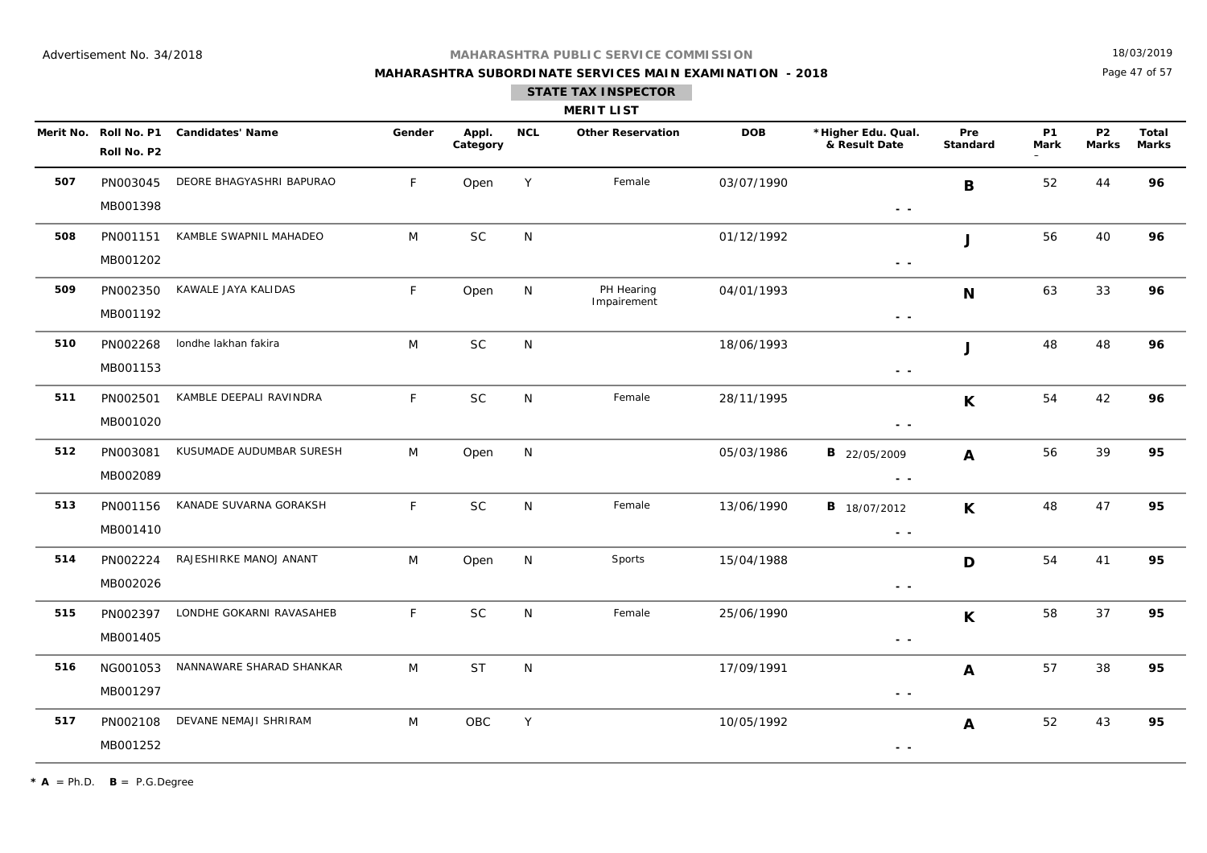**MAHARASHTRA SUBORDINATE SERVICES MAIN EXAMINATION - 2018**

18/03/2019

Page 47 of 57

| <b>MERIT LIST</b> |  |  |  |  |  |
|-------------------|--|--|--|--|--|
|-------------------|--|--|--|--|--|

|     | Merit No. Roll No. P1<br>Roll No. P2 | <b>Candidates' Name</b>  | Gender | Appl.<br>Category | <b>NCL</b>   | <b>Other Reservation</b>  | <b>DOB</b> | *Higher Edu. Qual.<br>& Result Date                                                                    | Pre<br><b>Standard</b> | <b>P1</b><br><b>Mark</b> | P <sub>2</sub><br>Marks | Total<br><b>Marks</b> |
|-----|--------------------------------------|--------------------------|--------|-------------------|--------------|---------------------------|------------|--------------------------------------------------------------------------------------------------------|------------------------|--------------------------|-------------------------|-----------------------|
| 507 | PN003045<br>MB001398                 | DEORE BHAGYASHRI BAPURAO | F.     | Open              | Y            | Female                    | 03/07/1990 | $ -$                                                                                                   | B                      | 52                       | 44                      | 96                    |
| 508 | PN001151<br>MB001202                 | KAMBLE SWAPNIL MAHADEO   | M      | $\sf SC$          | N            |                           | 01/12/1992 | $\sim$ $ \sim$                                                                                         | J                      | 56                       | 40                      | 96                    |
| 509 | PN002350<br>MB001192                 | KAWALE JAYA KALIDAS      | F      | Open              | ${\sf N}$    | PH Hearing<br>Impairement | 04/01/1993 | $\sim$ $\sim$                                                                                          | N                      | 63                       | 33                      | 96                    |
| 510 | PN002268<br>MB001153                 | londhe lakhan fakira     | M      | <b>SC</b>         | N            |                           | 18/06/1993 | $\sim$ $ \sim$                                                                                         | J                      | 48                       | 48                      | 96                    |
| 511 | PN002501<br>MB001020                 | KAMBLE DEEPALI RAVINDRA  | F      | <b>SC</b>         | N            | Female                    | 28/11/1995 | $ -$                                                                                                   | K                      | 54                       | 42                      | 96                    |
| 512 | PN003081<br>MB002089                 | KUSUMADE AUDUMBAR SURESH | M      | Open              | N            |                           | 05/03/1986 | <b>B</b> 22/05/2009<br>$\frac{1}{2} \left( \frac{1}{2} \right) \frac{1}{2} \left( \frac{1}{2} \right)$ | $\boldsymbol{A}$       | 56                       | 39                      | 95                    |
| 513 | PN001156<br>MB001410                 | KANADE SUVARNA GORAKSH   | F      | <b>SC</b>         | N            | Female                    | 13/06/1990 | <b>B</b> 18/07/2012<br>$\sim$ $-$                                                                      | $\mathsf{K}$           | 48                       | 47                      | 95                    |
| 514 | PN002224<br>MB002026                 | RAJESHIRKE MANOJ ANANT   | M      | Open              | N            | Sports                    | 15/04/1988 | $\frac{1}{2} \left( \frac{1}{2} \right) \frac{1}{2} \left( \frac{1}{2} \right)$                        | D                      | 54                       | 41                      | 95                    |
| 515 | PN002397<br>MB001405                 | LONDHE GOKARNI RAVASAHEB | F      | <b>SC</b>         | $\mathsf{N}$ | Female                    | 25/06/1990 | $\frac{1}{2} \left( \frac{1}{2} \right) \frac{1}{2} \left( \frac{1}{2} \right)$                        | $\mathsf{K}$           | 58                       | 37                      | 95                    |
| 516 | NG001053<br>MB001297                 | NANNAWARE SHARAD SHANKAR | M      | <b>ST</b>         | $\mathsf{N}$ |                           | 17/09/1991 | $\sim$ $\sim$                                                                                          | $\mathbf{A}$           | 57                       | 38                      | 95                    |
| 517 | PN002108<br>MB001252                 | DEVANE NEMAJI SHRIRAM    | M      | OBC               | Y            |                           | 10/05/1992 | $ -$                                                                                                   | $\mathbf{A}$           | 52                       | 43                      | 95                    |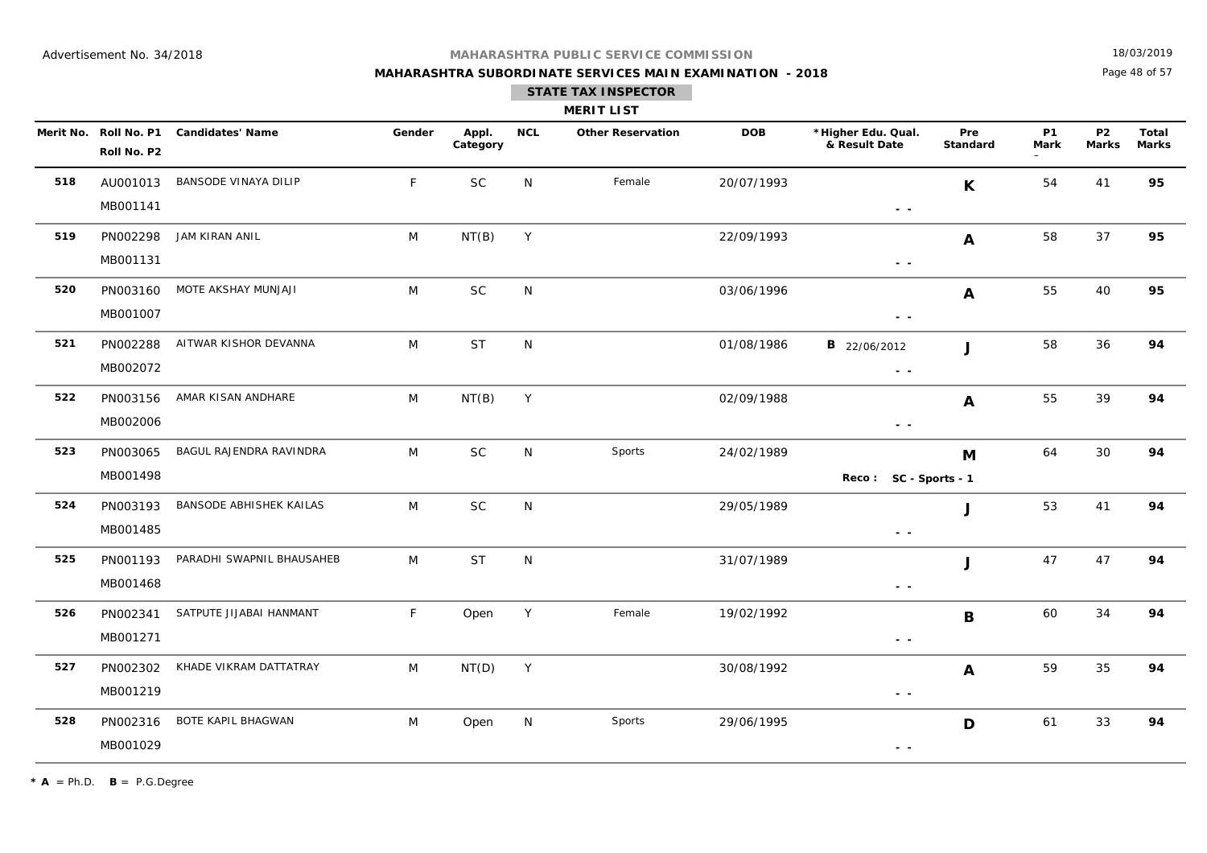## **MAHARASHTRA SUBORDINATE SERVICES MAIN EXAMINATION - 2018**

18/03/2019

Page 48 of 57

|     |                      |                                        |             |                   |            | <b>MERIT LIST</b>        |            |                                                                                 |                  |                          |                           |                |
|-----|----------------------|----------------------------------------|-------------|-------------------|------------|--------------------------|------------|---------------------------------------------------------------------------------|------------------|--------------------------|---------------------------|----------------|
|     | Roll No. P2          | Merit No. Roll No. P1 Candidates' Name | Gender      | Appl.<br>Category | <b>NCL</b> | <b>Other Reservation</b> | <b>DOB</b> | *Higher Edu. Qual.<br>& Result Date                                             | Pre<br>Standard  | <b>P1</b><br><b>Mark</b> | <b>P2</b><br><b>Marks</b> | Total<br>Marks |
| 518 | AU001013<br>MB001141 | BANSODE VINAYA DILIP                   | $\mathsf F$ | <b>SC</b>         | N          | Female                   | 20/07/1993 | $\sim$ $\sim$                                                                   | $\mathsf{K}$     | 54                       | 41                        | 95             |
| 519 | PN002298<br>MB001131 | JAM KIRAN ANIL                         | M           | NT(B)             | Y          |                          | 22/09/1993 | $\sim$ $\sim$                                                                   | A                | 58                       | 37                        | 95             |
| 520 | PN003160<br>MB001007 | MOTE AKSHAY MUNJAJI                    | M           | <b>SC</b>         | N          |                          | 03/06/1996 | $\sim$ $\sim$                                                                   | A                | 55                       | 40                        | 95             |
| 521 | PN002288<br>MB002072 | AITWAR KISHOR DEVANNA                  | M           | <b>ST</b>         | N          |                          | 01/08/1986 | <b>B</b> 22/06/2012<br>$\sim$ $\sim$                                            | $\mathbf{J}$     | 58                       | 36                        | 94             |
| 522 | PN003156<br>MB002006 | AMAR KISAN ANDHARE                     | M           | NT(B)             | Y          |                          | 02/09/1988 | $\sim$ $\sim$                                                                   | A                | 55                       | 39                        | 94             |
| 523 | PN003065<br>MB001498 | BAGUL RAJENDRA RAVINDRA                | M           | SC                | N          | Sports                   | 24/02/1989 | Reco: SC - Sports - 1                                                           | M                | 64                       | 30                        | 94             |
| 524 | PN003193<br>MB001485 | BANSODE ABHISHEK KAILAS                | M           | <b>SC</b>         | N          |                          | 29/05/1989 | $\sim$ $\sim$                                                                   | J                | 53                       | 41                        | 94             |
| 525 | PN001193<br>MB001468 | PARADHI SWAPNIL BHAUSAHEB              | M           | <b>ST</b>         | N          |                          | 31/07/1989 | $\sim$ $\sim$                                                                   | J                | 47                       | 47                        | 94             |
| 526 | PN002341<br>MB001271 | SATPUTE JIJABAI HANMANT                | F           | Open              | Y          | Female                   | 19/02/1992 | $\frac{1}{2} \left( \frac{1}{2} \right) \frac{1}{2} \left( \frac{1}{2} \right)$ | B                | 60                       | 34                        | 94             |
| 527 | PN002302<br>MB001219 | KHADE VIKRAM DATTATRAY                 | M           | NT(D)             | Y          |                          | 30/08/1992 | $ -$                                                                            | $\boldsymbol{A}$ | 59                       | 35                        | 94             |
| 528 | PN002316<br>MB001029 | BOTE KAPIL BHAGWAN                     | M           | Open              | N          | Sports                   | 29/06/1995 | $\sim$ $\sim$                                                                   | D                | 61                       | 33                        | 94             |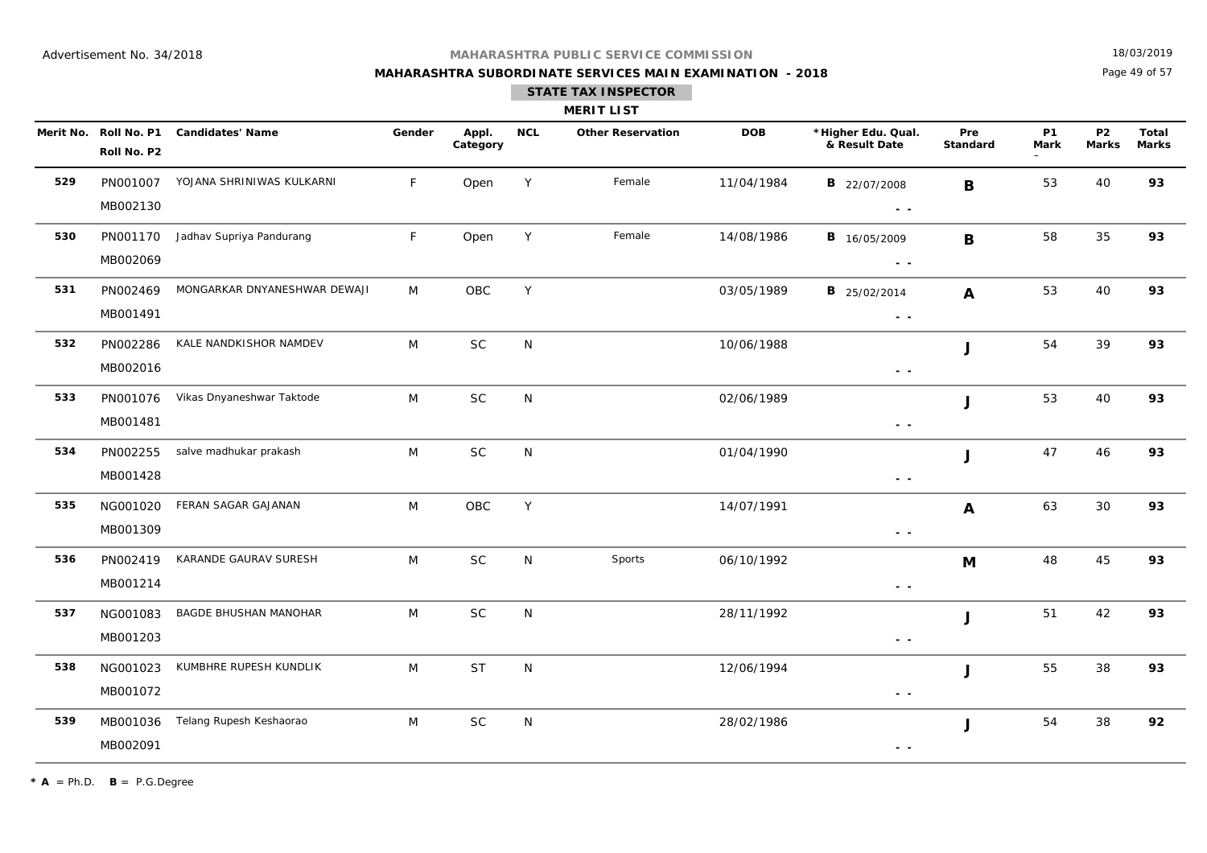**MAHARASHTRA SUBORDINATE SERVICES MAIN EXAMINATION - 2018**

18/03/2019

Page 49 of 57

|     | Merit No. Roll No. P1<br>Roll No. P2 | <b>Candidates' Name</b>      | Gender | Appl.<br>Category | <b>NCL</b>   | <b>Other Reservation</b> | <b>DOB</b> | *Higher Edu. Qual.<br>& Result Date                                                                    | Pre<br>Standard | <b>P1</b><br><b>Mark</b> | P <sub>2</sub><br><b>Marks</b> | Total<br><b>Marks</b> |
|-----|--------------------------------------|------------------------------|--------|-------------------|--------------|--------------------------|------------|--------------------------------------------------------------------------------------------------------|-----------------|--------------------------|--------------------------------|-----------------------|
| 529 | PN001007<br>MB002130                 | YOJANA SHRINIWAS KULKARNI    | F      | Open              | Y            | Female                   | 11/04/1984 | <b>B</b> 22/07/2008<br>$\sim$ $\sim$                                                                   | B               | 53                       | 40                             | 93                    |
| 530 | PN001170<br>MB002069                 | Jadhav Supriya Pandurang     | F.     | Open              | Y            | Female                   | 14/08/1986 | <b>B</b> 16/05/2009<br>$\frac{1}{2} \left( \frac{1}{2} \right) \frac{1}{2} \left( \frac{1}{2} \right)$ | B               | 58                       | 35                             | 93                    |
| 531 | PN002469<br>MB001491                 | MONGARKAR DNYANESHWAR DEWAJI | M      | OBC               | Y            |                          | 03/05/1989 | <b>B</b> 25/02/2014<br>$\sim$ $\sim$                                                                   | A               | 53                       | 40                             | 93                    |
| 532 | PN002286<br>MB002016                 | KALE NANDKISHOR NAMDEV       | M      | <b>SC</b>         | N            |                          | 10/06/1988 | $\sim$ $\sim$                                                                                          | J               | 54                       | 39                             | 93                    |
| 533 | PN001076<br>MB001481                 | Vikas Dnyaneshwar Taktode    | M      | SC                | N            |                          | 02/06/1989 | $\sim$ $\sim$                                                                                          | J               | 53                       | 40                             | 93                    |
| 534 | PN002255<br>MB001428                 | salve madhukar prakash       | M      | SC                | N            |                          | 01/04/1990 | $\frac{1}{2} \left( \frac{1}{2} \right) = \frac{1}{2} \left( \frac{1}{2} \right)$                      | J               | 47                       | 46                             | 93                    |
| 535 | NG001020<br>MB001309                 | FERAN SAGAR GAJANAN          | M      | OBC               | Y            |                          | 14/07/1991 | $\sim$ $-$                                                                                             | A               | 63                       | 30                             | 93                    |
| 536 | PN002419<br>MB001214                 | KARANDE GAURAV SURESH        | M      | <b>SC</b>         | N            | Sports                   | 06/10/1992 | $\sim$ $\sim$                                                                                          | M               | 48                       | 45                             | 93                    |
| 537 | NG001083<br>MB001203                 | <b>BAGDE BHUSHAN MANOHAR</b> | M      | SC                | $\mathsf{N}$ |                          | 28/11/1992 | $\frac{1}{2} \left( \frac{1}{2} \right) \frac{1}{2} \left( \frac{1}{2} \right)$                        | J               | 51                       | 42                             | 93                    |
| 538 | NG001023<br>MB001072                 | KUMBHRE RUPESH KUNDLIK       | M      | <b>ST</b>         | $\mathsf{N}$ |                          | 12/06/1994 | $\sim$ $\sim$                                                                                          | J               | 55                       | 38                             | 93                    |
| 539 | MB001036<br>MB002091                 | Telang Rupesh Keshaorao      | M      | <b>SC</b>         | N            |                          | 28/02/1986 | $ -$                                                                                                   | J               | 54                       | 38                             | 92                    |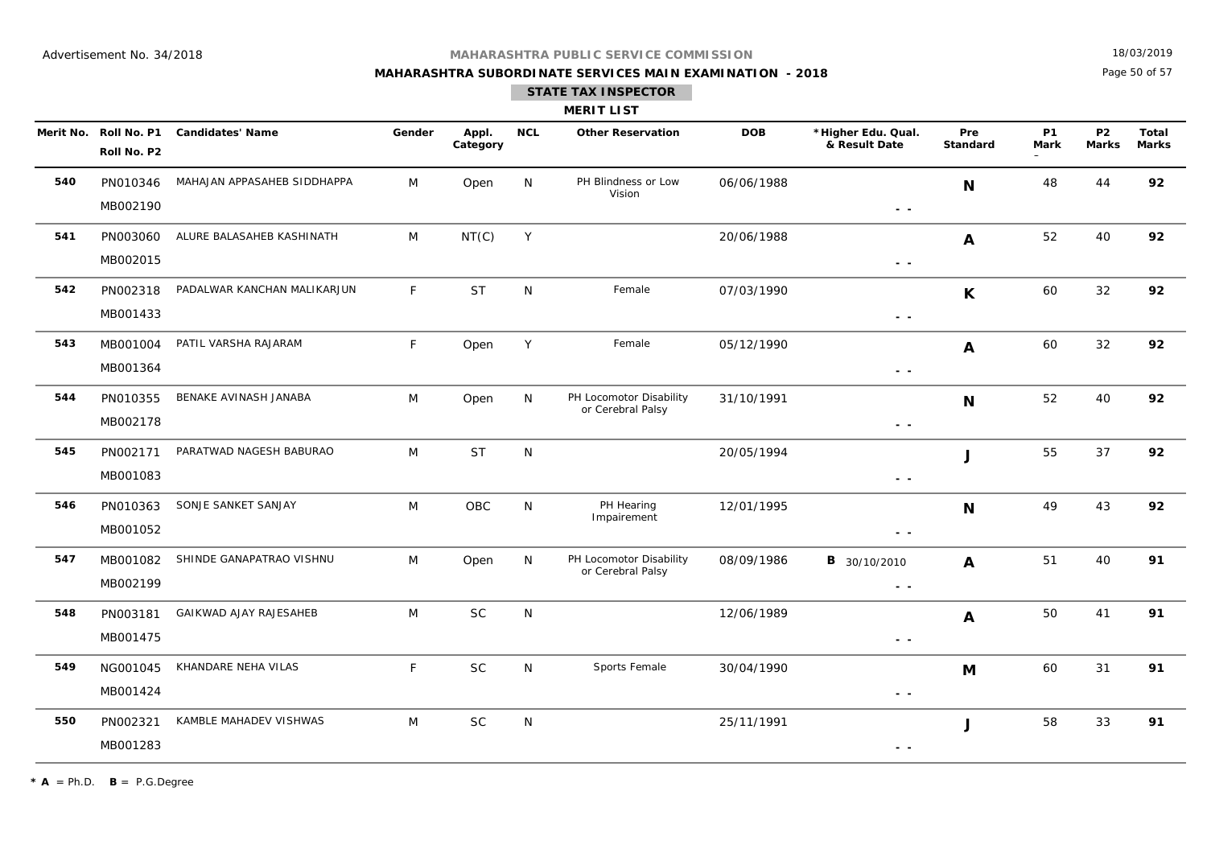## **MAHARASHTRA SUBORDINATE SERVICES MAIN EXAMINATION - 2018**

18/03/2019

Page 50 of 57

## **STATE TAX INSPECTOR**

#### **MERIT LIST**

|     | Roll No. P2          | Merit No. Roll No. P1 Candidates' Name | Gender | Appl.<br>Category | <b>NCL</b>   | <b>Other Reservation</b>                     | <b>DOB</b> | *Higher Edu. Qual.<br>& Result Date                                             | Pre<br><b>Standard</b> | <b>P1</b><br>Mark | <b>P2</b><br><b>Marks</b> | Total<br><b>Marks</b> |
|-----|----------------------|----------------------------------------|--------|-------------------|--------------|----------------------------------------------|------------|---------------------------------------------------------------------------------|------------------------|-------------------|---------------------------|-----------------------|
| 540 | PN010346<br>MB002190 | MAHAJAN APPASAHEB SIDDHAPPA            | M      | Open              | N            | PH Blindness or Low<br>Vision                | 06/06/1988 | $\sim$ $\sim$                                                                   | N                      | 48                | 44                        | 92                    |
| 541 | PN003060<br>MB002015 | ALURE BALASAHEB KASHINATH              | M      | NT(C)             | Y            |                                              | 20/06/1988 | $\sim$ $\sim$                                                                   | A                      | 52                | 40                        | 92                    |
| 542 | PN002318<br>MB001433 | PADALWAR KANCHAN MALIKARJUN            | F      | <b>ST</b>         | N            | Female                                       | 07/03/1990 | $\sim$ $\sim$                                                                   | K                      | 60                | 32                        | 92                    |
| 543 | MB001004<br>MB001364 | PATIL VARSHA RAJARAM                   | F      | Open              | Y            | Female                                       | 05/12/1990 | $\sim$ $\sim$                                                                   | $\boldsymbol{A}$       | 60                | 32                        | 92                    |
| 544 | PN010355<br>MB002178 | BENAKE AVINASH JANABA                  | M      | Open              | N            | PH Locomotor Disability<br>or Cerebral Palsy | 31/10/1991 | $\sim$ $\sim$                                                                   | N                      | 52                | 40                        | 92                    |
| 545 | PN002171<br>MB001083 | PARATWAD NAGESH BABURAO                | M      | <b>ST</b>         | $\mathsf{N}$ |                                              | 20/05/1994 | $\sim$ $\sim$                                                                   | J                      | 55                | 37                        | 92                    |
| 546 | PN010363<br>MB001052 | SONJE SANKET SANJAY                    | M      | OBC               | N            | PH Hearing<br>Impairement                    | 12/01/1995 | $\sim$ $\sim$                                                                   | N                      | 49                | 43                        | 92                    |
| 547 | MB001082<br>MB002199 | SHINDE GANAPATRAO VISHNU               | M      | Open              | N            | PH Locomotor Disability<br>or Cerebral Palsy | 08/09/1986 | <b>B</b> 30/10/2010<br>$ -$                                                     | $\boldsymbol{A}$       | 51                | 40                        | 91                    |
| 548 | PN003181<br>MB001475 | GAIKWAD AJAY RAJESAHEB                 | M      | <b>SC</b>         | ${\sf N}$    |                                              | 12/06/1989 | $\frac{1}{2} \left( \frac{1}{2} \right) \frac{1}{2} \left( \frac{1}{2} \right)$ | A                      | 50                | 41                        | 91                    |
| 549 | NG001045<br>MB001424 | KHANDARE NEHA VILAS                    | F      | <b>SC</b>         | N            | Sports Female                                | 30/04/1990 | $\sim$ $\sim$                                                                   | M                      | 60                | 31                        | 91                    |
| 550 | PN002321<br>MB001283 | KAMBLE MAHADEV VISHWAS                 | M      | <b>SC</b>         | N            |                                              | 25/11/1991 | - -                                                                             | J                      | 58                | 33                        | 91                    |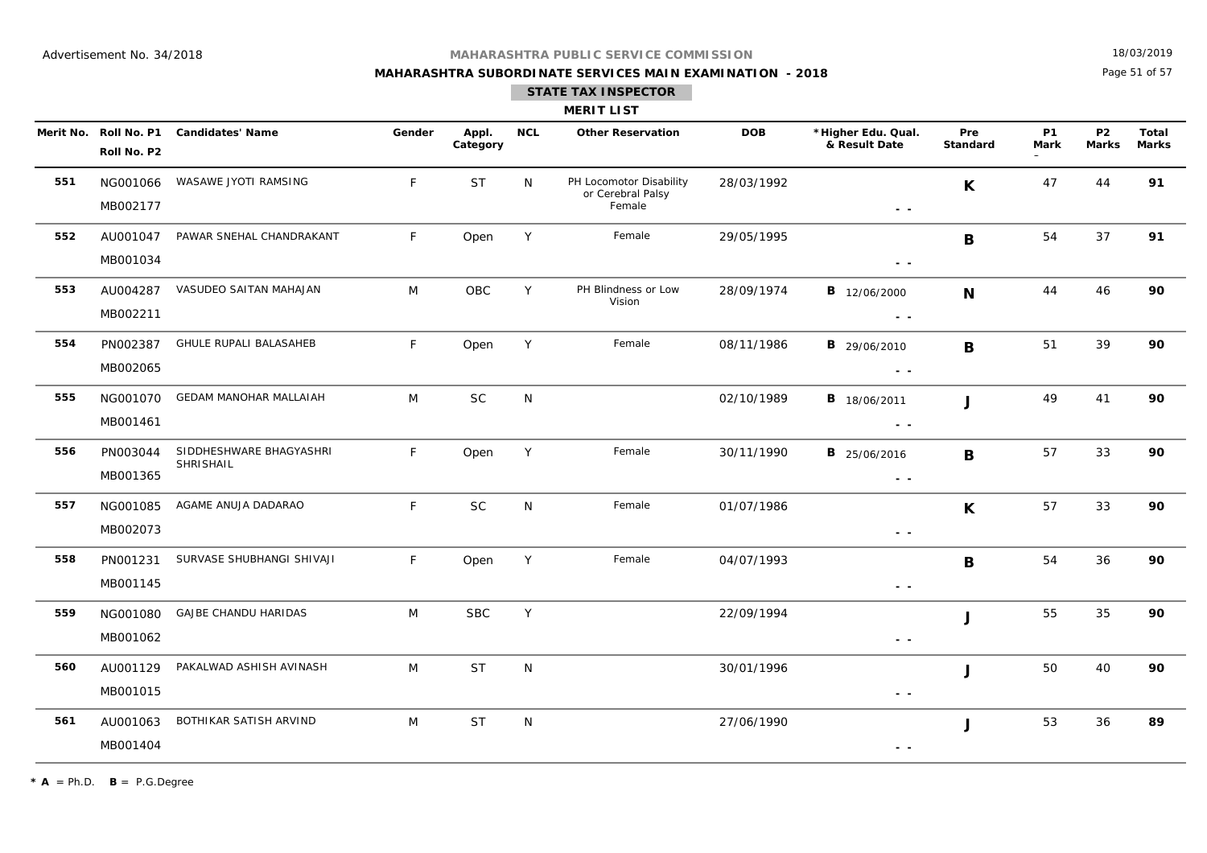## **MAHARASHTRA SUBORDINATE SERVICES MAIN EXAMINATION - 2018**

18/03/2019

Page 51 of 57

## **STATE TAX INSPECTOR**

#### **MERIT LIST**

|     | Roll No. P2          | Merit No. Roll No. P1 Candidates' Name | Gender | Appl.<br>Category | <b>NCL</b>   | <b>Other Reservation</b>                               | <b>DOB</b> | *Higher Edu. Qual.<br>& Result Date                                             | Pre<br>Standard | P1<br>Mark | <b>P2</b><br><b>Marks</b> | Total<br><b>Marks</b> |
|-----|----------------------|----------------------------------------|--------|-------------------|--------------|--------------------------------------------------------|------------|---------------------------------------------------------------------------------|-----------------|------------|---------------------------|-----------------------|
| 551 | MB002177             | NG001066 WASAWE JYOTI RAMSING          | F      | <b>ST</b>         | N            | PH Locomotor Disability<br>or Cerebral Palsy<br>Female | 28/03/1992 | $\sim$ $-$                                                                      | $\mathsf{K}$    | 47         | 44                        | 91                    |
| 552 | AU001047<br>MB001034 | PAWAR SNEHAL CHANDRAKANT               | F      | Open              | Y            | Female                                                 | 29/05/1995 | $\sim$ $-$                                                                      | B               | 54         | 37                        | 91                    |
| 553 | MB002211             | AU004287 VASUDEO SAITAN MAHAJAN        | M      | OBC               | Y            | PH Blindness or Low<br>Vision                          | 28/09/1974 | <b>B</b> 12/06/2000<br>$\sim$ $\sim$                                            | $\mathbf N$     | 44         | 46                        | 90                    |
| 554 | PN002387<br>MB002065 | GHULE RUPALI BALASAHEB                 | F      | Open              | Y            | Female                                                 | 08/11/1986 | <b>B</b> 29/06/2010<br>$\sim$ $\sim$                                            | B               | 51         | 39                        | 90                    |
| 555 | MB001461             | NG001070 GEDAM MANOHAR MALLAIAH        | M      | <b>SC</b>         | $\mathsf{N}$ |                                                        | 02/10/1989 | <b>B</b> 18/06/2011<br>$\sim$ $-$                                               | $\mathbf{J}$    | 49         | 41                        | 90                    |
| 556 | PN003044<br>MB001365 | SIDDHESHWARE BHAGYASHRI<br>SHRISHAIL   | F      | Open              | Y            | Female                                                 | 30/11/1990 | <b>B</b> 25/06/2016<br>$\sim$ $\sim$                                            | B               | 57         | 33                        | 90                    |
| 557 | MB002073             | NG001085 AGAME ANUJA DADARAO           | F      | <b>SC</b>         | N            | Female                                                 | 01/07/1986 | $\sim$ $\sim$                                                                   | K               | 57         | 33                        | 90                    |
| 558 | PN001231<br>MB001145 | SURVASE SHUBHANGI SHIVAJI              | F.     | Open              | Y            | Female                                                 | 04/07/1993 | $\sim$ $\sim$                                                                   | B               | 54         | 36                        | 90                    |
| 559 | MB001062             | NG001080 GAJBE CHANDU HARIDAS          | M      | <b>SBC</b>        | Y            |                                                        | 22/09/1994 | $\sim$ $\sim$                                                                   | $\mathbf{J}$    | 55         | 35                        | 90                    |
| 560 | AU001129<br>MB001015 | PAKALWAD ASHISH AVINASH                | M      | <b>ST</b>         | $\mathsf{N}$ |                                                        | 30/01/1996 | $\sim$ $\sim$                                                                   | $\mathbf{J}$    | 50         | 40                        | 90                    |
| 561 | AU001063<br>MB001404 | BOTHIKAR SATISH ARVIND                 | M      | <b>ST</b>         | N            |                                                        | 27/06/1990 | $\frac{1}{2} \left( \frac{1}{2} \right) \frac{1}{2} \left( \frac{1}{2} \right)$ | $\mathbf{J}$    | 53         | 36                        | 89                    |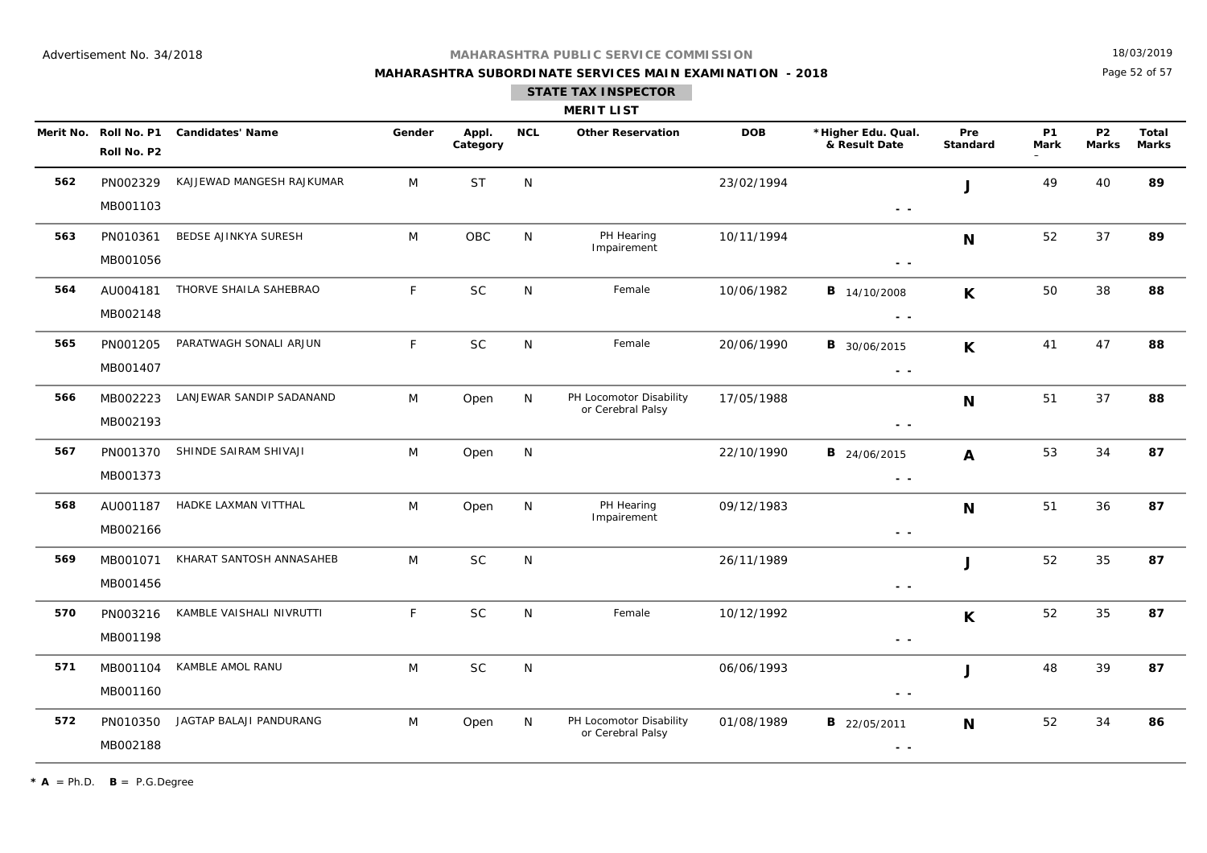## **MAHARASHTRA SUBORDINATE SERVICES MAIN EXAMINATION - 2018**

18/03/2019

Page 52 of 57

|     |                                      |                           |        |                   |            | <b>MERIT LIST</b>                            |            |                                      |                 |                   |                           |                       |
|-----|--------------------------------------|---------------------------|--------|-------------------|------------|----------------------------------------------|------------|--------------------------------------|-----------------|-------------------|---------------------------|-----------------------|
|     | Merit No. Roll No. P1<br>Roll No. P2 | <b>Candidates' Name</b>   | Gender | Appl.<br>Category | <b>NCL</b> | <b>Other Reservation</b>                     | <b>DOB</b> | *Higher Edu. Qual.<br>& Result Date  | Pre<br>Standard | <b>P1</b><br>Mark | <b>P2</b><br><b>Marks</b> | Total<br><b>Marks</b> |
| 562 | PN002329<br>MB001103                 | KAJJEWAD MANGESH RAJKUMAR | M      | <b>ST</b>         | N          |                                              | 23/02/1994 | $\sim$ $-$                           | J               | 49                | 40                        | 89                    |
| 563 | PN010361<br>MB001056                 | BEDSE AJINKYA SURESH      | M      | OBC               | N          | PH Hearing<br>Impairement                    | 10/11/1994 | $\sim$ $\sim$                        | N               | 52                | 37                        | 89                    |
| 564 | AU004181<br>MB002148                 | THORVE SHAILA SAHEBRAO    | F.     | <b>SC</b>         | N          | Female                                       | 10/06/1982 | <b>B</b> 14/10/2008<br>$\sim$ $\sim$ | $\mathsf{K}$    | 50                | 38                        | 88                    |
| 565 | PN001205<br>MB001407                 | PARATWAGH SONALI ARJUN    | F      | $\sf SC$          | N          | Female                                       | 20/06/1990 | <b>B</b> 30/06/2015<br>$\sim$ $\sim$ | $\mathbf{K}$    | 41                | 47                        | 88                    |
| 566 | MB002223<br>MB002193                 | LANJEWAR SANDIP SADANAND  | M      | Open              | N          | PH Locomotor Disability<br>or Cerebral Palsy | 17/05/1988 | $ -$                                 | N               | 51                | 37                        | 88                    |
| 567 | PN001370<br>MB001373                 | SHINDE SAIRAM SHIVAJI     | M      | Open              | N          |                                              | 22/10/1990 | <b>B</b> 24/06/2015<br>$\sim$ $\sim$ | $\mathbf{A}$    | 53                | 34                        | 87                    |
| 568 | AU001187<br>MB002166                 | HADKE LAXMAN VITTHAL      | M      | Open              | N          | PH Hearing<br>Impairement                    | 09/12/1983 | $\sim$ $\sim$                        | N               | 51                | 36                        | 87                    |
| 569 | MB001071<br>MB001456                 | KHARAT SANTOSH ANNASAHEB  | M      | <b>SC</b>         | N          |                                              | 26/11/1989 | $\sim$ $\sim$                        | J               | 52                | 35                        | 87                    |
| 570 | PN003216<br>MB001198                 | KAMBLE VAISHALI NIVRUTTI  | F      | <b>SC</b>         | N          | Female                                       | 10/12/1992 | $\sim$ $\sim$                        | $\mathsf{K}$    | 52                | 35                        | 87                    |
| 571 | MB001104<br>MB001160                 | KAMBLE AMOL RANU          | M      | <b>SC</b>         | ${\sf N}$  |                                              | 06/06/1993 | $ -$                                 | J               | 48                | 39                        | 87                    |
| 572 | PN010350<br>MB002188                 | JAGTAP BALAJI PANDURANG   | M      | Open              | N          | PH Locomotor Disability<br>or Cerebral Palsy | 01/08/1989 | <b>B</b> 22/05/2011<br>$\sim$ $\sim$ | N               | 52                | 34                        | 86                    |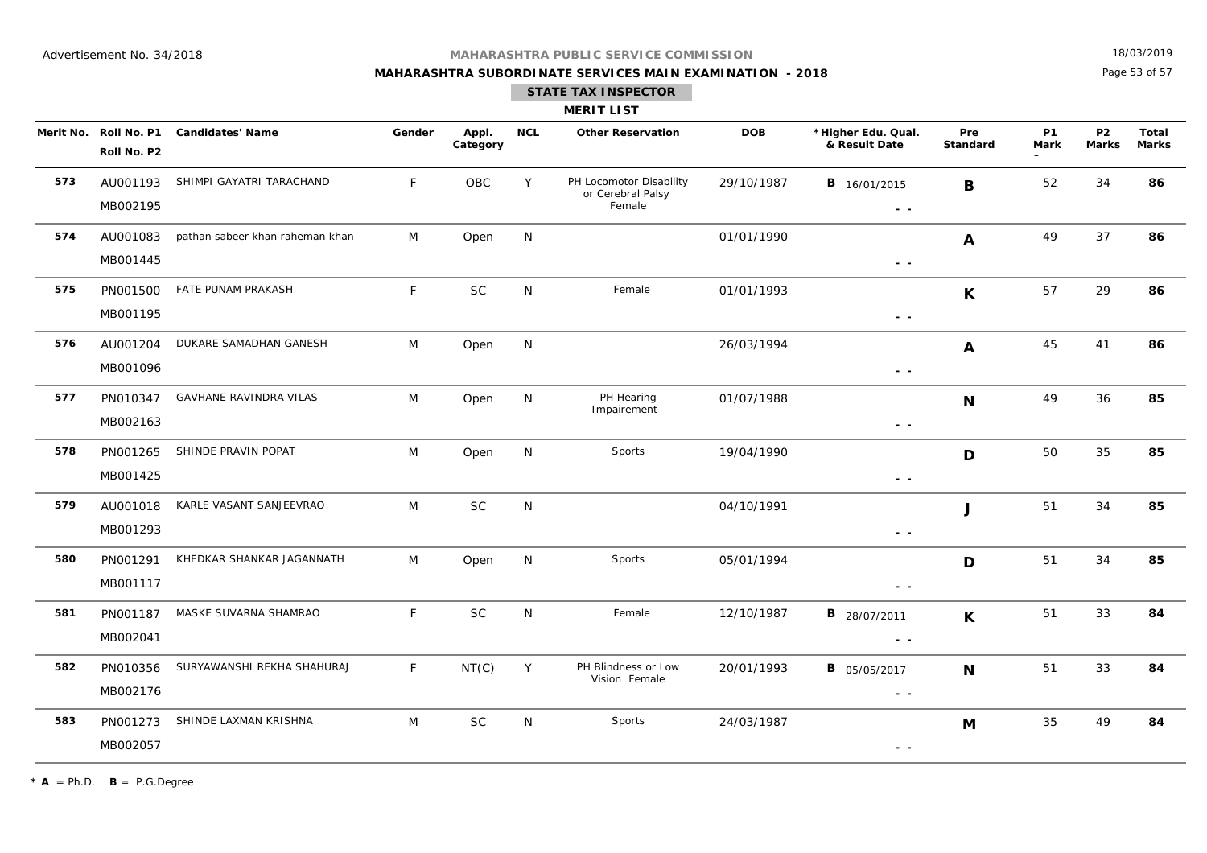## **MAHARASHTRA SUBORDINATE SERVICES MAIN EXAMINATION - 2018**

18/03/2019

Page 53 of 57

### **STATE TAX INSPECTOR**

#### **MERIT LIST**

|     | Roll No. P2          | Merit No. Roll No. P1 Candidates' Name | Gender       | Appl.<br>Category | <b>NCL</b>   | <b>Other Reservation</b>                               | <b>DOB</b> | *Higher Edu. Qual.<br>& Result Date                                               | Pre<br><b>Standard</b> | <b>P1</b><br>Mark | <b>P2</b><br><b>Marks</b> | Total<br><b>Marks</b> |
|-----|----------------------|----------------------------------------|--------------|-------------------|--------------|--------------------------------------------------------|------------|-----------------------------------------------------------------------------------|------------------------|-------------------|---------------------------|-----------------------|
| 573 | AU001193<br>MB002195 | SHIMPI GAYATRI TARACHAND               | F            | OBC               | Y            | PH Locomotor Disability<br>or Cerebral Palsy<br>Female | 29/10/1987 | <b>B</b> 16/01/2015<br>$\sim$ $\sim$                                              | B                      | 52                | 34                        | 86                    |
| 574 | AU001083<br>MB001445 | pathan sabeer khan raheman khan        | M            | Open              | N            |                                                        | 01/01/1990 | $\frac{1}{2} \left( \frac{1}{2} \right) = \frac{1}{2} \left( \frac{1}{2} \right)$ | A                      | 49                | 37                        | 86                    |
| 575 | PN001500<br>MB001195 | FATE PUNAM PRAKASH                     | F            | <b>SC</b>         | N            | Female                                                 | 01/01/1993 | $\sim$ $\sim$                                                                     | $\mathsf{K}$           | 57                | 29                        | 86                    |
| 576 | AU001204<br>MB001096 | DUKARE SAMADHAN GANESH                 | M            | Open              | ${\sf N}$    |                                                        | 26/03/1994 | $\frac{1}{2} \left( \frac{1}{2} \right) = \frac{1}{2} \left( \frac{1}{2} \right)$ | A                      | 45                | 41                        | 86                    |
| 577 | PN010347<br>MB002163 | <b>GAVHANE RAVINDRA VILAS</b>          | M            | Open              | $\mathsf{N}$ | PH Hearing<br>Impairement                              | 01/07/1988 | $\frac{1}{2} \left( \frac{1}{2} \right) = \frac{1}{2} \left( \frac{1}{2} \right)$ | N                      | 49                | 36                        | 85                    |
| 578 | PN001265<br>MB001425 | SHINDE PRAVIN POPAT                    | M            | Open              | N            | Sports                                                 | 19/04/1990 | $\sim$ $\sim$                                                                     | D                      | 50                | 35                        | 85                    |
| 579 | AU001018<br>MB001293 | KARLE VASANT SANJEEVRAO                | M            | <b>SC</b>         | N            |                                                        | 04/10/1991 | $\frac{1}{2} \left( \frac{1}{2} \right) = \frac{1}{2} \left( \frac{1}{2} \right)$ | J                      | 51                | 34                        | 85                    |
| 580 | PN001291<br>MB001117 | KHEDKAR SHANKAR JAGANNATH              | M            | Open              | N            | Sports                                                 | 05/01/1994 | $\sim$ $\sim$                                                                     | D                      | 51                | 34                        | 85                    |
| 581 | PN001187<br>MB002041 | MASKE SUVARNA SHAMRAO                  | $\mathsf{F}$ | <b>SC</b>         | ${\sf N}$    | Female                                                 | 12/10/1987 | <b>B</b> 28/07/2011<br>$\sim$ $\sim$                                              | $\mathsf{K}$           | 51                | 33                        | 84                    |
| 582 | PN010356<br>MB002176 | SURYAWANSHI REKHA SHAHURAJ             | F            | NT(C)             | Y            | PH Blindness or Low<br>Vision Female                   | 20/01/1993 | <b>B</b> 05/05/2017<br>$\sim$ $\sim$                                              | N                      | 51                | 33                        | 84                    |
| 583 | PN001273<br>MB002057 | SHINDE LAXMAN KRISHNA                  | M            | <b>SC</b>         | N            | Sports                                                 | 24/03/1987 | $ -$                                                                              | M                      | 35                | 49                        | 84                    |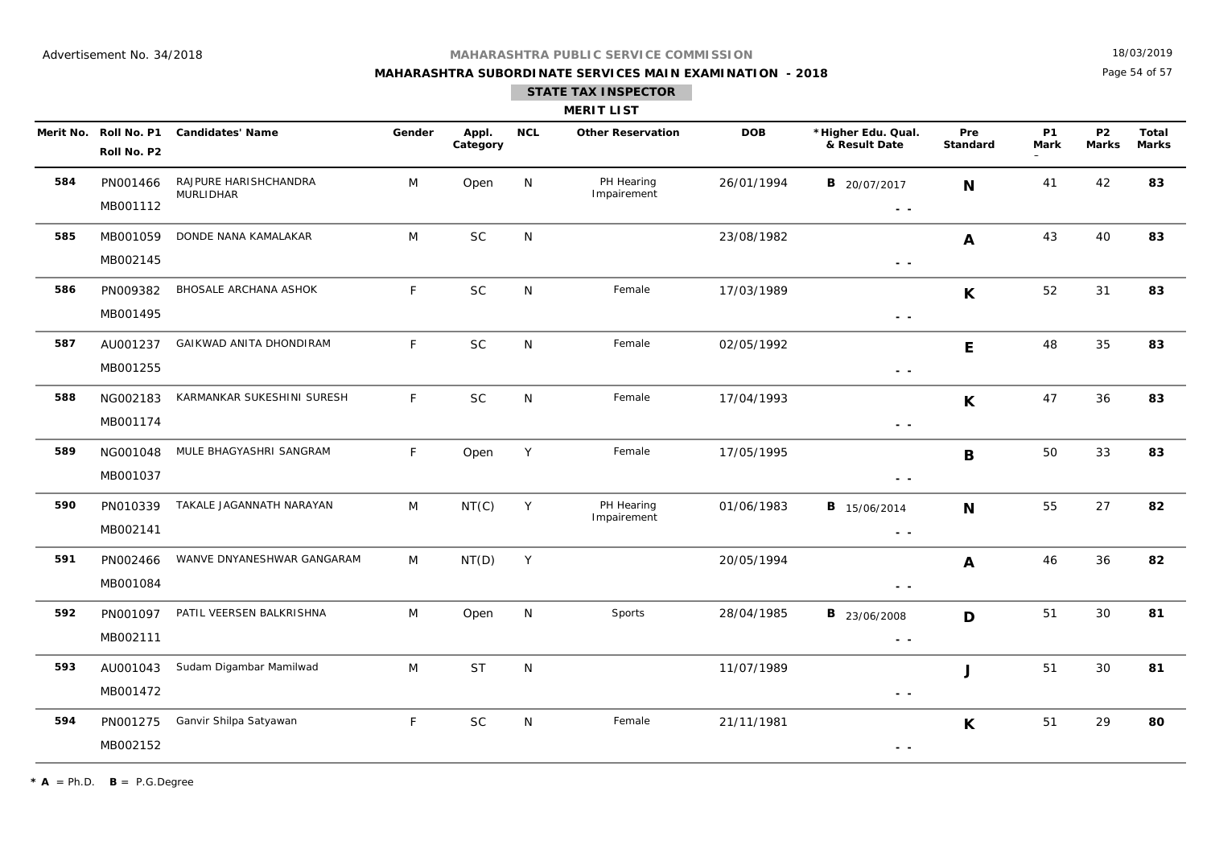**MAHARASHTRA SUBORDINATE SERVICES MAIN EXAMINATION - 2018**

18/03/2019

Page 54 of 57

|     |                                      |                                    |        |                   |              | <b>MERIT LIST</b>         |            |                                                                                                        |                 |                   |                           |                              |
|-----|--------------------------------------|------------------------------------|--------|-------------------|--------------|---------------------------|------------|--------------------------------------------------------------------------------------------------------|-----------------|-------------------|---------------------------|------------------------------|
|     | Merit No. Roll No. P1<br>Roll No. P2 | <b>Candidates' Name</b>            | Gender | Appl.<br>Category | <b>NCL</b>   | <b>Other Reservation</b>  | <b>DOB</b> | *Higher Edu. Qual.<br>& Result Date                                                                    | Pre<br>Standard | <b>P1</b><br>Mark | <b>P2</b><br><b>Marks</b> | <b>Total</b><br><b>Marks</b> |
| 584 | PN001466<br>MB001112                 | RAJPURE HARISHCHANDRA<br>MURLIDHAR | M      | Open              | N            | PH Hearing<br>Impairement | 26/01/1994 | <b>B</b> 20/07/2017<br>$\frac{1}{2} \left( \frac{1}{2} \right) \frac{1}{2} \left( \frac{1}{2} \right)$ | N               | 41                | 42                        | 83                           |
| 585 | MB001059<br>MB002145                 | DONDE NANA KAMALAKAR               | M      | <b>SC</b>         | N            |                           | 23/08/1982 | $ -$                                                                                                   | A               | 43                | 40                        | 83                           |
| 586 | PN009382<br>MB001495                 | BHOSALE ARCHANA ASHOK              | F      | <b>SC</b>         | N            | Female                    | 17/03/1989 | $ -$                                                                                                   | $\mathsf{K}$    | 52                | 31                        | 83                           |
| 587 | AU001237<br>MB001255                 | GAIKWAD ANITA DHONDIRAM            | F      | SC                | N            | Female                    | 02/05/1992 | $\sim$ $\sim$                                                                                          | E               | 48                | 35                        | 83                           |
| 588 | NG002183<br>MB001174                 | KARMANKAR SUKESHINI SURESH         | F      | SC                | N            | Female                    | 17/04/1993 | $\sim$ $\sim$                                                                                          | $\mathsf{K}$    | 47                | 36                        | 83                           |
| 589 | NG001048<br>MB001037                 | MULE BHAGYASHRI SANGRAM            | F      | Open              | Y            | Female                    | 17/05/1995 | - -                                                                                                    | $\mathbf B$     | 50                | 33                        | 83                           |
| 590 | PN010339<br>MB002141                 | TAKALE JAGANNATH NARAYAN           | M      | NT(C)             | Y            | PH Hearing<br>Impairement | 01/06/1983 | <b>B</b> 15/06/2014<br>$\sim$ $ \sim$                                                                  | N               | 55                | 27                        | 82                           |
| 591 | PN002466<br>MB001084                 | WANVE DNYANESHWAR GANGARAM         | M      | NT(D)             | Y            |                           | 20/05/1994 | $\sim$ $ \sim$                                                                                         | A               | 46                | 36                        | 82                           |
| 592 | PN001097<br>MB002111                 | PATIL VEERSEN BALKRISHNA           | M      | Open              | N            | Sports                    | 28/04/1985 | <b>B</b> 23/06/2008<br>$\frac{1}{2} \left( \frac{1}{2} \right) \frac{1}{2} \left( \frac{1}{2} \right)$ | D               | 51                | 30                        | 81                           |
| 593 | AU001043<br>MB001472                 | Sudam Digambar Mamilwad            | M      | <b>ST</b>         | $\mathsf{N}$ |                           | 11/07/1989 | - -                                                                                                    | J               | 51                | 30                        | 81                           |
| 594 | PN001275<br>MB002152                 | Ganvir Shilpa Satyawan             | F      | <b>SC</b>         | N            | Female                    | 21/11/1981 | $\sim$ $\sim$                                                                                          | $\mathsf{K}$    | 51                | 29                        | 80                           |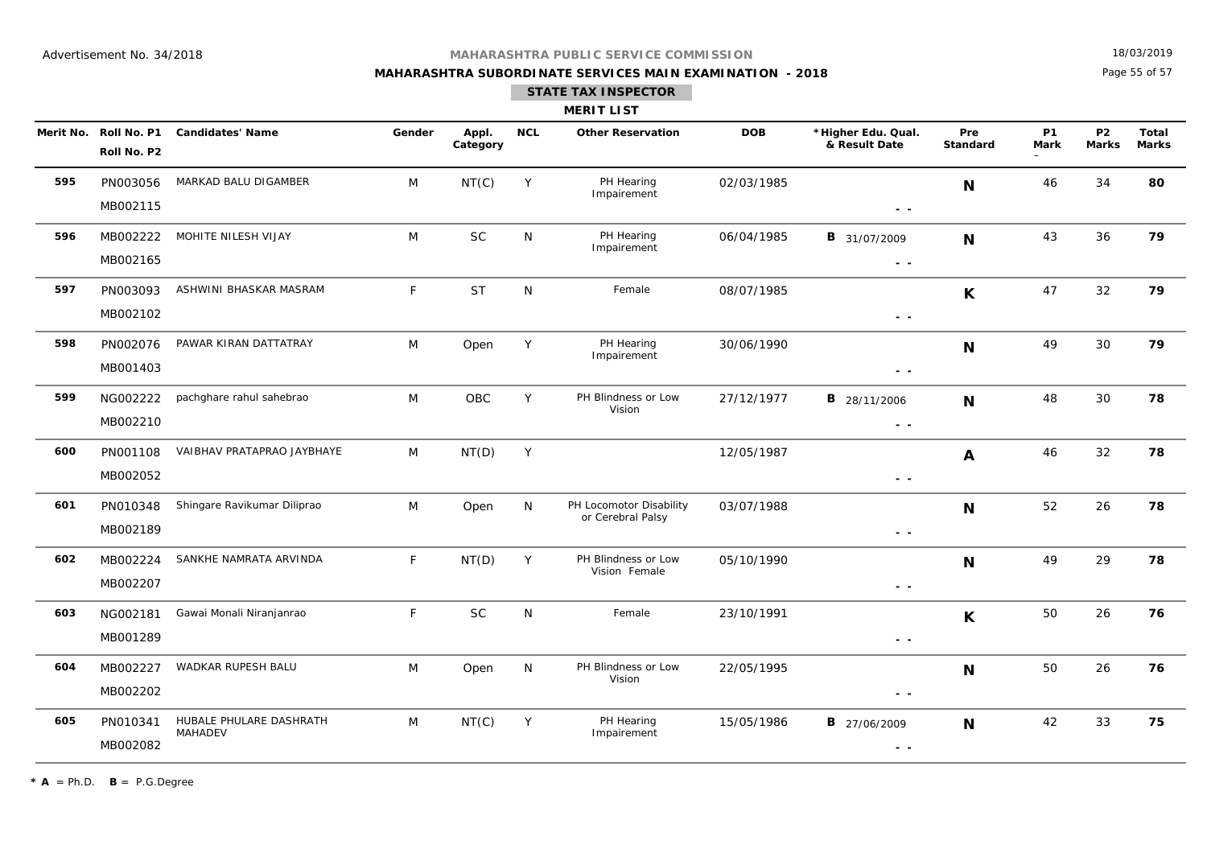## **MAHARASHTRA SUBORDINATE SERVICES MAIN EXAMINATION - 2018**

18/03/2019

Page 55 of 57

|     |                                      |                                           |              |                   |            | <b>MERIT LIST</b>                            |            |                                      |                        |                          |                           |                              |
|-----|--------------------------------------|-------------------------------------------|--------------|-------------------|------------|----------------------------------------------|------------|--------------------------------------|------------------------|--------------------------|---------------------------|------------------------------|
|     | Merit No. Roll No. P1<br>Roll No. P2 | <b>Candidates' Name</b>                   | Gender       | Appl.<br>Category | <b>NCL</b> | <b>Other Reservation</b>                     | <b>DOB</b> | *Higher Edu. Qual.<br>& Result Date  | Pre<br><b>Standard</b> | <b>P1</b><br><b>Mark</b> | <b>P2</b><br><b>Marks</b> | <b>Total</b><br><b>Marks</b> |
| 595 | PN003056<br>MB002115                 | MARKAD BALU DIGAMBER                      | M            | NT(C)             | Y          | PH Hearing<br>Impairement                    | 02/03/1985 | $\sim$ $\sim$                        | N                      | 46                       | 34                        | 80                           |
| 596 | MB002222<br>MB002165                 | MOHITE NILESH VIJAY                       | M            | <b>SC</b>         | N          | PH Hearing<br>Impairement                    | 06/04/1985 | <b>B</b> 31/07/2009<br>$\sim$ $\sim$ | N                      | 43                       | 36                        | 79                           |
| 597 | PN003093<br>MB002102                 | ASHWINI BHASKAR MASRAM                    | F            | <b>ST</b>         | N          | Female                                       | 08/07/1985 | $ -$                                 | K                      | 47                       | 32                        | 79                           |
| 598 | PN002076<br>MB001403                 | PAWAR KIRAN DATTATRAY                     | M            | Open              | Y          | PH Hearing<br>Impairement                    | 30/06/1990 | - -                                  | N                      | 49                       | 30                        | 79                           |
| 599 | NG002222<br>MB002210                 | pachghare rahul sahebrao                  | M            | OBC               | Y          | PH Blindness or Low<br>Vision                | 27/12/1977 | <b>B</b> 28/11/2006<br>$\sim$ $\sim$ | N                      | 48                       | 30                        | 78                           |
| 600 | PN001108<br>MB002052                 | VAIBHAV PRATAPRAO JAYBHAYE                | M            | NT(D)             | Y          |                                              | 12/05/1987 | $\sim$ $\sim$                        | $\mathbf{A}$           | 46                       | 32                        | 78                           |
| 601 | PN010348<br>MB002189                 | Shingare Ravikumar Diliprao               | M            | Open              | N          | PH Locomotor Disability<br>or Cerebral Palsy | 03/07/1988 | $ -$                                 | N                      | 52                       | 26                        | 78                           |
| 602 | MB002224<br>MB002207                 | SANKHE NAMRATA ARVINDA                    | $\mathsf{F}$ | NT(D)             | Y          | PH Blindness or Low<br>Vision Female         | 05/10/1990 | $\sim$ $\sim$                        | N                      | 49                       | 29                        | 78                           |
| 603 | NG002181<br>MB001289                 | Gawai Monali Niranjanrao                  | F            | <b>SC</b>         | N          | Female                                       | 23/10/1991 | $\sim$ $\sim$                        | K                      | 50                       | 26                        | 76                           |
| 604 | MB002227<br>MB002202                 | WADKAR RUPESH BALU                        | M            | Open              | N          | PH Blindness or Low<br>Vision                | 22/05/1995 | $ -$                                 | N                      | 50                       | 26                        | 76                           |
| 605 | PN010341<br>MB002082                 | HUBALE PHULARE DASHRATH<br><b>MAHADEV</b> | M            | NT(C)             | Y          | PH Hearing<br>Impairement                    | 15/05/1986 | <b>B</b> 27/06/2009<br>$ -$          | N                      | 42                       | 33                        | 75                           |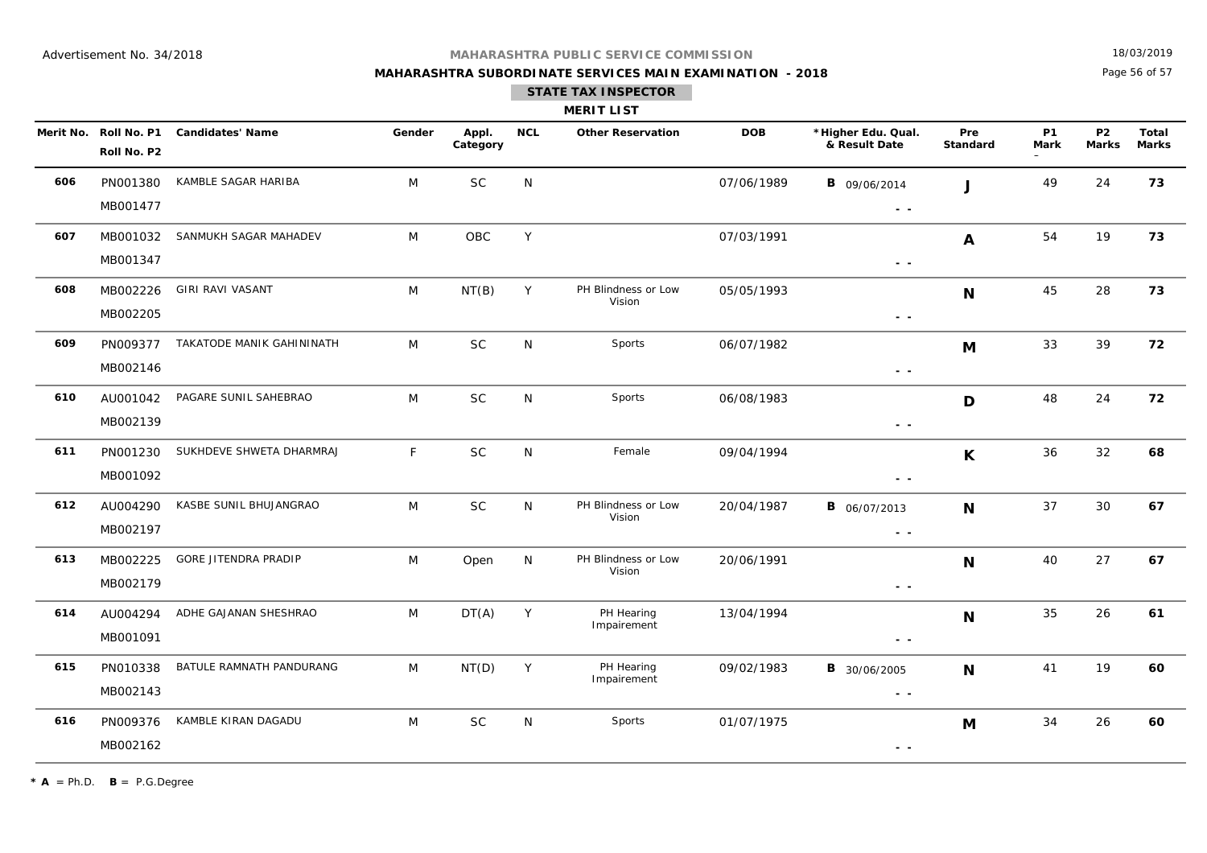## **MAHARASHTRA SUBORDINATE SERVICES MAIN EXAMINATION - 2018**

18/03/2019

Page 56 of 57

|     |                                      |                                    |        |                   |              | <b>MERIT LIST</b>             |            |                                                                                 |                 |                          |                           |                       |
|-----|--------------------------------------|------------------------------------|--------|-------------------|--------------|-------------------------------|------------|---------------------------------------------------------------------------------|-----------------|--------------------------|---------------------------|-----------------------|
|     | Merit No. Roll No. P1<br>Roll No. P2 | <b>Candidates' Name</b>            | Gender | Appl.<br>Category | <b>NCL</b>   | <b>Other Reservation</b>      | <b>DOB</b> | *Higher Edu. Qual.<br>& Result Date                                             | Pre<br>Standard | <b>P1</b><br><b>Mark</b> | <b>P2</b><br><b>Marks</b> | Total<br><b>Marks</b> |
| 606 | PN001380<br>MB001477                 | KAMBLE SAGAR HARIBA                | M      | <b>SC</b>         | N            |                               | 07/06/1989 | <b>B</b> 09/06/2014<br>$\sim$ $\sim$                                            | . J             | 49                       | 24                        | 73                    |
| 607 | MB001032<br>MB001347                 | SANMUKH SAGAR MAHADEV              | M      | OBC               | Y            |                               | 07/03/1991 | $\sim$ $\sim$                                                                   | A               | 54                       | 19                        | 73                    |
| 608 | MB002226<br>MB002205                 | GIRI RAVI VASANT                   | M      | NT(B)             | Y            | PH Blindness or Low<br>Vision | 05/05/1993 | $ -$                                                                            | N               | 45                       | 28                        | 73                    |
| 609 | MB002146                             | PN009377 TAKATODE MANIK GAHININATH | M      | <b>SC</b>         | $\mathsf{N}$ | Sports                        | 06/07/1982 | $\sim$ $\sim$                                                                   | M               | 33                       | 39                        | 72                    |
| 610 | AU001042<br>MB002139                 | PAGARE SUNIL SAHEBRAO              | M      | $\sf SC$          | ${\sf N}$    | Sports                        | 06/08/1983 | $\frac{1}{2} \left( \frac{1}{2} \right) \frac{1}{2} \left( \frac{1}{2} \right)$ | D               | 48                       | 24                        | 72                    |
| 611 | PN001230<br>MB001092                 | SUKHDEVE SHWETA DHARMRAJ           | F      | $\sf SC$          | ${\sf N}$    | Female                        | 09/04/1994 | $\sim$ $\sim$                                                                   | $\mathsf{K}$    | 36                       | 32                        | 68                    |
| 612 | AU004290<br>MB002197                 | KASBE SUNIL BHUJANGRAO             | M      | $\sf SC$          | N            | PH Blindness or Low<br>Vision | 20/04/1987 | <b>B</b> 06/07/2013<br>$\sim$ $\sim$                                            | N               | 37                       | 30                        | 67                    |
| 613 | MB002225<br>MB002179                 | <b>GORE JITENDRA PRADIP</b>        | M      | Open              | N            | PH Blindness or Low<br>Vision | 20/06/1991 | $\sim$ $ \sim$                                                                  | N               | 40                       | 27                        | 67                    |
| 614 | AU004294<br>MB001091                 | ADHE GAJANAN SHESHRAO              | M      | DT(A)             | Y            | PH Hearing<br>Impairement     | 13/04/1994 | $\sim$ $-$                                                                      | N               | 35                       | 26                        | 61                    |
| 615 | PN010338<br>MB002143                 | BATULE RAMNATH PANDURANG           | M      | NT(D)             | Y            | PH Hearing<br>Impairement     | 09/02/1983 | <b>B</b> 30/06/2005<br>$ -$                                                     | N               | 41                       | 19                        | 60                    |
| 616 | PN009376<br>MB002162                 | KAMBLE KIRAN DAGADU                | M      | <b>SC</b>         | N            | Sports                        | 01/07/1975 | $\sim$ $-$                                                                      | M               | 34                       | 26                        | 60                    |